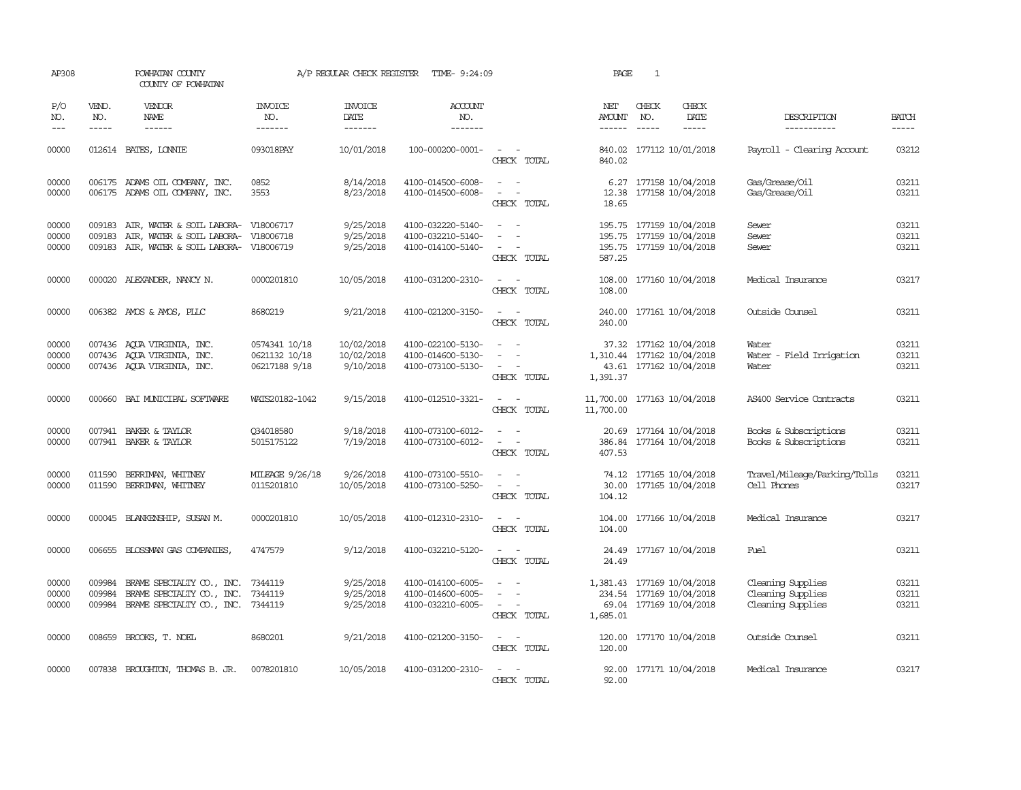| AP308                   |                               | POWHATAN COUNTY<br>COUNTY OF POWHATAN                                                                                 |                                                 | A/P REGULAR CHECK REGISTER            | TIME- 9:24:09                                               |                                                                                                   | PAGE                 | $\mathbf{1}$                                                                      |                                                             |                         |
|-------------------------|-------------------------------|-----------------------------------------------------------------------------------------------------------------------|-------------------------------------------------|---------------------------------------|-------------------------------------------------------------|---------------------------------------------------------------------------------------------------|----------------------|-----------------------------------------------------------------------------------|-------------------------------------------------------------|-------------------------|
| P/O<br>NO.<br>$---$     | VEND.<br>NO.<br>$\frac{1}{2}$ | VENDOR<br><b>NAME</b><br>$- - - - - -$                                                                                | INVOICE<br>NO.<br>-------                       | <b>INVOICE</b><br>DATE<br>-------     | <b>ACCOUNT</b><br>NO.<br>-------                            |                                                                                                   | NET<br><b>AMOUNT</b> | CHECK<br>CHECK<br>NO.<br>DATE<br>$\frac{1}{2}$                                    | DESCRIPTION<br>-----------                                  | <b>BATCH</b>            |
| 00000                   |                               | 012614 BATES, LONTE                                                                                                   | 093018PAY                                       | 10/01/2018                            | 100-000200-0001-                                            | $\sim$<br>$\sim$<br>CHECK TOTAL                                                                   | 840.02               | 840.02 177112 10/01/2018                                                          | Payroll - Clearing Account                                  | 03212                   |
| 00000<br>00000          |                               | 006175 ADAMS OIL COMPANY, INC.<br>006175 ADAMS OIL COMPANY, INC.                                                      | 0852<br>3553                                    | 8/14/2018<br>8/23/2018                | 4100-014500-6008-<br>4100-014500-6008-                      | $\sim$ $ \sim$<br>$\sim$ $ -$<br>CHECK TOTAL                                                      | 18.65                | 6.27 177158 10/04/2018<br>12.38 177158 10/04/2018                                 | Gas/Grease/Oil<br>Gas/Grease/Oil                            | 03211<br>03211          |
| 00000<br>00000<br>00000 | 009183                        | 009183 AIR, WATER & SOIL LABORA- V18006717<br>AIR, WATER & SOIL LABORA-<br>009183 AIR, WATER & SOIL LABORA- V18006719 | V18006718                                       | 9/25/2018<br>9/25/2018<br>9/25/2018   | 4100-032220-5140-<br>4100-032210-5140-<br>4100-014100-5140- | $\sim$<br>$\sim$<br>$\sim$<br>$\overline{\phantom{a}}$<br>CHECK TOTAL                             | 587.25               | 195.75 177159 10/04/2018<br>195.75 177159 10/04/2018<br>195.75 177159 10/04/2018  | Sewer<br>Sewer<br>Sewer                                     | 03211<br>03211<br>03211 |
| 00000                   |                               | 000020 ALEXANDER, NANCY N.                                                                                            | 0000201810                                      | 10/05/2018                            | 4100-031200-2310-                                           | $\omega_{\rm{max}}$ and $\omega_{\rm{max}}$<br>CHECK TOTAL                                        | 108.00               | 108.00 177160 10/04/2018                                                          | Medical Insurance                                           | 03217                   |
| 00000                   |                               | 006382 AMOS & AMOS, PLLC                                                                                              | 8680219                                         | 9/21/2018                             | 4100-021200-3150-                                           | $\omega_{\rm{max}}$ and $\omega_{\rm{max}}$<br>CHECK TOTAL                                        | 240.00               | 240.00 177161 10/04/2018                                                          | Outside Counsel                                             | 03211                   |
| 00000<br>00000<br>00000 |                               | 007436 AQUA VIRGINIA, INC.<br>007436 AQUA VIRGINIA, INC.<br>007436 AQUA VIRGINIA, INC.                                | 0574341 10/18<br>0621132 10/18<br>06217188 9/18 | 10/02/2018<br>10/02/2018<br>9/10/2018 | 4100-022100-5130-<br>4100-014600-5130-<br>4100-073100-5130- | $\sim$<br>$\overline{\phantom{a}}$<br>$\overline{\phantom{a}}$<br>$\sim$<br>$\sim$<br>CHECK TOTAL | 1,391.37             | 37.32 177162 10/04/2018<br>1,310.44 177162 10/04/2018<br>43.61 177162 10/04/2018  | Water<br>Water - Field Irrigation<br>Water                  | 03211<br>03211<br>03211 |
| 00000                   |                               | 000660 BAI MUNICIPAL SOFTWARE                                                                                         | WATS20182-1042                                  | 9/15/2018                             | 4100-012510-3321-                                           | CHECK TOTAL                                                                                       | 11,700.00            | 11,700.00 177163 10/04/2018                                                       | AS400 Service Contracts                                     | 03211                   |
| 00000<br>00000          |                               | 007941 BAKER & TAYLOR<br>007941 BAKER & TAYLOR                                                                        | Q34018580<br>5015175122                         | 9/18/2018<br>7/19/2018                | 4100-073100-6012-<br>4100-073100-6012-                      | $\omega_{\rm{max}}$ and $\omega_{\rm{max}}$<br>$\sim$ $ -$<br>CHECK TOTAL                         | 407.53               | 20.69 177164 10/04/2018<br>386.84 177164 10/04/2018                               | Books & Subscriptions<br>Books & Subscriptions              | 03211<br>03211          |
| 00000<br>00000          | 011590<br>011590              | BERRIMAN, WHITNEY<br>BERRIMAN, WHITNEY                                                                                | MILEAGE 9/26/18<br>0115201810                   | 9/26/2018<br>10/05/2018               | 4100-073100-5510-<br>4100-073100-5250-                      | $\sim$<br>$\sim$<br>$\sim$<br>$\hspace{0.1mm}-\hspace{0.1mm}$<br>CHECK TOTAL                      | 104.12               | 74.12 177165 10/04/2018<br>30.00 177165 10/04/2018                                | Travel/Mileage/Parking/Tolls<br>Cell Phones                 | 03211<br>03217          |
| 00000                   |                               | 000045 BLANKENSHIP, SUSAN M.                                                                                          | 0000201810                                      | 10/05/2018                            | 4100-012310-2310-                                           | $\omega_{\rm{max}}$ and $\omega_{\rm{max}}$<br>CHECK TOTAL                                        | 104.00               | 104.00 177166 10/04/2018                                                          | Medical Insurance                                           | 03217                   |
| 00000                   |                               | 006655 BLOSSMAN GAS COMPANIES,                                                                                        | 4747579                                         | 9/12/2018                             | 4100-032210-5120-                                           | $\sim$ $ -$<br>CHECK TOTAL                                                                        | 24.49                | 24.49 177167 10/04/2018                                                           | Fuel                                                        | 03211                   |
| 00000<br>00000<br>00000 | 009984<br>009984              | BRAME SPECIALITY CO., INC.<br>BRAME SPECIALITY CO., INC.<br>009984 BRAME SPECIALITY CO., INC. 7344119                 | 7344119<br>7344119                              | 9/25/2018<br>9/25/2018<br>9/25/2018   | 4100-014100-6005-<br>4100-014600-6005-<br>4100-032210-6005- | $\overline{\phantom{a}}$<br>$\sim$<br>$\sim$<br>$\sim$<br>CHECK TOTAL                             | 1,685.01             | 1,381.43 177169 10/04/2018<br>234.54 177169 10/04/2018<br>69.04 177169 10/04/2018 | Cleaning Supplies<br>Cleaning Supplies<br>Cleaning Supplies | 03211<br>03211<br>03211 |
| 00000                   | 008659                        | BROOKS, T. NOEL                                                                                                       | 8680201                                         | 9/21/2018                             | 4100-021200-3150-                                           | $\sim$ $ -$<br>CHECK TOTAL                                                                        | 120.00               | 120.00 177170 10/04/2018                                                          | Outside Counsel                                             | 03211                   |
| 00000                   |                               | 007838 BROUGHTON, THOMAS B. JR.                                                                                       | 0078201810                                      | 10/05/2018                            | 4100-031200-2310-                                           | $\sim$ $ \sim$<br>CHECK TOTAL                                                                     | 92.00                | 92.00 177171 10/04/2018                                                           | Medical Insurance                                           | 03217                   |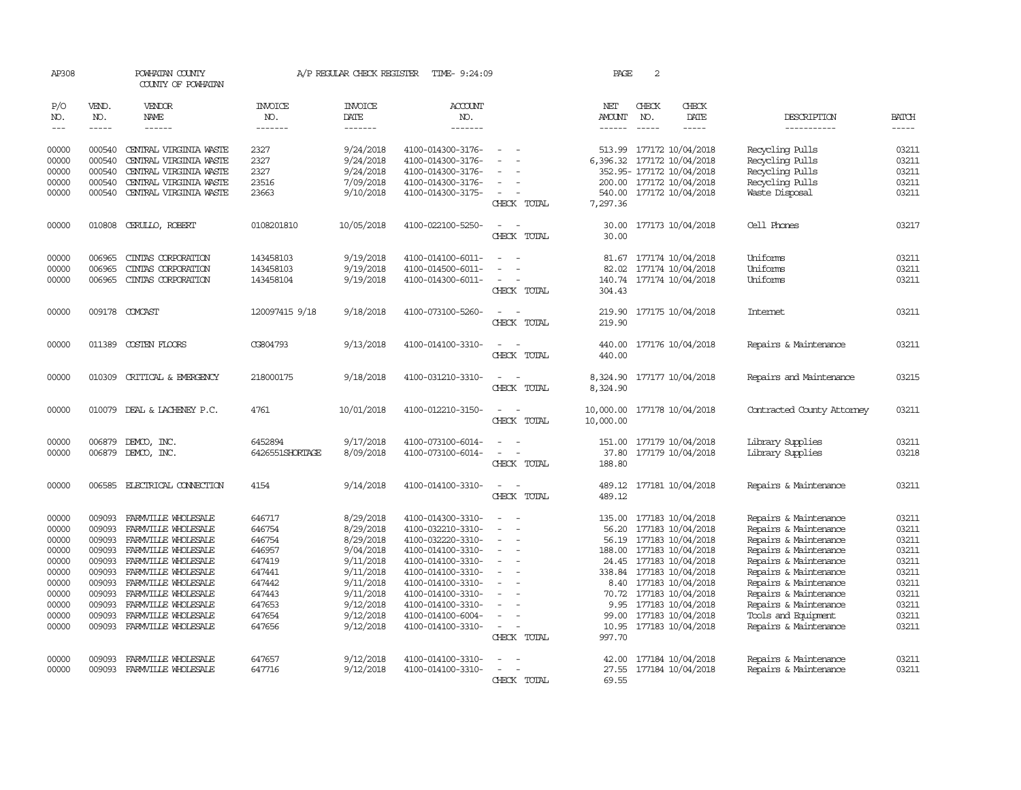| AP308                       |                             | POWHATAN COUNTY<br>COUNTY OF POWHATAN  |                                  | A/P REGULAR CHECK REGISTER        | TIME- 9:24:09                    |                                                   | PAGE                                  | 2                             |                             |                            |                             |
|-----------------------------|-----------------------------|----------------------------------------|----------------------------------|-----------------------------------|----------------------------------|---------------------------------------------------|---------------------------------------|-------------------------------|-----------------------------|----------------------------|-----------------------------|
| P/O<br>NO.<br>$\frac{1}{2}$ | VEND.<br>NO.<br>$- - - - -$ | <b>VENDOR</b><br>NAME<br>$- - - - - -$ | <b>INVOICE</b><br>NO.<br>------- | <b>INVOICE</b><br>DATE<br>------- | <b>ACCOUNT</b><br>NO.<br>------- |                                                   | NET<br><b>AMOUNT</b><br>$- - - - - -$ | CHECK<br>NO.<br>$\frac{1}{2}$ | CHECK<br>DATE<br>-----      | DESCRIPTION<br>----------- | <b>BATCH</b><br>$- - - - -$ |
| 00000                       | 000540                      | CENTRAL VIRGINIA WASTE                 | 2327                             | 9/24/2018                         | 4100-014300-3176-                | $\sim$                                            |                                       |                               | 513.99 177172 10/04/2018    | Recycling Pulls            | 03211                       |
| 00000                       | 000540                      | CENTRAL VIRGINIA WASTE                 | 2327                             | 9/24/2018                         | 4100-014300-3176-                |                                                   |                                       |                               | 6,396.32 177172 10/04/2018  | Recycling Pulls            | 03211                       |
| 00000                       | 000540                      | CENTRAL VIRGINIA WASTE                 | 2327                             | 9/24/2018                         | 4100-014300-3176-                | $\sim$                                            |                                       |                               | 352.95- 177172 10/04/2018   | Recycling Pulls            | 03211                       |
| 00000                       | 000540                      | CENTRAL VIRGINIA WASTE                 | 23516                            | 7/09/2018                         | 4100-014300-3176-                | $\overline{\phantom{a}}$                          |                                       |                               | 200.00 177172 10/04/2018    | Recycling Pulls            | 03211                       |
| 00000                       | 000540                      | CENTRAL VIRGINIA WASTE                 | 23663                            | 9/10/2018                         | 4100-014300-3175-                | $\sim$<br>$\overline{\phantom{a}}$<br>CHECK TOTAL | 7,297.36                              |                               | 540.00 177172 10/04/2018    | Waste Disposal             | 03211                       |
| 00000                       | 010808                      | CERULLO, ROBERT                        | 0108201810                       | 10/05/2018                        | 4100-022100-5250-                |                                                   | 30.00                                 |                               | 177173 10/04/2018           | Cell Phones                | 03217                       |
|                             |                             |                                        |                                  |                                   |                                  | CHECK TOTAL                                       | 30.00                                 |                               |                             |                            |                             |
| 00000                       | 006965                      | CINIAS CORPORATION                     | 143458103                        | 9/19/2018                         | 4100-014100-6011-                | $\sim$                                            | 81.67                                 |                               | 177174 10/04/2018           | Uniforms                   | 03211                       |
| 00000                       | 006965                      | CINIAS CORPORATION                     | 143458103                        | 9/19/2018                         | 4100-014500-6011-                |                                                   |                                       |                               | 82.02 177174 10/04/2018     | Uniforms                   | 03211                       |
| 00000                       | 006965                      | CINIAS CORPORATION                     | 143458104                        | 9/19/2018                         | 4100-014300-6011-                | $\overline{\phantom{a}}$<br>$\sim$<br>CHECK TOTAL | 304.43                                |                               | 140.74 177174 10/04/2018    | Uniforms                   | 03211                       |
| 00000                       |                             | 009178 COMCAST                         | 120097415 9/18                   | 9/18/2018                         | 4100-073100-5260-                | $\sim$<br>$\sim$<br>CHECK TOTAL                   | 219.90                                |                               | 219.90 177175 10/04/2018    | <b>Internet</b>            | 03211                       |
| 00000                       |                             | 011389 COSTEN FLOORS                   | CG804793                         | 9/13/2018                         | 4100-014100-3310-                | $\sim$<br>CHECK TOTAL                             | 440.00                                |                               | 440.00 177176 10/04/2018    | Repairs & Maintenance      | 03211                       |
| 00000                       |                             | 010309 CRITICAL & EMERGENCY            | 218000175                        | 9/18/2018                         | 4100-031210-3310-                | $\sim$<br>$\overline{a}$<br>CHECK TOTAL           | 8,324.90                              |                               | 8,324.90 177177 10/04/2018  | Repairs and Maintenance    | 03215                       |
| 00000                       |                             | 010079 DEAL & LACHENEY P.C.            | 4761                             | 10/01/2018                        | 4100-012210-3150-                | $\sim$<br>CHECK TOTAL                             | 10,000.00                             |                               | 10,000.00 177178 10/04/2018 | Contracted County Attorney | 03211                       |
| 00000                       | 006879                      | DEMCO, INC.                            | 6452894                          | 9/17/2018                         | 4100-073100-6014-                |                                                   |                                       |                               | 151.00 177179 10/04/2018    | Library Supplies           | 03211                       |
| 00000                       | 006879                      | DEMCO, INC.                            | 6426551SHORTAGE                  | 8/09/2018                         | 4100-073100-6014-                | CHECK TOTAL                                       | 37.80<br>188.80                       |                               | 177179 10/04/2018           | Library Supplies           | 03218                       |
| 00000                       | 006585                      | ELECTRICAL CONNECTION                  | 4154                             | 9/14/2018                         | 4100-014100-3310-                |                                                   |                                       |                               | 489.12 177181 10/04/2018    | Repairs & Maintenance      | 03211                       |
|                             |                             |                                        |                                  |                                   |                                  | CHECK TOTAL                                       | 489.12                                |                               |                             |                            |                             |
| 00000                       | 009093                      | FARMVILLE WHOLESALE                    | 646717                           | 8/29/2018                         | 4100-014300-3310-                |                                                   |                                       |                               | 135.00 177183 10/04/2018    | Repairs & Maintenance      | 03211                       |
| 00000                       | 009093                      | FARMVILLE WHOLESALE                    | 646754                           | 8/29/2018                         | 4100-032210-3310-                | $\equiv$<br>$\overline{\phantom{a}}$              | 56.20                                 |                               | 177183 10/04/2018           | Repairs & Maintenance      | 03211                       |
| 00000                       | 009093                      | FARMVILLE WHOLESALE                    | 646754                           | 8/29/2018                         | 4100-032220-3310-                | $\equiv$                                          | 56.19                                 |                               | 177183 10/04/2018           | Repairs & Maintenance      | 03211                       |
| 00000                       | 009093                      | FARMVILLE WHOLESALE                    | 646957                           | 9/04/2018                         | 4100-014100-3310-                |                                                   |                                       |                               | 188.00 177183 10/04/2018    | Repairs & Maintenance      | 03211                       |
| 00000                       | 009093                      | FARMVILLE WHOLESALE                    | 647419                           | 9/11/2018                         | 4100-014100-3310-                | $\equiv$<br>$\sim$                                | 24.45                                 |                               | 177183 10/04/2018           | Repairs & Maintenance      | 03211                       |
| 00000                       | 009093                      | FARMVILLE WHOLESALE                    | 647441                           | 9/11/2018                         | 4100-014100-3310-                | $\overline{\phantom{0}}$                          |                                       |                               | 338.84 177183 10/04/2018    | Repairs & Maintenance      | 03211                       |
| 00000                       | 009093                      | FARMVILLE WHOLESALE                    | 647442                           | 9/11/2018                         | 4100-014100-3310-                |                                                   |                                       |                               | 8.40 177183 10/04/2018      | Repairs & Maintenance      | 03211                       |
| 00000                       | 009093                      | FARMILLE WHOLESALE                     | 647443                           | 9/11/2018                         | 4100-014100-3310-                |                                                   |                                       |                               | 70.72 177183 10/04/2018     | Repairs & Maintenance      | 03211                       |
| 00000                       | 009093                      | FARMVILLE WHOLESALE                    | 647653                           | 9/12/2018                         | 4100-014100-3310-                | $\sim$                                            | 9.95                                  |                               | 177183 10/04/2018           | Repairs & Maintenance      | 03211                       |
| 00000                       | 009093                      | FARMVILLE WHOLESALE                    | 647654                           | 9/12/2018                         | 4100-014100-6004-                | $\sim$                                            | 99.00                                 |                               | 177183 10/04/2018           | Tools and Equipment        | 03211                       |
| 00000                       |                             | 009093 FARMVILLE WHOLESALE             | 647656                           | 9/12/2018                         | 4100-014100-3310-                | $\sim$<br>CHECK TOTAL                             | 997.70                                |                               | 10.95 177183 10/04/2018     | Repairs & Maintenance      | 03211                       |
| 00000                       | 009093                      | FARMVILLE WHOLESALE                    | 647657                           | 9/12/2018                         | 4100-014100-3310-                |                                                   |                                       |                               | 42.00 177184 10/04/2018     | Repairs & Maintenance      | 03211                       |
| 00000                       | 009093                      | FARMVILLE WHOLESALE                    | 647716                           | 9/12/2018                         | 4100-014100-3310-                |                                                   |                                       |                               | 27.55 177184 10/04/2018     | Repairs & Maintenance      | 03211                       |
|                             |                             |                                        |                                  |                                   |                                  | CHECK TOTAL                                       | 69.55                                 |                               |                             |                            |                             |
|                             |                             |                                        |                                  |                                   |                                  |                                                   |                                       |                               |                             |                            |                             |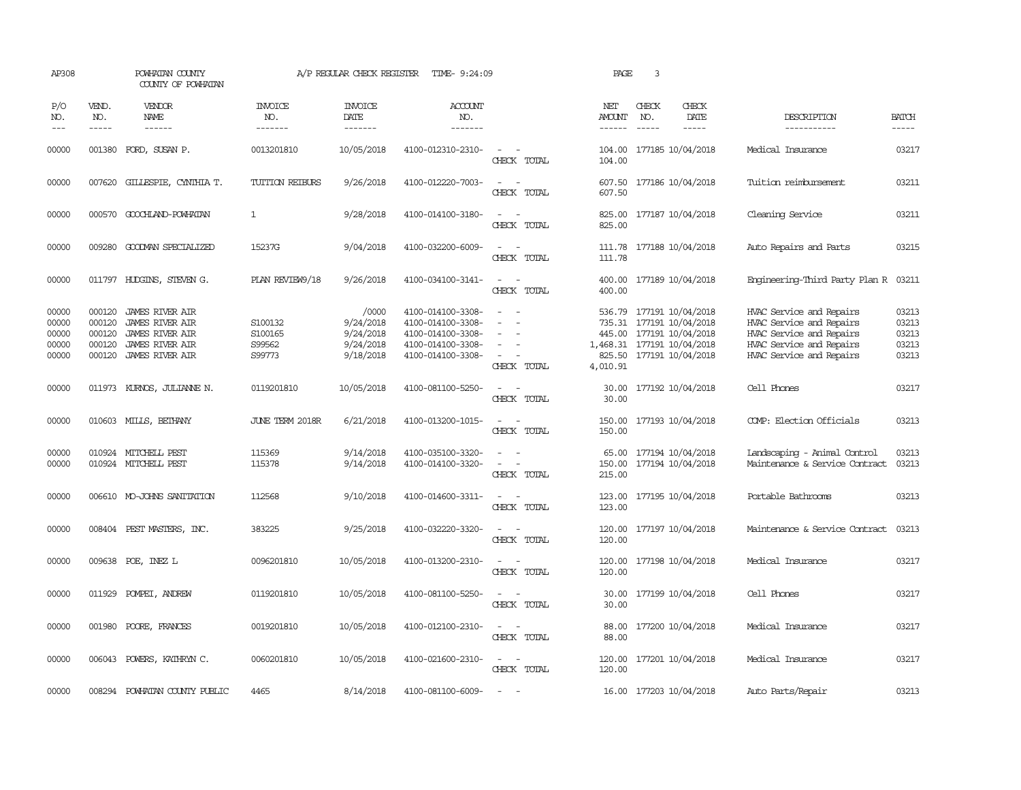| AP308                                     |                                      | POWHATAN COUNTY<br>COUNTY OF POWHATAN                                                                                   |                                        | A/P REGULAR CHECK REGISTER                                | TIME- 9:24:09                                                                                         |                                                   | PAGE                                   | 3            |                                                                                                              |                                                                                                                                          |                                           |
|-------------------------------------------|--------------------------------------|-------------------------------------------------------------------------------------------------------------------------|----------------------------------------|-----------------------------------------------------------|-------------------------------------------------------------------------------------------------------|---------------------------------------------------|----------------------------------------|--------------|--------------------------------------------------------------------------------------------------------------|------------------------------------------------------------------------------------------------------------------------------------------|-------------------------------------------|
| P/O<br>NO.<br>$---$                       | VEND.<br>NO.<br>$- - - - -$          | VENDOR<br>NAME                                                                                                          | <b>INVOICE</b><br>NO.<br>-------       | <b>INVOICE</b><br>DATE<br>-------                         | <b>ACCOUNT</b><br>NO.<br>-------                                                                      |                                                   | NET<br><b>AMOUNT</b><br>------         | CHECK<br>NO. | CHECK<br>DATE<br>$- - - - -$                                                                                 | DESCRIPTION<br>-----------                                                                                                               | <b>BATCH</b><br>$- - - - -$               |
| 00000                                     | 001380                               | FORD, SUSAN P.                                                                                                          | 0013201810                             | 10/05/2018                                                | 4100-012310-2310-                                                                                     | $\sim$<br>$\sim$<br>CHECK TOTAL                   | 104.00<br>104.00                       |              | 177185 10/04/2018                                                                                            | Medical Insurance                                                                                                                        | 03217                                     |
| 00000                                     | 007620                               | GILLESPIE, CYNTHIA T.                                                                                                   | TUITION REIBURS                        | 9/26/2018                                                 | 4100-012220-7003-                                                                                     | $\sim$<br>$\sim$<br>CHECK TOTAL                   | 607.50<br>607.50                       |              | 177186 10/04/2018                                                                                            | Tuition reimbursement                                                                                                                    | 03211                                     |
| 00000                                     |                                      | 000570 GOOCHLAND-POWHATAN                                                                                               | $\mathbf{1}$                           | 9/28/2018                                                 | 4100-014100-3180-                                                                                     | $\equiv$<br>CHECK TOTAL                           | 825.00<br>825.00                       |              | 177187 10/04/2018                                                                                            | Cleaning Service                                                                                                                         | 03211                                     |
| 00000                                     |                                      | 009280 GOODWAN SPECIALIZED                                                                                              | 15237G                                 | 9/04/2018                                                 | 4100-032200-6009-                                                                                     | $\sim$ $\sim$<br>CHECK TOTAL                      | 111.78<br>111.78                       |              | 177188 10/04/2018                                                                                            | Auto Repairs and Parts                                                                                                                   | 03215                                     |
| 00000                                     |                                      | 011797 HUDGINS, STEVEN G.                                                                                               | PLAN REVIEW9/18                        | 9/26/2018                                                 | 4100-034100-3141-                                                                                     | $\sim$ $\sim$<br>CHECK TOTAL                      | 400.00<br>400.00                       |              | 177189 10/04/2018                                                                                            | Engineering-Third Party Plan R 03211                                                                                                     |                                           |
| 00000<br>00000<br>00000<br>00000<br>00000 | 000120<br>000120<br>000120<br>000120 | <b>JAMES RIVER AIR</b><br><b>JAMES RIVER AIR</b><br><b>JAMES RIVER AIR</b><br>JAMES RIVER AIR<br>000120 JAMES RIVER AIR | S100132<br>S100165<br>S99562<br>S99773 | /0000<br>9/24/2018<br>9/24/2018<br>9/24/2018<br>9/18/2018 | 4100-014100-3308-<br>4100-014100-3308-<br>4100-014100-3308-<br>4100-014100-3308-<br>4100-014100-3308- | $\equiv$<br>CHECK TOTAL                           | 1,468.31 177191 10/04/2018<br>4,010.91 |              | 536.79 177191 10/04/2018<br>735.31 177191 10/04/2018<br>445.00 177191 10/04/2018<br>825.50 177191 10/04/2018 | HVAC Service and Repairs<br>HVAC Service and Repairs<br>HVAC Service and Repairs<br>HVAC Service and Repairs<br>HVAC Service and Repairs | 03213<br>03213<br>03213<br>03213<br>03213 |
| 00000                                     | 011973                               | KURNOS, JULIANNE N.                                                                                                     | 0119201810                             | 10/05/2018                                                | 4100-081100-5250-                                                                                     | CHECK TOTAL                                       | 30.00<br>30.00                         |              | 177192 10/04/2018                                                                                            | Cell Phones                                                                                                                              | 03217                                     |
| 00000                                     |                                      | 010603 MILLS, BEIHANY                                                                                                   | JUNE TERM 2018R                        | 6/21/2018                                                 | 4100-013200-1015-                                                                                     | CHECK TOTAL                                       | 150.00<br>150.00                       |              | 177193 10/04/2018                                                                                            | COMP: Election Officials                                                                                                                 | 03213                                     |
| 00000<br>00000                            |                                      | 010924 MITCHELL PEST<br>010924 MITCHELL PEST                                                                            | 115369<br>115378                       | 9/14/2018<br>9/14/2018                                    | 4100-035100-3320-<br>4100-014100-3320-                                                                | $\sim$<br>$\overline{\phantom{a}}$<br>CHECK TOTAL | 65.00<br>215.00                        |              | 177194 10/04/2018<br>150.00 177194 10/04/2018                                                                | Landscaping - Animal Control<br>Maintenance & Service Contract                                                                           | 03213<br>03213                            |
| 00000                                     |                                      | 006610 MO-JOHNS SANITATION                                                                                              | 112568                                 | 9/10/2018                                                 | 4100-014600-3311-                                                                                     | $\sim$<br>CHECK TOTAL                             | 123.00<br>123.00                       |              | 177195 10/04/2018                                                                                            | Portable Bathrooms                                                                                                                       | 03213                                     |
| 00000                                     |                                      | 008404 PEST MASTERS, INC.                                                                                               | 383225                                 | 9/25/2018                                                 | 4100-032220-3320-                                                                                     | $\sim$<br>$\sim$<br>CHECK TOTAL                   | 120.00<br>120.00                       |              | 177197 10/04/2018                                                                                            | Maintenance & Service Contract                                                                                                           | 03213                                     |
| 00000                                     |                                      | 009638 POE, INEZ L                                                                                                      | 0096201810                             | 10/05/2018                                                | 4100-013200-2310-                                                                                     | $\sim$<br>CHECK TOTAL                             | 120.00<br>120.00                       |              | 177198 10/04/2018                                                                                            | Medical Insurance                                                                                                                        | 03217                                     |
| 00000                                     |                                      | 011929 POMPEI, ANDREW                                                                                                   | 0119201810                             | 10/05/2018                                                | 4100-081100-5250-                                                                                     | $ -$<br>CHECK TOTAL                               | 30.00<br>30.00                         |              | 177199 10/04/2018                                                                                            | Cell Phones                                                                                                                              | 03217                                     |
| 00000                                     |                                      | 001980 POORE, FRANCES                                                                                                   | 0019201810                             | 10/05/2018                                                | 4100-012100-2310-                                                                                     | $\sim$<br>CHECK TOTAL                             | 88.00<br>88.00                         |              | 177200 10/04/2018                                                                                            | Medical Insurance                                                                                                                        | 03217                                     |
| 00000                                     |                                      | 006043 POWERS, KATHRYN C.                                                                                               | 0060201810                             | 10/05/2018                                                | 4100-021600-2310-                                                                                     | $\sim$ $\sim$<br>CHECK TOTAL                      | 120.00<br>120.00                       |              | 177201 10/04/2018                                                                                            | Medical Insurance                                                                                                                        | 03217                                     |
| 00000                                     | 008294                               | POWHATAN COUNTY PUBLIC                                                                                                  | 4465                                   | 8/14/2018                                                 | 4100-081100-6009-                                                                                     | $\overline{\phantom{a}}$                          |                                        |              | 16.00 177203 10/04/2018                                                                                      | Auto Parts/Repair                                                                                                                        | 03213                                     |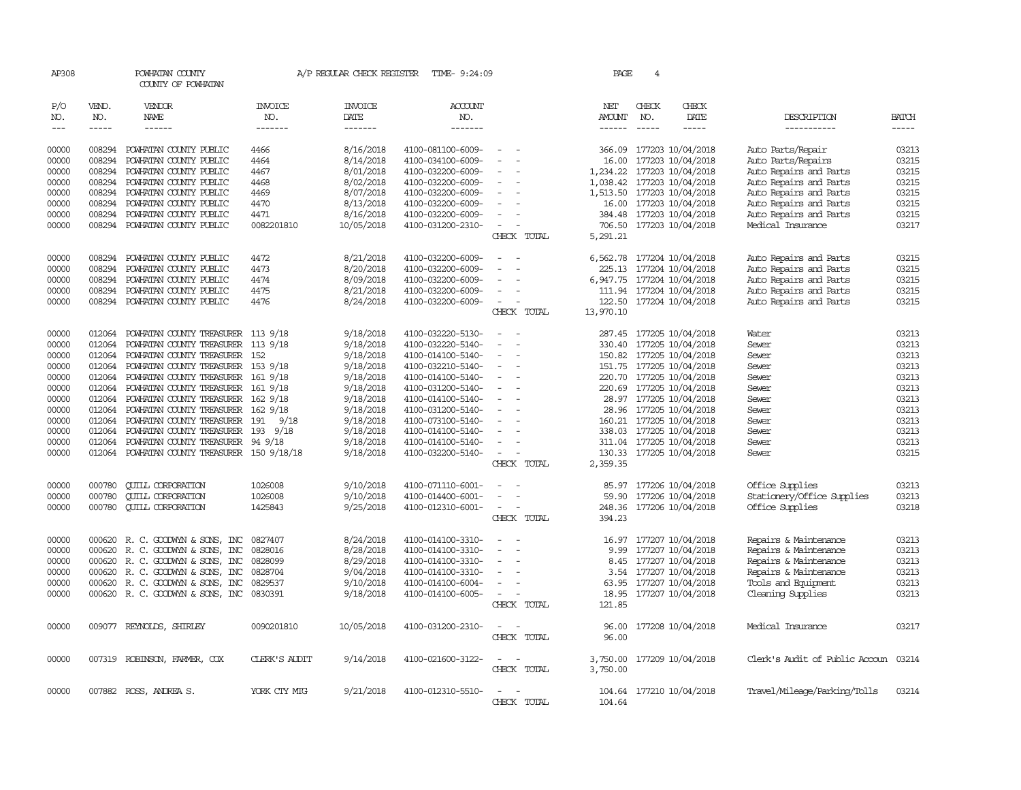| AP308                                                                                                    |                                                                                                                      | POWHATAN COUNTY<br>COUNTY OF POWHATAN                                                                                                                                                                                                                                                                                                                                                                             |                                                                    |                                                                                                                                                          | A/P REGULAR CHECK REGISTER TIME- 9:24:09                                                                                                                                                                                                                 |                                                                         | PAGE                                                                                                          | 4                                                                                                                                                                                                                                                                                                                                   |                                                                                  |                                                                                                                                                                                                |                                                                                                          |
|----------------------------------------------------------------------------------------------------------|----------------------------------------------------------------------------------------------------------------------|-------------------------------------------------------------------------------------------------------------------------------------------------------------------------------------------------------------------------------------------------------------------------------------------------------------------------------------------------------------------------------------------------------------------|--------------------------------------------------------------------|----------------------------------------------------------------------------------------------------------------------------------------------------------|----------------------------------------------------------------------------------------------------------------------------------------------------------------------------------------------------------------------------------------------------------|-------------------------------------------------------------------------|---------------------------------------------------------------------------------------------------------------|-------------------------------------------------------------------------------------------------------------------------------------------------------------------------------------------------------------------------------------------------------------------------------------------------------------------------------------|----------------------------------------------------------------------------------|------------------------------------------------------------------------------------------------------------------------------------------------------------------------------------------------|----------------------------------------------------------------------------------------------------------|
| P/O<br>NO.<br>$\qquad \qquad - -$                                                                        | VEND.<br>NO.<br>$- - - - -$                                                                                          | VENDOR<br>NAME<br>------                                                                                                                                                                                                                                                                                                                                                                                          | INVOICE<br>NO.<br>-------                                          | <b>INVOICE</b><br>DATE<br>-------                                                                                                                        | <b>ACCOUNT</b><br>NO.<br>$- - - - - - -$                                                                                                                                                                                                                 |                                                                         | NET<br>AMOUNT<br>------                                                                                       | CHECK<br>NO.<br>$\frac{1}{2}$                                                                                                                                                                                                                                                                                                       | CHECK<br>DATE<br>-----                                                           | DESCRIPTION<br>-----------                                                                                                                                                                     | <b>BATCH</b><br>$- - - - -$                                                                              |
| 00000<br>00000<br>00000<br>00000<br>00000<br>00000<br>00000<br>00000                                     | 008294<br>008294<br>008294<br>008294<br>008294<br>008294<br>008294<br>008294                                         | POWHATAN COUNTY PUBLIC<br>POWHATAN COUNTY PUBLIC<br>POWHATAN COUNTY PUBLIC<br>POWHATAN COUNTY PUBLIC<br>POWHATAN COUNTY PUBLIC<br>POWHATAN COUNTY PUBLIC<br>POWHATAN COUNTY PUBLIC<br>POWHATAN COUNTY PUBLIC                                                                                                                                                                                                      | 4466<br>4464<br>4467<br>4468<br>4469<br>4470<br>4471<br>0082201810 | 8/16/2018<br>8/14/2018<br>8/01/2018<br>8/02/2018<br>8/07/2018<br>8/13/2018<br>8/16/2018<br>10/05/2018                                                    | 4100-081100-6009-<br>4100-034100-6009-<br>4100-032200-6009-<br>4100-032200-6009-<br>4100-032200-6009-<br>4100-032200-6009-<br>4100-032200-6009-<br>4100-031200-2310-                                                                                     | $\sim$<br>CHECK TOTAL                                                   | 366.09<br>16.00<br>1,234.22 177203 10/04/2018<br>1,038.42<br>1,513.50 177203 10/04/2018<br>706.50<br>5,291.21 | 16.00 177203 10/04/2018<br>384.48 177203 10/04/2018                                                                                                                                                                                                                                                                                 | 177203 10/04/2018<br>177203 10/04/2018<br>177203 10/04/2018<br>177203 10/04/2018 | Auto Parts/Repair<br>Auto Parts/Repairs<br>Auto Repairs and Parts<br>Auto Repairs and Parts<br>Auto Repairs and Parts<br>Auto Repairs and Parts<br>Auto Repairs and Parts<br>Medical Insurance | 03213<br>03215<br>03215<br>03215<br>03215<br>03215<br>03215<br>03217                                     |
| 00000<br>00000<br>00000<br>00000<br>00000                                                                | 008294<br>008294<br>008294<br>008294<br>008294                                                                       | POWHATAN COUNTY PUBLIC<br>POWHATAN COUNTY PUBLIC<br>POWHATAN COUNTY PUBLIC<br>POWHATAN COUNTY PUBLIC<br>POWHATAN COUNTY PUBLIC                                                                                                                                                                                                                                                                                    | 4472<br>4473<br>4474<br>4475<br>4476                               | 8/21/2018<br>8/20/2018<br>8/09/2018<br>8/21/2018<br>8/24/2018                                                                                            | 4100-032200-6009-<br>4100-032200-6009-<br>4100-032200-6009-<br>4100-032200-6009-<br>4100-032200-6009-                                                                                                                                                    | $\sim$<br>$\overline{\phantom{a}}$<br>CHECK TOTAL                       | 6,562.78<br>225.13<br>6, 947.75 177204 10/04/2018<br>13,970.10                                                | 111.94 177204 10/04/2018<br>122.50 177204 10/04/2018                                                                                                                                                                                                                                                                                | 177204 10/04/2018<br>177204 10/04/2018                                           | Auto Repairs and Parts<br>Auto Repairs and Parts<br>Auto Repairs and Parts<br>Auto Repairs and Parts<br>Auto Repairs and Parts                                                                 | 03215<br>03215<br>03215<br>03215<br>03215                                                                |
| 00000<br>00000<br>00000<br>00000<br>00000<br>00000<br>00000<br>00000<br>00000<br>00000<br>00000<br>00000 | 012064<br>012064<br>012064<br>012064<br>012064<br>012064<br>012064<br>012064<br>012064<br>012064<br>012064<br>012064 | POWHATAN COUNTY TREASURER 113 9/18<br>POWHATAN COUNTY TREASURER<br>POWHATAN COUNTY TREASURER<br>POWHATAN COUNTY TREASURER 153 9/18<br>POWHATAN COUNTY TREASURER 161 9/18<br>POWHATAN COUNTY TREASURER 161 9/18<br>POWHATAN COUNTY TREASURER<br>POWHATAN COUNTY TREASURER 162 9/18<br>POWHATAN COUNTY TREASURER<br>POWHATAN COUNTY TREASURER<br>POWHATAN COUNTY TREASURER<br>POWHATAN COUNTY TREASURER 150 9/18/18 | 113 9/18<br>152<br>162 9/18<br>191<br>9/18<br>193 9/18<br>94 9/18  | 9/18/2018<br>9/18/2018<br>9/18/2018<br>9/18/2018<br>9/18/2018<br>9/18/2018<br>9/18/2018<br>9/18/2018<br>9/18/2018<br>9/18/2018<br>9/18/2018<br>9/18/2018 | 4100-032220-5130-<br>4100-032220-5140-<br>4100-014100-5140-<br>4100-032210-5140-<br>4100-014100-5140-<br>4100-031200-5140-<br>4100-014100-5140-<br>4100-031200-5140-<br>4100-073100-5140-<br>4100-014100-5140-<br>4100-014100-5140-<br>4100-032200-5140- | $\equiv$<br>$\overline{\phantom{a}}$<br>$\sim$<br>$\sim$<br>CHECK TOTAL | 330.40<br>2,359.35                                                                                            | 287.45 177205 10/04/2018<br>177205 10/04/2018<br>150.82 177205 10/04/2018<br>151.75 177205 10/04/2018<br>220.70 177205 10/04/2018<br>220.69 177205 10/04/2018<br>28.97 177205 10/04/2018<br>28.96 177205 10/04/2018<br>160.21 177205 10/04/2018<br>338.03 177205 10/04/2018<br>311.04 177205 10/04/2018<br>130.33 177205 10/04/2018 |                                                                                  | Water<br>Sewer<br>Sewer<br>Sewer<br>Sewer<br>Sewer<br>Sewer<br>Sewer<br>Sewer<br>Sewer<br>Sewer<br>Sewer                                                                                       | 03213<br>03213<br>03213<br>03213<br>03213<br>03213<br>03213<br>03213<br>03213<br>03213<br>03213<br>03215 |
| 00000<br>00000<br>00000                                                                                  | 000780<br>000780<br>000780                                                                                           | <b>QUILL CORPORATION</b><br><b>CUILL CORPORATION</b><br><b>CUILL CORPORATION</b>                                                                                                                                                                                                                                                                                                                                  | 1026008<br>1026008<br>1425843                                      | 9/10/2018<br>9/10/2018<br>9/25/2018                                                                                                                      | 4100-071110-6001-<br>4100-014400-6001-<br>4100-012310-6001-                                                                                                                                                                                              | $\overline{\phantom{a}}$<br>CHECK TOTAL                                 | 85.97<br>394.23                                                                                               | 59.90 177206 10/04/2018<br>248.36 177206 10/04/2018                                                                                                                                                                                                                                                                                 | 177206 10/04/2018                                                                | Office Supplies<br>Stationery/Office Supplies<br>Office Supplies                                                                                                                               | 03213<br>03213<br>03218                                                                                  |
| 00000<br>00000<br>00000<br>00000<br>00000<br>00000                                                       | 000620<br>000620<br>000620<br>000620                                                                                 | 000620 R. C. GOODWYN & SONS, INC<br>R. C. GOODWYN & SONS, INC<br>R. C. GOODWYN & SONS, INC<br>R. C. GOODWYN & SONS, INC<br>R. C. GOODWYN & SONS, INC<br>000620 R.C. GOODWYN & SONS, INC                                                                                                                                                                                                                           | 0827407<br>0828016<br>0828099<br>0828704<br>0829537<br>0830391     | 8/24/2018<br>8/28/2018<br>8/29/2018<br>9/04/2018<br>9/10/2018<br>9/18/2018                                                                               | 4100-014100-3310-<br>4100-014100-3310-<br>4100-014100-3310-<br>4100-014100-3310-<br>4100-014100-6004-<br>4100-014100-6005-                                                                                                                               | CHECK TOTAL                                                             | 9.99<br>8.45<br>3.54<br>121.85                                                                                | 16.97 177207 10/04/2018<br>177207 10/04/2018<br>63.95 177207 10/04/2018<br>18.95 177207 10/04/2018                                                                                                                                                                                                                                  | 177207 10/04/2018<br>177207 10/04/2018                                           | Repairs & Maintenance<br>Repairs & Maintenance<br>Repairs & Maintenance<br>Repairs & Maintenance<br>Tools and Equipment<br>Cleaning Supplies                                                   | 03213<br>03213<br>03213<br>03213<br>03213<br>03213                                                       |
| 00000                                                                                                    |                                                                                                                      | 009077 REYNOLDS, SHIRLEY                                                                                                                                                                                                                                                                                                                                                                                          | 0090201810                                                         | 10/05/2018                                                                                                                                               | 4100-031200-2310-                                                                                                                                                                                                                                        | $ -$<br>CHECK TOTAL                                                     | 96.00                                                                                                         | 96.00 177208 10/04/2018                                                                                                                                                                                                                                                                                                             |                                                                                  | Medical Insurance                                                                                                                                                                              | 03217                                                                                                    |
| 00000                                                                                                    |                                                                                                                      | 007319 ROBINSON, FARMER, COX                                                                                                                                                                                                                                                                                                                                                                                      | CLERK'S AUDIT                                                      | 9/14/2018                                                                                                                                                | 4100-021600-3122-                                                                                                                                                                                                                                        | CHECK TOTAL                                                             | 3,750.00<br>3,750.00                                                                                          |                                                                                                                                                                                                                                                                                                                                     | 177209 10/04/2018                                                                | Clerk's Audit of Public Accoun 03214                                                                                                                                                           |                                                                                                          |
| 00000                                                                                                    |                                                                                                                      | 007882 ROSS, ANDREA S.                                                                                                                                                                                                                                                                                                                                                                                            | YORK CTY MTG                                                       | 9/21/2018                                                                                                                                                | 4100-012310-5510-                                                                                                                                                                                                                                        | CHECK TOTAL                                                             | 104.64                                                                                                        | 104.64 177210 10/04/2018                                                                                                                                                                                                                                                                                                            |                                                                                  | Travel/Mileage/Parking/Tolls                                                                                                                                                                   | 03214                                                                                                    |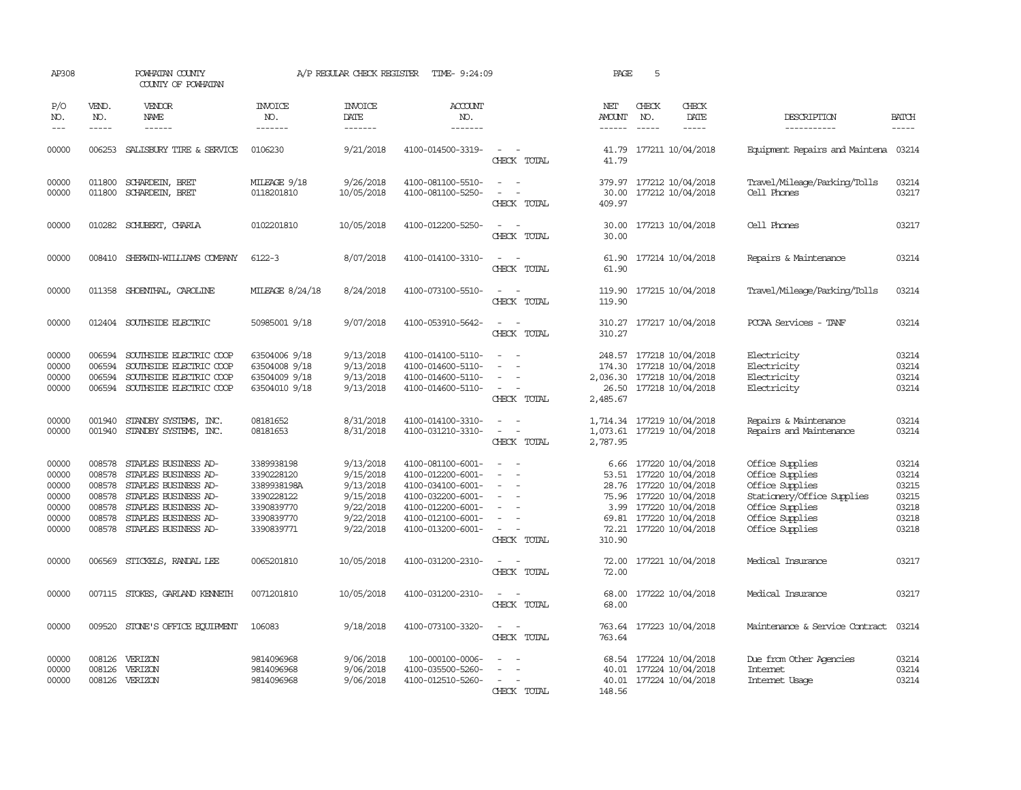| AP308                                                       |                                                          | POWHATAN COUNTY<br>COUNTY OF POWHATAN                                                                                                                                       |                                                                                                 | A/P REGULAR CHECK REGISTER                                                              | TIME- 9:24:09                                                                                                                                   |                                                                                                           | PAGE                           | 5            |                                                                                                                                                                                   |                                                                                                                                              |                                                             |
|-------------------------------------------------------------|----------------------------------------------------------|-----------------------------------------------------------------------------------------------------------------------------------------------------------------------------|-------------------------------------------------------------------------------------------------|-----------------------------------------------------------------------------------------|-------------------------------------------------------------------------------------------------------------------------------------------------|-----------------------------------------------------------------------------------------------------------|--------------------------------|--------------|-----------------------------------------------------------------------------------------------------------------------------------------------------------------------------------|----------------------------------------------------------------------------------------------------------------------------------------------|-------------------------------------------------------------|
| P/O<br>NO.<br>$---$                                         | VEND.<br>NO.<br>$- - - - -$                              | <b>VENDOR</b><br>NAME<br>------                                                                                                                                             | <b>INVOICE</b><br>NO.<br>-------                                                                | <b>INVOICE</b><br>DATE<br>-------                                                       | <b>ACCOUNT</b><br>NO.<br>-------                                                                                                                |                                                                                                           | NET<br>AMOUNT<br>$- - - - - -$ | CHECK<br>NO. | CHECK<br>DATE<br>-----                                                                                                                                                            | DESCRIPTION<br>-----------                                                                                                                   | <b>BATCH</b><br>-----                                       |
| 00000                                                       | 006253                                                   | SALISBURY TIRE & SERVICE                                                                                                                                                    | 0106230                                                                                         | 9/21/2018                                                                               | 4100-014500-3319-                                                                                                                               | $\sim$<br>CHECK TOTAL                                                                                     | 41.79<br>41.79                 |              | 177211 10/04/2018                                                                                                                                                                 | Equipment Repairs and Maintena 03214                                                                                                         |                                                             |
| 00000<br>00000                                              | 011800<br>011800                                         | SCHARDEIN, BRET<br>SCHARDEIN, BRET                                                                                                                                          | MILEAGE 9/18<br>0118201810                                                                      | 9/26/2018<br>10/05/2018                                                                 | 4100-081100-5510-<br>4100-081100-5250-                                                                                                          | $\overline{\phantom{a}}$<br>$\sim$<br>CHECK TOTAL                                                         | 30.00<br>409.97                |              | 379.97 177212 10/04/2018<br>177212 10/04/2018                                                                                                                                     | Travel/Mileage/Parking/Tolls<br>Cell Phones                                                                                                  | 03214<br>03217                                              |
| 00000                                                       |                                                          | 010282 SCHUBERT, CHARLA                                                                                                                                                     | 0102201810                                                                                      | 10/05/2018                                                                              | 4100-012200-5250-                                                                                                                               | $\overline{a}$<br>CHECK TOTAL                                                                             | 30.00<br>30.00                 |              | 177213 10/04/2018                                                                                                                                                                 | Cell Phones                                                                                                                                  | 03217                                                       |
| 00000                                                       | 008410                                                   | SHERWIN-WILLIAMS COMPANY                                                                                                                                                    | $6122 - 3$                                                                                      | 8/07/2018                                                                               | 4100-014100-3310-                                                                                                                               | $\sim$<br>CHECK TOTAL                                                                                     | 61.90<br>61.90                 |              | 177214 10/04/2018                                                                                                                                                                 | Repairs & Maintenance                                                                                                                        | 03214                                                       |
| 00000                                                       | 011358                                                   | SHOENTHAL, CAROLINE                                                                                                                                                         | MILEAGE 8/24/18                                                                                 | 8/24/2018                                                                               | 4100-073100-5510-                                                                                                                               | $\overline{\phantom{a}}$<br>CHECK TOTAL                                                                   | 119.90<br>119.90               |              | 177215 10/04/2018                                                                                                                                                                 | Travel/Mileage/Parking/Tolls                                                                                                                 | 03214                                                       |
| 00000                                                       |                                                          | 012404 SOUTHSIDE ELECTRIC                                                                                                                                                   | 50985001 9/18                                                                                   | 9/07/2018                                                                               | 4100-053910-5642-                                                                                                                               | $\sim$<br>CHECK TOTAL                                                                                     | 310.27                         |              | 310.27 177217 10/04/2018                                                                                                                                                          | PCCAA Services - TANF                                                                                                                        | 03214                                                       |
| 00000<br>00000<br>00000<br>00000                            | 006594<br>006594<br>006594                               | SOUTHSIDE ELECTRIC COOP<br>SOUTHSIDE ELECTRIC COOP<br>SOUTHSIDE ELECTRIC COOP<br>006594 SOUTHSIDE ELECTRIC COOP                                                             | 63504006 9/18<br>63504008 9/18<br>63504009 9/18<br>63504010 9/18                                | 9/13/2018<br>9/13/2018<br>9/13/2018<br>9/13/2018                                        | 4100-014100-5110-<br>4100-014600-5110-<br>4100-014600-5110-<br>4100-014600-5110-                                                                | CHECK TOTAL                                                                                               | 248.57<br>2,485.67             |              | 177218 10/04/2018<br>174.30 177218 10/04/2018<br>2,036.30 177218 10/04/2018<br>26.50 177218 10/04/2018                                                                            | Electricity<br>Electricity<br>Electricity<br>Electricity                                                                                     | 03214<br>03214<br>03214<br>03214                            |
| 00000<br>00000                                              | 001940                                                   | STANDBY SYSTEMS, INC.<br>001940 STANDBY SYSTEMS, INC.                                                                                                                       | 08181652<br>08181653                                                                            | 8/31/2018<br>8/31/2018                                                                  | 4100-014100-3310-<br>4100-031210-3310-                                                                                                          | $\overline{\phantom{a}}$<br>CHECK TOTAL                                                                   | 2,787.95                       |              | 1,714.34 177219 10/04/2018<br>1,073.61 177219 10/04/2018                                                                                                                          | Repairs & Maintenance<br>Repairs and Maintenance                                                                                             | 03214<br>03214                                              |
| 00000<br>00000<br>00000<br>00000<br>00000<br>00000<br>00000 | 008578<br>008578<br>008578<br>008578<br>008578<br>008578 | STAPLES BUSINESS AD-<br>STAPLES BUSINESS AD-<br>STAPLES BUSINESS AD-<br>STAPLES BUSINESS AD-<br>STAPLES BUSINESS AD-<br>STAPLES BUSINESS AD-<br>008578 STAPLES BUSINESS AD- | 3389938198<br>3390228120<br>3389938198A<br>3390228122<br>3390839770<br>3390839770<br>3390839771 | 9/13/2018<br>9/15/2018<br>9/13/2018<br>9/15/2018<br>9/22/2018<br>9/22/2018<br>9/22/2018 | 4100-081100-6001-<br>4100-012200-6001-<br>4100-034100-6001-<br>4100-032200-6001-<br>4100-012200-6001-<br>4100-012100-6001-<br>4100-013200-6001- | $\overline{\phantom{a}}$<br>$\overline{\phantom{a}}$<br>$\overline{\phantom{a}}$<br>$\sim$<br>CHECK TOTAL | 53.51<br>310.90                |              | 6.66 177220 10/04/2018<br>177220 10/04/2018<br>28.76 177220 10/04/2018<br>75.96 177220 10/04/2018<br>3.99 177220 10/04/2018<br>69.81 177220 10/04/2018<br>72.21 177220 10/04/2018 | Office Supplies<br>Office Supplies<br>Office Supplies<br>Stationery/Office Supplies<br>Office Supplies<br>Office Supplies<br>Office Supplies | 03214<br>03214<br>03215<br>03215<br>03218<br>03218<br>03218 |
| 00000                                                       | 006569                                                   | STICKELS, RANDAL LEE                                                                                                                                                        | 0065201810                                                                                      | 10/05/2018                                                                              | 4100-031200-2310-                                                                                                                               | CHECK TOTAL                                                                                               | 72.00                          |              | 72.00 177221 10/04/2018                                                                                                                                                           | Medical Insurance                                                                                                                            | 03217                                                       |
| 00000                                                       |                                                          | 007115 STOKES, GARLAND KENNETH                                                                                                                                              | 0071201810                                                                                      | 10/05/2018                                                                              | 4100-031200-2310-                                                                                                                               | $\equiv$<br>CHECK TOTAL                                                                                   | 68.00<br>68.00                 |              | 177222 10/04/2018                                                                                                                                                                 | Medical Insurance                                                                                                                            | 03217                                                       |
| 00000                                                       | 009520                                                   | STONE'S OFFICE EQUIPMENT                                                                                                                                                    | 106083                                                                                          | 9/18/2018                                                                               | 4100-073100-3320-                                                                                                                               | $\sim$<br>CHECK TOTAL                                                                                     | 763.64<br>763.64               |              | 177223 10/04/2018                                                                                                                                                                 | Maintenance & Service Contract                                                                                                               | 03214                                                       |
| 00000<br>00000<br>00000                                     | 008126<br>008126                                         | VERIZON<br>VERIZON<br>008126 VERIZON                                                                                                                                        | 9814096968<br>9814096968<br>9814096968                                                          | 9/06/2018<br>9/06/2018<br>9/06/2018                                                     | 100-000100-0006-<br>4100-035500-5260-<br>4100-012510-5260-                                                                                      | CHECK<br>TOTAL                                                                                            | 148.56                         |              | 68.54 177224 10/04/2018<br>40.01 177224 10/04/2018<br>40.01 177224 10/04/2018                                                                                                     | Due from Other Agencies<br>Intemet<br>Internet Usage                                                                                         | 03214<br>03214<br>03214                                     |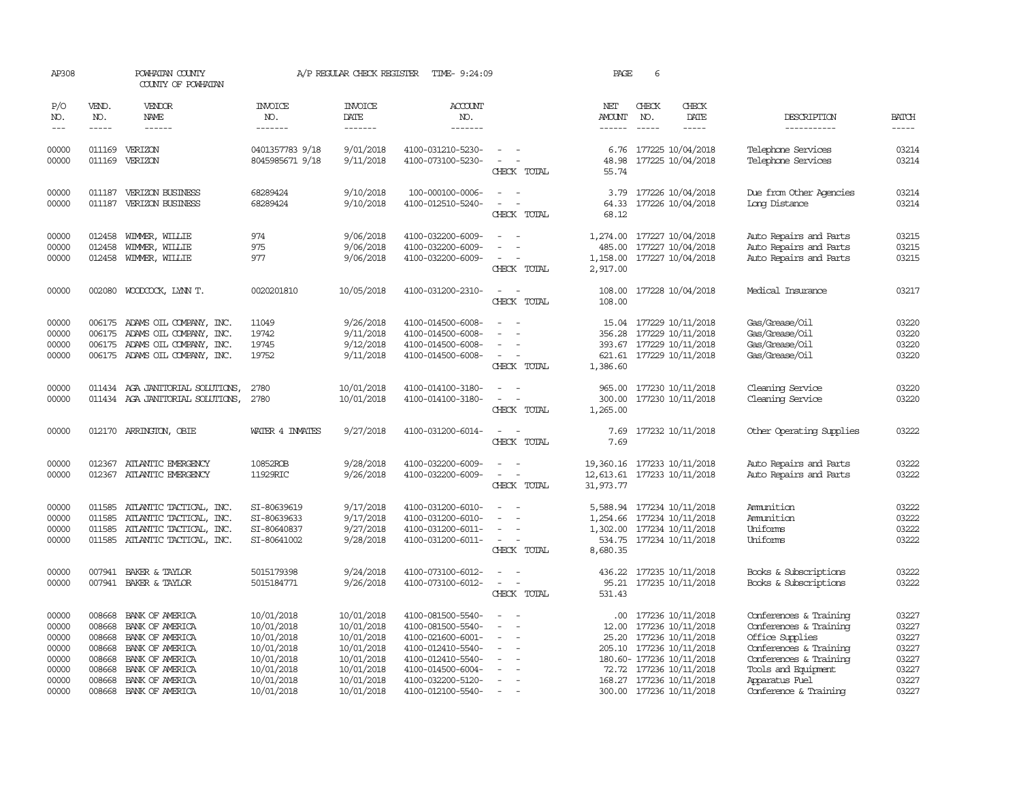| AP308                                                                |                                                          | POWHATAN COUNTY<br>COUNTY OF POWHATAN                                                                                                                              |                                                                                                              | A/P REGULAR CHECK REGISTER                                                                                   | TIME- 9:24:09                                                                                                                                                        |                                                                                                | PAGE                                                                    | 6                           |                                                                                                                                                                                                   |                                                                                                                                                                                           |                                                                      |
|----------------------------------------------------------------------|----------------------------------------------------------|--------------------------------------------------------------------------------------------------------------------------------------------------------------------|--------------------------------------------------------------------------------------------------------------|--------------------------------------------------------------------------------------------------------------|----------------------------------------------------------------------------------------------------------------------------------------------------------------------|------------------------------------------------------------------------------------------------|-------------------------------------------------------------------------|-----------------------------|---------------------------------------------------------------------------------------------------------------------------------------------------------------------------------------------------|-------------------------------------------------------------------------------------------------------------------------------------------------------------------------------------------|----------------------------------------------------------------------|
| P/O<br>NO.<br>$---$                                                  | VEND.<br>NO.<br>$- - - - -$                              | <b>VENDOR</b><br>NAME<br>------                                                                                                                                    | <b>INVOICE</b><br>NO.<br>-------                                                                             | <b>INVOICE</b><br>DATE<br>-------                                                                            | <b>ACCOUNT</b><br>NO.<br>-------                                                                                                                                     |                                                                                                | NET<br><b>AMOUNT</b><br>$- - - - - -$                                   | CHECK<br>NO.<br>$- - - - -$ | CHECK<br>DATE<br>$- - - - -$                                                                                                                                                                      | DESCRIPTION<br>-----------                                                                                                                                                                | <b>BATCH</b><br>$- - - - -$                                          |
| 00000<br>00000                                                       |                                                          | 011169 VERIZON<br>011169 VERIZON                                                                                                                                   | 0401357783 9/18<br>8045985671 9/18                                                                           | 9/01/2018<br>9/11/2018                                                                                       | 4100-031210-5230-<br>4100-073100-5230-                                                                                                                               | $\overline{\phantom{a}}$<br>$\sim$<br>CHECK TOTAL                                              | 6.76<br>48.98<br>55.74                                                  |                             | 177225 10/04/2018<br>177225 10/04/2018                                                                                                                                                            | Telephone Services<br>Telephone Services                                                                                                                                                  | 03214<br>03214                                                       |
| 00000<br>00000                                                       | 011187                                                   | <b>VERIZON BUSINESS</b><br>011187 VERIZON BUSINESS                                                                                                                 | 68289424<br>68289424                                                                                         | 9/10/2018<br>9/10/2018                                                                                       | 100-000100-0006-<br>4100-012510-5240-                                                                                                                                | CHECK TOTAL                                                                                    | 3.79<br>64.33<br>68.12                                                  |                             | 177226 10/04/2018<br>177226 10/04/2018                                                                                                                                                            | Due from Other Agencies<br>Long Distance                                                                                                                                                  | 03214<br>03214                                                       |
| 00000<br>00000<br>00000                                              | 012458<br>012458                                         | WIMMER, WILLIE<br>WIMMER, WILLIE<br>012458 WIMMER, WILLIE                                                                                                          | 974<br>975<br>977                                                                                            | 9/06/2018<br>9/06/2018<br>9/06/2018                                                                          | 4100-032200-6009-<br>4100-032200-6009-<br>4100-032200-6009-                                                                                                          | $\overline{\phantom{a}}$<br>CHECK TOTAL                                                        | 1,274.00<br>485.00<br>1,158.00<br>2,917.00                              |                             | 177227 10/04/2018<br>177227 10/04/2018<br>177227 10/04/2018                                                                                                                                       | Auto Repairs and Parts<br>Auto Repairs and Parts<br>Auto Repairs and Parts                                                                                                                | 03215<br>03215<br>03215                                              |
| 00000                                                                |                                                          | 002080 WOODCOCK, LYNN T.                                                                                                                                           | 0020201810                                                                                                   | 10/05/2018                                                                                                   | 4100-031200-2310-                                                                                                                                                    | $\equiv$<br>CHECK TOTAL                                                                        | 108.00<br>108.00                                                        |                             | 177228 10/04/2018                                                                                                                                                                                 | Medical Insurance                                                                                                                                                                         | 03217                                                                |
| 00000<br>00000<br>00000<br>00000                                     | 006175<br>006175                                         | ADAMS OIL COMPANY, INC.<br>ADAMS OIL COMPANY, INC.<br>006175 ADAMS OIL COMPANY, INC.<br>006175 ADAMS OIL COMPANY, INC.                                             | 11049<br>19742<br>19745<br>19752                                                                             | 9/26/2018<br>9/11/2018<br>9/12/2018<br>9/11/2018                                                             | 4100-014500-6008-<br>4100-014500-6008-<br>4100-014500-6008-<br>4100-014500-6008-                                                                                     | CHECK TOTAL                                                                                    | 15.04<br>356.28<br>1,386.60                                             |                             | 177229 10/11/2018<br>177229 10/11/2018<br>393.67 177229 10/11/2018<br>621.61 177229 10/11/2018                                                                                                    | Gas/Grease/Oil<br>Gas/Grease/Oil<br>Gas/Grease/Oil<br>Gas/Grease/Oil                                                                                                                      | 03220<br>03220<br>03220<br>03220                                     |
| 00000<br>00000                                                       |                                                          | 011434 AGA JANITORIAL SOLUTIONS,<br>011434 AGA JANITORIAL SOLUTIONS,                                                                                               | 2780<br>2780                                                                                                 | 10/01/2018<br>10/01/2018                                                                                     | 4100-014100-3180-<br>4100-014100-3180-                                                                                                                               | $\overline{\phantom{a}}$<br>CHECK TOTAL                                                        | 965.00<br>300.00<br>1,265.00                                            |                             | 177230 10/11/2018<br>177230 10/11/2018                                                                                                                                                            | Cleaning Service<br>Cleaning Service                                                                                                                                                      | 03220<br>03220                                                       |
| 00000                                                                |                                                          | 012170 ARRINGTON, OBIE                                                                                                                                             | WATER 4 INVATES                                                                                              | 9/27/2018                                                                                                    | 4100-031200-6014-                                                                                                                                                    | $\sim$ $ \sim$<br>CHECK TOTAL                                                                  | 7.69<br>7.69                                                            |                             | 177232 10/11/2018                                                                                                                                                                                 | Other Operating Supplies                                                                                                                                                                  | 03222                                                                |
| 00000<br>00000                                                       |                                                          | 012367 ATLANTIC EMERGENCY<br>012367 ATLANTIC EMERGENCY                                                                                                             | 10852ROB<br>11929RIC                                                                                         | 9/28/2018<br>9/26/2018                                                                                       | 4100-032200-6009-<br>4100-032200-6009-                                                                                                                               | $\equiv$<br>CHECK TOTAL                                                                        | 19,360.16 177233 10/11/2018<br>12,613.61 177233 10/11/2018<br>31,973.77 |                             |                                                                                                                                                                                                   | Auto Repairs and Parts<br>Auto Repairs and Parts                                                                                                                                          | 03222<br>03222                                                       |
| 00000<br>00000<br>00000<br>00000                                     | 011585<br>011585<br>011585                               | ATLANTIC TACTICAL, INC.<br>ATLANTIC TACTICAL, INC.<br>ATLANTIC TACTICAL, INC.<br>011585 ATLANTIC TACTICAL, INC.                                                    | SI-80639619<br>SI-80639633<br>SI-80640837<br>SI-80641002                                                     | 9/17/2018<br>9/17/2018<br>9/27/2018<br>9/28/2018                                                             | 4100-031200-6010-<br>4100-031200-6010-<br>4100-031200-6011-<br>4100-031200-6011-                                                                                     | $\overline{\phantom{a}}$<br>CHECK TOTAL                                                        | 5,588.94<br>1,254.66<br>8,680.35                                        |                             | 177234 10/11/2018<br>177234 10/11/2018<br>1,302.00 177234 10/11/2018<br>534.75 177234 10/11/2018                                                                                                  | Ammition<br>Ammition<br>Uniforms<br>Uniforms                                                                                                                                              | 03222<br>03222<br>03222<br>03222                                     |
| 00000<br>00000                                                       | 007941                                                   | BAKER & TAYLOR<br>007941 BAKER & TAYLOR                                                                                                                            | 5015179398<br>5015184771                                                                                     | 9/24/2018<br>9/26/2018                                                                                       | 4100-073100-6012-<br>4100-073100-6012-                                                                                                                               | $\equiv$<br>CHECK TOTAL                                                                        | 436.22<br>95.21<br>531.43                                               |                             | 177235 10/11/2018<br>177235 10/11/2018                                                                                                                                                            | Books & Subscriptions<br>Books & Subscriptions                                                                                                                                            | 03222<br>03222                                                       |
| 00000<br>00000<br>00000<br>00000<br>00000<br>00000<br>00000<br>00000 | 008668<br>008668<br>008668<br>008668<br>008668<br>008668 | BANK OF AMERICA<br>BANK OF AMERICA<br>BANK OF AMERICA<br>BANK OF AMERICA<br>008668 BANK OF AMERICA<br>BANK OF AMERICA<br>008668 BANK OF AMERICA<br>BANK OF AMERICA | 10/01/2018<br>10/01/2018<br>10/01/2018<br>10/01/2018<br>10/01/2018<br>10/01/2018<br>10/01/2018<br>10/01/2018 | 10/01/2018<br>10/01/2018<br>10/01/2018<br>10/01/2018<br>10/01/2018<br>10/01/2018<br>10/01/2018<br>10/01/2018 | 4100-081500-5540-<br>4100-081500-5540-<br>4100-021600-6001-<br>4100-012410-5540-<br>4100-012410-5540-<br>4100-014500-6004-<br>4100-032200-5120-<br>4100-012100-5540- | $\equiv$<br>$\overline{\phantom{a}}$<br>$\equiv$<br>$\overline{\phantom{a}}$<br>$\overline{a}$ | $.00 \cdot$<br>12.00<br>25.20<br>72.72                                  |                             | 177236 10/11/2018<br>177236 10/11/2018<br>177236 10/11/2018<br>205.10 177236 10/11/2018<br>180.60- 177236 10/11/2018<br>177236 10/11/2018<br>168.27 177236 10/11/2018<br>300.00 177236 10/11/2018 | Conferences & Training<br>Conferences & Training<br>Office Supplies<br>Conferences & Training<br>Conferences & Training<br>Tools and Equipment<br>Apparatus Fuel<br>Conference & Training | 03227<br>03227<br>03227<br>03227<br>03227<br>03227<br>03227<br>03227 |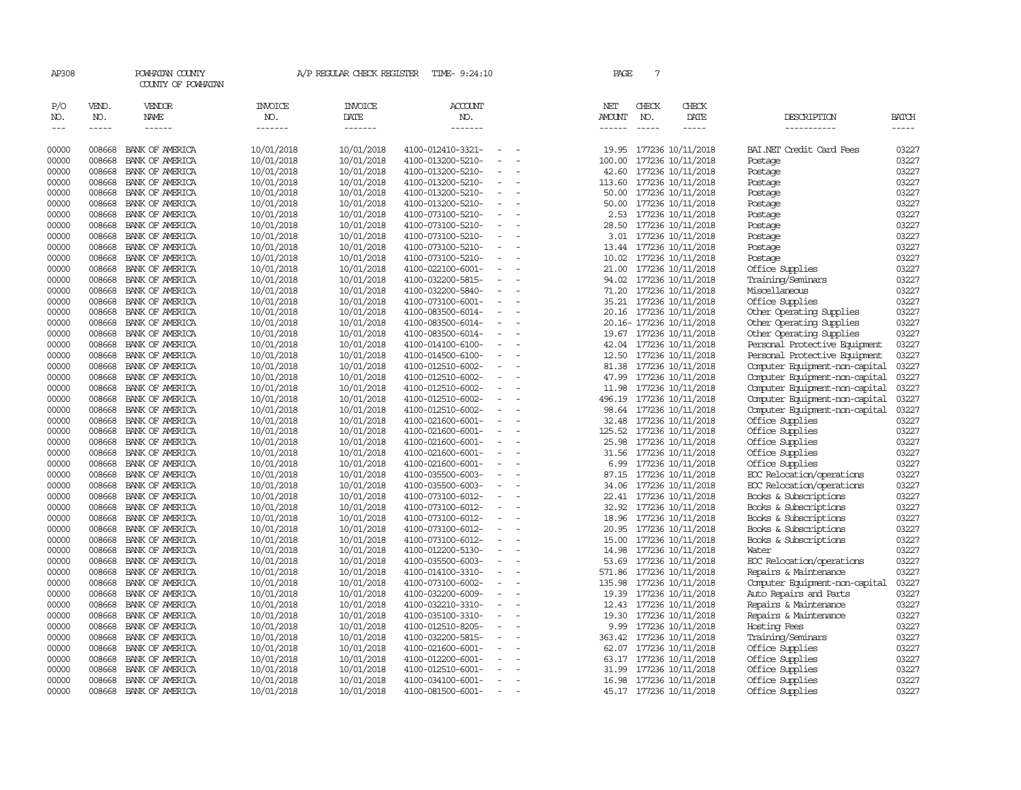| AP308          |                  | POWHATAN COUNTY<br>COUNTY OF POWHATAN |                          | A/P REGULAR CHECK REGISTER | TIME- 9:24:10                          |                          | PAGE            | 7            |                                              |                                                                  |                |
|----------------|------------------|---------------------------------------|--------------------------|----------------------------|----------------------------------------|--------------------------|-----------------|--------------|----------------------------------------------|------------------------------------------------------------------|----------------|
| P/O<br>NO.     | VEND.<br>NO.     | VENDOR<br><b>NAME</b>                 | <b>INVOICE</b><br>NO.    | <b>INVOICE</b><br>DATE     | <b>ACCOUNT</b><br>NO.                  |                          | NET<br>AMOUNT   | CHECK<br>NO. | CHECK<br>DATE                                | DESCRIPTION                                                      | BATCH          |
| $\frac{1}{2}$  | -----            | $- - - - - -$                         | -------                  | -------                    | -------                                |                          | $- - - - - -$   |              | -----                                        | -----------                                                      | -----          |
| 00000          | 008668           | BANK OF AMERICA                       | 10/01/2018               | 10/01/2018                 | 4100-012410-3321-                      | $\equiv$                 | 19.95           |              | 177236 10/11/2018                            | BAI.NET Credit Card Fees                                         | 03227          |
| 00000          | 008668           | BANK OF AMERICA                       | 10/01/2018               | 10/01/2018                 | 4100-013200-5210-                      |                          | 100.00          |              | 177236 10/11/2018                            | Postage                                                          | 03227          |
| 00000          | 008668           | BANK OF AMERICA                       | 10/01/2018               | 10/01/2018                 | 4100-013200-5210-                      | $\equiv$                 | 42.60           |              | 177236 10/11/2018                            | Postage                                                          | 03227          |
| 00000          | 008668           | BANK OF AMERICA                       | 10/01/2018               | 10/01/2018                 | 4100-013200-5210-                      | $\overline{\phantom{a}}$ | 113.60          |              | 177236 10/11/2018                            | Postage                                                          | 03227          |
| 00000          | 008668           | BANK OF AMERICA                       | 10/01/2018               | 10/01/2018                 | 4100-013200-5210-                      |                          | 50.00           |              | 177236 10/11/2018                            | Postage                                                          | 03227          |
| 00000          | 008668           | BANK OF AMERICA                       | 10/01/2018               | 10/01/2018                 | 4100-013200-5210-                      |                          | 50.00           |              | 177236 10/11/2018                            | Postage                                                          | 03227          |
| 00000          | 008668           | BANK OF AMERICA                       | 10/01/2018               | 10/01/2018                 | 4100-073100-5210-                      | $\equiv$                 |                 |              | 2.53 177236 10/11/2018                       | Postage                                                          | 03227          |
| 00000          | 008668           | BANK OF AMERICA                       | 10/01/2018               | 10/01/2018                 | 4100-073100-5210-                      | $\sim$                   | 28.50           |              | 177236 10/11/2018                            | Postage                                                          | 03227          |
| 00000          | 008668           | BANK OF AMERICA                       | 10/01/2018               | 10/01/2018                 | 4100-073100-5210-                      | $\equiv$                 | 3.01            |              | 177236 10/11/2018                            | Postage                                                          | 03227          |
| 00000          | 008668           | BANK OF AMERICA                       | 10/01/2018               | 10/01/2018                 | 4100-073100-5210-                      | $\overline{\phantom{a}}$ |                 |              | 13.44 177236 10/11/2018                      | Postage                                                          | 03227          |
| 00000          | 008668           | BANK OF AMERICA                       | 10/01/2018               | 10/01/2018                 | 4100-073100-5210-                      | $\overline{\phantom{a}}$ | 10.02           |              | 177236 10/11/2018                            | Postage                                                          | 03227          |
| 00000          | 008668           | BANK OF AMERICA                       | 10/01/2018               | 10/01/2018                 | 4100-022100-6001-                      | $\overline{\phantom{a}}$ | 21.00           |              | 177236 10/11/2018                            | Office Supplies                                                  | 03227          |
| 00000          | 008668           | BANK OF AMERICA                       | 10/01/2018               | 10/01/2018                 | 4100-032200-5815-                      |                          | 94.02           |              | 177236 10/11/2018                            | Training/Seminars                                                | 03227          |
| 00000          | 008668           | BANK OF AMERICA                       | 10/01/2018               | 10/01/2018                 | 4100-032200-5840-                      | $\overline{\phantom{a}}$ | 71.20           |              | 177236 10/11/2018                            | Miscellaneous                                                    | 03227          |
| 00000          | 008668           | BANK OF AMERICA                       | 10/01/2018               | 10/01/2018                 | 4100-073100-6001-                      |                          | 35.21           |              | 177236 10/11/2018                            | Office Supplies                                                  | 03227          |
| 00000          | 008668           | BANK OF AMERICA                       | 10/01/2018               | 10/01/2018                 | 4100-083500-6014-                      |                          |                 |              | 20.16 177236 10/11/2018                      | Other Operating Supplies                                         | 03227          |
| 00000          | 008668           | BANK OF AMERICA                       | 10/01/2018               | 10/01/2018                 | 4100-083500-6014-                      |                          |                 |              | 20.16-177236 10/11/2018                      | Other Operating Supplies                                         | 03227          |
| 00000          | 008668           | BANK OF AMERICA                       | 10/01/2018               | 10/01/2018                 | 4100-083500-6014-                      |                          |                 |              | 19.67 177236 10/11/2018                      | Other Operating Supplies                                         | 03227          |
| 00000          | 008668           | BANK OF AMERICA                       | 10/01/2018               | 10/01/2018                 | 4100-014100-6100-                      | $\equiv$                 | 42.04           |              | 177236 10/11/2018                            | Personal Protective Equipment                                    | 03227          |
| 00000          | 008668           | BANK OF AMERICA                       | 10/01/2018               | 10/01/2018                 | 4100-014500-6100-                      |                          | 12.50           |              | 177236 10/11/2018                            | Personal Protective Equipment                                    | 03227          |
| 00000<br>00000 | 008668<br>008668 | BANK OF AMERICA<br>BANK OF AMERICA    | 10/01/2018               | 10/01/2018                 | 4100-012510-6002-<br>4100-012510-6002- | $\overline{\phantom{a}}$ | 81.38<br>47.99  |              | 177236 10/11/2018                            | Computer Equipment-non-capital                                   | 03227<br>03227 |
|                |                  |                                       | 10/01/2018               | 10/01/2018                 |                                        |                          |                 |              | 177236 10/11/2018                            | Computer Equipment-non-capital                                   | 03227          |
| 00000<br>00000 | 008668<br>008668 | BANK OF AMERICA<br>BANK OF AMERICA    | 10/01/2018               | 10/01/2018<br>10/01/2018   | 4100-012510-6002-<br>4100-012510-6002- | $\overline{\phantom{a}}$ | 11.98<br>496.19 |              | 177236 10/11/2018                            | Computer Equipment-non-capital                                   | 03227          |
| 00000          | 008668           | BANK OF AMERICA                       | 10/01/2018<br>10/01/2018 | 10/01/2018                 | 4100-012510-6002-                      | $\overline{\phantom{a}}$ |                 |              | 177236 10/11/2018<br>98.64 177236 10/11/2018 | Computer Equipment-non-capital<br>Computer Equipment-non-capital | 03227          |
| 00000          | 008668           | BANK OF AMERICA                       | 10/01/2018               | 10/01/2018                 | 4100-021600-6001-                      | $\overline{\phantom{a}}$ | 32.48           |              | 177236 10/11/2018                            | Office Supplies                                                  | 03227          |
| 00000          | 008668           | BANK OF AMERICA                       | 10/01/2018               | 10/01/2018                 | 4100-021600-6001-                      |                          | 125.52          |              | 177236 10/11/2018                            | Office Supplies                                                  | 03227          |
| 00000          | 008668           | BANK OF AMERICA                       | 10/01/2018               | 10/01/2018                 | 4100-021600-6001-                      | $\sim$                   | 25.98           |              | 177236 10/11/2018                            | Office Supplies                                                  | 03227          |
| 00000          | 008668           | BANK OF AMERICA                       | 10/01/2018               | 10/01/2018                 | 4100-021600-6001-                      | $\overline{\phantom{a}}$ | 31.56           |              | 177236 10/11/2018                            | Office Supplies                                                  | 03227          |
| 00000          | 008668           | BANK OF AMERICA                       | 10/01/2018               | 10/01/2018                 | 4100-021600-6001-                      |                          | 6.99            |              | 177236 10/11/2018                            | Office Supplies                                                  | 03227          |
| 00000          | 008668           | BANK OF AMERICA                       | 10/01/2018               | 10/01/2018                 | 4100-035500-6003-                      | $\overline{\phantom{a}}$ | 87.15           |              | 177236 10/11/2018                            | EOC Relocation/operations                                        | 03227          |
| 00000          | 008668           | BANK OF AMERICA                       | 10/01/2018               | 10/01/2018                 | 4100-035500-6003-                      | $\overline{\phantom{a}}$ | 34.06           |              | 177236 10/11/2018                            | EOC Relocation/operations                                        | 03227          |
| 00000          | 008668           | BANK OF AMERICA                       | 10/01/2018               | 10/01/2018                 | 4100-073100-6012-                      | $\overline{\phantom{a}}$ |                 |              | 22.41 177236 10/11/2018                      | Books & Subscriptions                                            | 03227          |
| 00000          | 008668           | BANK OF AMERICA                       | 10/01/2018               | 10/01/2018                 | 4100-073100-6012-                      |                          | 32.92           |              | 177236 10/11/2018                            | Books & Subscriptions                                            | 03227          |
| 00000          | 008668           | BANK OF AMERICA                       | 10/01/2018               | 10/01/2018                 | 4100-073100-6012-                      | $\overline{\phantom{a}}$ | 18.96           |              | 177236 10/11/2018                            | Books & Subscriptions                                            | 03227          |
| 00000          | 008668           | BANK OF AMERICA                       | 10/01/2018               | 10/01/2018                 | 4100-073100-6012-                      | $\overline{\phantom{a}}$ | 20.95           |              | 177236 10/11/2018                            | Books & Subscriptions                                            | 03227          |
| 00000          | 008668           | BANK OF AMERICA                       | 10/01/2018               | 10/01/2018                 | 4100-073100-6012-                      | $\equiv$                 | 15.00           |              | 177236 10/11/2018                            | Books & Subscriptions                                            | 03227          |
| 00000          | 008668           | BANK OF AMERICA                       | 10/01/2018               | 10/01/2018                 | 4100-012200-5130-                      | $\overline{\phantom{a}}$ | 14.98           |              | 177236 10/11/2018                            | Water                                                            | 03227          |
| 00000          | 008668           | BANK OF AMERICA                       | 10/01/2018               | 10/01/2018                 | 4100-035500-6003-                      | $\overline{\phantom{a}}$ | 53.69           |              | 177236 10/11/2018                            | EOC Relocation/operations                                        | 03227          |
| 00000          | 008668           | BANK OF AMERICA                       | 10/01/2018               | 10/01/2018                 | 4100-014100-3310-                      | $\overline{\phantom{a}}$ | 571.86          |              | 177236 10/11/2018                            | Repairs & Maintenance                                            | 03227          |
| 00000          | 008668           | BANK OF AMERICA                       | 10/01/2018               | 10/01/2018                 | 4100-073100-6002-                      |                          | 135.98          |              | 177236 10/11/2018                            | Computer Equipment-non-capital                                   | 03227          |
| 00000          | 008668           | BANK OF AMERICA                       | 10/01/2018               | 10/01/2018                 | 4100-032200-6009-                      | $\overline{\phantom{a}}$ | 19.39           |              | 177236 10/11/2018                            | Auto Repairs and Parts                                           | 03227          |
| 00000          | 008668           | BANK OF AMERICA                       | 10/01/2018               | 10/01/2018                 | 4100-032210-3310-                      | $\equiv$                 | 12.43           |              | 177236 10/11/2018                            | Repairs & Maintenance                                            | 03227          |
| 00000          | 008668           | BANK OF AMERICA                       | 10/01/2018               | 10/01/2018                 | 4100-035100-3310-                      |                          | 19.30           |              | 177236 10/11/2018                            | Repairs & Maintenance                                            | 03227          |
| 00000          | 008668           | BANK OF AMERICA                       | 10/01/2018               | 10/01/2018                 | 4100-012510-8205-                      | $\overline{\phantom{a}}$ | 9.99            |              | 177236 10/11/2018                            | Hosting Fees                                                     | 03227          |
| 00000          | 008668           | BANK OF AMERICA                       | 10/01/2018               | 10/01/2018                 | 4100-032200-5815-                      |                          | 363.42          |              | 177236 10/11/2018                            | Training/Seminars                                                | 03227          |
| 00000          | 008668           | BANK OF AMERICA                       | 10/01/2018               | 10/01/2018                 | 4100-021600-6001-                      | $\overline{\phantom{a}}$ | 62.07           |              | 177236 10/11/2018                            | Office Supplies                                                  | 03227          |
| 00000          | 008668           | BANK OF AMERICA                       | 10/01/2018               | 10/01/2018                 | 4100-012200-6001-                      |                          |                 |              | 63.17 177236 10/11/2018                      | Office Supplies                                                  | 03227          |
| 00000          | 008668           | BANK OF AMERICA                       | 10/01/2018               | 10/01/2018                 | 4100-012510-6001-                      | $\overline{\phantom{a}}$ | 31.99           |              | 177236 10/11/2018                            | Office Supplies                                                  | 03227          |
| 00000          | 008668           | BANK OF AMERICA                       | 10/01/2018               | 10/01/2018                 | 4100-034100-6001-                      | $\overline{\phantom{a}}$ | 16.98           |              | 177236 10/11/2018                            | Office Supplies                                                  | 03227          |
| 00000          | 008668           | BANK OF AMERICA                       | 10/01/2018               | 10/01/2018                 | 4100-081500-6001-                      | $\sim$                   |                 |              | 45.17 177236 10/11/2018                      | Office Supplies                                                  | 03227          |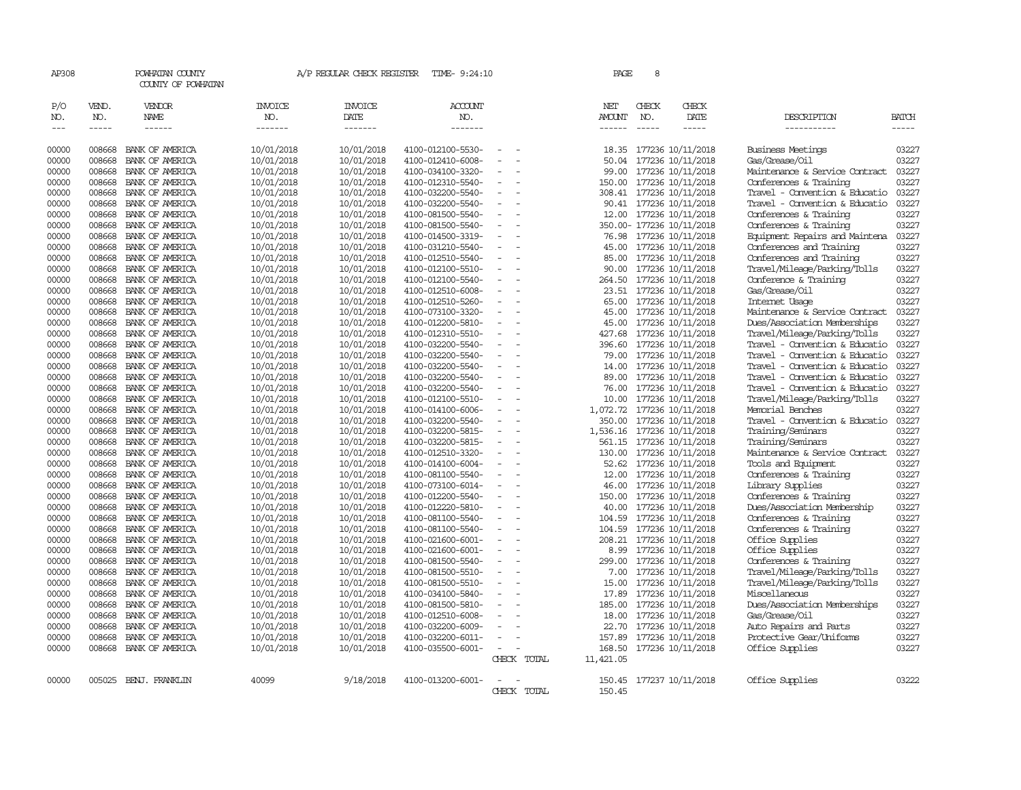| AP308          |                  | POWHATAN COUNTY<br>COUNTY OF POWHATAN |                          | A/P REGULAR CHECK REGISTER | TIME- 9:24:10                          |                          |             | PAGE                 | 8            |                                        |                                            |                |
|----------------|------------------|---------------------------------------|--------------------------|----------------------------|----------------------------------------|--------------------------|-------------|----------------------|--------------|----------------------------------------|--------------------------------------------|----------------|
| P/O<br>NO.     | VEND.<br>NO.     | VENDOR<br><b>NAME</b>                 | <b>INVOICE</b><br>NO.    | <b>INVOICE</b><br>DATE     | <b>ACCOUNT</b><br>NO.                  |                          |             | NET<br><b>AMOUNT</b> | CHECK<br>NO. | CHECK<br>DATE                          | DESCRIPTION                                | <b>BATCH</b>   |
| $---$          | $- - - - -$      | $- - - - - -$                         | -------                  | -------                    | -------                                |                          |             | ------               | $- - - - -$  | -----                                  | -----------                                | -----          |
| 00000          | 008668           | BANK OF AMERICA                       | 10/01/2018               | 10/01/2018                 | 4100-012100-5530-                      | $\overline{\phantom{a}}$ |             | 18.35                |              | 177236 10/11/2018                      | <b>Business Meetings</b>                   | 03227          |
| 00000          | 008668           | BANK OF AMERICA                       | 10/01/2018               | 10/01/2018                 | 4100-012410-6008-                      |                          |             |                      |              | 50.04 177236 10/11/2018                | Gas/Grease/Oil                             | 03227          |
| 00000          | 008668           | BANK OF AMERICA                       | 10/01/2018               | 10/01/2018                 | 4100-034100-3320-                      |                          |             | 99.00                |              | 177236 10/11/2018                      | Maintenance & Service Contract             | 03227          |
| 00000          | 008668           | BANK OF AMERICA                       | 10/01/2018               | 10/01/2018                 | 4100-012310-5540-                      | $\equiv$                 |             | 150.00               |              | 177236 10/11/2018                      | Conferences & Training                     | 03227          |
| 00000          | 008668           | BANK OF AMERICA                       | 10/01/2018               | 10/01/2018                 | 4100-032200-5540-                      | $\equiv$                 |             | 308.41               |              | 177236 10/11/2018                      | Travel - Convention & Educatio             | 03227          |
| 00000          | 008668           | BANK OF AMERICA                       | 10/01/2018               | 10/01/2018                 | 4100-032200-5540-                      |                          |             | 90.41                |              | 177236 10/11/2018                      | Travel - Convention & Educatio             | 03227          |
| 00000          | 008668           | BANK OF AMERICA                       | 10/01/2018               | 10/01/2018                 | 4100-081500-5540-                      | $\equiv$                 |             |                      |              | 12.00 177236 10/11/2018                | Conferences & Training                     | 03227          |
| 00000          | 008668           | BANK OF AMERICA                       | 10/01/2018               | 10/01/2018                 | 4100-081500-5540-                      | $\equiv$                 |             |                      |              | 350.00- 177236 10/11/2018              | Conferences & Training                     | 03227          |
| 00000          | 008668           | BANK OF AMERICA                       | 10/01/2018               | 10/01/2018                 | 4100-014500-3319-                      | $\equiv$                 |             | 76.98                |              | 177236 10/11/2018                      | Equipment Repairs and Maintena             | 03227          |
| 00000          | 008668           | BANK OF AMERICA                       | 10/01/2018               | 10/01/2018                 | 4100-031210-5540-                      |                          |             | 45.00                |              | 177236 10/11/2018                      | Conferences and Training                   | 03227          |
| 00000          | 008668           | BANK OF AMERICA                       | 10/01/2018               | 10/01/2018                 | 4100-012510-5540-                      | $\overline{\phantom{a}}$ |             | 85.00                |              | 177236 10/11/2018                      | Conferences and Training                   | 03227          |
| 00000          | 008668           | BANK OF AMERICA                       | 10/01/2018               | 10/01/2018                 | 4100-012100-5510-                      |                          |             | 90.00                |              | 177236 10/11/2018                      | Travel/Mileage/Parking/Tolls               | 03227          |
| 00000          | 008668           | BANK OF AMERICA                       | 10/01/2018               | 10/01/2018                 | 4100-012100-5540-                      |                          |             | 264.50               |              | 177236 10/11/2018                      | Conference & Training                      | 03227          |
| 00000          | 008668           | BANK OF AMERICA                       | 10/01/2018               | 10/01/2018                 | 4100-012510-6008-                      | $\equiv$                 |             |                      |              | 23.51 177236 10/11/2018                | Gas/Grease/Oil                             | 03227          |
| 00000          | 008668           | BANK OF AMERICA                       | 10/01/2018               | 10/01/2018                 | 4100-012510-5260-                      |                          |             | 65.00                |              | 177236 10/11/2018                      | Internet Usage                             | 03227          |
| 00000          | 008668           | BANK OF AMERICA                       | 10/01/2018               | 10/01/2018                 | 4100-073100-3320-                      |                          |             | 45.00                |              | 177236 10/11/2018                      | Maintenance & Service Contract             | 03227          |
| 00000          | 008668           | BANK OF AMERICA                       | 10/01/2018               | 10/01/2018                 | 4100-012200-5810-                      | $\sim$                   |             | 45.00                |              | 177236 10/11/2018                      | Dues/Association Memberships               | 03227          |
| 00000          | 008668           | BANK OF AMERICA                       | 10/01/2018               | 10/01/2018                 | 4100-012310-5510-                      |                          |             | 427.68               |              | 177236 10/11/2018                      | Travel/Mileage/Parking/Tolls               | 03227          |
| 00000          | 008668           | BANK OF AMERICA                       | 10/01/2018               | 10/01/2018                 | 4100-032200-5540-                      |                          |             | 396.60               |              | 177236 10/11/2018                      | Travel - Convention & Educatio             | 03227          |
| 00000          | 008668           | BANK OF AMERICA                       | 10/01/2018               | 10/01/2018                 | 4100-032200-5540-                      |                          |             | 79.00                |              | 177236 10/11/2018                      | Travel - Convention & Educatio             | 03227          |
| 00000          | 008668           | BANK OF AMERICA                       | 10/01/2018               | 10/01/2018                 | 4100-032200-5540-                      | $\equiv$                 |             | 14.00                |              | 177236 10/11/2018                      | Travel - Convention & Educatio             | 03227          |
| 00000          | 008668           | BANK OF AMERICA                       | 10/01/2018               | 10/01/2018                 | 4100-032200-5540-                      | $\equiv$                 |             | 89.00                |              | 177236 10/11/2018                      | Travel - Convention & Educatio             | 03227          |
| 00000          | 008668           | BANK OF AMERICA                       | 10/01/2018               | 10/01/2018                 | 4100-032200-5540-                      |                          |             | 76.00                |              | 177236 10/11/2018                      | Travel - Convention & Educatio             | 03227          |
| 00000          | 008668           | BANK OF AMERICA                       | 10/01/2018               | 10/01/2018                 | 4100-012100-5510-                      | $\overline{\phantom{a}}$ |             | 10.00                |              | 177236 10/11/2018                      | Travel/Mileage/Parking/Tolls               | 03227          |
| 00000          | 008668           | BANK OF AMERICA                       | 10/01/2018               | 10/01/2018                 | 4100-014100-6006-                      | $\equiv$                 |             | 1,072.72             |              | 177236 10/11/2018                      | Memorial Benches                           | 03227          |
| 00000          | 008668           | BANK OF AMERICA                       | 10/01/2018               | 10/01/2018                 | 4100-032200-5540-                      | $\equiv$                 |             | 350.00               |              | 177236 10/11/2018                      | Travel - Convention & Educatio             | 03227          |
| 00000          | 008668           | BANK OF AMERICA                       | 10/01/2018               | 10/01/2018                 | 4100-032200-5815-                      |                          |             | 1,536.16             |              | 177236 10/11/2018                      | Training/Seminars                          | 03227          |
| 00000          | 008668           | BANK OF AMERICA                       | 10/01/2018               | 10/01/2018                 | 4100-032200-5815-                      | $\overline{\phantom{a}}$ |             | 561.15               |              | 177236 10/11/2018                      | Training/Seminars                          | 03227          |
| 00000          | 008668           | BANK OF AMERICA                       | 10/01/2018               | 10/01/2018                 | 4100-012510-3320-                      | $\overline{\phantom{a}}$ |             | 130.00               |              | 177236 10/11/2018                      | Maintenance & Service Contract             | 03227          |
| 00000          | 008668           | BANK OF AMERICA                       | 10/01/2018               | 10/01/2018                 | 4100-014100-6004-                      |                          |             | 52.62                |              | 177236 10/11/2018                      | Tools and Equipment                        | 03227          |
| 00000          | 008668<br>008668 | BANK OF AMERICA                       | 10/01/2018               | 10/01/2018                 | 4100-081100-5540-                      | $\equiv$                 |             | 12.00                |              | 177236 10/11/2018                      | Conferences & Training                     | 03227          |
| 00000          | 008668           | BANK OF AMERICA                       | 10/01/2018               | 10/01/2018<br>10/01/2018   | 4100-073100-6014-                      |                          |             | 46.00<br>150.00      |              | 177236 10/11/2018                      | Library Supplies<br>Conferences & Training | 03227<br>03227 |
| 00000<br>00000 | 008668           | BANK OF AMERICA<br>BANK OF AMERICA    | 10/01/2018               | 10/01/2018                 | 4100-012200-5540-<br>4100-012220-5810- | $\equiv$                 |             |                      |              | 177236 10/11/2018                      | Dues/Association Membership                | 03227          |
| 00000          | 008668           | BANK OF AMERICA                       | 10/01/2018               | 10/01/2018                 | 4100-081100-5540-                      | $\overline{\phantom{a}}$ |             | 40.00<br>104.59      |              | 177236 10/11/2018                      | Conferences & Training                     | 03227          |
| 00000          | 008668           | BANK OF AMERICA                       | 10/01/2018               | 10/01/2018                 | 4100-081100-5540-                      | $\equiv$                 |             | 104.59               |              | 177236 10/11/2018<br>177236 10/11/2018 | Conferences & Training                     | 03227          |
| 00000          | 008668           | BANK OF AMERICA                       | 10/01/2018<br>10/01/2018 | 10/01/2018                 | 4100-021600-6001-                      |                          |             | 208.21               |              | 177236 10/11/2018                      | Office Supplies                            | 03227          |
| 00000          | 008668           | BANK OF AMERICA                       | 10/01/2018               | 10/01/2018                 | 4100-021600-6001-                      | $\overline{\phantom{a}}$ |             | 8.99                 |              | 177236 10/11/2018                      | Office Supplies                            | 03227          |
| 00000          | 008668           | BANK OF AMERICA                       | 10/01/2018               | 10/01/2018                 | 4100-081500-5540-                      | $\sim$                   |             | 299.00               |              | 177236 10/11/2018                      | Conferences & Training                     | 03227          |
| 00000          | 008668           | BANK OF AMERICA                       | 10/01/2018               | 10/01/2018                 | 4100-081500-5510-                      |                          |             | 7.00                 |              | 177236 10/11/2018                      | Travel/Mileage/Parking/Tolls               | 03227          |
| 00000          | 008668           | BANK OF AMERICA                       | 10/01/2018               | 10/01/2018                 | 4100-081500-5510-                      | $\equiv$                 |             | 15.00                |              | 177236 10/11/2018                      | Travel/Mileage/Parking/Tolls               | 03227          |
| 00000          | 008668           | BANK OF AMERICA                       | 10/01/2018               | 10/01/2018                 | 4100-034100-5840-                      |                          |             | 17.89                |              | 177236 10/11/2018                      | Miscellaneous                              | 03227          |
| 00000          | 008668           | BANK OF AMERICA                       | 10/01/2018               | 10/01/2018                 | 4100-081500-5810-                      | $\equiv$                 |             | 185.00               |              | 177236 10/11/2018                      | Dues/Association Memberships               | 03227          |
| 00000          | 008668           | BANK OF AMERICA                       | 10/01/2018               | 10/01/2018                 | 4100-012510-6008-                      |                          |             | 18.00                |              | 177236 10/11/2018                      | Gas/Grease/Oil                             | 03227          |
| 00000          | 008668           | BANK OF AMERICA                       | 10/01/2018               | 10/01/2018                 | 4100-032200-6009-                      | $\overline{\phantom{a}}$ |             | 22.70                |              | 177236 10/11/2018                      | Auto Repairs and Parts                     | 03227          |
| 00000          | 008668           | BANK OF AMERICA                       | 10/01/2018               | 10/01/2018                 | 4100-032200-6011-                      | $\overline{\phantom{a}}$ |             | 157.89               |              | 177236 10/11/2018                      | Protective Gear/Uniforms                   | 03227          |
| 00000          | 008668           | BANK OF AMERICA                       | 10/01/2018               | 10/01/2018                 | 4100-035500-6001-                      | $\equiv$                 |             |                      |              | 168.50 177236 10/11/2018               | Office Supplies                            | 03227          |
|                |                  |                                       |                          |                            |                                        |                          | CHECK TOTAL | 11,421.05            |              |                                        |                                            |                |
|                |                  |                                       |                          |                            |                                        |                          |             |                      |              |                                        |                                            |                |
| 00000          |                  | 005025 BENJ. FRANKLIN                 | 40099                    | 9/18/2018                  | 4100-013200-6001-                      | $\overline{\phantom{a}}$ |             |                      |              | 150.45 177237 10/11/2018               | Office Supplies                            | 03222          |
|                |                  |                                       |                          |                            |                                        |                          | CHECK TOTAL | 150.45               |              |                                        |                                            |                |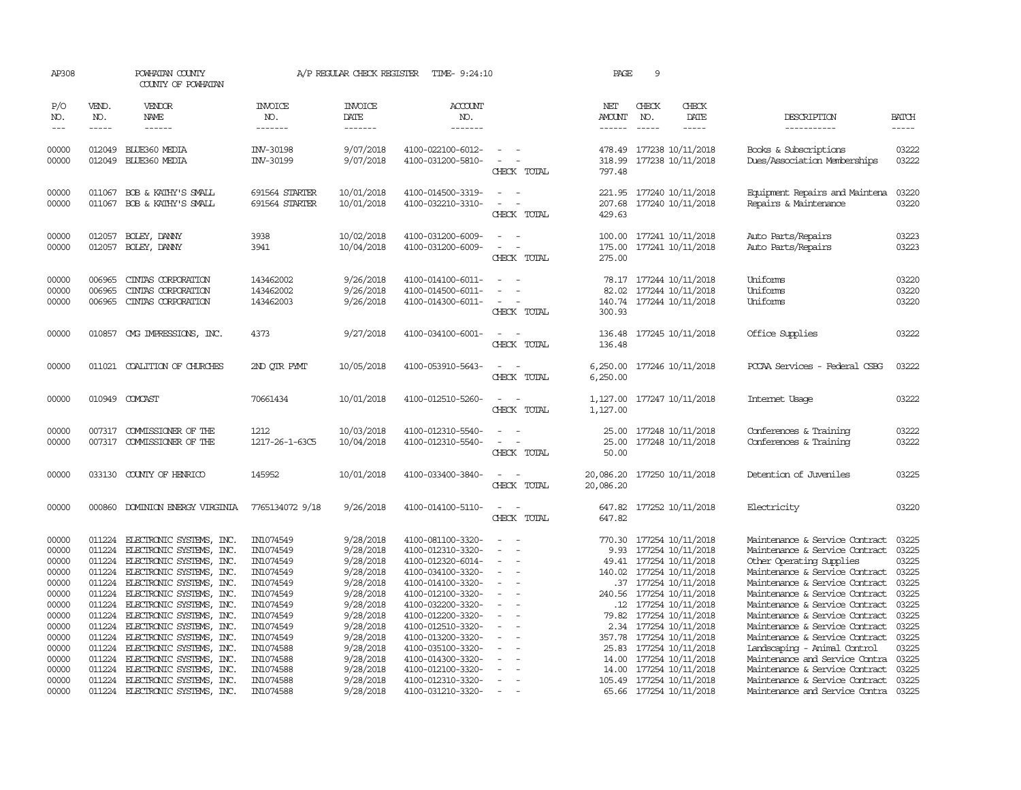| AP308                            |                                      | POWHATAN COUNTY<br>COUNTY OF POWHATAN                                                                        |                                                  | A/P REGULAR CHECK REGISTER                       | TIME- 9:24:10                                                                    |                                                                                                                                       | PAGE                       | 9            |                                                                                                           |                                                                                                                                          |                                  |
|----------------------------------|--------------------------------------|--------------------------------------------------------------------------------------------------------------|--------------------------------------------------|--------------------------------------------------|----------------------------------------------------------------------------------|---------------------------------------------------------------------------------------------------------------------------------------|----------------------------|--------------|-----------------------------------------------------------------------------------------------------------|------------------------------------------------------------------------------------------------------------------------------------------|----------------------------------|
| P/O<br>NO.<br>$\frac{1}{2}$      | VEND.<br>NO.<br>$- - - - -$          | VENDOR<br>NAME<br>$- - - - - -$                                                                              | <b>INVOICE</b><br>NO.<br>-------                 | <b>INVOICE</b><br>DATE<br>-------                | <b>ACCOUNT</b><br>NO.<br>-------                                                 |                                                                                                                                       | NET<br>AMOUNT<br>------    | CHECK<br>NO. | CHECK<br><b>DATE</b><br>-----                                                                             | DESCRIPTION<br>-----------                                                                                                               | <b>BATCH</b><br>-----            |
| 00000<br>00000                   |                                      | 012049 BLUE360 MEDIA<br>012049 BLUE360 MEDIA                                                                 | INV-30198<br>INV-30199                           | 9/07/2018<br>9/07/2018                           | 4100-022100-6012-<br>4100-031200-5810-                                           | $\frac{1}{2} \left( \frac{1}{2} \right) \left( \frac{1}{2} \right) = \frac{1}{2} \left( \frac{1}{2} \right)$<br>$\sim$<br>CHECK TOTAL | 797.48                     |              | 478.49 177238 10/11/2018<br>318.99 177238 10/11/2018                                                      | Books & Subscriptions<br>Dues/Association Memberships                                                                                    | 03222<br>03222                   |
| 00000<br>00000                   | 011067<br>011067                     | BOB & KATHY'S SMALL<br>BOB & KATHY'S SMALL                                                                   | 691564 STARTER<br>691564 STARTER                 | 10/01/2018<br>10/01/2018                         | 4100-014500-3319-<br>4100-032210-3310-                                           | $\sim$<br>CHECK TOTAL                                                                                                                 | 221.95<br>207.68<br>429.63 |              | 177240 10/11/2018<br>177240 10/11/2018                                                                    | Equipment Repairs and Maintena<br>Repairs & Maintenance                                                                                  | 03220<br>03220                   |
| 00000<br>00000                   | 012057<br>012057                     | BOLEY, DANNY<br>BOLEY, DANNY                                                                                 | 3938<br>3941                                     | 10/02/2018<br>10/04/2018                         | 4100-031200-6009-<br>4100-031200-6009-                                           | $\equiv$<br>$\overline{\phantom{a}}$<br>CHECK TOTAL                                                                                   | 275.00                     |              | 100.00 177241 10/11/2018<br>175.00 177241 10/11/2018                                                      | Auto Parts/Repairs<br>Auto Parts/Repairs                                                                                                 | 03223<br>03223                   |
| 00000<br>00000<br>00000          | 006965<br>006965<br>006965           | CINIAS CORPORATION<br>CINIAS CORPORATION<br>CINIAS CORPORATION                                               | 143462002<br>143462002<br>143462003              | 9/26/2018<br>9/26/2018<br>9/26/2018              | 4100-014100-6011-<br>4100-014500-6011-<br>4100-014300-6011-                      | $\equiv$<br>$\overline{\phantom{a}}$<br>CHECK TOTAL                                                                                   | 300.93                     |              | 78.17 177244 10/11/2018<br>82.02 177244 10/11/2018<br>140.74 177244 10/11/2018                            | Uniforms<br>Uniforms<br>Uniforms                                                                                                         | 03220<br>03220<br>03220          |
| 00000                            |                                      | 010857 CMG IMPRESSIONS, INC.                                                                                 | 4373                                             | 9/27/2018                                        | 4100-034100-6001-                                                                | $\overline{\phantom{a}}$<br>CHECK TOTAL                                                                                               | 136.48<br>136.48           |              | 177245 10/11/2018                                                                                         | Office Supplies                                                                                                                          | 03222                            |
| 00000                            |                                      | 011021 COALITION OF CHURCHES                                                                                 | 2ND QTR PYMT                                     | 10/05/2018                                       | 4100-053910-5643-                                                                | $\equiv$<br>CHECK TOTAL                                                                                                               | 6,250.00                   |              | 6,250.00 177246 10/11/2018                                                                                | PCCAA Services - Federal CSBG                                                                                                            | 03222                            |
| 00000                            |                                      | 010949 COMCAST                                                                                               | 70661434                                         | 10/01/2018                                       | 4100-012510-5260-                                                                | $\frac{1}{2} \left( \frac{1}{2} \right) \left( \frac{1}{2} \right) = \frac{1}{2} \left( \frac{1}{2} \right)$<br>CHECK TOTAL           | 1,127.00                   |              | 1,127.00 177247 10/11/2018                                                                                | Internet Usage                                                                                                                           | 03222                            |
| 00000<br>00000                   |                                      | 007317 COMMISSIONER OF THE<br>007317 COMMISSIONER OF THE                                                     | 1212<br>1217-26-1-63C5                           | 10/03/2018<br>10/04/2018                         | 4100-012310-5540-<br>4100-012310-5540-                                           | $\equiv$<br>CHECK TOTAL                                                                                                               | 25.00<br>25.00<br>50.00    |              | 177248 10/11/2018<br>177248 10/11/2018                                                                    | Conferences & Training<br>Conferences & Training                                                                                         | 03222<br>03222                   |
| 00000                            |                                      | 033130 COUNTY OF HENRICO                                                                                     | 145952                                           | 10/01/2018                                       | 4100-033400-3840-                                                                | $\frac{1}{2} \left( \frac{1}{2} \right) \left( \frac{1}{2} \right) = \frac{1}{2} \left( \frac{1}{2} \right)$<br>CHECK TOTAL           | 20,086.20                  |              | 20,086.20 177250 10/11/2018                                                                               | Detention of Juveniles                                                                                                                   | 03225                            |
| 00000                            |                                      | 000860 DOMINION ENERGY VIRGINIA                                                                              | 7765134072 9/18                                  | 9/26/2018                                        | 4100-014100-5110-                                                                | $\overline{\phantom{a}}$<br>CHECK TOTAL                                                                                               | 647.82                     |              | 647.82 177252 10/11/2018                                                                                  | Electricity                                                                                                                              | 03220                            |
| 00000<br>00000<br>00000<br>00000 | 011224<br>011224<br>011224<br>011224 | ELECTRONIC SYSTEMS, INC.<br>ELECTRONIC SYSTEMS, INC.<br>ELECTRONIC SYSTEMS, INC.<br>ELECTRONIC SYSTEMS, INC. | IN1074549<br>IN1074549<br>IN1074549<br>IN1074549 | 9/28/2018<br>9/28/2018<br>9/28/2018<br>9/28/2018 | 4100-081100-3320-<br>4100-012310-3320-<br>4100-012320-6014-<br>4100-034100-3320- | $\equiv$<br>$\overline{\phantom{a}}$<br>$\overline{\phantom{a}}$<br>$\overline{\phantom{a}}$<br>$\overline{\phantom{a}}$              |                            |              | 770.30 177254 10/11/2018<br>9.93 177254 10/11/2018<br>49.41 177254 10/11/2018<br>140.02 177254 10/11/2018 | Maintenance & Service Contract<br>Maintenance & Service Contract<br>Other Operating Supplies<br>Maintenance & Service Contract           | 03225<br>03225<br>03225<br>03225 |
| 00000<br>00000<br>00000          | 011224<br>011224<br>011224           | ELECTRONIC SYSTEMS, INC.<br>ELECTRONIC SYSTEMS, INC.<br>ELECTRONIC SYSTEMS, INC.                             | IN1074549<br>IN1074549<br>IN1074549              | 9/28/2018<br>9/28/2018<br>9/28/2018              | 4100-014100-3320-<br>4100-012100-3320-<br>4100-032200-3320-                      | $\overline{\phantom{a}}$<br>$\equiv$<br>$\sim$                                                                                        |                            |              | .37 177254 10/11/2018<br>240.56 177254 10/11/2018<br>12 177254 10/11/2018                                 | Maintenance & Service Contract<br>Maintenance & Service Contract<br>Maintenance & Service Contract 03225                                 | 03225<br>03225                   |
| 00000<br>00000<br>00000<br>00000 | 011224<br>011224<br>011224<br>011224 | ELECTRONIC SYSTEMS, INC.<br>ELECTRONIC SYSTEMS, INC.<br>ELECTRONIC SYSTEMS, INC.<br>ELECTRONIC SYSTEMS, INC. | IN1074549<br>IN1074549<br>IN1074549<br>IN1074588 | 9/28/2018<br>9/28/2018<br>9/28/2018<br>9/28/2018 | 4100-012200-3320-<br>4100-012510-3320-<br>4100-013200-3320-<br>4100-035100-3320- | $\overline{\phantom{a}}$<br>$\overline{\phantom{a}}$<br>$\overline{\phantom{a}}$                                                      | 79.82<br>357.78            |              | 177254 10/11/2018<br>2.34 177254 10/11/2018<br>177254 10/11/2018<br>25.83 177254 10/11/2018               | Maintenance & Service Contract<br>Maintenance & Service Contract<br>Maintenance & Service Contract 03225<br>Landscaping - Animal Control | 03225<br>03225<br>03225          |
| 00000<br>00000<br>00000          | 011224<br>011224<br>011224           | ELECTRONIC SYSTEMS, INC.<br>ELECTRONIC SYSTEMS, INC.<br>ELECTRONIC SYSTEMS, INC.                             | IN1074588<br>IN1074588<br>IN1074588              | 9/28/2018<br>9/28/2018<br>9/28/2018              | 4100-014300-3320-<br>4100-012100-3320-<br>4100-012310-3320-                      | $\equiv$<br>$\overline{\phantom{a}}$<br>$\sim$                                                                                        | 14.00                      |              | 14.00 177254 10/11/2018<br>177254 10/11/2018<br>105.49 177254 10/11/2018                                  | Maintenance and Service Contra 03225<br>Maintenance & Service Contract<br>Maintenance & Service Contract 03225                           | 03225                            |
| 00000                            | 011224                               | ELECTRONIC SYSTEMS, INC.                                                                                     | IN1074588                                        | 9/28/2018                                        | 4100-031210-3320-                                                                | $\sim$                                                                                                                                |                            |              | 65.66 177254 10/11/2018                                                                                   | Maintenance and Service Contra 03225                                                                                                     |                                  |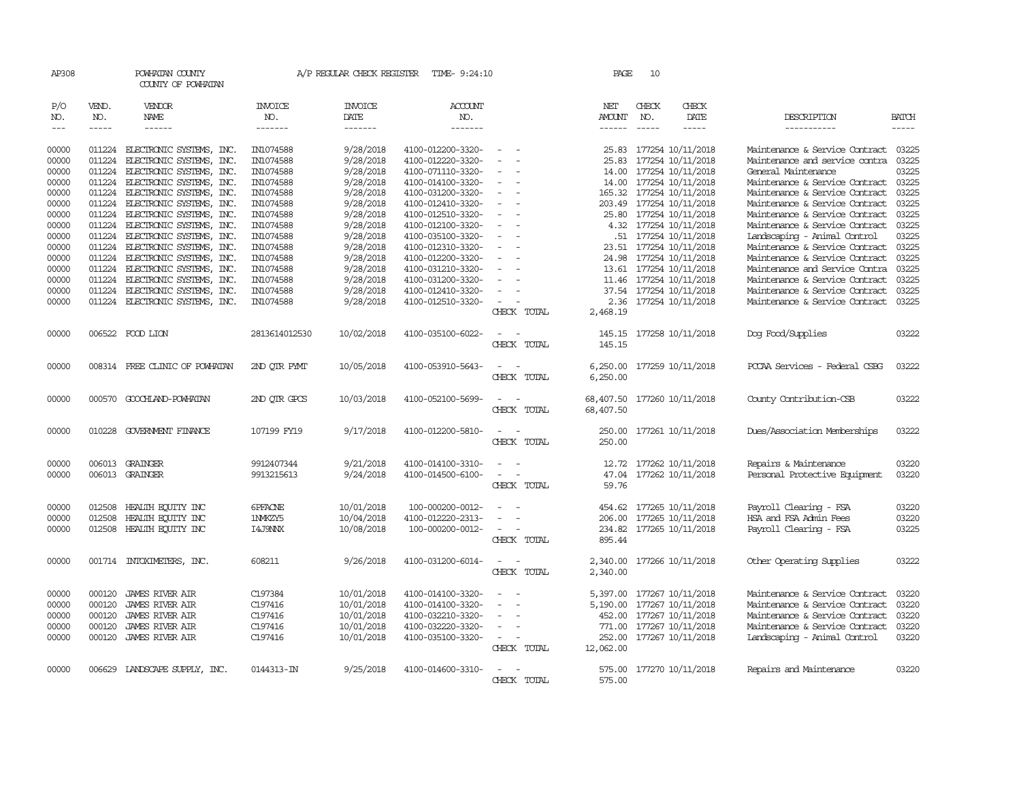| AP308               |                             | POWHATAN COUNTY<br>COUNTY OF POWHATAN                |                                  | A/P REGULAR CHECK REGISTER        | TIME- 9:24:10                          |                                    | PAGE                           | 10                          |                                               |                                                                  |                             |
|---------------------|-----------------------------|------------------------------------------------------|----------------------------------|-----------------------------------|----------------------------------------|------------------------------------|--------------------------------|-----------------------------|-----------------------------------------------|------------------------------------------------------------------|-----------------------------|
| P/O<br>NO.<br>$---$ | VEND.<br>NO.<br>$- - - - -$ | VENDOR<br>NAME<br>$- - - - - -$                      | <b>INVOICE</b><br>NO.<br>------- | <b>INVOICE</b><br>DATE<br>------- | <b>ACCOUNT</b><br>NO.<br>-------       |                                    | NET<br><b>AMOUNT</b><br>------ | CHECK<br>NO.<br>$- - - - -$ | CHECK<br>DATE<br>-----                        | DESCRIPTION<br>-----------                                       | <b>BATCH</b><br>$- - - - -$ |
|                     |                             |                                                      |                                  |                                   |                                        |                                    |                                |                             |                                               |                                                                  |                             |
| 00000               | 011224                      | ELECTRONIC SYSTEMS, INC.                             | IN1074588                        | 9/28/2018                         | 4100-012200-3320-                      | $\overline{\phantom{a}}$           | 25.83                          |                             | 177254 10/11/2018                             | Maintenance & Service Contract                                   | 03225                       |
| 00000               | 011224                      | ELECTRONIC SYSTEMS, INC.                             | IN1074588                        | 9/28/2018                         | 4100-012220-3320-                      |                                    | 25.83                          |                             | 177254 10/11/2018                             | Maintenance and service contra                                   | 03225                       |
| 00000               | 011224                      | ELECTRONIC SYSTEMS, INC.                             | IN1074588                        | 9/28/2018                         | 4100-071110-3320-                      | $\equiv$                           | 14.00                          |                             | 177254 10/11/2018                             | General Maintenance                                              | 03225                       |
| 00000<br>00000      | 011224<br>011224            | ELECTRONIC SYSTEMS, INC.<br>ELECTRONIC SYSTEMS, INC. | IN1074588<br>IN1074588           | 9/28/2018<br>9/28/2018            | 4100-014100-3320-<br>4100-031200-3320- |                                    | 14.00                          |                             | 177254 10/11/2018<br>165.32 177254 10/11/2018 | Maintenance & Service Contract<br>Maintenance & Service Contract | 03225<br>03225              |
| 00000               | 011224                      | ELECTRONIC SYSTEMS, INC.                             | IN1074588                        | 9/28/2018                         | 4100-012410-3320-                      | $\overline{\phantom{a}}$           | 203.49                         |                             | 177254 10/11/2018                             | Maintenance & Service Contract                                   | 03225                       |
| 00000               | 011224                      | ELECTRONIC SYSTEMS, INC.                             | IN1074588                        | 9/28/2018                         | 4100-012510-3320-                      |                                    | 25.80                          |                             | 177254 10/11/2018                             | Maintenance & Service Contract                                   | 03225                       |
| 00000               | 011224                      | ELECTRONIC SYSTEMS, INC.                             | IN1074588                        | 9/28/2018                         | 4100-012100-3320-                      |                                    |                                |                             | 4.32 177254 10/11/2018                        | Maintenance & Service Contract                                   | 03225                       |
| 00000               | 011224                      | ELECTRONIC SYSTEMS, INC.                             | IN1074588                        | 9/28/2018                         | 4100-035100-3320-                      |                                    |                                |                             | .51 177254 10/11/2018                         | Landscaping - Animal Control                                     | 03225                       |
| 00000               | 011224                      | ELECTRONIC SYSTEMS, INC.                             | IN1074588                        | 9/28/2018                         | 4100-012310-3320-                      |                                    | 23.51                          |                             | 177254 10/11/2018                             | Maintenance & Service Contract                                   | 03225                       |
| 00000               | 011224                      | ELECTRONIC SYSTEMS, INC.                             | IN1074588                        | 9/28/2018                         | 4100-012200-3320-                      |                                    | 24.98                          |                             | 177254 10/11/2018                             | Maintenance & Service Contract                                   | 03225                       |
| 00000               | 011224                      | ELECTRONIC SYSTEMS, INC.                             | IN1074588                        | 9/28/2018                         | 4100-031210-3320-                      |                                    | 13.61                          |                             | 177254 10/11/2018                             | Maintenance and Service Contra                                   | 03225                       |
| 00000               | 011224                      | ELECTRONIC SYSTEMS, INC.                             | IN1074588                        | 9/28/2018                         | 4100-031200-3320-                      |                                    | 11.46                          |                             | 177254 10/11/2018                             | Maintenance & Service Contract                                   | 03225                       |
| 00000               | 011224                      | ELECTRONIC SYSTEMS, INC.                             | IN1074588                        | 9/28/2018                         | 4100-012410-3320-                      |                                    | 37.54                          |                             | 177254 10/11/2018                             | Maintenance & Service Contract                                   | 03225                       |
| 00000               | 011224                      | ELECTRONIC SYSTEMS, INC.                             | IN1074588                        | 9/28/2018                         | 4100-012510-3320-                      |                                    |                                |                             | 2.36 177254 10/11/2018                        | Maintenance & Service Contract                                   | 03225                       |
|                     |                             |                                                      |                                  |                                   |                                        | CHECK TOTAL                        | 2,468.19                       |                             |                                               |                                                                  |                             |
| 00000               |                             | 006522 FOOD LION                                     | 2813614012530                    | 10/02/2018                        | 4100-035100-6022-                      |                                    | 145.15                         |                             | 177258 10/11/2018                             | Dog Food/Supplies                                                | 03222                       |
|                     |                             |                                                      |                                  |                                   |                                        | CHECK TOTAL                        | 145.15                         |                             |                                               |                                                                  |                             |
| 00000               |                             | 008314 FREE CLINIC OF POWHATAN                       | 2ND OTR PYMT                     | 10/05/2018                        | 4100-053910-5643-                      |                                    | 6,250.00                       |                             | 177259 10/11/2018                             | PCCAA Services - Federal CSBG                                    | 03222                       |
|                     |                             |                                                      |                                  |                                   |                                        | CHECK TOTAL                        | 6,250.00                       |                             |                                               |                                                                  |                             |
| 00000               | 000570                      | GOOCHLAND-POWHATAN                                   | 2ND OTR GPCS                     | 10/03/2018                        | 4100-052100-5699-                      | $\overline{\phantom{a}}$           | 68,407.50                      |                             | 177260 10/11/2018                             | County Contribution-CSB                                          | 03222                       |
|                     |                             |                                                      |                                  |                                   |                                        | CHECK TOTAL                        | 68,407.50                      |                             |                                               |                                                                  |                             |
| 00000               | 010228                      | GOVERNMENT FINANCE                                   | 107199 FY19                      | 9/17/2018                         | 4100-012200-5810-                      |                                    | 250.00                         |                             | 177261 10/11/2018                             | Dues/Association Memberships                                     | 03222                       |
|                     |                             |                                                      |                                  |                                   |                                        | CHECK TOTAL                        | 250.00                         |                             |                                               |                                                                  |                             |
| 00000               |                             | 006013 GRAINGER                                      | 9912407344                       | 9/21/2018                         | 4100-014100-3310-                      |                                    |                                |                             | 12.72 177262 10/11/2018                       | Repairs & Maintenance                                            | 03220                       |
| 00000               |                             | 006013 GRAINGER                                      | 9913215613                       | 9/24/2018                         | 4100-014500-6100-                      | $\sim$<br>$\overline{\phantom{a}}$ |                                |                             | 47.04 177262 10/11/2018                       | Personal Protective Equipment                                    | 03220                       |
|                     |                             |                                                      |                                  |                                   |                                        | CHECK TOTAL                        | 59.76                          |                             |                                               |                                                                  |                             |
| 00000               | 012508                      | HEALTH ECUTTY INC                                    | <b>GPFACNE</b>                   | 10/01/2018                        | 100-000200-0012-                       |                                    | 454.62                         |                             | 177265 10/11/2018                             | Payroll Clearing - FSA                                           | 03220                       |
| 00000               | 012508                      | HEALTH EQUITY INC                                    | 1NMKZY5                          | 10/04/2018                        | 4100-012220-2313-                      |                                    | 206.00                         |                             | 177265 10/11/2018                             | HSA and FSA Admin Fees                                           | 03220                       |
| 00000               | 012508                      | HEALTH ECUTTY INC                                    | I4J9NNX                          | 10/08/2018                        | 100-000200-0012-                       |                                    | 234.82                         |                             | 177265 10/11/2018                             | Payroll Clearing - FSA                                           | 03225                       |
|                     |                             |                                                      |                                  |                                   |                                        | CHECK TOTAL                        | 895.44                         |                             |                                               |                                                                  |                             |
| 00000               |                             | 001714 INTOXIMETERS, INC.                            | 608211                           | 9/26/2018                         | 4100-031200-6014-                      |                                    | 2,340.00                       |                             | 177266 10/11/2018                             | Other Operating Supplies                                         | 03222                       |
|                     |                             |                                                      |                                  |                                   |                                        | CHECK TOTAL                        | 2,340.00                       |                             |                                               |                                                                  |                             |
| 00000               | 000120                      | <b>JAMES RIVER AIR</b>                               | C197384                          | 10/01/2018                        | 4100-014100-3320-                      |                                    | 5,397.00                       |                             | 177267 10/11/2018                             | Maintenance & Service Contract                                   | 03220                       |
| 00000               | 000120                      | JAMES RIVER AIR                                      | C197416                          | 10/01/2018                        | 4100-014100-3320-                      |                                    | 5,190.00                       |                             | 177267 10/11/2018                             | Maintenance & Service Contract                                   | 03220                       |
| 00000               | 000120                      | JAMES RIVER AIR                                      | C197416                          | 10/01/2018                        | 4100-032210-3320-                      |                                    | 452.00                         |                             | 177267 10/11/2018                             | Maintenance & Service Contract                                   | 03220                       |
| 00000               | 000120                      | <b>JAMES RIVER AIR</b>                               | C197416                          | 10/01/2018                        | 4100-032220-3320-                      | $\overline{\phantom{a}}$           | 771.00                         |                             | 177267 10/11/2018                             | Maintenance & Service Contract                                   | 03220                       |
| 00000               |                             | 000120 JAMES RIVER AIR                               | C197416                          | 10/01/2018                        | 4100-035100-3320-                      | $\sim$<br>$\overline{\phantom{a}}$ |                                |                             | 252.00 177267 10/11/2018                      | Landscaping - Animal Control                                     | 03220                       |
|                     |                             |                                                      |                                  |                                   |                                        | CHECK TOTAL                        | 12,062.00                      |                             |                                               |                                                                  |                             |
| 00000               |                             | 006629 LANDSCAPE SUPPLY, INC.                        | 0144313-IN                       | 9/25/2018                         | 4100-014600-3310-                      |                                    |                                |                             | 575.00 177270 10/11/2018                      | Repairs and Maintenance                                          | 03220                       |
|                     |                             |                                                      |                                  |                                   |                                        | CHECK TOTAL                        | 575.00                         |                             |                                               |                                                                  |                             |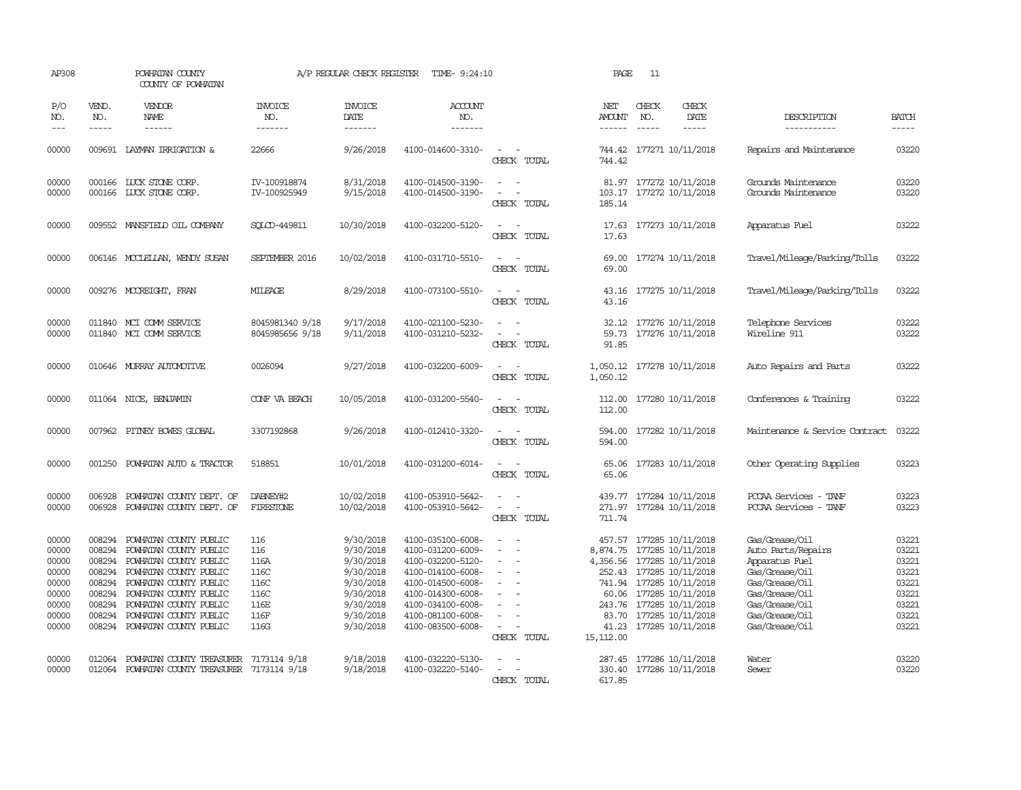| AP308                                                                         |                                                                                        | POWHATAN COUNTY<br>COUNTY OF POWHATAN                                                                                                                                                                                                  |                                                                    | A/P REGULAR CHECK REGISTER                                                                                        | TIME- 9:24:10                                                                                                                                                                             |                                                                         | PAGE                                                                 | 11                            |                                                                                                                                                                                                          |                                                                                                                                                                    |                                                                               |
|-------------------------------------------------------------------------------|----------------------------------------------------------------------------------------|----------------------------------------------------------------------------------------------------------------------------------------------------------------------------------------------------------------------------------------|--------------------------------------------------------------------|-------------------------------------------------------------------------------------------------------------------|-------------------------------------------------------------------------------------------------------------------------------------------------------------------------------------------|-------------------------------------------------------------------------|----------------------------------------------------------------------|-------------------------------|----------------------------------------------------------------------------------------------------------------------------------------------------------------------------------------------------------|--------------------------------------------------------------------------------------------------------------------------------------------------------------------|-------------------------------------------------------------------------------|
| P/O<br>NO.<br>$- - -$                                                         | VEND.<br>NO.<br>$- - - - -$                                                            | <b>VENDOR</b><br>NAME<br>$- - - - - -$                                                                                                                                                                                                 | <b>INVOICE</b><br>NO.<br>-------                                   | <b>INVOICE</b><br>DATE<br>-------                                                                                 | <b>ACCOUNT</b><br>NO.<br>-------                                                                                                                                                          |                                                                         | NET<br><b>AMOUNT</b><br>------                                       | CHECK<br>NO.<br>$\frac{1}{2}$ | CHECK<br>DATE<br>$- - - - -$                                                                                                                                                                             | DESCRIPTION<br>-----------                                                                                                                                         | <b>BATCH</b><br>-----                                                         |
| 00000                                                                         | 009691                                                                                 | LAYMAN IRRIGATION &                                                                                                                                                                                                                    | 22666                                                              | 9/26/2018                                                                                                         | 4100-014600-3310-                                                                                                                                                                         | $\sim$<br>CHECK TOTAL                                                   | 744.42<br>744.42                                                     |                               | 177271 10/11/2018                                                                                                                                                                                        | Repairs and Maintenance                                                                                                                                            | 03220                                                                         |
| 00000<br>00000                                                                |                                                                                        | 000166 LUCK STONE CORP.<br>000166 LUCK STONE CORP.                                                                                                                                                                                     | IV-100918874<br>IV-100925949                                       | 8/31/2018<br>9/15/2018                                                                                            | 4100-014500-3190-<br>4100-014500-3190-                                                                                                                                                    | $\overline{\phantom{a}}$<br>$\sim$<br>CHECK TOTAL                       | 185.14                                                               |                               | 81.97 177272 10/11/2018<br>103.17 177272 10/11/2018                                                                                                                                                      | Grounds Maintenance<br>Grounds Maintenance                                                                                                                         | 03220<br>03220                                                                |
| 00000                                                                         |                                                                                        | 009552 MANSFIELD OIL COMPANY                                                                                                                                                                                                           | SOLOD-449811                                                       | 10/30/2018                                                                                                        | 4100-032200-5120-                                                                                                                                                                         | CHECK TOTAL                                                             | 17.63                                                                |                               | 17.63 177273 10/11/2018                                                                                                                                                                                  | Apparatus Fuel                                                                                                                                                     | 03222                                                                         |
| 00000                                                                         |                                                                                        | 006146 MCCLELLAN, WENDY SUSAN                                                                                                                                                                                                          | SEPTEMBER 2016                                                     | 10/02/2018                                                                                                        | 4100-031710-5510-                                                                                                                                                                         | $\overline{a}$<br>CHECK TOTAL                                           | 69.00<br>69.00                                                       |                               | 177274 10/11/2018                                                                                                                                                                                        | Travel/Mileage/Parking/Tolls                                                                                                                                       | 03222                                                                         |
| 00000                                                                         |                                                                                        | 009276 MCCREIGHT, FRAN                                                                                                                                                                                                                 | <b>MILEAGE</b>                                                     | 8/29/2018                                                                                                         | 4100-073100-5510-                                                                                                                                                                         | CHECK TOTAL                                                             | 43.16<br>43.16                                                       |                               | 177275 10/11/2018                                                                                                                                                                                        | Travel/Mileage/Parking/Tolls                                                                                                                                       | 03222                                                                         |
| 00000<br>00000                                                                |                                                                                        | 011840 MCI COMM SERVICE<br>011840 MCI COMM SERVICE                                                                                                                                                                                     | 8045981340 9/18<br>8045985656 9/18                                 | 9/17/2018<br>9/11/2018                                                                                            | 4100-021100-5230-<br>4100-031210-5232-                                                                                                                                                    | CHECK TOTAL                                                             | 32.12<br>59.73<br>91.85                                              |                               | 177276 10/11/2018<br>177276 10/11/2018                                                                                                                                                                   | Telephone Services<br>Wireline 911                                                                                                                                 | 03222<br>03222                                                                |
| 00000                                                                         |                                                                                        | 010646 MURRAY AUTOMOTTVE                                                                                                                                                                                                               | 0026094                                                            | 9/27/2018                                                                                                         | 4100-032200-6009-                                                                                                                                                                         | CHECK TOTAL                                                             | 1,050.12<br>1,050.12                                                 |                               | 177278 10/11/2018                                                                                                                                                                                        | Auto Repairs and Parts                                                                                                                                             | 03222                                                                         |
| 00000                                                                         |                                                                                        | 011064 NICE, BENJAMIN                                                                                                                                                                                                                  | CONF VA BEACH                                                      | 10/05/2018                                                                                                        | 4100-031200-5540-                                                                                                                                                                         | CHECK TOTAL                                                             | 112.00<br>112.00                                                     |                               | 177280 10/11/2018                                                                                                                                                                                        | Conferences & Training                                                                                                                                             | 03222                                                                         |
| 00000                                                                         | 007962                                                                                 | PITNEY BOWES GLOBAL                                                                                                                                                                                                                    | 3307192868                                                         | 9/26/2018                                                                                                         | 4100-012410-3320-                                                                                                                                                                         | CHECK TOTAL                                                             | 594.00<br>594.00                                                     |                               | 177282 10/11/2018                                                                                                                                                                                        | Maintenance & Service Contract                                                                                                                                     | 03222                                                                         |
| 00000                                                                         | 001250                                                                                 | POWHATAN AUTO & TRACTOR                                                                                                                                                                                                                | 518851                                                             | 10/01/2018                                                                                                        | 4100-031200-6014-                                                                                                                                                                         | $\sim$<br>CHECK TOTAL                                                   | 65.06<br>65.06                                                       |                               | 177283 10/11/2018                                                                                                                                                                                        | Other Operating Supplies                                                                                                                                           | 03223                                                                         |
| 00000<br>00000                                                                | 006928<br>006928                                                                       | POWHATAN COUNTY DEPT. OF<br>POWHATAN COUNTY DEPT. OF                                                                                                                                                                                   | DABNEY#2<br><b>FIRESTONE</b>                                       | 10/02/2018<br>10/02/2018                                                                                          | 4100-053910-5642-<br>4100-053910-5642-                                                                                                                                                    | $\sim$<br>$\sim$<br>$\equiv$<br>$\overline{\phantom{a}}$<br>CHECK TOTAL | 271.97<br>711.74                                                     |                               | 439.77 177284 10/11/2018<br>177284 10/11/2018                                                                                                                                                            | PCCAA Services - TANF<br>PCCAA Services - TANF                                                                                                                     | 03223<br>03223                                                                |
| 00000<br>00000<br>00000<br>00000<br>00000<br>00000<br>00000<br>00000<br>00000 | 008294<br>008294<br>008294<br>008294<br>008294<br>008294<br>008294<br>008294<br>008294 | POWHATAN COUNTY PUBLIC<br>POWHATAN COUNTY PUBLIC<br>POWHATAN COUNTY PUBLIC<br>POWHATAN COUNTY PUBLIC<br>POWHATAN COUNTY PUBLIC<br>POWHATAN COUNTY PUBLIC<br>POWHATAN COUNTY PUBLIC<br>POWHATAN COUNTY PUBLIC<br>POWHATAN COUNTY PUBLIC | 116<br>116<br>116A<br>116C<br>116C<br>116C<br>116E<br>116F<br>116G | 9/30/2018<br>9/30/2018<br>9/30/2018<br>9/30/2018<br>9/30/2018<br>9/30/2018<br>9/30/2018<br>9/30/2018<br>9/30/2018 | 4100-035100-6008-<br>4100-031200-6009-<br>4100-032200-5120-<br>4100-014100-6008-<br>4100-014500-6008-<br>4100-014300-6008-<br>4100-034100-6008-<br>4100-081100-6008-<br>4100-083500-6008- | $\equiv$<br>$\sim$<br>$\overline{\phantom{a}}$<br>CHECK TOTAL           | 457.57<br>4,356.56 177285 10/11/2018<br>83.70<br>41.23<br>15, 112.00 |                               | 177285 10/11/2018<br>8,874.75 177285 10/11/2018<br>252.43 177285 10/11/2018<br>741.94 177285 10/11/2018<br>60.06 177285 10/11/2018<br>243.76 177285 10/11/2018<br>177285 10/11/2018<br>177285 10/11/2018 | Gas/Grease/Oil<br>Auto Parts/Repairs<br>Apparatus Fuel<br>Gas/Grease/Oil<br>Gas/Grease/Oil<br>Gas/Grease/Oil<br>Gas/Grease/Oil<br>Gas/Grease/Oil<br>Gas/Grease/Oil | 03221<br>03221<br>03221<br>03221<br>03221<br>03221<br>03221<br>03221<br>03221 |
| 00000<br>00000                                                                | 012064<br>012064                                                                       | POWHATAN COUNTY TREASURER<br>POWHATAN COUNTY TREASURER 7173114 9/18                                                                                                                                                                    | 7173114 9/18                                                       | 9/18/2018<br>9/18/2018                                                                                            | 4100-032220-5130-<br>4100-032220-5140-                                                                                                                                                    | CHECK TOTAL                                                             | 617.85                                                               |                               | 287.45 177286 10/11/2018<br>330.40 177286 10/11/2018                                                                                                                                                     | Water<br>Sewer                                                                                                                                                     | 03220<br>03220                                                                |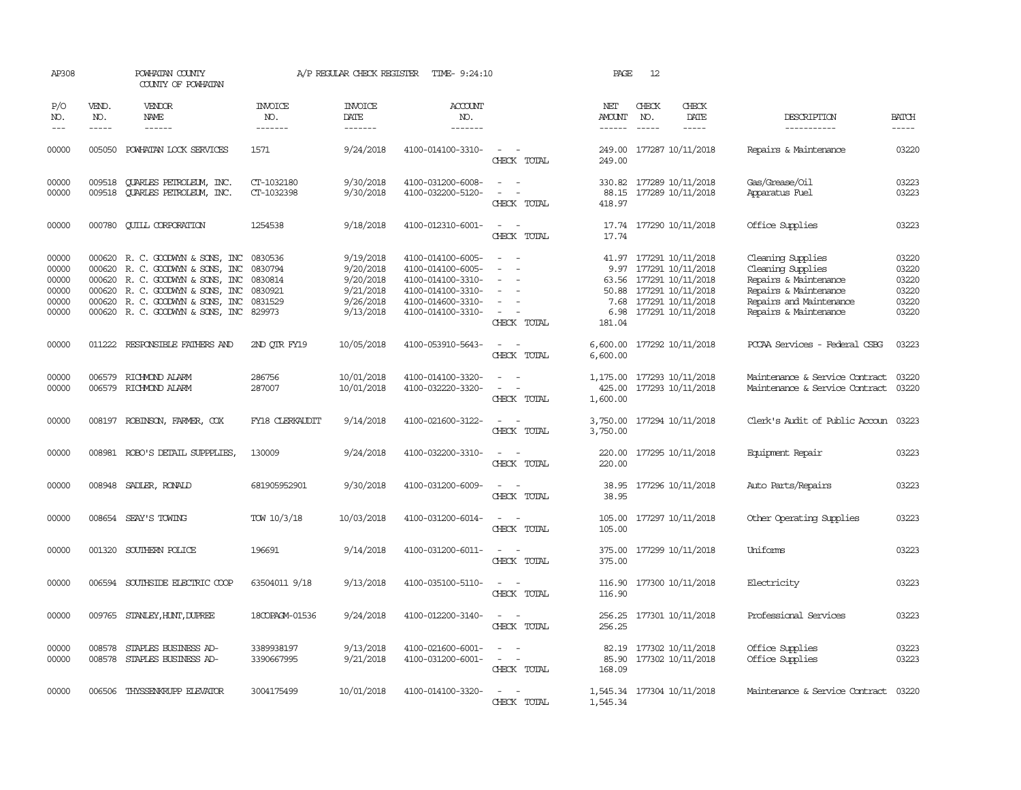| AP308                                              |                             | POWHATAN COUNTY<br>COUNTY OF POWHATAN                                                                                                                                                                       |                                                               | A/P REGULAR CHECK REGISTER                                                 | TIME- 9:24:10                                                                                                              |                                                                                 | PAGE                                     | 12                            |                                                                                                                                       |                                                                                                                                              |                                                    |
|----------------------------------------------------|-----------------------------|-------------------------------------------------------------------------------------------------------------------------------------------------------------------------------------------------------------|---------------------------------------------------------------|----------------------------------------------------------------------------|----------------------------------------------------------------------------------------------------------------------------|---------------------------------------------------------------------------------|------------------------------------------|-------------------------------|---------------------------------------------------------------------------------------------------------------------------------------|----------------------------------------------------------------------------------------------------------------------------------------------|----------------------------------------------------|
| P/O<br>NO.<br>$---$                                | VEND.<br>NO.<br>$- - - - -$ | VENDOR<br>NAME<br>$- - - - - -$                                                                                                                                                                             | <b>INVOICE</b><br>NO.<br>-------                              | <b>INVOICE</b><br>DATE<br>$- - - - - - -$                                  | <b>ACCOUNT</b><br>NO.<br>-------                                                                                           |                                                                                 | NET<br>AMOUNT<br>$- - - - - -$           | CHECK<br>NO.<br>$\frac{1}{2}$ | CHECK<br>DATE<br>$- - - - -$                                                                                                          | DESCRIPTION<br>-----------                                                                                                                   | <b>BATCH</b><br>-----                              |
| 00000                                              | 005050                      | POWHATAN LOCK SERVICES                                                                                                                                                                                      | 1571                                                          | 9/24/2018                                                                  | 4100-014100-3310-                                                                                                          | $\sim$ 100 $\sim$<br>CHECK TOTAL                                                | 249.00<br>249.00                         |                               | 177287 10/11/2018                                                                                                                     | Repairs & Maintenance                                                                                                                        | 03220                                              |
| 00000<br>00000                                     | 009518<br>009518            | <b>OUARLES PETROLEUM, INC.</b><br><b>OUARLES PETROLEUM, INC.</b>                                                                                                                                            | CT-1032180<br>CT-1032398                                      | 9/30/2018<br>9/30/2018                                                     | 4100-031200-6008-<br>4100-032200-5120-                                                                                     | $\overline{\phantom{a}}$<br>CHECK TOTAL                                         | 330.82<br>88.15<br>418.97                |                               | 177289 10/11/2018<br>177289 10/11/2018                                                                                                | Gas/Grease/Oil<br>Apparatus Fuel                                                                                                             | 03223<br>03223                                     |
| 00000                                              |                             | 000780 QUILL CORPORATION                                                                                                                                                                                    | 1254538                                                       | 9/18/2018                                                                  | 4100-012310-6001-                                                                                                          | $\sim$<br>CHECK TOTAL                                                           | 17.74                                    |                               | 17.74 177290 10/11/2018                                                                                                               | Office Supplies                                                                                                                              | 03223                                              |
| 00000<br>00000<br>00000<br>00000<br>00000<br>00000 | 000620                      | 000620 R. C. GOODWIN & SONS, INC<br>000620 R. C. GOODWIN & SONS, INC<br>R. C. GOODWYN & SONS, INC<br>000620 R. C. GOODWIN & SONS, INC<br>000620 R.C. GOODWYN & SONS, INC<br>000620 R.C. GOODWYN & SONS, INC | 0830536<br>0830794<br>0830814<br>0830921<br>0831529<br>829973 | 9/19/2018<br>9/20/2018<br>9/20/2018<br>9/21/2018<br>9/26/2018<br>9/13/2018 | 4100-014100-6005-<br>4100-014100-6005-<br>4100-014100-3310-<br>4100-014100-3310-<br>4100-014600-3310-<br>4100-014100-3310- | $\overline{\phantom{a}}$<br>$\overline{\phantom{a}}$<br>$\equiv$<br>CHECK TOTAL | 41.97<br>63.56<br>7.68<br>6.98<br>181.04 |                               | 177291 10/11/2018<br>9.97 177291 10/11/2018<br>177291 10/11/2018<br>50.88 177291 10/11/2018<br>177291 10/11/2018<br>177291 10/11/2018 | Cleaning Supplies<br>Cleaning Supplies<br>Repairs & Maintenance<br>Repairs & Maintenance<br>Repairs and Maintenance<br>Repairs & Maintenance | 03220<br>03220<br>03220<br>03220<br>03220<br>03220 |
| 00000                                              |                             | 011222 RESPONSIBLE FAIHERS AND                                                                                                                                                                              | 2ND OTR FY19                                                  | 10/05/2018                                                                 | 4100-053910-5643-                                                                                                          | $\sim$<br>CHECK TOTAL                                                           | 6,600.00<br>6,600.00                     |                               | 177292 10/11/2018                                                                                                                     | PCCAA Services - Federal CSBG                                                                                                                | 03223                                              |
| 00000<br>00000                                     | 006579                      | RICHMOND ALARM<br>006579 RICHMOND ALARM                                                                                                                                                                     | 286756<br>287007                                              | 10/01/2018<br>10/01/2018                                                   | 4100-014100-3320-<br>4100-032220-3320-                                                                                     | $\equiv$<br>$\overline{\phantom{a}}$<br>CHECK TOTAL                             | 1,175.00<br>425.00<br>1,600.00           |                               | 177293 10/11/2018<br>177293 10/11/2018                                                                                                | Maintenance & Service Contract<br>Maintenance & Service Contract                                                                             | 03220<br>03220                                     |
| 00000                                              |                             | 008197 ROBINSON, FARMER, COX                                                                                                                                                                                | FY18 CLERKAUDIT                                               | 9/14/2018                                                                  | 4100-021600-3122-                                                                                                          | $\sim$<br>$\equiv$<br>CHECK TOTAL                                               | 3,750.00                                 |                               | 3,750.00 177294 10/11/2018                                                                                                            | Clerk's Audit of Public Accoun 03223                                                                                                         |                                                    |
| 00000                                              |                             | 008981 ROBO'S DETAIL SUPPPLIES,                                                                                                                                                                             | 130009                                                        | 9/24/2018                                                                  | 4100-032200-3310-                                                                                                          | $\sim$<br>CHECK TOTAL                                                           | 220.00<br>220.00                         |                               | 177295 10/11/2018                                                                                                                     | Equipment Repair                                                                                                                             | 03223                                              |
| 00000                                              |                             | 008948 SADLER, RONALD                                                                                                                                                                                       | 681905952901                                                  | 9/30/2018                                                                  | 4100-031200-6009-                                                                                                          | $\overline{\phantom{a}}$<br>CHECK TOTAL                                         | 38.95<br>38.95                           |                               | 177296 10/11/2018                                                                                                                     | Auto Parts/Repairs                                                                                                                           | 03223                                              |
| 00000                                              |                             | 008654 SEAY'S TOWING                                                                                                                                                                                        | TOW 10/3/18                                                   | 10/03/2018                                                                 | 4100-031200-6014-                                                                                                          | $\overline{\phantom{a}}$<br>$\sim$<br>CHECK TOTAL                               | 105.00<br>105.00                         |                               | 177297 10/11/2018                                                                                                                     | Other Operating Supplies                                                                                                                     | 03223                                              |
| 00000                                              |                             | 001320 SOUTHERN POLICE                                                                                                                                                                                      | 196691                                                        | 9/14/2018                                                                  | 4100-031200-6011-                                                                                                          | $\overline{\phantom{a}}$<br>$\sim$<br>CHECK TOTAL                               | 375.00<br>375.00                         |                               | 177299 10/11/2018                                                                                                                     | Uniforms                                                                                                                                     | 03223                                              |
| 00000                                              |                             | 006594 SOUTHSIDE ELECTRIC COOP                                                                                                                                                                              | 63504011 9/18                                                 | 9/13/2018                                                                  | 4100-035100-5110-                                                                                                          | CHECK TOTAL                                                                     | 116.90<br>116.90                         |                               | 177300 10/11/2018                                                                                                                     | Electricity                                                                                                                                  | 03223                                              |
| 00000                                              | 009765                      | STANLEY, HUNT, DUPREE                                                                                                                                                                                       | 18COPAGM-01536                                                | 9/24/2018                                                                  | 4100-012200-3140-                                                                                                          | $ -$<br>CHECK TOTAL                                                             | 256.25<br>256.25                         |                               | 177301 10/11/2018                                                                                                                     | Professional Services                                                                                                                        | 03223                                              |
| 00000<br>00000                                     | 008578<br>008578            | STAPLES BUSINESS AD-<br>STAPLES BUSINESS AD-                                                                                                                                                                | 3389938197<br>3390667995                                      | 9/13/2018<br>9/21/2018                                                     | 4100-021600-6001-<br>4100-031200-6001-                                                                                     | $\equiv$<br>$\overline{\phantom{a}}$<br>CHECK TOTAL                             | 82.19<br>85.90<br>168.09                 |                               | 177302 10/11/2018<br>177302 10/11/2018                                                                                                | Office Supplies<br>Office Supplies                                                                                                           | 03223<br>03223                                     |
| 00000                                              | 006506                      | THYSSENKRUPP ELEVATOR                                                                                                                                                                                       | 3004175499                                                    | 10/01/2018                                                                 | 4100-014100-3320-                                                                                                          | CHECK TOTAL                                                                     | 1,545.34                                 |                               | 1,545.34 177304 10/11/2018                                                                                                            | Maintenance & Service Contract 03220                                                                                                         |                                                    |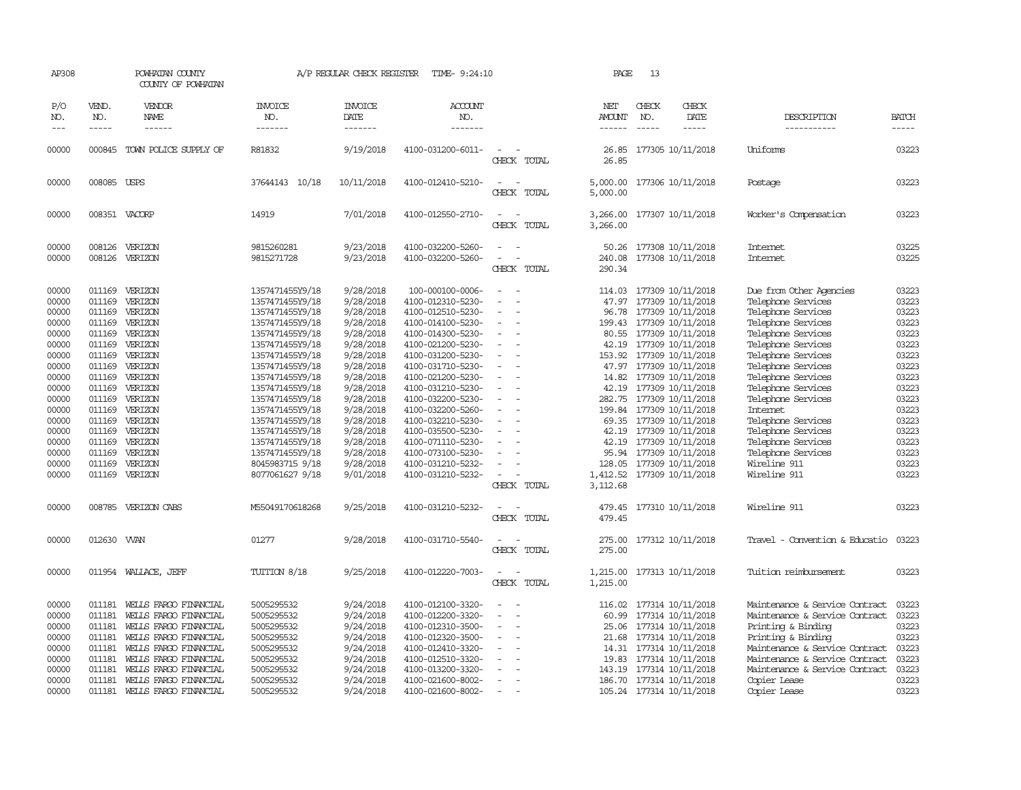| AP308               |                             | POWHATAN COUNTY<br>COUNTY OF POWHATAN                 |                                    | A/P REGULAR CHECK REGISTER               | TIME- 9:24:10                          |                                                      | PAGE                           | 13                          |                                               |                                          |                       |
|---------------------|-----------------------------|-------------------------------------------------------|------------------------------------|------------------------------------------|----------------------------------------|------------------------------------------------------|--------------------------------|-----------------------------|-----------------------------------------------|------------------------------------------|-----------------------|
| P/O<br>NO.<br>$---$ | VEND.<br>NO.<br>$- - - - -$ | VENDOR<br>NAME<br>$- - - - - -$                       | <b>INVOICE</b><br>NO.<br>-------   | <b>INVOICE</b><br><b>DATE</b><br>------- | <b>ACCOUNT</b><br>NO.<br>-------       |                                                      | NET<br>AMOUNT<br>$- - - - - -$ | CHECK<br>NO.<br>$- - - - -$ | CHECK<br>DATE<br>$- - - - -$                  | DESCRIPTION<br>-----------               | <b>BATCH</b><br>----- |
| 00000               |                             | 000845 TOWN POLICE SUPPLY OF                          | R81832                             | 9/19/2018                                | 4100-031200-6011-                      | $\sim$<br>CHECK TOTAL                                | 26.85<br>26.85                 |                             | 177305 10/11/2018                             | Uniforms                                 | 03223                 |
| 00000               | 008085 USPS                 |                                                       | 37644143 10/18                     | 10/11/2018                               | 4100-012410-5210-                      |                                                      |                                |                             | 5,000.00 177306 10/11/2018                    | Postage                                  | 03223                 |
|                     |                             |                                                       |                                    |                                          |                                        | CHECK TOTAL                                          | 5,000.00                       |                             |                                               |                                          |                       |
| 00000               |                             | 008351 VACORP                                         | 14919                              | 7/01/2018                                | 4100-012550-2710-                      | CHECK TOTAL                                          | 3,266.00                       |                             | 3,266.00 177307 10/11/2018                    | Worker's Compensation                    | 03223                 |
| 00000               | 008126                      | VERIZON                                               | 9815260281                         | 9/23/2018                                | 4100-032200-5260-                      |                                                      |                                |                             | 50.26 177308 10/11/2018                       | Internet                                 | 03225                 |
| 00000               | 008126                      | VERIZON                                               | 9815271728                         | 9/23/2018                                | 4100-032200-5260-                      | $\sim$                                               | 240.08                         |                             | 177308 10/11/2018                             | <b>Internet</b>                          | 03225                 |
|                     |                             |                                                       |                                    |                                          |                                        | CHECK TOTAL                                          | 290.34                         |                             |                                               |                                          |                       |
| 00000               | 011169                      | VERIZON                                               | 1357471455Y9/18                    | 9/28/2018                                | 100-000100-0006-                       |                                                      | 114.03                         |                             | 177309 10/11/2018                             | Due from Other Agencies                  | 03223                 |
| 00000               | 011169                      | VERIZON                                               | 1357471455Y9/18                    | 9/28/2018                                | 4100-012310-5230-                      | $\overline{\phantom{a}}$                             |                                |                             | 47.97 177309 10/11/2018                       | Telephone Services                       | 03223                 |
| 00000               | 011169                      | VERIZON                                               | 1357471455Y9/18                    | 9/28/2018                                | 4100-012510-5230-                      | $\sim$                                               | 96.78                          |                             | 177309 10/11/2018                             | Telephone Services                       | 03223                 |
| 00000<br>00000      | 011169<br>011169            | VERIZON<br>VERIZON                                    | 1357471455Y9/18<br>1357471455Y9/18 | 9/28/2018<br>9/28/2018                   | 4100-014100-5230-<br>4100-014300-5230- |                                                      |                                |                             | 199.43 177309 10/11/2018<br>177309 10/11/2018 | Telephone Services<br>Telephone Services | 03223<br>03223        |
| 00000               |                             | 011169 VERIZON                                        | 1357471455Y9/18                    | 9/28/2018                                | 4100-021200-5230-                      | $\overline{\phantom{a}}$                             | 80.55<br>42.19                 |                             | 177309 10/11/2018                             | Telephone Services                       | 03223                 |
| 00000               | 011169                      | VERIZON                                               | 1357471455Y9/18                    | 9/28/2018                                | 4100-031200-5230-                      | $\equiv$                                             | 153.92                         |                             | 177309 10/11/2018                             | Telephone Services                       | 03223                 |
| 00000               | 011169                      | VERIZON                                               | 1357471455Y9/18                    | 9/28/2018                                | 4100-031710-5230-                      |                                                      |                                |                             | 47.97 177309 10/11/2018                       | Telephone Services                       | 03223                 |
| 00000               | 011169                      | VERIZON                                               | 1357471455Y9/18                    | 9/28/2018                                | 4100-021200-5230-                      |                                                      |                                |                             | 14.82 177309 10/11/2018                       | Telephone Services                       | 03223                 |
| 00000               | 011169                      | VERIZON                                               | 1357471455Y9/18                    | 9/28/2018                                | 4100-031210-5230-                      |                                                      | 42.19                          |                             | 177309 10/11/2018                             | Telephone Services                       | 03223                 |
| 00000               | 011169                      | VERIZON                                               | 1357471455Y9/18                    | 9/28/2018                                | 4100-032200-5230-                      |                                                      |                                |                             | 282.75 177309 10/11/2018                      | Telephone Services                       | 03223                 |
| 00000               | 011169                      | VERIZON                                               | 1357471455Y9/18                    | 9/28/2018                                | 4100-032200-5260-                      |                                                      |                                |                             | 199.84 177309 10/11/2018                      | Internet                                 | 03223                 |
| 00000               |                             | 011169 VERIZON                                        | 1357471455Y9/18                    | 9/28/2018                                | 4100-032210-5230-                      | $\equiv$                                             |                                |                             | 69.35 177309 10/11/2018                       | Telephone Services                       | 03223                 |
| 00000               | 011169                      | VERIZON                                               | 1357471455Y9/18                    | 9/28/2018                                | 4100-035500-5230-                      |                                                      | 42.19                          |                             | 177309 10/11/2018                             | Telephone Services                       | 03223                 |
| 00000               | 011169                      | VERIZON<br>VERIZON                                    | 1357471455Y9/18<br>1357471455Y9/18 | 9/28/2018<br>9/28/2018                   | 4100-071110-5230-                      |                                                      | 42.19                          |                             | 177309 10/11/2018<br>95.94 177309 10/11/2018  | Telephone Services<br>Telephone Services | 03223<br>03223        |
| 00000<br>00000      | 011169<br>011169            | VERIZON                                               | 8045983715 9/18                    | 9/28/2018                                | 4100-073100-5230-<br>4100-031210-5232- |                                                      |                                |                             | 128.05 177309 10/11/2018                      | Wireline 911                             | 03223                 |
| 00000               | 011169                      | VERIZON                                               | 8077061627 9/18                    | 9/01/2018                                | 4100-031210-5232-                      |                                                      |                                |                             | 1,412.52 177309 10/11/2018                    | Wireline 911                             | 03223                 |
|                     |                             |                                                       |                                    |                                          |                                        | CHECK TOTAL                                          | 3,112.68                       |                             |                                               |                                          |                       |
| 00000               | 008785                      | VERIZON CABS                                          | M55049170618268                    | 9/25/2018                                | 4100-031210-5232-                      |                                                      | 479.45                         |                             | 177310 10/11/2018                             | Wireline 911                             | 03223                 |
|                     |                             |                                                       |                                    |                                          |                                        | CHECK TOTAL                                          | 479.45                         |                             |                                               |                                          |                       |
| 00000               | 012630 WAN                  |                                                       | 01277                              | 9/28/2018                                | 4100-031710-5540-                      |                                                      |                                |                             | 275.00 177312 10/11/2018                      | Travel - Convention & Educatio           | 03223                 |
|                     |                             |                                                       |                                    |                                          |                                        | CHECK TOTAL                                          | 275.00                         |                             |                                               |                                          |                       |
| 00000               |                             | 011954 WALLACE, JEFF                                  | TUITION 8/18                       | 9/25/2018                                | 4100-012220-7003-                      | $\overline{\phantom{a}}$<br>$\overline{\phantom{a}}$ |                                |                             | 1,215.00 177313 10/11/2018                    | Tuition reimbursement                    | 03223                 |
|                     |                             |                                                       |                                    |                                          |                                        | CHECK TOTAL                                          | 1,215.00                       |                             |                                               |                                          |                       |
| 00000               | 011181                      | WEILS FARGO FINANCIAL                                 | 5005295532                         | 9/24/2018                                | 4100-012100-3320-                      |                                                      | 116.02                         |                             | 177314 10/11/2018                             | Maintenance & Service Contract           | 03223                 |
| 00000               | 011181                      | WELLS FARGO FINANCIAL                                 | 5005295532                         | 9/24/2018                                | 4100-012200-3320-                      | $\overline{\phantom{a}}$                             | 60.99                          |                             | 177314 10/11/2018                             | Maintenance & Service Contract           | 03223                 |
| 00000               | 011181                      | WELLS FARGO FINANCIAL                                 | 5005295532                         | 9/24/2018                                | 4100-012310-3500-                      | $\overline{\phantom{a}}$                             |                                |                             | 25.06 177314 10/11/2018                       | Printing & Binding                       | 03223                 |
| 00000               | 011181                      | WEILS FARGO FINANCIAL                                 | 5005295532                         | 9/24/2018                                | 4100-012320-3500-                      | $\overline{\phantom{a}}$                             |                                |                             | 21.68 177314 10/11/2018                       | Printing & Binding                       | 03223                 |
| 00000               | 011181                      | WELLS FARGO FINANCIAL                                 | 5005295532                         | 9/24/2018                                | 4100-012410-3320-                      |                                                      |                                |                             | 14.31 177314 10/11/2018                       | Maintenance & Service Contract           | 03223                 |
| 00000               | 011181                      | WELLS FARGO FINANCIAL                                 | 5005295532                         | 9/24/2018                                | 4100-012510-3320-                      | $\equiv$                                             | 19.83                          |                             | 177314 10/11/2018                             | Maintenance & Service Contract           | 03223                 |
| 00000               | 011181                      | WELLS FARGO FINANCIAL                                 | 5005295532                         | 9/24/2018                                | 4100-013200-3320-                      |                                                      | 143.19                         |                             | 177314 10/11/2018                             | Maintenance & Service Contract           | 03223<br>03223        |
| 00000<br>00000      | 011181                      | WELLS FARGO FINANCIAL<br>011181 WELLS FARGO FINANCIAL | 5005295532<br>5005295532           | 9/24/2018<br>9/24/2018                   | 4100-021600-8002-                      | $\overline{\phantom{a}}$                             |                                |                             | 186.70 177314 10/11/2018                      | Copier Lease                             | 03223                 |
|                     |                             |                                                       |                                    |                                          | 4100-021600-8002-                      |                                                      |                                |                             | 105.24 177314 10/11/2018                      | Copier Lease                             |                       |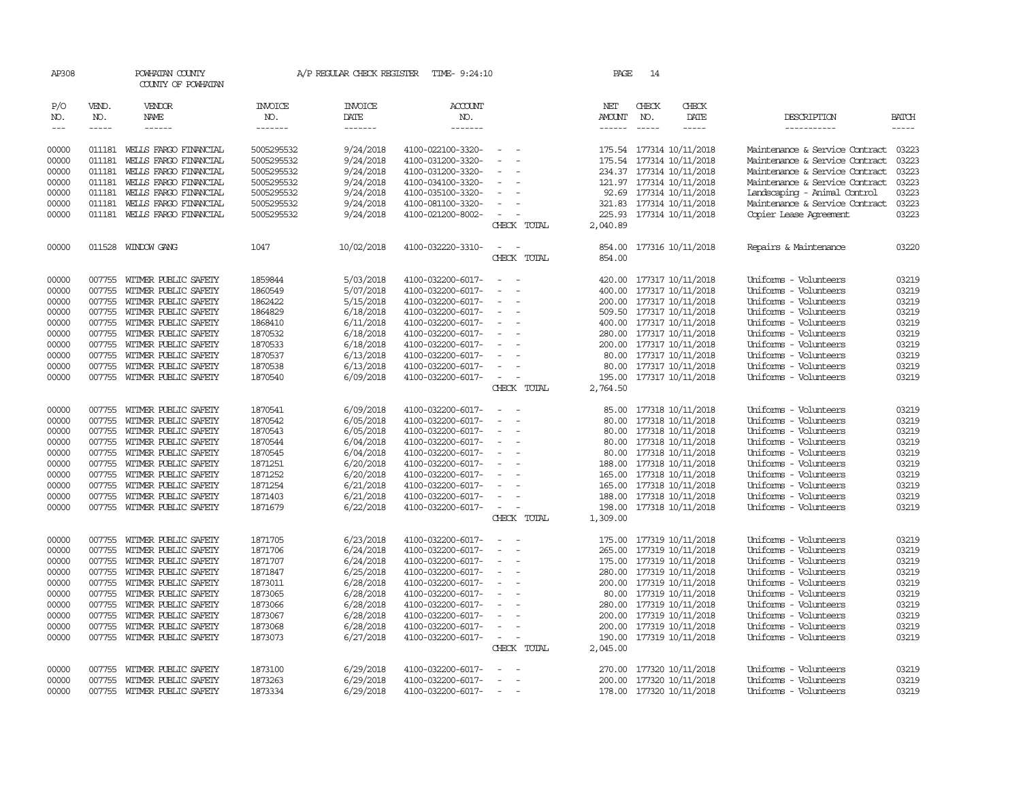| AP308                       |                             | POWHATAN COUNTY<br>COUNTY OF POWHATAN        |                                  | A/P REGULAR CHECK REGISTER        | TIME- 9:24:10                          |                                             |             | PAGE                           | 14                            |                                                      |                                                |                             |
|-----------------------------|-----------------------------|----------------------------------------------|----------------------------------|-----------------------------------|----------------------------------------|---------------------------------------------|-------------|--------------------------------|-------------------------------|------------------------------------------------------|------------------------------------------------|-----------------------------|
| P/O<br>NO.<br>$\frac{1}{2}$ | VEND.<br>NO.<br>$- - - - -$ | VENDOR<br>NAME<br>$- - - - - -$              | <b>INVOICE</b><br>NO.<br>------- | <b>INVOICE</b><br>DATE<br>------- | <b>ACCOUNT</b><br>NO.<br>-------       |                                             |             | NET<br>AMOUNT<br>$- - - - - -$ | CHECK<br>NO.<br>$\frac{1}{2}$ | CHECK<br>DATE<br>$- - - - -$                         | DESCRIPTION<br>-----------                     | <b>BATCH</b><br>$- - - - -$ |
| 00000                       | 011181                      | WEILS FARGO FINANCIAL                        | 5005295532                       | 9/24/2018                         | 4100-022100-3320-                      | $\sim$                                      |             |                                |                               | 175.54 177314 10/11/2018                             | Maintenance & Service Contract                 | 03223                       |
| 00000                       | 011181                      | WELLS FARGO FINANCIAL                        | 5005295532                       | 9/24/2018                         | 4100-031200-3320-                      | $\equiv$                                    |             |                                |                               | 175.54 177314 10/11/2018                             | Maintenance & Service Contract                 | 03223                       |
| 00000                       | 011181                      | WEILS FARGO FINANCIAL                        | 5005295532                       | 9/24/2018                         | 4100-031200-3320-                      | $\sim$                                      |             |                                |                               | 234.37 177314 10/11/2018                             | Maintenance & Service Contract                 | 03223                       |
| 00000                       | 011181                      | WEILS FARGO FINANCIAL                        | 5005295532                       | 9/24/2018                         | 4100-034100-3320-                      | $\overline{\phantom{a}}$                    |             |                                |                               | 121.97 177314 10/11/2018                             | Maintenance & Service Contract                 | 03223                       |
| 00000                       | 011181                      | WELLS FARGO FINANCIAL                        | 5005295532                       | 9/24/2018                         | 4100-035100-3320-                      | $\equiv$                                    |             |                                |                               | 92.69 177314 10/11/2018                              | Landscaping - Animal Control                   | 03223                       |
| 00000                       | 011181                      | WEILS FARGO FINANCIAL                        | 5005295532                       | 9/24/2018                         | 4100-081100-3320-                      |                                             |             |                                |                               | 321.83 177314 10/11/2018                             | Maintenance & Service Contract                 | 03223                       |
| 00000                       | 011181                      | WELLS FARGO FINANCIAL                        | 5005295532                       | 9/24/2018                         | 4100-021200-8002-                      | $\equiv$                                    |             |                                |                               | 225.93 177314 10/11/2018                             | Copier Lease Agreement                         | 03223                       |
|                             |                             |                                              |                                  |                                   |                                        |                                             | CHECK TOTAL | 2,040.89                       |                               |                                                      |                                                |                             |
| 00000                       |                             | 011528 WINDOW GANG                           | 1047                             | 10/02/2018                        | 4100-032220-3310-                      | $\equiv$                                    |             |                                |                               | 854.00 177316 10/11/2018                             | Repairs & Maintenance                          | 03220                       |
|                             |                             |                                              |                                  |                                   |                                        |                                             | CHECK TOTAL | 854.00                         |                               |                                                      |                                                |                             |
| 00000                       | 007755                      | WITMER PUBLIC SAFETY                         | 1859844                          | 5/03/2018                         | 4100-032200-6017-                      | $\sim$                                      |             |                                |                               | 420.00 177317 10/11/2018                             | Uniforms - Volunteers                          | 03219                       |
| 00000                       | 007755                      | WITMER PUBLIC SAFETY                         | 1860549                          | 5/07/2018                         | 4100-032200-6017-                      |                                             |             |                                |                               | 400.00 177317 10/11/2018                             | Uniforms - Volunteers                          | 03219                       |
| 00000                       | 007755                      | WITMER PUBLIC SAFETY                         | 1862422                          | 5/15/2018                         | 4100-032200-6017-                      | $\equiv$                                    |             |                                |                               | 200.00 177317 10/11/2018                             | Uniforms - Volunteers                          | 03219                       |
| 00000                       | 007755                      | WITMER PUBLIC SAFETY                         | 1864829                          | 6/18/2018                         | 4100-032200-6017-                      | $\overline{\phantom{a}}$                    |             |                                |                               | 509.50 177317 10/11/2018                             | Uniforms - Volunteers                          | 03219                       |
| 00000                       | 007755                      | WITMER PUBLIC SAFETY                         | 1868410                          | 6/11/2018                         | 4100-032200-6017-                      | $\overline{\phantom{a}}$                    |             |                                |                               | 400.00 177317 10/11/2018                             | Uniforms - Volunteers                          | 03219                       |
| 00000                       | 007755                      | WITMER PUBLIC SAFETY                         | 1870532                          | 6/18/2018                         | 4100-032200-6017-                      |                                             |             |                                |                               | 280.00 177317 10/11/2018                             | Uniforms - Volunteers                          | 03219                       |
| 00000                       | 007755                      | WITMER PUBLIC SAFETY                         | 1870533                          | 6/18/2018                         | 4100-032200-6017-                      | $\sim$                                      |             |                                |                               | 200.00 177317 10/11/2018                             | Uniforms - Volunteers                          | 03219                       |
| 00000                       | 007755                      | WITMER PUBLIC SAFETY                         | 1870537                          | 6/13/2018                         | 4100-032200-6017-                      | $\sim$                                      |             |                                |                               | 80.00 177317 10/11/2018                              | Uniforms - Volunteers                          | 03219                       |
| 00000                       | 007755                      | WITMER PUBLIC SAFETY                         | 1870538                          | 6/13/2018                         | 4100-032200-6017-                      | $\equiv$                                    |             |                                |                               | 80.00 177317 10/11/2018                              | Uniforms - Volunteers                          | 03219                       |
| 00000                       |                             | 007755 WITMER PUBLIC SAFETY                  | 1870540                          | 6/09/2018                         | 4100-032200-6017-                      | $\omega_{\rm{max}}$ and $\omega_{\rm{max}}$ | CHECK TOTAL | 2,764.50                       |                               | 195.00 177317 10/11/2018                             | Uniforms - Volunteers                          | 03219                       |
|                             |                             |                                              |                                  |                                   |                                        |                                             |             |                                |                               |                                                      |                                                |                             |
| 00000                       | 007755                      | WITMER PUBLIC SAFETY                         | 1870541                          | 6/09/2018                         | 4100-032200-6017-                      | $\equiv$                                    |             |                                |                               | 85.00 177318 10/11/2018                              | Uniforms - Volunteers                          | 03219                       |
| 00000                       | 007755                      | WITMER PUBLIC SAFETY                         | 1870542                          | 6/05/2018                         | 4100-032200-6017-                      | $\equiv$                                    |             | 80.00                          |                               | 177318 10/11/2018                                    | Uniforms - Volunteers                          | 03219                       |
| 00000                       | 007755                      | WITMER PUBLIC SAFETY                         | 1870543                          | 6/05/2018                         | 4100-032200-6017-                      | $\overline{\phantom{a}}$                    |             |                                |                               | 80.00 177318 10/11/2018                              | Uniforms - Volunteers                          | 03219                       |
| 00000                       | 007755                      | WITMER PUBLIC SAFETY                         | 1870544                          | 6/04/2018                         | 4100-032200-6017-                      | $\equiv$                                    |             |                                |                               | 80.00 177318 10/11/2018                              | Uniforms - Volunteers                          | 03219                       |
| 00000                       | 007755                      | WITMER PUBLIC SAFETY                         | 1870545                          | 6/04/2018                         | 4100-032200-6017-                      |                                             |             |                                |                               | 80.00 177318 10/11/2018                              | Uniforms - Volunteers                          | 03219                       |
| 00000                       | 007755                      | WITMER PUBLIC SAFETY                         | 1871251                          | 6/20/2018                         | 4100-032200-6017-                      | $\overline{\phantom{a}}$<br>$\sim$          |             |                                |                               | 188.00 177318 10/11/2018                             | Uniforms - Volunteers                          | 03219                       |
| 00000<br>00000              | 007755<br>007755            | WITMER PUBLIC SAFETY<br>WITMER PUBLIC SAFETY | 1871252<br>1871254               | 6/20/2018                         | 4100-032200-6017-<br>4100-032200-6017- | $\equiv$                                    |             |                                |                               | 165.00 177318 10/11/2018<br>165.00 177318 10/11/2018 | Uniforms - Volunteers<br>Uniforms - Volunteers | 03219<br>03219              |
| 00000                       | 007755                      | WITMER PUBLIC SAFETY                         | 1871403                          | 6/21/2018<br>6/21/2018            | 4100-032200-6017-                      | $\sim$                                      |             |                                |                               | 188.00 177318 10/11/2018                             | Uniforms - Volunteers                          | 03219                       |
| 00000                       |                             | 007755 WITMER PUBLIC SAFETY                  | 1871679                          | 6/22/2018                         | 4100-032200-6017-                      | $\sim$                                      |             |                                |                               | 198.00 177318 10/11/2018                             | Uniforms - Volunteers                          | 03219                       |
|                             |                             |                                              |                                  |                                   |                                        |                                             | CHECK TOTAL | 1,309.00                       |                               |                                                      |                                                |                             |
| 00000                       | 007755                      | WITMER PUBLIC SAFETY                         | 1871705                          | 6/23/2018                         | 4100-032200-6017-                      | $\overline{\phantom{a}}$                    |             | 175.00                         |                               | 177319 10/11/2018                                    | Uniforms - Volunteers                          | 03219                       |
| 00000                       | 007755                      | WITMER PUBLIC SAFETY                         | 1871706                          | 6/24/2018                         | 4100-032200-6017-                      | $\equiv$                                    |             |                                |                               | 265.00 177319 10/11/2018                             | Uniforms - Volunteers                          | 03219                       |
| 00000                       | 007755                      | WITMER PUBLIC SAFETY                         | 1871707                          | 6/24/2018                         | 4100-032200-6017-                      | $\equiv$                                    |             |                                |                               | 175.00 177319 10/11/2018                             | Uniforms - Volunteers                          | 03219                       |
| 00000                       | 007755                      | WITMER PUBLIC SAFETY                         | 1871847                          | 6/25/2018                         | 4100-032200-6017-                      | $\overline{\phantom{a}}$                    |             |                                |                               | 280.00 177319 10/11/2018                             | Uniforms - Volunteers                          | 03219                       |
| 00000                       | 007755                      | WITMER PUBLIC SAFETY                         | 1873011                          | 6/28/2018                         | 4100-032200-6017-                      | $\sim$                                      |             |                                |                               | 200.00 177319 10/11/2018                             | Uniforms - Volunteers                          | 03219                       |
| 00000                       | 007755                      | WITMER PUBLIC SAFETY                         | 1873065                          | 6/28/2018                         | 4100-032200-6017-                      | $\sim$                                      |             |                                |                               | 80.00 177319 10/11/2018                              | Uniforms - Volunteers                          | 03219                       |
| 00000                       | 007755                      | WITMER PUBLIC SAFETY                         | 1873066                          | 6/28/2018                         | 4100-032200-6017-                      | $\sim$                                      |             |                                |                               | 280.00 177319 10/11/2018                             | Uniforms - Volunteers                          | 03219                       |
| 00000                       | 007755                      | WITMER PUBLIC SAFETY                         | 1873067                          | 6/28/2018                         | 4100-032200-6017-                      | $\overline{\phantom{a}}$                    |             |                                |                               | 200.00 177319 10/11/2018                             | Uniforms - Volunteers                          | 03219                       |
| 00000                       | 007755                      | WITMER PUBLIC SAFETY                         | 1873068                          | 6/28/2018                         | 4100-032200-6017-                      | $\sim$                                      |             |                                |                               | 200.00 177319 10/11/2018                             | Uniforms - Volunteers                          | 03219                       |
| 00000                       | 007755                      | WITMER PUBLIC SAFETY                         | 1873073                          | 6/27/2018                         | 4100-032200-6017-                      | $\sim$                                      |             |                                |                               | 190.00 177319 10/11/2018                             | Uniforms - Volunteers                          | 03219                       |
|                             |                             |                                              |                                  |                                   |                                        |                                             | CHECK TOTAL | 2,045.00                       |                               |                                                      |                                                |                             |
| 00000                       | 007755                      | WITMER PUBLIC SAFETY                         | 1873100                          | 6/29/2018                         | 4100-032200-6017-                      |                                             |             |                                |                               | 270.00 177320 10/11/2018                             | Uniforms - Volunteers                          | 03219                       |
| 00000                       | 007755                      | WITMER PUBLIC SAFETY                         | 1873263                          | 6/29/2018                         | 4100-032200-6017-                      | $\overline{\phantom{a}}$                    |             |                                |                               | 200.00 177320 10/11/2018                             | Uniforms - Volunteers                          | 03219                       |
| 00000                       |                             | 007755 WITMER PUBLIC SAFETY                  | 1873334                          | 6/29/2018                         | 4100-032200-6017-                      | $\sim$                                      |             |                                |                               | 178.00 177320 10/11/2018                             | Uniforms - Volunteers                          | 03219                       |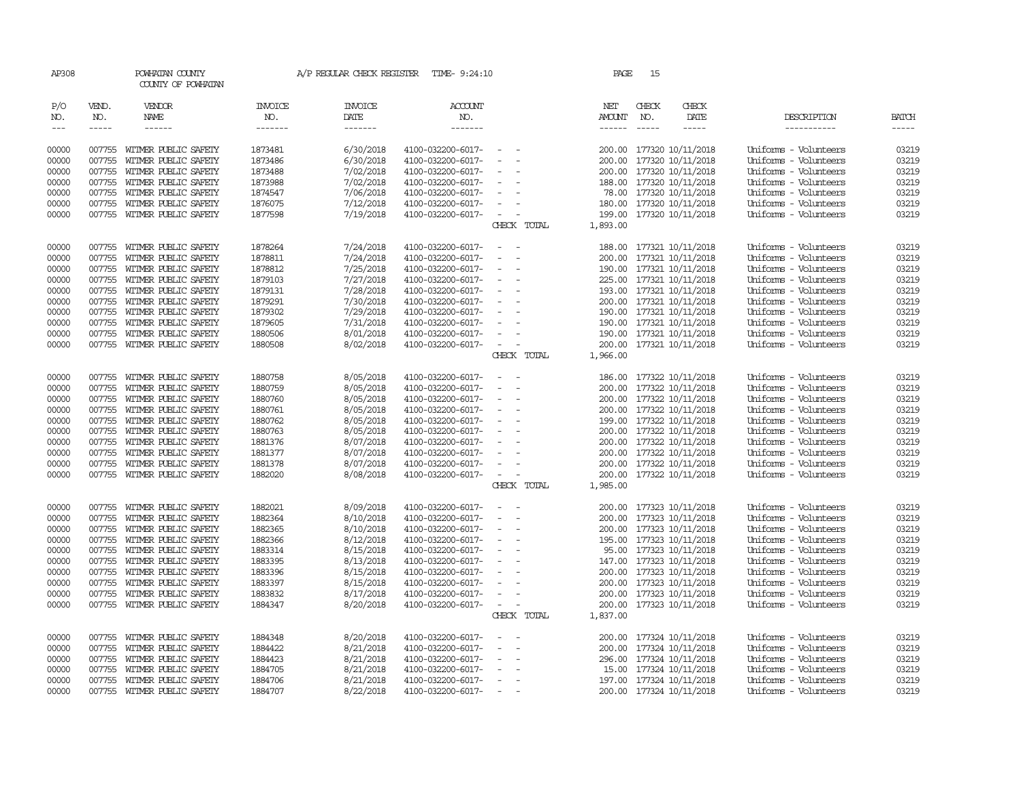| AP308                       |                                        | POWHATAN COUNTY<br>COUNTY OF POWHATAN        |                                  | A/P REGULAR CHECK REGISTER        | TIME- 9:24:10                            |                                                      | PAGE                           | 15                            |                                               |                                                |                             |
|-----------------------------|----------------------------------------|----------------------------------------------|----------------------------------|-----------------------------------|------------------------------------------|------------------------------------------------------|--------------------------------|-------------------------------|-----------------------------------------------|------------------------------------------------|-----------------------------|
| P/O<br>NO.<br>$\frac{1}{2}$ | VEND.<br>NO.<br>$\cdots \cdots \cdots$ | VENDOR<br>NAME<br>$- - - - - -$              | <b>INVOICE</b><br>NO.<br>------- | <b>INVOICE</b><br>DATE<br>------- | <b>ACCOUNT</b><br>NO.<br>$- - - - - - -$ |                                                      | NET<br>AMOUNT<br>$- - - - - -$ | CHECK<br>NO.<br>$\frac{1}{2}$ | CHECK<br>DATE<br>-----                        | DESCRIPTION<br>-----------                     | <b>BATCH</b><br>$- - - - -$ |
| 00000                       | 007755                                 | WITMER PUBLIC SAFETY                         | 1873481                          | 6/30/2018                         | 4100-032200-6017-                        |                                                      | 200.00                         |                               | 177320 10/11/2018                             | Uniforms - Volunteers                          | 03219                       |
| 00000                       | 007755                                 | WITMER PUBLIC SAFETY                         | 1873486                          | 6/30/2018                         | 4100-032200-6017-                        |                                                      | 200.00                         |                               | 177320 10/11/2018                             | Uniforms - Volunteers                          | 03219                       |
| 00000                       | 007755                                 | WITMER PUBLIC SAFETY                         | 1873488                          | 7/02/2018                         | 4100-032200-6017-                        | $\overline{\phantom{a}}$<br>$\overline{\phantom{a}}$ |                                |                               | 200.00 177320 10/11/2018                      | Uniforms - Volunteers                          | 03219                       |
| 00000                       | 007755                                 | WITMER PUBLIC SAFETY                         | 1873988                          | 7/02/2018                         | 4100-032200-6017-                        | $\sim$                                               |                                |                               | 188.00 177320 10/11/2018                      | Uniforms - Volunteers                          | 03219                       |
| 00000                       | 007755                                 | WITMER PUBLIC SAFETY                         | 1874547                          | 7/06/2018                         | 4100-032200-6017-                        | $\sim$                                               |                                |                               | 78.00 177320 10/11/2018                       | Uniforms - Volunteers                          | 03219                       |
| 00000                       | 007755                                 | WITMER PUBLIC SAFETY                         | 1876075                          | 7/12/2018                         | 4100-032200-6017-                        | $\overline{\phantom{a}}$                             |                                |                               | 180.00 177320 10/11/2018                      | Uniforms - Volunteers                          | 03219                       |
| 00000                       |                                        | 007755 WITMER PUBLIC SAFETY                  | 1877598                          | 7/19/2018                         | 4100-032200-6017-                        | $\overline{\phantom{a}}$                             |                                |                               | 199.00 177320 10/11/2018                      | Uniforms - Volunteers                          | 03219                       |
|                             |                                        |                                              |                                  |                                   |                                          | CHECK TOTAL                                          | 1,893.00                       |                               |                                               |                                                |                             |
| 00000                       | 007755                                 | WITMER PUBLIC SAFETY                         | 1878264                          | 7/24/2018                         | 4100-032200-6017-                        | $\overline{\phantom{a}}$<br>$\sim$                   |                                |                               | 188.00 177321 10/11/2018                      | Uniforms - Volunteers                          | 03219                       |
| 00000                       | 007755                                 | WITMER PUBLIC SAFETY                         | 1878811                          | 7/24/2018                         | 4100-032200-6017-                        | $\overline{\phantom{a}}$                             | 200.00                         |                               | 177321 10/11/2018                             | Uniforms - Volunteers                          | 03219                       |
| 00000                       | 007755                                 | WITMER PUBLIC SAFETY                         | 1878812                          | 7/25/2018                         | 4100-032200-6017-                        | $\sim$                                               |                                |                               | 190.00 177321 10/11/2018                      | Uniforms - Volunteers                          | 03219                       |
| 00000                       | 007755                                 | WITMER PUBLIC SAFETY                         | 1879103                          | 7/27/2018                         | 4100-032200-6017-                        | $\overline{\phantom{a}}$                             |                                |                               | 225.00 177321 10/11/2018                      | Uniforms - Volunteers                          | 03219                       |
| 00000                       | 007755                                 | WITMER PUBLIC SAFETY                         | 1879131                          | 7/28/2018                         | 4100-032200-6017-                        | $\equiv$                                             |                                |                               | 193.00 177321 10/11/2018                      | Uniforms - Volunteers                          | 03219                       |
| 00000                       | 007755                                 | WITMER PUBLIC SAFETY                         | 1879291                          | 7/30/2018                         | 4100-032200-6017-                        | $\overline{\phantom{a}}$                             |                                |                               | 200.00 177321 10/11/2018                      | Uniforms - Volunteers                          | 03219                       |
| 00000                       | 007755                                 | WITMER PUBLIC SAFETY                         | 1879302                          | 7/29/2018                         | 4100-032200-6017-                        | $\overline{\phantom{a}}$                             |                                |                               | 190.00 177321 10/11/2018                      | Uniforms - Volunteers<br>Uniforms - Volunteers | 03219<br>03219              |
| 00000<br>00000              | 007755<br>007755                       | WITMER PUBLIC SAFETY<br>WITMER PUBLIC SAFETY | 1879605<br>1880506               | 7/31/2018<br>8/01/2018            | 4100-032200-6017-<br>4100-032200-6017-   | $\sim$                                               | 190.00                         |                               | 190.00 177321 10/11/2018<br>177321 10/11/2018 | Uniforms - Volunteers                          | 03219                       |
| 00000                       |                                        | 007755 WITMER PUBLIC SAFETY                  | 1880508                          | 8/02/2018                         | 4100-032200-6017-                        | $\overline{\phantom{a}}$<br>$\overline{\phantom{a}}$ |                                |                               | 200.00 177321 10/11/2018                      | Uniforms - Volunteers                          | 03219                       |
|                             |                                        |                                              |                                  |                                   |                                          | CHECK TOTAL                                          | 1,966.00                       |                               |                                               |                                                |                             |
| 00000                       | 007755                                 | WITMER PUBLIC SAFETY                         | 1880758                          | 8/05/2018                         | 4100-032200-6017-                        |                                                      | 186.00                         |                               | 177322 10/11/2018                             | Uniforms - Volunteers                          | 03219                       |
| 00000                       | 007755                                 | WITMER PUBLIC SAFETY                         | 1880759                          | 8/05/2018                         | 4100-032200-6017-                        |                                                      |                                |                               | 200.00 177322 10/11/2018                      | Uniforms - Volunteers                          | 03219                       |
| 00000                       | 007755                                 | WITMER PUBLIC SAFETY                         | 1880760                          | 8/05/2018                         | 4100-032200-6017-                        | $\equiv$                                             |                                |                               | 200.00 177322 10/11/2018                      | Uniforms - Volunteers                          | 03219                       |
| 00000                       | 007755                                 | WITMER PUBLIC SAFETY                         | 1880761                          | 8/05/2018                         | 4100-032200-6017-                        | $\sim$                                               |                                |                               | 200.00 177322 10/11/2018                      | Uniforms - Volunteers                          | 03219                       |
| 00000                       | 007755                                 | WITMER PUBLIC SAFETY                         | 1880762                          | 8/05/2018                         | 4100-032200-6017-                        | $\sim$                                               |                                |                               | 199.00 177322 10/11/2018                      | Uniforms - Volunteers                          | 03219                       |
| 00000                       | 007755                                 | WITMER PUBLIC SAFETY                         | 1880763                          | 8/05/2018                         | 4100-032200-6017-                        | $\overline{\phantom{a}}$                             |                                |                               | 200.00 177322 10/11/2018                      | Uniforms - Volunteers                          | 03219                       |
| 00000                       | 007755                                 | WITMER PUBLIC SAFETY                         | 1881376                          | 8/07/2018                         | 4100-032200-6017-                        | $\sim$                                               |                                |                               | 200.00 177322 10/11/2018                      | Uniforms - Volunteers                          | 03219                       |
| 00000                       | 007755                                 | WITMER PUBLIC SAFETY                         | 1881377                          | 8/07/2018                         | 4100-032200-6017-                        | $\sim$                                               |                                |                               | 200.00 177322 10/11/2018                      | Uniforms - Volunteers                          | 03219                       |
| 00000                       | 007755                                 | WITMER PUBLIC SAFETY                         | 1881378                          | 8/07/2018                         | 4100-032200-6017-                        |                                                      |                                |                               | 200.00 177322 10/11/2018                      | Uniforms - Volunteers                          | 03219                       |
| 00000                       |                                        | 007755 WITMER PUBLIC SAFETY                  | 1882020                          | 8/08/2018                         | 4100-032200-6017-                        | $\sim$                                               |                                |                               | 200.00 177322 10/11/2018                      | Uniforms - Volunteers                          | 03219                       |
|                             |                                        |                                              |                                  |                                   |                                          | CHECK TOTAL                                          | 1,985.00                       |                               |                                               |                                                |                             |
| 00000                       | 007755                                 | WITMER PUBLIC SAFETY                         | 1882021                          | 8/09/2018                         | 4100-032200-6017-                        | $\overline{\phantom{a}}$                             | 200.00                         |                               | 177323 10/11/2018                             | Uniforms - Volunteers                          | 03219                       |
| 00000                       | 007755                                 | WITMER PUBLIC SAFETY                         | 1882364                          | 8/10/2018                         | 4100-032200-6017-                        | $\equiv$                                             |                                |                               | 200.00 177323 10/11/2018                      | Uniforms - Volunteers                          | 03219                       |
| 00000                       | 007755                                 | WITMER PUBLIC SAFETY                         | 1882365                          | 8/10/2018                         | 4100-032200-6017-                        | $\equiv$                                             |                                |                               | 200.00 177323 10/11/2018                      | Uniforms - Volunteers                          | 03219                       |
| 00000                       | 007755                                 | WITMER PUBLIC SAFETY                         | 1882366                          | 8/12/2018                         | 4100-032200-6017-                        |                                                      |                                |                               | 195.00 177323 10/11/2018                      | Uniforms - Volunteers                          | 03219                       |
| 00000                       | 007755                                 | WITMER PUBLIC SAFETY                         | 1883314                          | 8/15/2018                         | 4100-032200-6017-                        | $\overline{\phantom{a}}$<br>$\overline{\phantom{a}}$ |                                |                               | 95.00 177323 10/11/2018                       | Uniforms - Volunteers<br>Uniforms - Volunteers | 03219<br>03219              |
| 00000<br>00000              | 007755<br>007755                       | WITMER PUBLIC SAFETY<br>WITMER PUBLIC SAFETY | 1883395<br>1883396               | 8/13/2018<br>8/15/2018            | 4100-032200-6017-<br>4100-032200-6017-   | $\overline{\phantom{a}}$                             | 147.00                         |                               | 177323 10/11/2018<br>200.00 177323 10/11/2018 | Uniforms - Volunteers                          | 03219                       |
| 00000                       | 007755                                 | WITMER PUBLIC SAFETY                         | 1883397                          | 8/15/2018                         | 4100-032200-6017-                        | $\equiv$                                             |                                |                               | 200.00 177323 10/11/2018                      | Uniforms - Volunteers                          | 03219                       |
| 00000                       | 007755                                 | WITMER PUBLIC SAFETY                         | 1883832                          | 8/17/2018                         | 4100-032200-6017-                        |                                                      |                                |                               | 200.00 177323 10/11/2018                      | Uniforms - Volunteers                          | 03219                       |
| 00000                       | 007755                                 | WITMER PUBLIC SAFETY                         | 1884347                          | 8/20/2018                         | 4100-032200-6017-                        | $\sim$                                               |                                |                               | 200.00 177323 10/11/2018                      | Uniforms - Volunteers                          | 03219                       |
|                             |                                        |                                              |                                  |                                   |                                          | CHECK TOTAL                                          | 1,837.00                       |                               |                                               |                                                |                             |
| 00000                       | 007755                                 | WITMER PUBLIC SAFETY                         | 1884348                          | 8/20/2018                         | 4100-032200-6017-                        | $\overline{\phantom{a}}$                             | 200.00                         |                               | 177324 10/11/2018                             | Uniforms - Volunteers                          | 03219                       |
| 00000                       | 007755                                 | WITMER PUBLIC SAFETY                         | 1884422                          | 8/21/2018                         | 4100-032200-6017-                        |                                                      |                                |                               | 200.00 177324 10/11/2018                      | Uniforms - Volunteers                          | 03219                       |
| 00000                       | 007755                                 | WITMER PUBLIC SAFETY                         | 1884423                          | 8/21/2018                         | 4100-032200-6017-                        | $\equiv$                                             |                                |                               | 296.00 177324 10/11/2018                      | Uniforms - Volunteers                          | 03219                       |
| 00000                       | 007755                                 | WITMER PUBLIC SAFETY                         | 1884705                          | 8/21/2018                         | 4100-032200-6017-                        |                                                      |                                |                               | 15.00 177324 10/11/2018                       | Uniforms - Volunteers                          | 03219                       |
| 00000                       | 007755                                 | WITMER PUBLIC SAFETY                         | 1884706                          | 8/21/2018                         | 4100-032200-6017-                        | $\equiv$                                             |                                |                               | 197.00 177324 10/11/2018                      | Uniforms - Volunteers                          | 03219                       |
| 00000                       |                                        | 007755 WITMER PUBLIC SAFETY                  | 1884707                          | 8/22/2018                         | 4100-032200-6017-                        | $\sim$                                               |                                |                               | 200.00 177324 10/11/2018                      | Uniforms - Volunteers                          | 03219                       |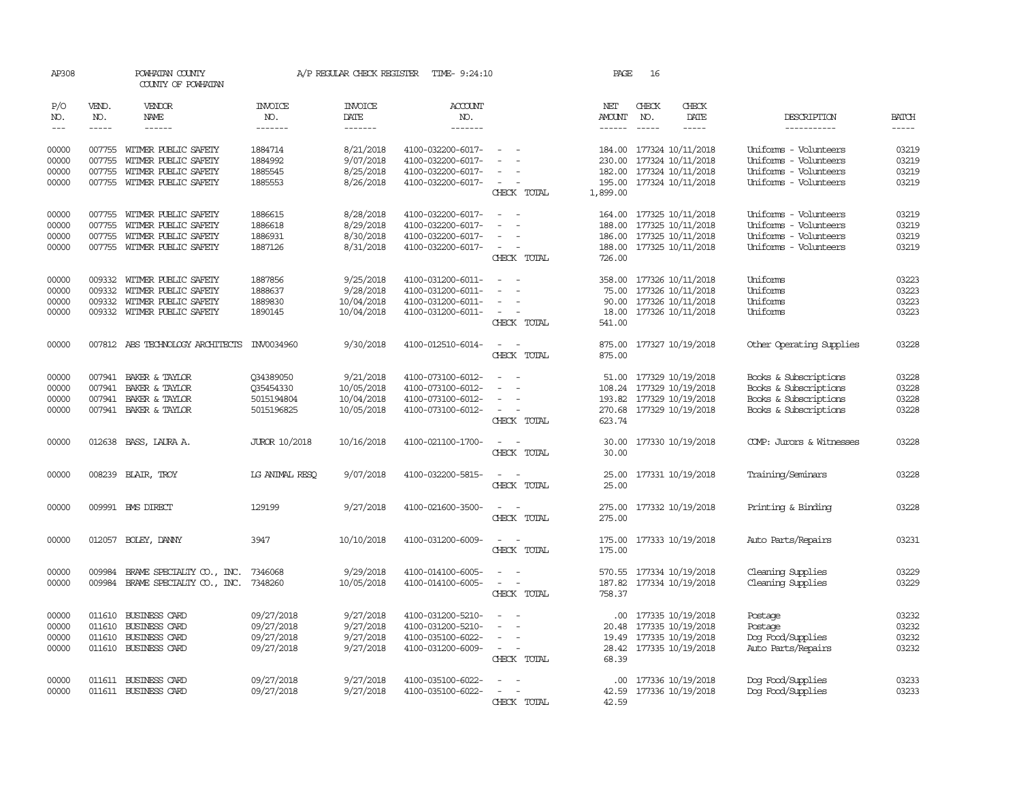| AP308          |                        | POWHATAN COUNTY<br>COUNTY OF POWHATAN               |                       | A/P REGULAR CHECK REGISTER | TIME- 9:24:10                          |                                                                | PAGE                                                                                                                                                                                                                                                                                                                                                                                                                    | 16           |                                               |                                                |                |
|----------------|------------------------|-----------------------------------------------------|-----------------------|----------------------------|----------------------------------------|----------------------------------------------------------------|-------------------------------------------------------------------------------------------------------------------------------------------------------------------------------------------------------------------------------------------------------------------------------------------------------------------------------------------------------------------------------------------------------------------------|--------------|-----------------------------------------------|------------------------------------------------|----------------|
| P/O<br>NO.     | VEND.<br>NO.           | VENDOR<br>NAME                                      | <b>INVOICE</b><br>NO. | <b>INVOICE</b><br>DATE     | <b>ACCOUNT</b><br>NO.                  |                                                                | NET<br>AMOUNT                                                                                                                                                                                                                                                                                                                                                                                                           | CHECK<br>NO. | CHECK<br>DATE                                 | DESCRIPTION                                    | <b>BATCH</b>   |
| $\frac{1}{2}$  | $\cdots \cdots \cdots$ | ------                                              | -------               | -------                    | -------                                |                                                                | $\begin{tabular}{ccccc} \multicolumn{2}{c }{\multicolumn{2}{c }{\multicolumn{2}{c }{\multicolumn{2}{c}}}{\multicolumn{2}{c }{\multicolumn{2}{c}}}\end{tabular} \end{tabular} \begin{tabular}{c c }{\multicolumn{2}{c }{\multicolumn{2}{c }{\multicolumn{2}{c}}}{\multicolumn{2}{c }{\multicolumn{2}{c}}}{\multicolumn{2}{c }{\multicolumn{2}{c}}}{\multicolumn{2}{c }{\multicolumn{2}{c}}}{\end{tabular} \end{tabular}$ |              | $- - - - -$                                   | -----------                                    | -----          |
| 00000<br>00000 | 007755                 | 007755 WITMER PUBLIC SAFETY<br>WITMER PUBLIC SAFETY | 1884714<br>1884992    | 8/21/2018<br>9/07/2018     | 4100-032200-6017-<br>4100-032200-6017- | $\overline{\phantom{a}}$<br>$\equiv$                           | 230.00                                                                                                                                                                                                                                                                                                                                                                                                                  |              | 184.00 177324 10/11/2018<br>177324 10/11/2018 | Uniforms - Volunteers<br>Uniforms - Volunteers | 03219<br>03219 |
| 00000          |                        | 007755 WITMER PUBLIC SAFETY                         | 1885545               | 8/25/2018                  | 4100-032200-6017-                      | $\overline{\phantom{a}}$                                       |                                                                                                                                                                                                                                                                                                                                                                                                                         |              | 182.00 177324 10/11/2018                      | Uniforms - Volunteers                          | 03219          |
| 00000          |                        | 007755 WITMER PUBLIC SAFETY                         | 1885553               | 8/26/2018                  | 4100-032200-6017-                      | $\sim$<br>CHECK TOTAL                                          | 1,899.00                                                                                                                                                                                                                                                                                                                                                                                                                |              | 195.00 177324 10/11/2018                      | Uniforms - Volunteers                          | 03219          |
| 00000          |                        | 007755 WITMER PUBLIC SAFETY                         | 1886615               | 8/28/2018                  | 4100-032200-6017-                      | $\overline{\phantom{a}}$                                       |                                                                                                                                                                                                                                                                                                                                                                                                                         |              | 164.00 177325 10/11/2018                      | Uniforms - Volunteers                          | 03219          |
| 00000          | 007755                 | WITMER PUBLIC SAFETY                                | 1886618               | 8/29/2018                  | 4100-032200-6017-                      |                                                                | 188.00                                                                                                                                                                                                                                                                                                                                                                                                                  |              | 177325 10/11/2018                             | Uniforms - Volunteers                          | 03219          |
| 00000          | 007755                 | WITMER PUBLIC SAFETY                                | 1886931               | 8/30/2018                  | 4100-032200-6017-                      | $\sim$                                                         | 186.00                                                                                                                                                                                                                                                                                                                                                                                                                  |              | 177325 10/11/2018                             | Uniforms - Volunteers                          | 03219          |
| 00000          |                        | 007755 WITMER PUBLIC SAFETY                         | 1887126               | 8/31/2018                  | 4100-032200-6017-                      | $\sim$<br>CHECK TOTAL                                          | 188.00<br>726.00                                                                                                                                                                                                                                                                                                                                                                                                        |              | 177325 10/11/2018                             | Uniforms - Volunteers                          | 03219          |
| 00000          | 009332                 | WITMER PUBLIC SAFETY                                | 1887856               | 9/25/2018                  | 4100-031200-6011-                      | $\sim$                                                         | 358.00                                                                                                                                                                                                                                                                                                                                                                                                                  |              | 177326 10/11/2018                             | Uniforms                                       | 03223          |
| 00000          | 009332                 | WITMER PUBLIC SAFETY                                | 1888637               | 9/28/2018                  | 4100-031200-6011-                      |                                                                | 75.00                                                                                                                                                                                                                                                                                                                                                                                                                   |              | 177326 10/11/2018                             | Uniforms                                       | 03223          |
| 00000          | 009332                 | WITMER PUBLIC SAFETY                                | 1889830               | 10/04/2018                 | 4100-031200-6011-                      | $\sim$                                                         | 90.00                                                                                                                                                                                                                                                                                                                                                                                                                   |              | 177326 10/11/2018                             | Uniforms                                       | 03223          |
| 00000          |                        | 009332 WITMER PUBLIC SAFETY                         | 1890145               | 10/04/2018                 | 4100-031200-6011-                      | $\sim$<br>CHECK TOTAL                                          | 18.00<br>541.00                                                                                                                                                                                                                                                                                                                                                                                                         |              | 177326 10/11/2018                             | Uniforms                                       | 03223          |
| 00000          |                        | 007812 ABS TECHNOLOGY ARCHITECTS                    | INV0034960            | 9/30/2018                  | 4100-012510-6014-                      | $\equiv$<br>$\overline{\phantom{a}}$<br>CHECK TOTAL            | 875.00<br>875.00                                                                                                                                                                                                                                                                                                                                                                                                        |              | 177327 10/19/2018                             | Other Operating Supplies                       | 03228          |
| 00000          |                        | 007941 BAKER & TAYLOR                               | 034389050             | 9/21/2018                  | 4100-073100-6012-                      |                                                                | 51.00                                                                                                                                                                                                                                                                                                                                                                                                                   |              | 177329 10/19/2018                             | Books & Subscriptions                          | 03228          |
| 00000          |                        | 007941 BAKER & TAYLOR                               | 035454330             | 10/05/2018                 | 4100-073100-6012-                      | $\sim$<br>$\overline{\phantom{a}}$                             | 108.24                                                                                                                                                                                                                                                                                                                                                                                                                  |              | 177329 10/19/2018                             | Books & Subscriptions                          | 03228          |
| 00000          |                        | 007941 BAKER & TAYLOR                               | 5015194804            | 10/04/2018                 | 4100-073100-6012-                      | $\sim$                                                         | 193.82                                                                                                                                                                                                                                                                                                                                                                                                                  |              | 177329 10/19/2018                             | Books & Subscriptions                          | 03228          |
| 00000          |                        | 007941 BAKER & TAYLOR                               | 5015196825            | 10/05/2018                 | 4100-073100-6012-                      | $\sim$<br>CHECK TOTAL                                          | 623.74                                                                                                                                                                                                                                                                                                                                                                                                                  |              | 270.68 177329 10/19/2018                      | Books & Subscriptions                          | 03228          |
| 00000          |                        | 012638 BASS, LAURA A.                               | <b>JUROR 10/2018</b>  | 10/16/2018                 | 4100-021100-1700-                      | CHECK TOTAL                                                    | 30.00<br>30.00                                                                                                                                                                                                                                                                                                                                                                                                          |              | 177330 10/19/2018                             | COMP: Jurors & Witnesses                       | 03228          |
| 00000          |                        | 008239 BLAIR, TROY                                  | LG ANIMAL RESO        | 9/07/2018                  | 4100-032200-5815-                      | CHECK TOTAL                                                    | 25.00<br>25.00                                                                                                                                                                                                                                                                                                                                                                                                          |              | 177331 10/19/2018                             | Training/Seminars                              | 03228          |
| 00000          |                        | 009991 BMS DIRECT                                   | 129199                | 9/27/2018                  | 4100-021600-3500-                      | $\overline{\phantom{a}}$<br>CHECK TOTAL                        | 275.00<br>275.00                                                                                                                                                                                                                                                                                                                                                                                                        |              | 177332 10/19/2018                             | Printing & Binding                             | 03228          |
| 00000          |                        | 012057 BOLEY, DANNY                                 | 3947                  | 10/10/2018                 | 4100-031200-6009-                      | CHECK TOTAL                                                    | 175.00<br>175.00                                                                                                                                                                                                                                                                                                                                                                                                        |              | 177333 10/19/2018                             | Auto Parts/Repairs                             | 03231          |
| 00000          | 009984                 | BRAME SPECIALITY CO., INC.                          | 7346068               | 9/29/2018                  | 4100-014100-6005-                      | $\overline{\phantom{a}}$<br>$\sim$<br>$\overline{\phantom{a}}$ |                                                                                                                                                                                                                                                                                                                                                                                                                         |              | 570.55 177334 10/19/2018                      | Cleaning Supplies                              | 03229          |
| 00000          |                        | 009984 BRAME SPECIALTY CO., INC.                    | 7348260               | 10/05/2018                 | 4100-014100-6005-                      | CHECK TOTAL                                                    | 187.82<br>758.37                                                                                                                                                                                                                                                                                                                                                                                                        |              | 177334 10/19/2018                             | Cleaning Supplies                              | 03229          |
| 00000          | 011610                 | <b>BUSINESS CARD</b>                                | 09/27/2018            | 9/27/2018                  | 4100-031200-5210-                      | $\sim$                                                         | .00.                                                                                                                                                                                                                                                                                                                                                                                                                    |              | 177335 10/19/2018                             | Postage                                        | 03232          |
| 00000          |                        | 011610 BUSINESS CARD                                | 09/27/2018            | 9/27/2018                  | 4100-031200-5210-                      | $\sim$<br>$\sim$                                               | 20.48                                                                                                                                                                                                                                                                                                                                                                                                                   |              | 177335 10/19/2018                             | Postage                                        | 03232          |
| 00000          | 011610                 | BUSINESS CARD                                       | 09/27/2018            | 9/27/2018                  | 4100-035100-6022-                      |                                                                | 19.49                                                                                                                                                                                                                                                                                                                                                                                                                   |              | 177335 10/19/2018                             | Dog Food/Supplies                              | 03232          |
| 00000          |                        | 011610 BUSINESS CARD                                | 09/27/2018            | 9/27/2018                  | 4100-031200-6009-                      | CHECK TOTAL                                                    | 68.39                                                                                                                                                                                                                                                                                                                                                                                                                   |              | 28.42 177335 10/19/2018                       | Auto Parts/Repairs                             | 03232          |
| 00000          |                        | 011611 BUSINESS CARD                                | 09/27/2018            | 9/27/2018                  | 4100-035100-6022-                      |                                                                | .00.                                                                                                                                                                                                                                                                                                                                                                                                                    |              | 177336 10/19/2018                             | Dog Food/Supplies                              | 03233          |
| 00000          |                        | 011611 BUSINESS CARD                                | 09/27/2018            | 9/27/2018                  | 4100-035100-6022-                      | $\overline{a}$<br>$\sim$                                       | 42.59                                                                                                                                                                                                                                                                                                                                                                                                                   |              | 177336 10/19/2018                             | Dog Food/Supplies                              | 03233          |
|                |                        |                                                     |                       |                            |                                        | CHRCK TOTAL                                                    | 42.59                                                                                                                                                                                                                                                                                                                                                                                                                   |              |                                               |                                                |                |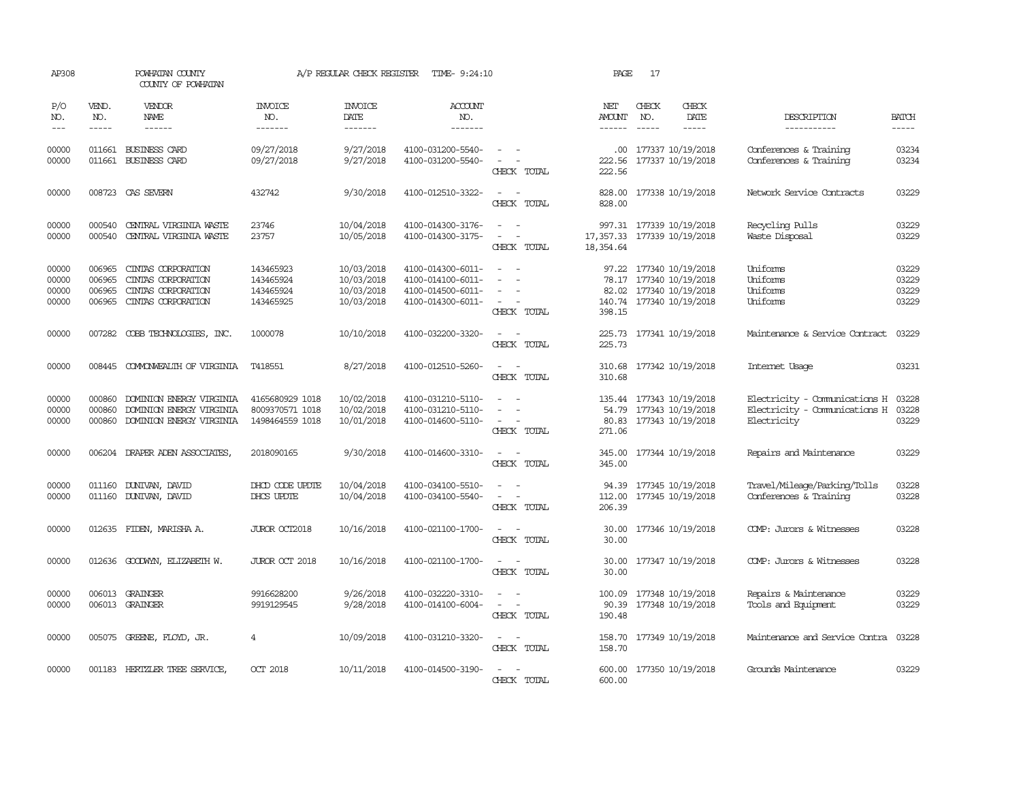| AP308                            |                                      | POWHATAN COUNTY<br>COUNTY OF POWHATAN                                                   |                                                       | A/P REGULAR CHECK REGISTER                           | TIME- 9:24:10                                                                    |                                                                               | PAGE                                  | 17                            |                                                                                               |                                                                               |                                  |
|----------------------------------|--------------------------------------|-----------------------------------------------------------------------------------------|-------------------------------------------------------|------------------------------------------------------|----------------------------------------------------------------------------------|-------------------------------------------------------------------------------|---------------------------------------|-------------------------------|-----------------------------------------------------------------------------------------------|-------------------------------------------------------------------------------|----------------------------------|
| P/O<br>NO.<br>$---$              | VEND.<br>NO.<br>$- - - - -$          | VENDOR<br>NAME<br>$- - - - - -$                                                         | INVOICE<br>NO.<br>-------                             | <b>INVOICE</b><br>DATE<br>-------                    | <b>ACCOUNT</b><br>NO.<br>-------                                                 |                                                                               | NET<br><b>AMOUNT</b><br>$- - - - - -$ | CHECK<br>NO.<br>$\frac{1}{2}$ | CHECK<br>DATE<br>$- - - - -$                                                                  | DESCRIPTION<br>-----------                                                    | <b>BATCH</b><br>$- - - - -$      |
| 00000<br>00000                   | 011661<br>011661                     | <b>BUSINESS CARD</b><br>BUSINESS CARD                                                   | 09/27/2018<br>09/27/2018                              | 9/27/2018<br>9/27/2018                               | 4100-031200-5540-<br>4100-031200-5540-                                           | CHECK TOTAL                                                                   | .00.<br>222.56<br>222.56              |                               | 177337 10/19/2018<br>177337 10/19/2018                                                        | Conferences & Training<br>Conferences & Training                              | 03234<br>03234                   |
| 00000                            |                                      | 008723 CAS SEVERN                                                                       | 432742                                                | 9/30/2018                                            | 4100-012510-3322-                                                                | $\sim$<br>$\sim$<br>CHECK TOTAL                                               | 828,00<br>828.00                      |                               | 177338 10/19/2018                                                                             | Network Service Contracts                                                     | 03229                            |
| 00000<br>00000                   | 000540<br>000540                     | CENTRAL VIRGINIA WASTE<br>CENTRAL VIRGINIA WASTE                                        | 23746<br>23757                                        | 10/04/2018<br>10/05/2018                             | 4100-014300-3176-<br>4100-014300-3175-                                           | $\overline{\phantom{a}}$<br>CHECK TOTAL                                       | 18, 354.64                            |                               | 997.31 177339 10/19/2018<br>17, 357.33 177339 10/19/2018                                      | Recycling Pulls<br>Waste Disposal                                             | 03229<br>03229                   |
| 00000<br>00000<br>00000<br>00000 | 006965<br>006965<br>006965<br>006965 | CINIAS CORPORATION<br>CINIAS CORPORATION<br>CINIAS CORPORATION<br>CINIAS CORPORATION    | 143465923<br>143465924<br>143465924<br>143465925      | 10/03/2018<br>10/03/2018<br>10/03/2018<br>10/03/2018 | 4100-014300-6011-<br>4100-014100-6011-<br>4100-014500-6011-<br>4100-014300-6011- | $\sim$<br>$\overline{\phantom{a}}$<br>$\overline{\phantom{a}}$<br>CHECK TOTAL | 97.22<br>82.02<br>398.15              |                               | 177340 10/19/2018<br>78.17 177340 10/19/2018<br>177340 10/19/2018<br>140.74 177340 10/19/2018 | Uniforms<br>Uniforms<br>Uniforms<br>Uniforms                                  | 03229<br>03229<br>03229<br>03229 |
| 00000                            | 007282                               | COBB TECHNOLOGIES, INC.                                                                 | 1000078                                               | 10/10/2018                                           | 4100-032200-3320-                                                                | CHECK TOTAL                                                                   | 225.73                                |                               | 225.73 177341 10/19/2018                                                                      | Maintenance & Service Contract                                                | 03229                            |
| 00000                            | 008445                               | COMONWEALTH OF VIRGINIA                                                                 | T418551                                               | 8/27/2018                                            | 4100-012510-5260-                                                                | CHECK TOTAL                                                                   | 310.68<br>310.68                      |                               | 177342 10/19/2018                                                                             | Internet Usage                                                                | 03231                            |
| 00000<br>00000<br>00000          | 000860<br>000860                     | DOMINION ENERGY VIRGINIA<br>DOMINION ENERGY VIRGINIA<br>000860 DOMINION ENERGY VIRGINIA | 4165680929 1018<br>8009370571 1018<br>1498464559 1018 | 10/02/2018<br>10/02/2018<br>10/01/2018               | 4100-031210-5110-<br>4100-031210-5110-<br>4100-014600-5110-                      | $\overline{\phantom{a}}$<br>CHECK TOTAL                                       | 135.44<br>271.06                      |                               | 177343 10/19/2018<br>54.79 177343 10/19/2018<br>80.83 177343 10/19/2018                       | Electricity - Comunications H<br>Electricity - Comunications H<br>Electricity | 03228<br>03228<br>03229          |
| 00000                            |                                      | 006204 DRAPER ADEN ASSOCIATES                                                           | 2018090165                                            | 9/30/2018                                            | 4100-014600-3310-                                                                | $\overline{\phantom{a}}$<br>CHECK TOTAL                                       | 345.00<br>345.00                      |                               | 177344 10/19/2018                                                                             | Repairs and Maintenance                                                       | 03229                            |
| 00000<br>00000                   | 011160                               | DUNIVAN, DAVID<br>011160 DUNIVAN, DAVID                                                 | DHOD CODE UPDIE<br>DHCS UPDTE                         | 10/04/2018<br>10/04/2018                             | 4100-034100-5510-<br>4100-034100-5540-                                           | $\overline{\phantom{a}}$<br>$\overline{\phantom{a}}$<br>CHECK TOTAL           | 94.39<br>112.00<br>206.39             |                               | 177345 10/19/2018<br>177345 10/19/2018                                                        | Travel/Mileage/Parking/Tolls<br>Conferences & Training                        | 03228<br>03228                   |
| 00000                            |                                      | 012635 FIDEN, MARISHA A.                                                                | JUROR OCT2018                                         | 10/16/2018                                           | 4100-021100-1700-                                                                | $\sim$<br>$\sim$<br>CHECK TOTAL                                               | 30.00<br>30.00                        |                               | 177346 10/19/2018                                                                             | COMP: Jurors & Witnesses                                                      | 03228                            |
| 00000                            |                                      | 012636 GOODWYN, ELIZABETH W.                                                            | JUROR OCT 2018                                        | 10/16/2018                                           | 4100-021100-1700-                                                                | $\sim$<br>$\sim$<br>CHECK TOTAL                                               | 30.00<br>30.00                        |                               | 177347 10/19/2018                                                                             | COMP: Jurors & Witnesses                                                      | 03228                            |
| 00000<br>00000                   |                                      | 006013 GRAINGER<br>006013 GRAINGER                                                      | 9916628200<br>9919129545                              | 9/26/2018<br>9/28/2018                               | 4100-032220-3310-<br>4100-014100-6004-                                           | $\overline{\phantom{a}}$<br>$\overline{\phantom{a}}$<br>CHECK TOTAL           | 100.09<br>90.39<br>190.48             |                               | 177348 10/19/2018<br>177348 10/19/2018                                                        | Repairs & Maintenance<br>Tools and Equipment                                  | 03229<br>03229                   |
| 00000                            |                                      | 005075 GREENE, FLOYD, JR.                                                               | $\overline{4}$                                        | 10/09/2018                                           | 4100-031210-3320-                                                                | $\sim$ $ \sim$<br>CHECK TOTAL                                                 | 158.70<br>158.70                      |                               | 177349 10/19/2018                                                                             | Maintenance and Service Contra                                                | 03228                            |
| 00000                            |                                      | 001183 HERTZLER TREE SERVICE,                                                           | <b>CCT 2018</b>                                       | 10/11/2018                                           | 4100-014500-3190-                                                                | CHECK TOTAL                                                                   | 600.00<br>600.00                      |                               | 177350 10/19/2018                                                                             | Grounds Maintenance                                                           | 03229                            |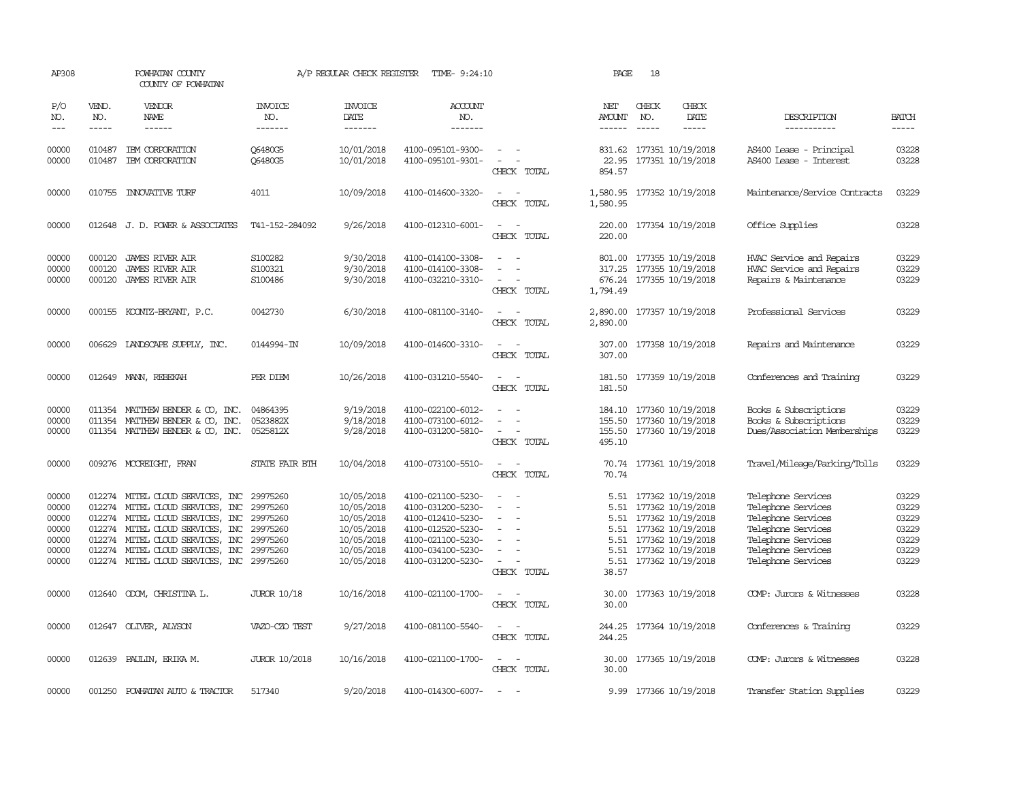| AP308                                                       |                             | POWHATAN COUNTY<br>COUNTY OF POWHATAN                                                                                                                                                                                                        |                                                                      | A/P REGULAR CHECK REGISTER                                                                     | TIME- 9:24:10                                                                                                                                   |                                                                                                                                                                   | PAGE                                                  | 18           |                                                                                                                                                      |                                                                                                                                                        |                                                             |
|-------------------------------------------------------------|-----------------------------|----------------------------------------------------------------------------------------------------------------------------------------------------------------------------------------------------------------------------------------------|----------------------------------------------------------------------|------------------------------------------------------------------------------------------------|-------------------------------------------------------------------------------------------------------------------------------------------------|-------------------------------------------------------------------------------------------------------------------------------------------------------------------|-------------------------------------------------------|--------------|------------------------------------------------------------------------------------------------------------------------------------------------------|--------------------------------------------------------------------------------------------------------------------------------------------------------|-------------------------------------------------------------|
| P/O<br>NO.<br>$---$                                         | VEND.<br>NO.<br>$- - - - -$ | VENDOR<br>NAME<br>------                                                                                                                                                                                                                     | <b>INVOICE</b><br>NO.<br>-------                                     | <b>INVOICE</b><br>DATE<br>-------                                                              | <b>ACCOUNT</b><br>NO.<br>-------                                                                                                                |                                                                                                                                                                   | NET<br>AMOUNT<br>------                               | CHECK<br>NO. | CHECK<br>DATE<br>$\cdots \cdots \cdots$                                                                                                              | DESCRIPTION<br>-----------                                                                                                                             | <b>BATCH</b><br>-----                                       |
| 00000<br>00000                                              | 010487                      | IBM CORPORATION<br>010487 IBM CORPORATION                                                                                                                                                                                                    | Q6480G5<br><b>06480G5</b>                                            | 10/01/2018<br>10/01/2018                                                                       | 4100-095101-9300-<br>4100-095101-9301-                                                                                                          | $\sim$ 100 $\mu$<br>$\sim$<br>CHECK TOTAL                                                                                                                         | 854.57                                                |              | 831.62 177351 10/19/2018<br>22.95 177351 10/19/2018                                                                                                  | AS400 Lease - Principal<br>AS400 Lease - Interest                                                                                                      | 03228<br>03228                                              |
| 00000                                                       |                             | 010755 INNOVATIVE TURF                                                                                                                                                                                                                       | 4011                                                                 | 10/09/2018                                                                                     | 4100-014600-3320-                                                                                                                               | CHECK TOTAL                                                                                                                                                       | 1,580.95<br>1,580.95                                  |              | 177352 10/19/2018                                                                                                                                    | Maintenance/Service Contracts                                                                                                                          | 03229                                                       |
| 00000                                                       |                             | 012648 J.D. POWER & ASSOCIATES                                                                                                                                                                                                               | T41-152-284092                                                       | 9/26/2018                                                                                      | 4100-012310-6001-                                                                                                                               | $\overline{\phantom{a}}$<br>CHECK TOTAL                                                                                                                           | 220.00<br>220.00                                      |              | 177354 10/19/2018                                                                                                                                    | Office Supplies                                                                                                                                        | 03228                                                       |
| 00000<br>00000<br>00000<br>00000                            | 000120<br>000120<br>000120  | JAMES RIVER AIR<br>JAMES RIVER AIR<br>JAMES RIVER AIR<br>000155 KOONTZ-BRYANT, P.C.                                                                                                                                                          | S100282<br>S100321<br>S100486<br>0042730                             | 9/30/2018<br>9/30/2018<br>9/30/2018<br>6/30/2018                                               | 4100-014100-3308-<br>4100-014100-3308-<br>4100-032210-3310-<br>4100-081100-3140-                                                                | $\overline{\phantom{a}}$<br>$\sim$<br>CHECK TOTAL<br>$\frac{1}{2} \left( \frac{1}{2} \right) \left( \frac{1}{2} \right) = \frac{1}{2} \left( \frac{1}{2} \right)$ | 801.00<br>317.25<br>1,794.49                          |              | 177355 10/19/2018<br>177355 10/19/2018<br>676.24 177355 10/19/2018<br>2,890.00 177357 10/19/2018                                                     | HVAC Service and Repairs<br>HVAC Service and Repairs<br>Repairs & Maintenance<br>Professional Services                                                 | 03229<br>03229<br>03229<br>03229                            |
|                                                             |                             |                                                                                                                                                                                                                                              |                                                                      |                                                                                                |                                                                                                                                                 | CHECK TOTAL                                                                                                                                                       | 2,890.00                                              |              |                                                                                                                                                      |                                                                                                                                                        |                                                             |
| 00000                                                       |                             | 006629 LANDSCAPE SUPPLY, INC.                                                                                                                                                                                                                | 0144994-IN                                                           | 10/09/2018                                                                                     | 4100-014600-3310-                                                                                                                               | $\overline{\phantom{a}}$<br>CHECK TOTAL                                                                                                                           | 307.00<br>307.00                                      |              | 177358 10/19/2018                                                                                                                                    | Repairs and Maintenance                                                                                                                                | 03229                                                       |
| 00000                                                       |                             | 012649 MANN, REBEKAH                                                                                                                                                                                                                         | PER DIEM                                                             | 10/26/2018                                                                                     | 4100-031210-5540-                                                                                                                               | $\sim$<br>CHECK TOTAL                                                                                                                                             | 181.50<br>181.50                                      |              | 177359 10/19/2018                                                                                                                                    | Conferences and Training                                                                                                                               | 03229                                                       |
| 00000<br>00000<br>00000                                     |                             | 011354 MATTHEW BENDER & CO, INC.<br>011354 MATTHEW BENDER & CO, INC.<br>011354 MATTHEW BENDER & CO, INC.                                                                                                                                     | 04864395<br>0523882X<br>0525812X                                     | 9/19/2018<br>9/18/2018<br>9/28/2018                                                            | 4100-022100-6012-<br>4100-073100-6012-<br>4100-031200-5810-                                                                                     | $\equiv$<br>CHECK TOTAL                                                                                                                                           | 184.10<br>155.50<br>495.10                            |              | 177360 10/19/2018<br>177360 10/19/2018<br>155.50 177360 10/19/2018                                                                                   | Books & Subscriptions<br>Books & Subscriptions<br>Dues/Association Memberships                                                                         | 03229<br>03229<br>03229                                     |
| 00000                                                       |                             | 009276 MCCREIGHT, FRAN                                                                                                                                                                                                                       | STATE FAIR BIH                                                       | 10/04/2018                                                                                     | 4100-073100-5510-                                                                                                                               | $\frac{1}{2} \left( \frac{1}{2} \right) \left( \frac{1}{2} \right) = \frac{1}{2} \left( \frac{1}{2} \right)$<br>CHECK TOTAL                                       | 70.74                                                 |              | 70.74 177361 10/19/2018                                                                                                                              | Travel/Mileage/Parking/Tolls                                                                                                                           | 03229                                                       |
| 00000<br>00000<br>00000<br>00000<br>00000<br>00000<br>00000 | 012274<br>012274<br>012274  | 012274 MITEL CLOUD SERVICES, INC<br>012274 MITEL CLOUD SERVICES, INC<br>012274 MITEL CLOUD SERVICES, INC<br>MITEL CLOUD SERVICES, INC<br>MITEL CLOUD SERVICES, INC<br>MITEL CLOUD SERVICES, INC<br>012274 MITEL CLOUD SERVICES, INC 29975260 | 29975260<br>29975260<br>29975260<br>29975260<br>29975260<br>29975260 | 10/05/2018<br>10/05/2018<br>10/05/2018<br>10/05/2018<br>10/05/2018<br>10/05/2018<br>10/05/2018 | 4100-021100-5230-<br>4100-031200-5230-<br>4100-012410-5230-<br>4100-012520-5230-<br>4100-021100-5230-<br>4100-034100-5230-<br>4100-031200-5230- | $\overline{\phantom{a}}$<br>$\overline{\phantom{a}}$<br>$\overline{\phantom{a}}$<br>CHECK TOTAL                                                                   | 5.51<br>5.51<br>5.51<br>5.51<br>5.51<br>5.51<br>38.57 |              | 5.51 177362 10/19/2018<br>177362 10/19/2018<br>177362 10/19/2018<br>177362 10/19/2018<br>177362 10/19/2018<br>177362 10/19/2018<br>177362 10/19/2018 | Telephone Services<br>Telephone Services<br>Telephone Services<br>Telephone Services<br>Telephone Services<br>Telephone Services<br>Telephone Services | 03229<br>03229<br>03229<br>03229<br>03229<br>03229<br>03229 |
| 00000                                                       |                             | 012640 ODOM, CHRISTINA L.                                                                                                                                                                                                                    | <b>JUROR 10/18</b>                                                   | 10/16/2018                                                                                     | 4100-021100-1700-                                                                                                                               | $\sim$ $ \sim$<br>CHECK TOTAL                                                                                                                                     | 30.00<br>30.00                                        |              | 177363 10/19/2018                                                                                                                                    | COMP: Jurors & Witnesses                                                                                                                               | 03228                                                       |
| 00000                                                       |                             | 012647 OLIVER, ALYSON                                                                                                                                                                                                                        | VAZO-CZO TEST                                                        | 9/27/2018                                                                                      | 4100-081100-5540-                                                                                                                               | $\sim$<br>CHECK TOTAL                                                                                                                                             | 244.25<br>244.25                                      |              | 177364 10/19/2018                                                                                                                                    | Conferences & Training                                                                                                                                 | 03229                                                       |
| 00000                                                       |                             | 012639 PAULIN, ERIKA M.                                                                                                                                                                                                                      | <b>JUROR 10/2018</b>                                                 | 10/16/2018                                                                                     | 4100-021100-1700-                                                                                                                               | $\sim$ $  -$<br>CHECK TOTAL                                                                                                                                       | 30.00<br>30.00                                        |              | 177365 10/19/2018                                                                                                                                    | COMP: Jurors & Witnesses                                                                                                                               | 03228                                                       |
| 00000                                                       | 001250                      | POWHATAN AUTO & TRACTOR                                                                                                                                                                                                                      | 517340                                                               | 9/20/2018                                                                                      | 4100-014300-6007-                                                                                                                               |                                                                                                                                                                   |                                                       |              | 9.99 177366 10/19/2018                                                                                                                               | Transfer Station Supplies                                                                                                                              | 03229                                                       |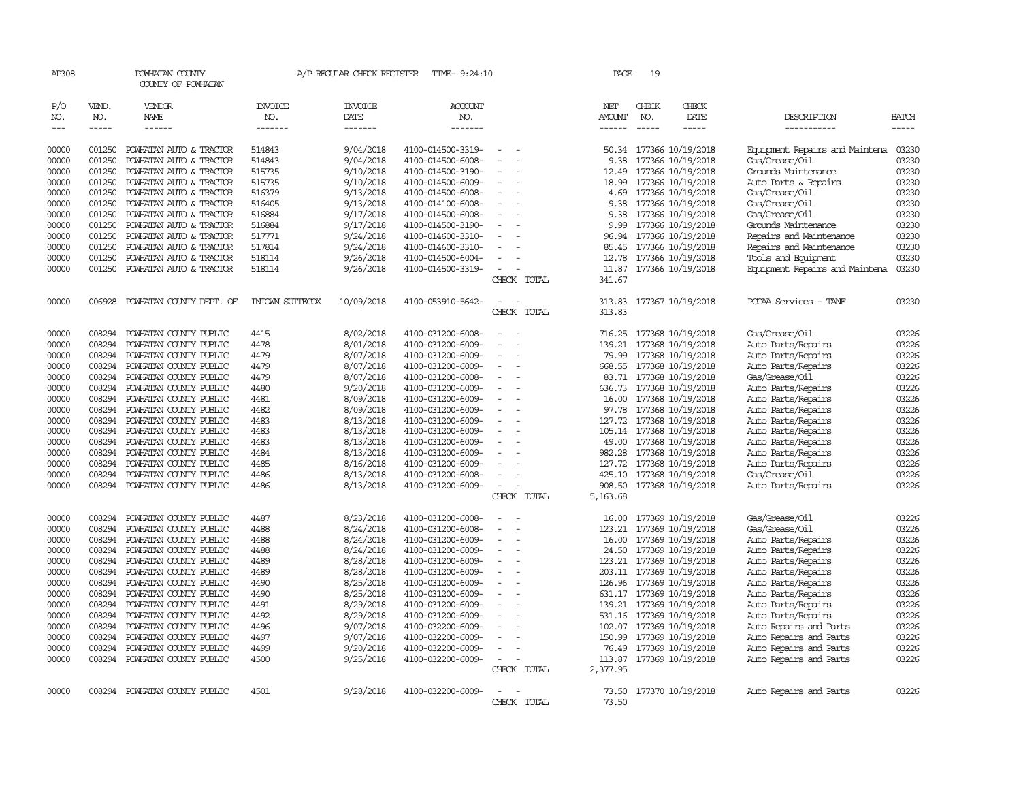| AP308         |             | POWHATAN COUNTY<br>COUNTY OF POWHATAN |                 | A/P REGULAR CHECK REGISTER | TIME- 9:24:10     |                          |             | PAGE     | 19          |                          |                                |              |
|---------------|-------------|---------------------------------------|-----------------|----------------------------|-------------------|--------------------------|-------------|----------|-------------|--------------------------|--------------------------------|--------------|
| P/O           | VEND.       | VENDOR                                | <b>INVOICE</b>  | <b>INVOICE</b>             | ACCOUNT           |                          |             | NET      | CHECK       | CHECK                    |                                |              |
| NO.           | NO.         | NAME                                  | NO.             | DATE                       | NO.               |                          |             | AMOUNT   | NO.         | DATE                     | DESCRIPTION                    | <b>BATCH</b> |
| $\frac{1}{2}$ | $- - - - -$ | ------                                | -------         | -------                    | -------           |                          |             | ------   | $- - - - -$ | $- - - - -$              | -----------                    | -----        |
| 00000         | 001250      | POWHATAN AUTO & TRACTOR               | 514843          | 9/04/2018                  | 4100-014500-3319- | $\overline{a}$           |             | 50.34    |             | 177366 10/19/2018        | Equipment Repairs and Maintena | 03230        |
| 00000         | 001250      | POWHATAN AUTO & TRACTOR               | 514843          | 9/04/2018                  | 4100-014500-6008- | $\equiv$                 |             | 9.38     |             | 177366 10/19/2018        | Gas/Grease/Oil                 | 03230        |
| 00000         | 001250      | POWHATAN AUTO & TRACTOR               | 515735          | 9/10/2018                  | 4100-014500-3190- | $\sim$                   |             | 12.49    |             | 177366 10/19/2018        | Grounds Maintenance            | 03230        |
| 00000         | 001250      | POWHATAN AUTO & TRACTOR               | 515735          | 9/10/2018                  | 4100-014500-6009- |                          |             | 18.99    |             | 177366 10/19/2018        | Auto Parts & Repairs           | 03230        |
| 00000         | 001250      | POWHATAN AUTO & TRACTOR               | 516379          | 9/13/2018                  | 4100-014500-6008- |                          |             | 4.69     |             | 177366 10/19/2018        | Gas/Grease/Oil                 | 03230        |
| 00000         | 001250      | POWHATAN AUTO & TRACTOR               | 516405          | 9/13/2018                  | 4100-014100-6008- | $\overline{\phantom{a}}$ |             | 9.38     |             | 177366 10/19/2018        | Gas/Grease/Oil                 | 03230        |
| 00000         | 001250      | POWHATAN AUTO & TRACTOR               | 516884          | 9/17/2018                  | 4100-014500-6008- |                          |             | 9.38     |             | 177366 10/19/2018        | Gas/Grease/Oil                 | 03230        |
| 00000         | 001250      | POWHATAN AUTO & TRACTOR               | 516884          | 9/17/2018                  | 4100-014500-3190- |                          |             | 9.99     |             | 177366 10/19/2018        | Grounds Maintenance            | 03230        |
| 00000         | 001250      | POWHATAN AUTO & TRACTOR               | 517771          | 9/24/2018                  | 4100-014600-3310- |                          |             | 96.94    |             | 177366 10/19/2018        | Repairs and Maintenance        | 03230        |
| 00000         | 001250      | POWHATAN AUTO & TRACTOR               | 517814          | 9/24/2018                  | 4100-014600-3310- | $\overline{\phantom{a}}$ |             | 85.45    |             | 177366 10/19/2018        | Repairs and Maintenance        | 03230        |
| 00000         | 001250      | POWHATAN AUTO & TRACTOR               | 518114          | 9/26/2018                  | 4100-014500-6004- |                          |             | 12.78    |             | 177366 10/19/2018        | Tools and Equipment            | 03230        |
| 00000         | 001250      | POWHATAN AUTO & TRACTOR               | 518114          | 9/26/2018                  | 4100-014500-3319- |                          |             |          |             | 11.87 177366 10/19/2018  | Equipment Repairs and Maintena | 03230        |
|               |             |                                       |                 |                            |                   |                          | CHECK TOTAL | 341.67   |             |                          |                                |              |
| 00000         | 006928      | POWHATAN COUNTY DEPT. OF              | INIOWN SUITECOX | 10/09/2018                 | 4100-053910-5642- |                          |             | 313.83   |             | 177367 10/19/2018        | PCCAA Services - TANF          | 03230        |
|               |             |                                       |                 |                            |                   |                          | CHECK TOTAL | 313.83   |             |                          |                                |              |
| 00000         | 008294      | POWHATAN COUNTY PUBLIC                | 4415            | 8/02/2018                  | 4100-031200-6008- | $\overline{\phantom{a}}$ |             |          |             | 716.25 177368 10/19/2018 | Gas/Grease/Oil                 | 03226        |
| 00000         | 008294      | POWHATAN COUNTY PUBLIC                | 4478            | 8/01/2018                  | 4100-031200-6009- |                          |             | 139.21   |             | 177368 10/19/2018        | Auto Parts/Repairs             | 03226        |
| 00000         | 008294      | POWHATAN COUNTY PUBLIC                | 4479            | 8/07/2018                  | 4100-031200-6009- | $\overline{a}$           |             |          |             | 79.99 177368 10/19/2018  | Auto Parts/Repairs             | 03226        |
| 00000         | 008294      | POWHATAN COUNTY PUBLIC                | 4479            | 8/07/2018                  | 4100-031200-6009- | $\equiv$                 |             |          |             | 668.55 177368 10/19/2018 | Auto Parts/Repairs             | 03226        |
| 00000         | 008294      | POWHATAN COUNTY PUBLIC                | 4479            | 8/07/2018                  | 4100-031200-6008- | $\overline{\phantom{a}}$ |             |          |             | 83.71 177368 10/19/2018  | Gas/Grease/Oil                 | 03226        |
| 00000         | 008294      | POWHATAN COUNTY PUBLIC                | 4480            | 9/20/2018                  | 4100-031200-6009- | $\overline{\phantom{a}}$ |             | 636.73   |             | 177368 10/19/2018        | Auto Parts/Repairs             | 03226        |
| 00000         | 008294      | POWHATAN COUNTY PUBLIC                | 4481            | 8/09/2018                  | 4100-031200-6009- |                          |             |          |             | 16.00 177368 10/19/2018  | Auto Parts/Repairs             | 03226        |
| 00000         | 008294      | POWHATAN COUNTY PUBLIC                | 4482            | 8/09/2018                  | 4100-031200-6009- |                          |             | 97.78    |             | 177368 10/19/2018        | Auto Parts/Repairs             | 03226        |
| 00000         | 008294      | POWHATAN COUNTY PUBLIC                | 4483            | 8/13/2018                  | 4100-031200-6009- | $\overline{\phantom{a}}$ |             |          |             | 127.72 177368 10/19/2018 | Auto Parts/Repairs             | 03226        |
| 00000         | 008294      | POWHATAN COUNTY PUBLIC                | 4483            | 8/13/2018                  | 4100-031200-6009- |                          |             | 105.14   |             | 177368 10/19/2018        | Auto Parts/Repairs             | 03226        |
| 00000         | 008294      | POWHATAN COUNTY PUBLIC                | 4483            | 8/13/2018                  | 4100-031200-6009- |                          |             |          |             | 49.00 177368 10/19/2018  | Auto Parts/Repairs             | 03226        |
| 00000         | 008294      | POWHATAN COUNTY PUBLIC                | 4484            | 8/13/2018                  | 4100-031200-6009- |                          |             | 982.28   |             | 177368 10/19/2018        | Auto Parts/Repairs             | 03226        |
| 00000         | 008294      | POWHATAN COUNTY PUBLIC                | 4485            | 8/16/2018                  | 4100-031200-6009- | $\equiv$                 |             |          |             | 127.72 177368 10/19/2018 | Auto Parts/Repairs             | 03226        |
| 00000         | 008294      | POWHATAN COUNTY PUBLIC                | 4486            | 8/13/2018                  | 4100-031200-6008- |                          |             | 425.10   |             | 177368 10/19/2018        | Gas/Grease/Oil                 | 03226        |
| 00000         | 008294      | POWHATAN COUNTY PUBLIC                | 4486            | 8/13/2018                  | 4100-031200-6009- | $\sim$                   |             |          |             | 908.50 177368 10/19/2018 | Auto Parts/Repairs             | 03226        |
|               |             |                                       |                 |                            |                   |                          | CHECK TOTAL | 5,163.68 |             |                          |                                |              |
| 00000         | 008294      | POWHATAN COUNTY PUBLIC                | 4487            | 8/23/2018                  | 4100-031200-6008- |                          |             | 16.00    |             | 177369 10/19/2018        | Gas/Grease/Oil                 | 03226        |
| 00000         | 008294      | POWHATAN COUNTY PUBLIC                | 4488            | 8/24/2018                  | 4100-031200-6008- |                          |             | 123.21   |             | 177369 10/19/2018        | Gas/Grease/Oil                 | 03226        |
| 00000         | 008294      | POWHATAN COUNTY PUBLIC                | 4488            | 8/24/2018                  | 4100-031200-6009- |                          |             | 16.00    |             | 177369 10/19/2018        | Auto Parts/Repairs             | 03226        |
| 00000         | 008294      | POWHATAN COUNTY PUBLIC                | 4488            | 8/24/2018                  | 4100-031200-6009- | $\overline{\phantom{a}}$ |             |          |             | 24.50 177369 10/19/2018  | Auto Parts/Repairs             | 03226        |
| 00000         | 008294      | POWHATAN COUNTY PUBLIC                | 4489            | 8/28/2018                  | 4100-031200-6009- | $\equiv$                 |             | 123.21   |             | 177369 10/19/2018        | Auto Parts/Repairs             | 03226        |
| 00000         | 008294      | POWHATAN COUNTY PUBLIC                | 4489            | 8/28/2018                  | 4100-031200-6009- |                          |             |          |             | 203.11 177369 10/19/2018 | Auto Parts/Repairs             | 03226        |
| 00000         | 008294      | POWHATAN COUNTY PUBLIC                | 4490            | 8/25/2018                  | 4100-031200-6009- | $\overline{\phantom{a}}$ |             | 126.96   |             | 177369 10/19/2018        | Auto Parts/Repairs             | 03226        |
| 00000         | 008294      | POWHATAN COUNTY PUBLIC                | 4490            | 8/25/2018                  | 4100-031200-6009- | $\overline{\phantom{a}}$ |             |          |             | 631.17 177369 10/19/2018 | Auto Parts/Repairs             | 03226        |
| 00000         | 008294      | POWHATAN COUNTY PUBLIC                | 4491            | 8/29/2018                  | 4100-031200-6009- |                          |             | 139.21   |             | 177369 10/19/2018        | Auto Parts/Repairs             | 03226        |
| 00000         | 008294      | POWHATAN COUNTY PUBLIC                | 4492            | 8/29/2018                  | 4100-031200-6009- |                          |             |          |             | 531.16 177369 10/19/2018 | Auto Parts/Repairs             | 03226        |
| 00000         | 008294      | POWHATAN COUNTY PUBLIC                | 4496            | 9/07/2018                  | 4100-032200-6009- |                          |             |          |             | 102.07 177369 10/19/2018 | Auto Repairs and Parts         | 03226        |
| 00000         | 008294      | POWHATAN COUNTY PUBLIC                | 4497            | 9/07/2018                  | 4100-032200-6009- | $\equiv$                 |             |          |             | 150.99 177369 10/19/2018 | Auto Repairs and Parts         | 03226        |
| 00000         | 008294      | POWHATAN COUNTY PUBLIC                | 4499            | 9/20/2018                  | 4100-032200-6009- | $\overline{\phantom{a}}$ |             | 76.49    |             | 177369 10/19/2018        | Auto Repairs and Parts         | 03226        |
| 00000         | 008294      | POWHATAN COUNTY PUBLIC                | 4500            | 9/25/2018                  | 4100-032200-6009- | $\sim$                   |             |          |             | 113.87 177369 10/19/2018 | Auto Repairs and Parts         | 03226        |
|               |             |                                       |                 |                            |                   |                          | CHECK TOTAL | 2,377.95 |             |                          |                                |              |
|               |             |                                       |                 |                            |                   |                          |             |          |             |                          |                                |              |
| 00000         |             | 008294 POWHATAN COUNTY PUBLIC         | 4501            | 9/28/2018                  | 4100-032200-6009- |                          |             | 73.50    |             | 177370 10/19/2018        | Auto Repairs and Parts         | 03226        |
|               |             |                                       |                 |                            |                   |                          | CHECK TOTAL | 73.50    |             |                          |                                |              |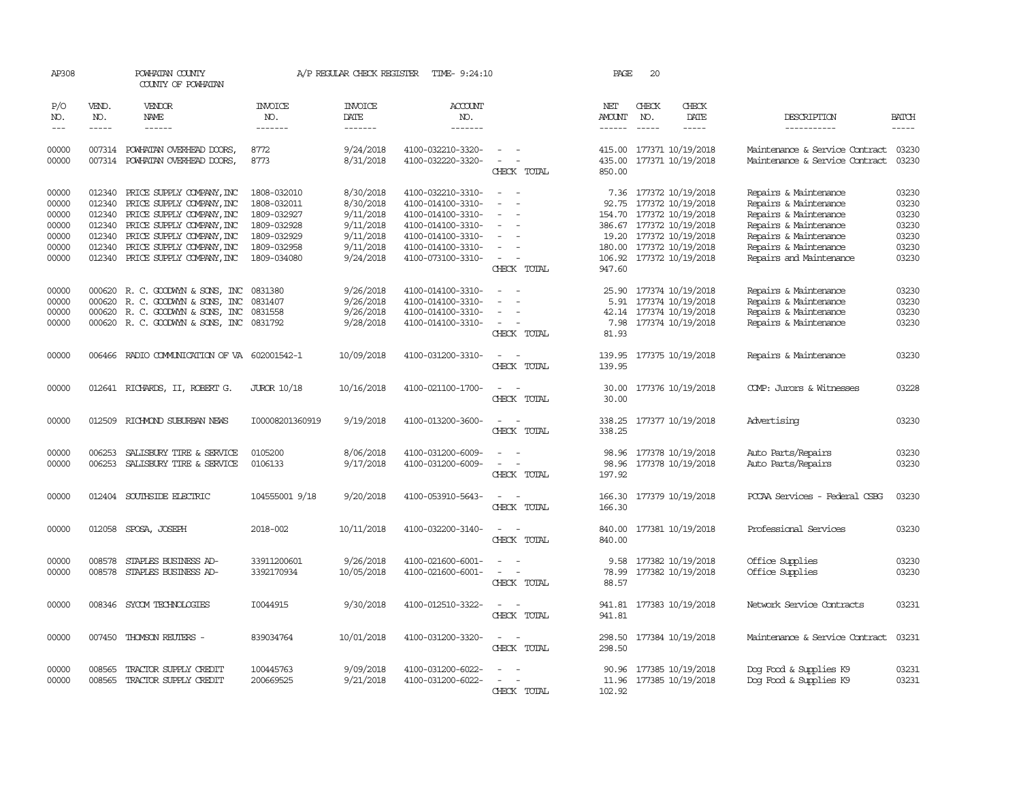| AP308                                                       |                                                                    | POWHATAN COUNTY<br>COUNTY OF POWHATAN                                                                                                                                                                   |                                                                                                       | A/P REGULAR CHECK REGISTER                                                              | TIME- 9:24:10                                                                                                                                   |                                                   | PAGE                   | 20                            |                                                                                                                                                                                        |                                                                                                                                                                               |                                                             |
|-------------------------------------------------------------|--------------------------------------------------------------------|---------------------------------------------------------------------------------------------------------------------------------------------------------------------------------------------------------|-------------------------------------------------------------------------------------------------------|-----------------------------------------------------------------------------------------|-------------------------------------------------------------------------------------------------------------------------------------------------|---------------------------------------------------|------------------------|-------------------------------|----------------------------------------------------------------------------------------------------------------------------------------------------------------------------------------|-------------------------------------------------------------------------------------------------------------------------------------------------------------------------------|-------------------------------------------------------------|
| P/O<br>NO.<br>$- - -$                                       | VEND.<br>NO.<br>$- - - - -$                                        | VENDOR<br>NAME<br>------                                                                                                                                                                                | <b>INVOICE</b><br>NO.<br>-------                                                                      | <b>INVOICE</b><br>DATE<br>-------                                                       | <b>ACCOUNT</b><br>NO.<br>-------                                                                                                                |                                                   | NET<br>AMOUNT          | CHECK<br>NO.<br>$\frac{1}{2}$ | CHECK<br>DATE<br>-----                                                                                                                                                                 | DESCRIPTION<br>-----------                                                                                                                                                    | <b>BATCH</b><br>-----                                       |
| 00000<br>00000                                              |                                                                    | 007314 POWHATAN OVERHEAD DOORS,<br>007314 POWHATAN OVERHEAD DOORS,                                                                                                                                      | 8772<br>8773                                                                                          | 9/24/2018<br>8/31/2018                                                                  | 4100-032210-3320-<br>4100-032220-3320-                                                                                                          | $\sim$<br>$\sim$<br>CHECK TOTAL                   | 415.00<br>850.00       |                               | 177371 10/19/2018<br>435.00 177371 10/19/2018                                                                                                                                          | Maintenance & Service Contract<br>Maintenance & Service Contract                                                                                                              | 03230<br>03230                                              |
| 00000<br>00000<br>00000<br>00000<br>00000<br>00000<br>00000 | 012340<br>012340<br>012340<br>012340<br>012340<br>012340<br>012340 | PRICE SUPPLY COMPANY, INC<br>PRICE SUPPLY COMPANY, INC<br>PRICE SUPPLY COMPANY, INC<br>PRICE SUPPLY COMPANY, INC<br>PRICE SUPPLY COMPANY, INC<br>PRICE SUPPLY COMPANY, INC<br>PRICE SUPPLY COMPANY, INC | 1808-032010<br>1808-032011<br>1809-032927<br>1809-032928<br>1809-032929<br>1809-032958<br>1809-034080 | 8/30/2018<br>8/30/2018<br>9/11/2018<br>9/11/2018<br>9/11/2018<br>9/11/2018<br>9/24/2018 | 4100-032210-3310-<br>4100-014100-3310-<br>4100-014100-3310-<br>4100-014100-3310-<br>4100-014100-3310-<br>4100-014100-3310-<br>4100-073100-3310- | $\equiv$<br>$\equiv$<br>CHECK TOTAL               | 92.75<br>947.60        |                               | 7.36 177372 10/19/2018<br>177372 10/19/2018<br>154.70 177372 10/19/2018<br>386.67 177372 10/19/2018<br>19.20 177372 10/19/2018<br>180.00 177372 10/19/2018<br>106.92 177372 10/19/2018 | Repairs & Maintenance<br>Repairs & Maintenance<br>Repairs & Maintenance<br>Repairs & Maintenance<br>Repairs & Maintenance<br>Repairs & Maintenance<br>Repairs and Maintenance | 03230<br>03230<br>03230<br>03230<br>03230<br>03230<br>03230 |
| 00000<br>00000<br>00000<br>00000                            | 000620<br>000620<br>000620                                         | R. C. GOODWYN & SONS, INC<br>R. C. GOODWYN & SONS, INC<br>R. C. GOODWIN & SONS, INC<br>000620 R. C. GOODWYN & SONS, INC 0831792                                                                         | 0831380<br>0831407<br>0831558                                                                         | 9/26/2018<br>9/26/2018<br>9/26/2018<br>9/28/2018                                        | 4100-014100-3310-<br>4100-014100-3310-<br>4100-014100-3310-<br>4100-014100-3310-                                                                | $\sim$<br>$\overline{\phantom{a}}$<br>CHECK TOTAL | 25.90<br>5.91<br>81.93 |                               | 177374 10/19/2018<br>177374 10/19/2018<br>42.14 177374 10/19/2018<br>7.98 177374 10/19/2018                                                                                            | Repairs & Maintenance<br>Repairs & Maintenance<br>Repairs & Maintenance<br>Repairs & Maintenance                                                                              | 03230<br>03230<br>03230<br>03230                            |
| 00000                                                       |                                                                    | 006466 RADIO COMMUNICATION OF VA 602001542-1                                                                                                                                                            |                                                                                                       | 10/09/2018                                                                              | 4100-031200-3310-                                                                                                                               | CHECK TOTAL                                       | 139.95<br>139.95       |                               | 177375 10/19/2018                                                                                                                                                                      | Repairs & Maintenance                                                                                                                                                         | 03230                                                       |
| 00000                                                       |                                                                    | 012641 RICHARDS, II, ROBERT G.                                                                                                                                                                          | <b>JUROR 10/18</b>                                                                                    | 10/16/2018                                                                              | 4100-021100-1700-                                                                                                                               | CHECK TOTAL                                       | 30.00<br>30.00         |                               | 177376 10/19/2018                                                                                                                                                                      | COMP: Jurors & Witnesses                                                                                                                                                      | 03228                                                       |
| 00000                                                       | 012509                                                             | RICHMOND SUBURBAN NEWS                                                                                                                                                                                  | I00008201360919                                                                                       | 9/19/2018                                                                               | 4100-013200-3600-                                                                                                                               | CHECK TOTAL                                       | 338.25                 |                               | 338.25 177377 10/19/2018                                                                                                                                                               | Advertising                                                                                                                                                                   | 03230                                                       |
| 00000<br>00000                                              | 006253<br>006253                                                   | SALISBURY TIRE & SERVICE<br>SALISBURY TIRE & SERVICE                                                                                                                                                    | 0105200<br>0106133                                                                                    | 8/06/2018<br>9/17/2018                                                                  | 4100-031200-6009-<br>4100-031200-6009-                                                                                                          | $\sim$<br>CHECK TOTAL                             | 98.96<br>197.92        |                               | 98.96 177378 10/19/2018<br>177378 10/19/2018                                                                                                                                           | Auto Parts/Repairs<br>Auto Parts/Repairs                                                                                                                                      | 03230<br>03230                                              |
| 00000                                                       |                                                                    | 012404 SOUTHSIDE ELECTRIC                                                                                                                                                                               | 104555001 9/18                                                                                        | 9/20/2018                                                                               | 4100-053910-5643-                                                                                                                               | $\equiv$<br>$\sim$<br>CHECK TOTAL                 | 166.30                 |                               | 166.30 177379 10/19/2018                                                                                                                                                               | PCCAA Services - Federal CSBG                                                                                                                                                 | 03230                                                       |
| 00000                                                       |                                                                    | 012058 SPOSA, JOSEPH                                                                                                                                                                                    | 2018-002                                                                                              | 10/11/2018                                                                              | 4100-032200-3140-                                                                                                                               | $\sim$<br>CHECK TOTAL                             | 840.00<br>840.00       |                               | 177381 10/19/2018                                                                                                                                                                      | Professional Services                                                                                                                                                         | 03230                                                       |
| 00000<br>00000                                              | 008578<br>008578                                                   | STAPLES BUSINESS AD-<br>STAPLES BUSINESS AD-                                                                                                                                                            | 33911200601<br>3392170934                                                                             | 9/26/2018<br>10/05/2018                                                                 | 4100-021600-6001-<br>4100-021600-6001-                                                                                                          | CHECK TOTAL                                       | 9.58<br>78.99<br>88.57 |                               | 177382 10/19/2018<br>177382 10/19/2018                                                                                                                                                 | Office Supplies<br>Office Supplies                                                                                                                                            | 03230<br>03230                                              |
| 00000                                                       |                                                                    | 008346 SYCOM TECHNOLOGIES                                                                                                                                                                               | I0044915                                                                                              | 9/30/2018                                                                               | 4100-012510-3322-                                                                                                                               | CHECK TOTAL                                       | 941.81                 |                               | 941.81 177383 10/19/2018                                                                                                                                                               | Network Service Contracts                                                                                                                                                     | 03231                                                       |
| 00000                                                       | 007450                                                             | THOMSON REUTERS -                                                                                                                                                                                       | 839034764                                                                                             | 10/01/2018                                                                              | 4100-031200-3320-                                                                                                                               | CHECK TOTAL                                       | 298.50<br>298.50       |                               | 177384 10/19/2018                                                                                                                                                                      | Maintenance & Service Contract                                                                                                                                                | 03231                                                       |
| 00000<br>00000                                              | 008565<br>008565                                                   | TRACTOR SUPPLY CREDIT<br>TRACTOR SUPPLY CREDIT                                                                                                                                                          | 100445763<br>200669525                                                                                | 9/09/2018<br>9/21/2018                                                                  | 4100-031200-6022-<br>4100-031200-6022-                                                                                                          | CHECK TOTAL                                       | 90.96<br>102.92        |                               | 177385 10/19/2018<br>11.96 177385 10/19/2018                                                                                                                                           | Dog Food & Supplies K9<br>Dog Food & Supplies K9                                                                                                                              | 03231<br>03231                                              |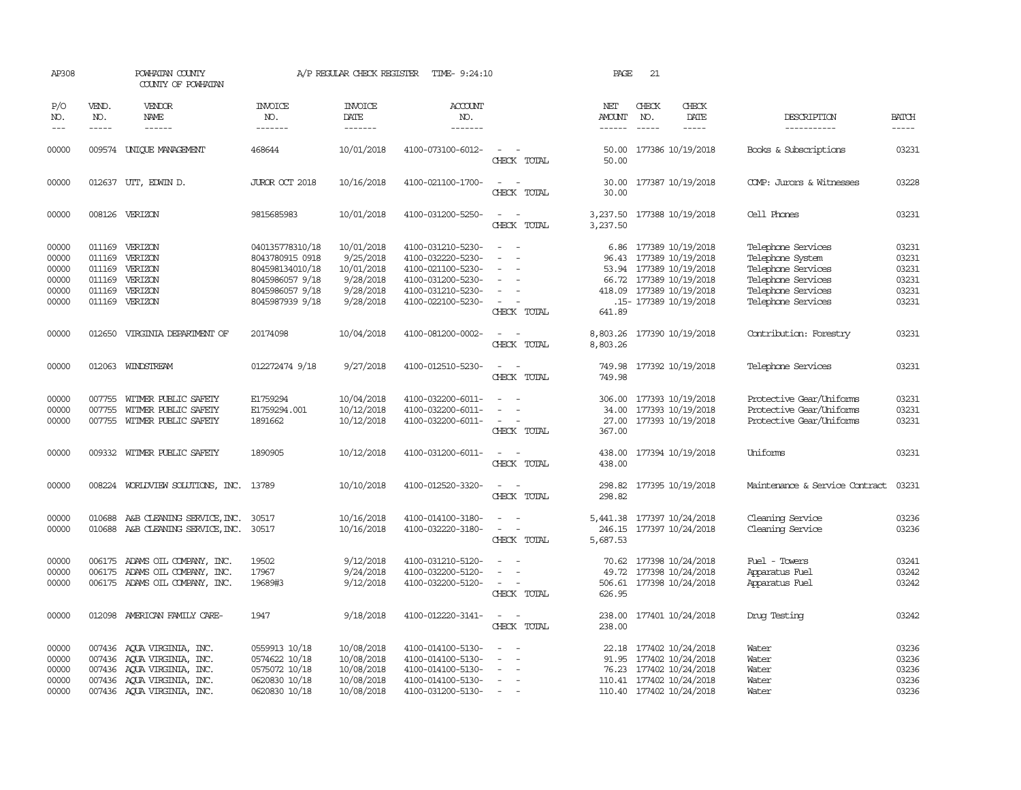| AP308                                              |                             | POWHATAN COUNTY<br>COUNTY OF POWHATAN                                                                                                              |                                                                                                                | A/P REGULAR CHECK REGISTER                                                   | TIME- 9:24:10                                                                                                              |                                                                                                                             | PAGE                           | 21                            |                                                                                                                                                         |                                                                                                                                |                                                    |
|----------------------------------------------------|-----------------------------|----------------------------------------------------------------------------------------------------------------------------------------------------|----------------------------------------------------------------------------------------------------------------|------------------------------------------------------------------------------|----------------------------------------------------------------------------------------------------------------------------|-----------------------------------------------------------------------------------------------------------------------------|--------------------------------|-------------------------------|---------------------------------------------------------------------------------------------------------------------------------------------------------|--------------------------------------------------------------------------------------------------------------------------------|----------------------------------------------------|
| P/O<br>NO.<br>$\frac{1}{2}$                        | VEND.<br>NO.<br>$- - - - -$ | VENDOR<br><b>NAME</b><br>$- - - - - -$                                                                                                             | <b>INVOICE</b><br>NO.<br>-------                                                                               | <b>INVOICE</b><br><b>DATE</b><br>-------                                     | <b>ACCOUNT</b><br>NO.<br>-------                                                                                           |                                                                                                                             | NET<br>AMOUNT<br>$- - - - - -$ | CHECK<br>NO.<br>$\frac{1}{2}$ | CHECK<br>DATE<br>$- - - - -$                                                                                                                            | DESCRIPTION<br>-----------                                                                                                     | <b>BATCH</b><br>-----                              |
| 00000                                              |                             | 009574 UNIQUE MANAGEMENT                                                                                                                           | 468644                                                                                                         | 10/01/2018                                                                   | 4100-073100-6012-                                                                                                          | $\sim$<br>CHECK TOTAL                                                                                                       | 50.00<br>50.00                 |                               | 177386 10/19/2018                                                                                                                                       | Books & Subscriptions                                                                                                          | 03231                                              |
| 00000                                              |                             | 012637 UTT, EDWIN D.                                                                                                                               | JUROR OCT 2018                                                                                                 | 10/16/2018                                                                   | 4100-021100-1700-                                                                                                          | $\overline{\phantom{a}}$<br>CHECK TOTAL                                                                                     | 30.00<br>30.00                 |                               | 177387 10/19/2018                                                                                                                                       | COMP: Jurors & Witnesses                                                                                                       | 03228                                              |
| 00000                                              |                             | 008126 VERIZON                                                                                                                                     | 9815685983                                                                                                     | 10/01/2018                                                                   | 4100-031200-5250-                                                                                                          | $\sim$ $-$<br>$\sim$<br>CHECK TOTAL                                                                                         | 3,237.50                       |                               | 3,237.50 177388 10/19/2018                                                                                                                              | Cell Phones                                                                                                                    | 03231                                              |
| 00000<br>00000<br>00000<br>00000<br>00000<br>00000 | 011169<br>011169            | 011169 VERIZON<br>VERIZON<br>011169 VERIZON<br>VERIZON<br>011169 VERIZON<br>011169 VERIZON                                                         | 040135778310/18<br>8043780915 0918<br>804598134010/18<br>8045986057 9/18<br>8045986057 9/18<br>8045987939 9/18 | 10/01/2018<br>9/25/2018<br>10/01/2018<br>9/28/2018<br>9/28/2018<br>9/28/2018 | 4100-031210-5230-<br>4100-032220-5230-<br>4100-021100-5230-<br>4100-031200-5230-<br>4100-031210-5230-<br>4100-022100-5230- | $\sim$<br>- 11<br>$\equiv$<br>$\sim$<br>$\overline{\phantom{a}}$<br>CHECK TOTAL                                             | 96.43<br>641.89                |                               | 6.86 177389 10/19/2018<br>177389 10/19/2018<br>53.94 177389 10/19/2018<br>66.72 177389 10/19/2018<br>418.09 177389 10/19/2018<br>.15- 177389 10/19/2018 | Telephone Services<br>Telephone System<br>Telephone Services<br>Telephone Services<br>Telephone Services<br>Telephone Services | 03231<br>03231<br>03231<br>03231<br>03231<br>03231 |
| 00000                                              | 012650                      | VIRGINIA DEPARIMENT OF                                                                                                                             | 20174098                                                                                                       | 10/04/2018                                                                   | 4100-081200-0002-                                                                                                          | $\sim$<br>CHECK TOTAL                                                                                                       | 8,803.26<br>8,803.26           |                               | 177390 10/19/2018                                                                                                                                       | Contribution: Forestry                                                                                                         | 03231                                              |
| 00000                                              |                             | 012063 WINDSTREAM                                                                                                                                  | 012272474 9/18                                                                                                 | 9/27/2018                                                                    | 4100-012510-5230-                                                                                                          | $\sim$<br>CHECK TOTAL                                                                                                       | 749.98                         |                               | 749.98 177392 10/19/2018                                                                                                                                | Telephone Services                                                                                                             | 03231                                              |
| 00000<br>00000<br>00000                            | 007755                      | 007755 WITMER PUBLIC SAFETY<br>WITMER PUBLIC SAFETY<br>007755 WITMER PUBLIC SAFETY                                                                 | E1759294<br>E1759294.001<br>1891662                                                                            | 10/04/2018<br>10/12/2018<br>10/12/2018                                       | 4100-032200-6011-<br>4100-032200-6011-<br>4100-032200-6011-                                                                | $\sim$<br>CHECK TOTAL                                                                                                       | 34.00<br>367.00                |                               | 306.00 177393 10/19/2018<br>177393 10/19/2018<br>27.00 177393 10/19/2018                                                                                | Protective Gear/Uniforms<br>Protective Gear/Uniforms<br>Protective Gear/Uniforms                                               | 03231<br>03231<br>03231                            |
| 00000                                              | 009332                      | WITMER PUBLIC SAFETY                                                                                                                               | 1890905                                                                                                        | 10/12/2018                                                                   | 4100-031200-6011-                                                                                                          | CHECK TOTAL                                                                                                                 | 438.00<br>438.00               |                               | 177394 10/19/2018                                                                                                                                       | Uniforms                                                                                                                       | 03231                                              |
| 00000                                              |                             | 008224 WORLDVIEW SOLUTIONS, INC. 13789                                                                                                             |                                                                                                                | 10/10/2018                                                                   | 4100-012520-3320-                                                                                                          | $\sim$<br>CHECK TOTAL                                                                                                       | 298.82<br>298.82               |                               | 177395 10/19/2018                                                                                                                                       | Maintenance & Service Contract                                                                                                 | 03231                                              |
| 00000<br>00000                                     |                             | 010688 A&B CLEANING SERVICE, INC.<br>010688 A&B CLEANING SERVICE, INC.                                                                             | 30517<br>30517                                                                                                 | 10/16/2018<br>10/16/2018                                                     | 4100-014100-3180-<br>4100-032220-3180-                                                                                     | $\overline{\phantom{a}}$<br>$\sim$<br>$\overline{\phantom{a}}$<br>CHECK TOTAL                                               | 5,687.53                       |                               | 5,441.38 177397 10/24/2018<br>246.15 177397 10/24/2018                                                                                                  | Cleaning Service<br>Cleaning Service                                                                                           | 03236<br>03236                                     |
| 00000<br>00000<br>00000                            |                             | 006175 ADAMS OIL COMPANY, INC.<br>006175 ADAMS OIL COMPANY, INC.<br>006175 ADAMS OIL COMPANY, INC.                                                 | 19502<br>17967<br>19689#3                                                                                      | 9/12/2018<br>9/24/2018<br>9/12/2018                                          | 4100-031210-5120-<br>4100-032200-5120-<br>4100-032200-5120-                                                                | $\equiv$<br>$\overline{\phantom{a}}$<br>CHECK TOTAL                                                                         | 626.95                         |                               | 70.62 177398 10/24/2018<br>49.72 177398 10/24/2018<br>506.61 177398 10/24/2018                                                                          | Fuel - Towers<br>Apparatus Fuel<br>Apparatus Fuel                                                                              | 03241<br>03242<br>03242                            |
| 00000                                              |                             | 012098 AMERICAN FAMILY CARE-                                                                                                                       | 1947                                                                                                           | 9/18/2018                                                                    | 4100-012220-3141-                                                                                                          | $\frac{1}{2} \left( \frac{1}{2} \right) \left( \frac{1}{2} \right) = \frac{1}{2} \left( \frac{1}{2} \right)$<br>CHECK TOTAL | 238.00                         |                               | 238.00 177401 10/24/2018                                                                                                                                | Drug Testing                                                                                                                   | 03242                                              |
| 00000<br>00000<br>00000<br>00000<br>00000          |                             | 007436 AQUA VIRGINIA, INC.<br>007436 AQUA VIRGINIA, INC.<br>007436 AQUA VIRGINIA, INC.<br>007436 AQUA VIRGINIA, INC.<br>007436 AQUA VIRGINIA, INC. | 0559913 10/18<br>0574622 10/18<br>0575072 10/18<br>0620830 10/18<br>0620830 10/18                              | 10/08/2018<br>10/08/2018<br>10/08/2018<br>10/08/2018<br>10/08/2018           | 4100-014100-5130-<br>4100-014100-5130-<br>4100-014100-5130-<br>4100-014100-5130-<br>4100-031200-5130-                      | $\overline{\phantom{a}}$<br>$\sim$<br>$\overline{\phantom{a}}$<br>$\sim$                                                    |                                |                               | 22.18 177402 10/24/2018<br>91.95 177402 10/24/2018<br>76.23 177402 10/24/2018<br>110.41 177402 10/24/2018<br>110.40 177402 10/24/2018                   | Water<br>Water<br>Water<br>Water<br>Water                                                                                      | 03236<br>03236<br>03236<br>03236<br>03236          |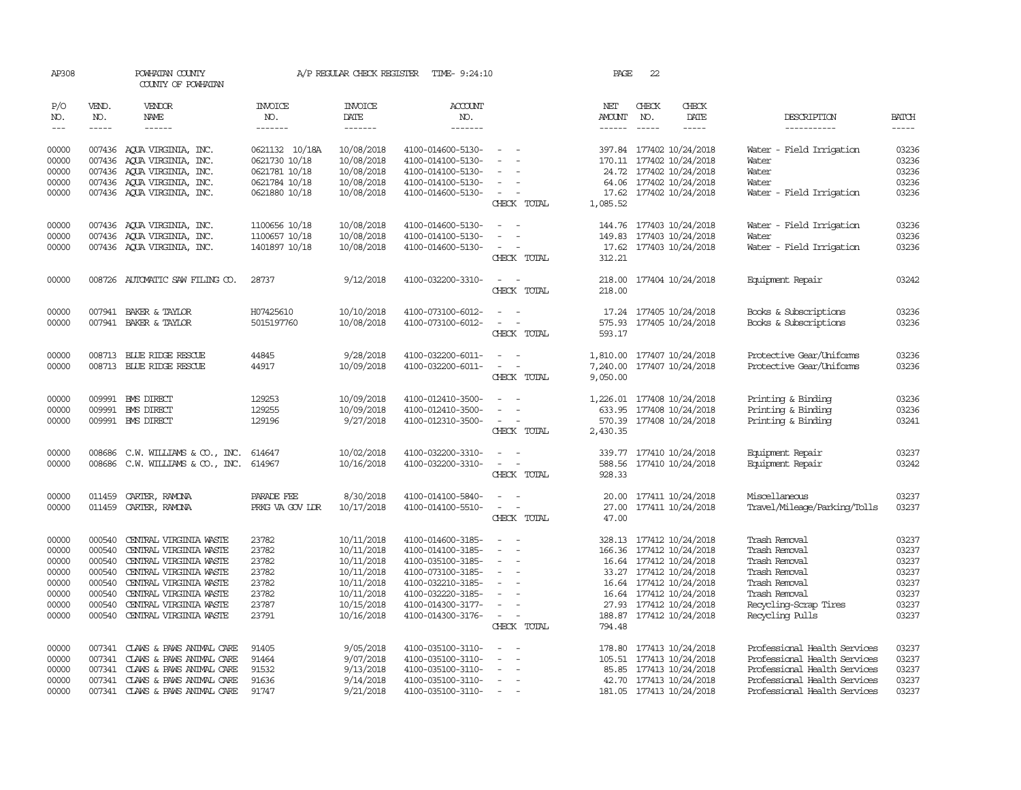| AP308                                                                |                                                                    | POWHATAN COUNTY<br>COUNTY OF POWHATAN                                                                                                                                                                               |                                                                      | A/P REGULAR CHECK REGISTER                                                                                   | TIME- 9:24:10                                                                                                                                                        |                                                                                                                                                               | PAGE                             | 22                            |                                                                                                                                                                                                             |                                                                                                                                                              |                                                                      |
|----------------------------------------------------------------------|--------------------------------------------------------------------|---------------------------------------------------------------------------------------------------------------------------------------------------------------------------------------------------------------------|----------------------------------------------------------------------|--------------------------------------------------------------------------------------------------------------|----------------------------------------------------------------------------------------------------------------------------------------------------------------------|---------------------------------------------------------------------------------------------------------------------------------------------------------------|----------------------------------|-------------------------------|-------------------------------------------------------------------------------------------------------------------------------------------------------------------------------------------------------------|--------------------------------------------------------------------------------------------------------------------------------------------------------------|----------------------------------------------------------------------|
| P/O<br>NO.<br>$---$                                                  | VEND.<br>NO.<br>$- - - - -$                                        | <b>VENDOR</b><br>NAME<br>$- - - - - -$                                                                                                                                                                              | <b>INVOICE</b><br>NO.<br>-------                                     | <b>INVOICE</b><br>DATE<br>-------                                                                            | ACCOUNT<br>NO.<br>-------                                                                                                                                            |                                                                                                                                                               | NET<br><b>AMOUNT</b><br>------   | CHECK<br>NO.<br>$\frac{1}{2}$ | CHECK<br>DATE<br>$- - - - -$                                                                                                                                                                                | DESCRIPTION<br>-----------                                                                                                                                   | <b>BATCH</b><br>$- - - - -$                                          |
| 00000<br>00000<br>00000                                              | 007436                                                             | 007436 AOUA VIRGINIA, INC.<br>AQUA VIRGINIA, INC.<br>007436 AOUA VIRGINIA, INC.                                                                                                                                     | 0621132 10/18A<br>0621730 10/18<br>0621781 10/18                     | 10/08/2018<br>10/08/2018<br>10/08/2018                                                                       | 4100-014600-5130-<br>4100-014100-5130-<br>4100-014100-5130-                                                                                                          | $\sim$ 100 $\sim$<br>$\overline{\phantom{a}}$                                                                                                                 | 170.11                           |                               | 397.84 177402 10/24/2018<br>177402 10/24/2018<br>24.72 177402 10/24/2018                                                                                                                                    | - Field Irrigation<br>Water<br>Water<br>Water                                                                                                                | 03236<br>03236<br>03236                                              |
| 00000<br>00000                                                       |                                                                    | 007436 AQUA VIRGINIA, INC.<br>007436 AQUA VIRGINIA, INC.                                                                                                                                                            | 0621784 10/18<br>0621880 10/18                                       | 10/08/2018<br>10/08/2018                                                                                     | 4100-014100-5130-<br>4100-014600-5130-                                                                                                                               | $\sim$<br>$\sim$<br>CHECK TOTAL                                                                                                                               | 17.62<br>1,085.52                |                               | 64.06 177402 10/24/2018<br>177402 10/24/2018                                                                                                                                                                | Water<br>Water - Field Irrigation                                                                                                                            | 03236<br>03236                                                       |
| 00000<br>00000<br>00000                                              |                                                                    | 007436 AQUA VIRGINIA, INC.<br>007436 AQUA VIRGINIA, INC.<br>007436 AQUA VIRGINIA, INC.                                                                                                                              | 1100656 10/18<br>1100657 10/18<br>1401897 10/18                      | 10/08/2018<br>10/08/2018<br>10/08/2018                                                                       | 4100-014600-5130-<br>4100-014100-5130-<br>4100-014600-5130-                                                                                                          | $\equiv$<br>$\sim$<br>CHECK TOTAL                                                                                                                             | 144.76<br>149.83<br>312.21       |                               | 177403 10/24/2018<br>177403 10/24/2018<br>17.62 177403 10/24/2018                                                                                                                                           | Water - Field Irrigation<br>Water<br>Water - Field Irrigation                                                                                                | 03236<br>03236<br>03236                                              |
| 00000                                                                |                                                                    | 008726 AUTOMATIC SAW FILING CO.                                                                                                                                                                                     | 28737                                                                | 9/12/2018                                                                                                    | 4100-032200-3310-                                                                                                                                                    | $\sim$<br>$\overline{\phantom{a}}$<br>CHECK TOTAL                                                                                                             | 218.00                           |                               | 218.00 177404 10/24/2018                                                                                                                                                                                    | Equipment Repair                                                                                                                                             | 03242                                                                |
| 00000<br>00000                                                       |                                                                    | 007941 BAKER & TAYLOR<br>007941 BAKER & TAYLOR                                                                                                                                                                      | H07425610<br>5015197760                                              | 10/10/2018<br>10/08/2018                                                                                     | 4100-073100-6012-<br>4100-073100-6012-                                                                                                                               | CHECK TOTAL                                                                                                                                                   | 575.93<br>593.17                 |                               | 17.24 177405 10/24/2018<br>177405 10/24/2018                                                                                                                                                                | Books & Subscriptions<br>Books & Subscriptions                                                                                                               | 03236<br>03236                                                       |
| 00000<br>00000                                                       |                                                                    | 008713 BLUE RIDGE RESCUE<br>008713 BLUE RIDGE RESCUE                                                                                                                                                                | 44845<br>44917                                                       | 9/28/2018<br>10/09/2018                                                                                      | 4100-032200-6011-<br>4100-032200-6011-                                                                                                                               | $\sim$<br>$\overline{\phantom{a}}$<br>CHECK TOTAL                                                                                                             | 1,810.00<br>7,240.00<br>9,050.00 |                               | 177407 10/24/2018<br>177407 10/24/2018                                                                                                                                                                      | Protective Gear/Uniforms<br>Protective Gear/Uniforms                                                                                                         | 03236<br>03236                                                       |
| 00000<br>00000<br>00000                                              |                                                                    | 009991 BMS DIRECT<br>009991 BMS DIRECT<br>009991 BMS DIRECT                                                                                                                                                         | 129253<br>129255<br>129196                                           | 10/09/2018<br>10/09/2018<br>9/27/2018                                                                        | 4100-012410-3500-<br>4100-012410-3500-<br>4100-012310-3500-                                                                                                          | $\equiv$<br>$\overline{\phantom{a}}$<br>$\overline{\phantom{a}}$<br>CHECK TOTAL                                                                               | 1,226.01<br>570.39<br>2,430.35   |                               | 177408 10/24/2018<br>633.95 177408 10/24/2018<br>177408 10/24/2018                                                                                                                                          | Printing & Binding<br>Printing & Binding<br>Printing & Binding                                                                                               | 03236<br>03236<br>03241                                              |
| 00000<br>00000                                                       | 008686                                                             | C.W. WILLIAMS & CO., INC.<br>008686 C.W. WILLIAMS & CO., INC.                                                                                                                                                       | 614647<br>614967                                                     | 10/02/2018<br>10/16/2018                                                                                     | 4100-032200-3310-<br>4100-032200-3310-                                                                                                                               | $\sim$<br>$\sim$<br>$\sim$<br>$\sim$<br>CHECK TOTAL                                                                                                           | 339.77<br>928.33                 |                               | 177410 10/24/2018<br>588.56 177410 10/24/2018                                                                                                                                                               | Equipment Repair<br>Equipment Repair                                                                                                                         | 03237<br>03242                                                       |
| 00000<br>00000                                                       | 011459<br>011459                                                   | CARTER, RAMONA<br>CARTER, RAMONA                                                                                                                                                                                    | PARADE FEE<br>PRKG VA GOV LDR                                        | 8/30/2018<br>10/17/2018                                                                                      | 4100-014100-5840-<br>4100-014100-5510-                                                                                                                               | $\equiv$<br>CHECK TOTAL                                                                                                                                       | 20.00<br>47.00                   |                               | 177411 10/24/2018<br>27.00 177411 10/24/2018                                                                                                                                                                | Miscellaneous<br>Travel/Mileage/Parking/Tolls                                                                                                                | 03237<br>03237                                                       |
| 00000<br>00000<br>00000<br>00000<br>00000<br>00000<br>00000<br>00000 | 000540<br>000540<br>000540<br>000540<br>000540<br>000540<br>000540 | CENTRAL VIRGINIA WASTE<br>CENTRAL VIRGINIA WASTE<br>CENTRAL VIRGINIA WASTE<br>CENTRAL VIRGINIA WASTE<br>CENTRAL VIRGINIA WASTE<br>CENTRAL VIRGINIA WASTE<br>CENTRAL VIRGINIA WASTE<br>000540 CENTRAL VIRGINIA WASTE | 23782<br>23782<br>23782<br>23782<br>23782<br>23782<br>23787<br>23791 | 10/11/2018<br>10/11/2018<br>10/11/2018<br>10/11/2018<br>10/11/2018<br>10/11/2018<br>10/15/2018<br>10/16/2018 | 4100-014600-3185-<br>4100-014100-3185-<br>4100-035100-3185-<br>4100-073100-3185-<br>4100-032210-3185-<br>4100-032220-3185-<br>4100-014300-3177-<br>4100-014300-3176- | $\equiv$<br>$\overline{\phantom{a}}$<br>$\overline{\phantom{a}}$<br>$\overline{\phantom{a}}$<br>$\equiv$<br>$\sim$<br>$\overline{\phantom{a}}$<br>CHECK TOTAL | 33.27<br>27.93<br>794.48         |                               | 328.13 177412 10/24/2018<br>166.36 177412 10/24/2018<br>16.64 177412 10/24/2018<br>177412 10/24/2018<br>16.64 177412 10/24/2018<br>16.64 177412 10/24/2018<br>177412 10/24/2018<br>188.87 177412 10/24/2018 | Trash Removal<br>Trash Removal<br>Trash Removal<br>Trash Removal<br>Trash Removal<br>Trash Removal<br>Recycling-Scrap Tires<br>Recycling Pulls               | 03237<br>03237<br>03237<br>03237<br>03237<br>03237<br>03237<br>03237 |
| 00000<br>00000<br>00000<br>00000<br>00000                            | 007341<br>007341                                                   | CLAWS & PAWS ANIMAL CARE<br>CLAWS & PAWS ANIMAL CARE<br>007341 CLAWS & PAWS ANIMAL CARE<br>007341 CLAWS & PAWS ANIMAL CARE<br>007341 CLAWS & PAWS ANIMAL CARE                                                       | 91405<br>91464<br>91532<br>91636<br>91747                            | 9/05/2018<br>9/07/2018<br>9/13/2018<br>9/14/2018<br>9/21/2018                                                | 4100-035100-3110-<br>4100-035100-3110-<br>4100-035100-3110-<br>4100-035100-3110-<br>4100-035100-3110-                                                                | $\equiv$<br>$\equiv$<br>$\overline{\phantom{a}}$                                                                                                              | 178.80<br>105.51                 |                               | 177413 10/24/2018<br>177413 10/24/2018<br>85.85 177413 10/24/2018<br>42.70 177413 10/24/2018<br>181.05 177413 10/24/2018                                                                                    | Professional Health Services<br>Professional Health Services<br>Professional Health Services<br>Professional Health Services<br>Professional Health Services | 03237<br>03237<br>03237<br>03237<br>03237                            |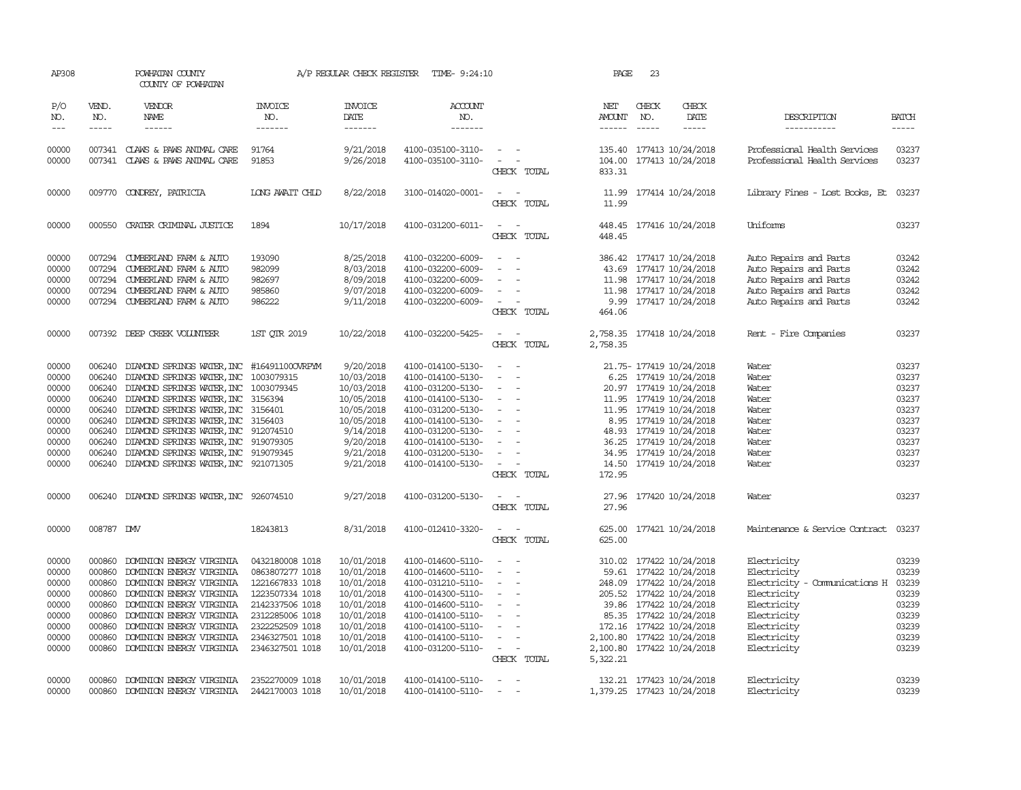| AP308                                                                                  |                                                                                                  | POWHATAN COUNTY<br>COUNTY OF POWHATAN                                                                                                                                                                                                                                                                                                                                                                          |                                                                                                                                                                         | A/P REGULAR CHECK REGISTER                                                                                                          | TIME- 9:24:10                                                                                                                                                                                                  |                                                                                                                                                                                                                                                                       | PAGE                              | 23                          |                                                                                                                                                                                                                                                           |                                                                                                                                                       |                                                                                        |
|----------------------------------------------------------------------------------------|--------------------------------------------------------------------------------------------------|----------------------------------------------------------------------------------------------------------------------------------------------------------------------------------------------------------------------------------------------------------------------------------------------------------------------------------------------------------------------------------------------------------------|-------------------------------------------------------------------------------------------------------------------------------------------------------------------------|-------------------------------------------------------------------------------------------------------------------------------------|----------------------------------------------------------------------------------------------------------------------------------------------------------------------------------------------------------------|-----------------------------------------------------------------------------------------------------------------------------------------------------------------------------------------------------------------------------------------------------------------------|-----------------------------------|-----------------------------|-----------------------------------------------------------------------------------------------------------------------------------------------------------------------------------------------------------------------------------------------------------|-------------------------------------------------------------------------------------------------------------------------------------------------------|----------------------------------------------------------------------------------------|
| P/O<br>NO.<br>$---$                                                                    | VEND.<br>NO.<br>$\frac{1}{2}$                                                                    | VENDOR<br>NAME<br>$- - - - - -$                                                                                                                                                                                                                                                                                                                                                                                | <b>INVOICE</b><br>NO.<br>-------                                                                                                                                        | <b>INVOICE</b><br>DATE<br>-------                                                                                                   | <b>ACCOUNT</b><br>NO.<br>-------                                                                                                                                                                               |                                                                                                                                                                                                                                                                       | NET<br>AMOUNT<br>------           | CHECK<br>NO.<br>$- - - - -$ | CHECK<br>DATE<br>-----                                                                                                                                                                                                                                    | DESCRIPTION<br>------------                                                                                                                           | <b>BATCH</b><br>-----                                                                  |
| 00000<br>00000                                                                         |                                                                                                  | 007341 CLAWS & PAWS ANIMAL CARE<br>007341 CLAWS & PAWS ANIMAL CARE                                                                                                                                                                                                                                                                                                                                             | 91764<br>91853                                                                                                                                                          | 9/21/2018<br>9/26/2018                                                                                                              | 4100-035100-3110-<br>4100-035100-3110-                                                                                                                                                                         | $\sim$<br>$\overline{\phantom{a}}$<br>CHECK TOTAL                                                                                                                                                                                                                     | 104.00<br>833.31                  |                             | 135.40 177413 10/24/2018<br>177413 10/24/2018                                                                                                                                                                                                             | Professional Health Services<br>Professional Health Services                                                                                          | 03237<br>03237                                                                         |
| 00000                                                                                  | 009770                                                                                           | CONDREY, PATRICIA                                                                                                                                                                                                                                                                                                                                                                                              | LONG AWAIT CHID                                                                                                                                                         | 8/22/2018                                                                                                                           | 3100-014020-0001-                                                                                                                                                                                              | $\sim$<br>CHECK TOTAL                                                                                                                                                                                                                                                 | 11.99<br>11.99                    |                             | 177414 10/24/2018                                                                                                                                                                                                                                         | Library Fines - Lost Books, Et                                                                                                                        | 03237                                                                                  |
| 00000                                                                                  | 000550                                                                                           | CRATER CRIMINAL JUSTICE                                                                                                                                                                                                                                                                                                                                                                                        | 1894                                                                                                                                                                    | 10/17/2018                                                                                                                          | 4100-031200-6011-                                                                                                                                                                                              | $\sim$<br>CHECK TOTAL                                                                                                                                                                                                                                                 | 448.45<br>448.45                  |                             | 177416 10/24/2018                                                                                                                                                                                                                                         | Uniforms                                                                                                                                              | 03237                                                                                  |
| 00000<br>00000<br>00000<br>00000<br>00000                                              | 007294<br>007294<br>007294<br>007294<br>007294                                                   | CUMBERLAND FARM & AUTO<br>CUMBERLAND FARM & AUTO<br>CUMBERLAND FARM & AUTO<br>CUMBERLAND FARM & AUTO<br>CUMBERLAND FARM & AUTO                                                                                                                                                                                                                                                                                 | 193090<br>982099<br>982697<br>985860<br>986222                                                                                                                          | 8/25/2018<br>8/03/2018<br>8/09/2018<br>9/07/2018<br>9/11/2018                                                                       | 4100-032200-6009-<br>4100-032200-6009-<br>4100-032200-6009-<br>4100-032200-6009-<br>4100-032200-6009-                                                                                                          | $\sim$<br>$\overline{\phantom{a}}$<br>$\equiv$<br>$\overline{\phantom{a}}$<br>$\sim$<br>$\overline{\phantom{a}}$<br>$\sim$<br>$\overline{a}$<br>CHECK TOTAL                                                                                                           | 464.06                            |                             | 386.42 177417 10/24/2018<br>43.69 177417 10/24/2018<br>11.98 177417 10/24/2018<br>11.98 177417 10/24/2018<br>9.99 177417 10/24/2018                                                                                                                       | Auto Repairs and Parts<br>Auto Repairs and Parts<br>Auto Repairs and Parts<br>Auto Repairs and Parts<br>Auto Repairs and Parts                        | 03242<br>03242<br>03242<br>03242<br>03242                                              |
| 00000                                                                                  |                                                                                                  | 007392 DEEP CREEK VOLUNTEER                                                                                                                                                                                                                                                                                                                                                                                    | 1ST QTR 2019                                                                                                                                                            | 10/22/2018                                                                                                                          | 4100-032200-5425-                                                                                                                                                                                              | $\equiv$<br>$\sim$<br>CHECK TOTAL                                                                                                                                                                                                                                     | 2,758.35                          |                             | 2,758.35 177418 10/24/2018                                                                                                                                                                                                                                | Rent - Fire Companies                                                                                                                                 | 03237                                                                                  |
| 00000<br>00000<br>00000<br>00000<br>00000<br>00000<br>00000<br>00000<br>00000<br>00000 | 006240<br>006240<br>006240<br>006240<br>006240<br>006240<br>006240<br>006240<br>006240<br>006240 | DIAMOND SPRINGS WATER, INC #16491100OVRPYM<br>DIAMOND SPRINGS WATER, INC 1003079315<br>DIAMOND SPRINGS WATER, INC 1003079345<br>DIAMOND SPRINGS WATER, INC 3156394<br>DIAMOND SPRINGS WATER, INC 3156401<br>DIAMOND SPRINGS WATER, INC 3156403<br>DIAMOND SPRINGS WATER, INC 912074510<br>DIAMOND SPRINGS WATER, INC 919079305<br>DIAMOND SPRINGS WATER, INC 919079345<br>DIAMOND SPRINGS WATER, INC 921071305 |                                                                                                                                                                         | 9/20/2018<br>10/03/2018<br>10/03/2018<br>10/05/2018<br>10/05/2018<br>10/05/2018<br>9/14/2018<br>9/20/2018<br>9/21/2018<br>9/21/2018 | 4100-014100-5130-<br>4100-014100-5130-<br>4100-031200-5130-<br>4100-014100-5130-<br>4100-031200-5130-<br>4100-014100-5130-<br>4100-031200-5130-<br>4100-014100-5130-<br>4100-031200-5130-<br>4100-014100-5130- | $\sim$<br>$\sim$<br>$\sim$<br>$\sim$<br>$\sim$<br>$\overline{\phantom{a}}$<br>$\sim$<br>$\equiv$<br>$\overline{\phantom{a}}$<br>$\overline{\phantom{a}}$<br>$\overline{\phantom{a}}$<br>$\overline{\phantom{a}}$<br>$\sim$<br>$\overline{\phantom{a}}$<br>CHECK TOTAL | 48.93<br>36.25<br>14.50<br>172.95 |                             | 21.75- 177419 10/24/2018<br>6.25 177419 10/24/2018<br>20.97 177419 10/24/2018<br>11.95 177419 10/24/2018<br>11.95 177419 10/24/2018<br>8.95 177419 10/24/2018<br>177419 10/24/2018<br>177419 10/24/2018<br>34.95 177419 10/24/2018<br>177419 10/24/2018   | Water<br>Water<br>Water<br>Water<br>Water<br>Water<br>Water<br>Water<br>Water<br>Water                                                                | 03237<br>03237<br>03237<br>03237<br>03237<br>03237<br>03237<br>03237<br>03237<br>03237 |
| 00000                                                                                  | 006240                                                                                           | DIAMOND SPRINGS WATER, INC 926074510                                                                                                                                                                                                                                                                                                                                                                           |                                                                                                                                                                         | 9/27/2018                                                                                                                           | 4100-031200-5130-                                                                                                                                                                                              | $\sim$<br>CHECK TOTAL                                                                                                                                                                                                                                                 | 27.96<br>27.96                    |                             | 177420 10/24/2018                                                                                                                                                                                                                                         | Water                                                                                                                                                 | 03237                                                                                  |
| 00000                                                                                  | 008787 DW                                                                                        |                                                                                                                                                                                                                                                                                                                                                                                                                | 18243813                                                                                                                                                                | 8/31/2018                                                                                                                           | 4100-012410-3320-                                                                                                                                                                                              | $\equiv$<br>$\overline{\phantom{a}}$<br>CHECK TOTAL                                                                                                                                                                                                                   | 625.00<br>625.00                  |                             | 177421 10/24/2018                                                                                                                                                                                                                                         | Maintenance & Service Contract                                                                                                                        | 03237                                                                                  |
| 00000<br>00000<br>00000<br>00000<br>00000<br>00000<br>00000<br>00000<br>00000          | 000860<br>000860<br>000860<br>000860<br>000860<br>000860<br>000860<br>000860<br>000860           | DOMINION ENERGY VIRGINIA<br>DOMINION ENERGY VIRGINIA<br>DOMINION ENERGY VIRGINIA<br>DOMINION ENERGY VIRGINIA<br>DOMINION ENERGY VIRGINIA<br>DOMINION ENERGY VIRGINIA<br>DOMINION ENERGY VIRGINIA<br>DOMINION ENERGY VIRGINIA<br>DOMINION ENERGY VIRGINIA                                                                                                                                                       | 0432180008 1018<br>0863807277 1018<br>1221667833 1018<br>1223507334 1018<br>2142337506 1018<br>2312285006 1018<br>2322252509 1018<br>2346327501 1018<br>2346327501 1018 | 10/01/2018<br>10/01/2018<br>10/01/2018<br>10/01/2018<br>10/01/2018<br>10/01/2018<br>10/01/2018<br>10/01/2018<br>10/01/2018          | 4100-014600-5110-<br>4100-014600-5110-<br>4100-031210-5110-<br>4100-014300-5110-<br>4100-014600-5110-<br>4100-014100-5110-<br>4100-014100-5110-<br>4100-014100-5110-<br>4100-031200-5110-                      | $\overline{\phantom{a}}$<br>$\equiv$<br>$\overline{\phantom{a}}$<br>$\equiv$<br>$\overline{\phantom{a}}$<br>$\equiv$<br>$\equiv$<br>$\equiv$<br>$\equiv$<br>$\overline{\phantom{a}}$<br>$\sim$<br>$\sim$<br>CHECK TOTAL                                               | 5,322.21                          |                             | 310.02 177422 10/24/2018<br>59.61 177422 10/24/2018<br>248.09 177422 10/24/2018<br>205.52 177422 10/24/2018<br>39.86 177422 10/24/2018<br>85.35 177422 10/24/2018<br>172.16 177422 10/24/2018<br>2,100.80 177422 10/24/2018<br>2,100.80 177422 10/24/2018 | Electricity<br>Electricity<br>Electricity - Comunications H<br>Electricity<br>Electricity<br>Electricity<br>Electricity<br>Electricity<br>Electricity | 03239<br>03239<br>03239<br>03239<br>03239<br>03239<br>03239<br>03239<br>03239          |
| 00000<br>00000                                                                         | 000860<br>000860                                                                                 | DOMINION ENERGY VIRGINIA<br>DOMINION ENERGY VIRGINIA                                                                                                                                                                                                                                                                                                                                                           | 2352270009 1018<br>2442170003 1018                                                                                                                                      | 10/01/2018<br>10/01/2018                                                                                                            | 4100-014100-5110-<br>4100-014100-5110-                                                                                                                                                                         | $\sim$<br>$\sim$<br>$\overline{\phantom{a}}$<br>$\overline{\phantom{a}}$                                                                                                                                                                                              |                                   |                             | 132.21 177423 10/24/2018<br>1,379.25 177423 10/24/2018                                                                                                                                                                                                    | Electricity<br>Electricity                                                                                                                            | 03239<br>03239                                                                         |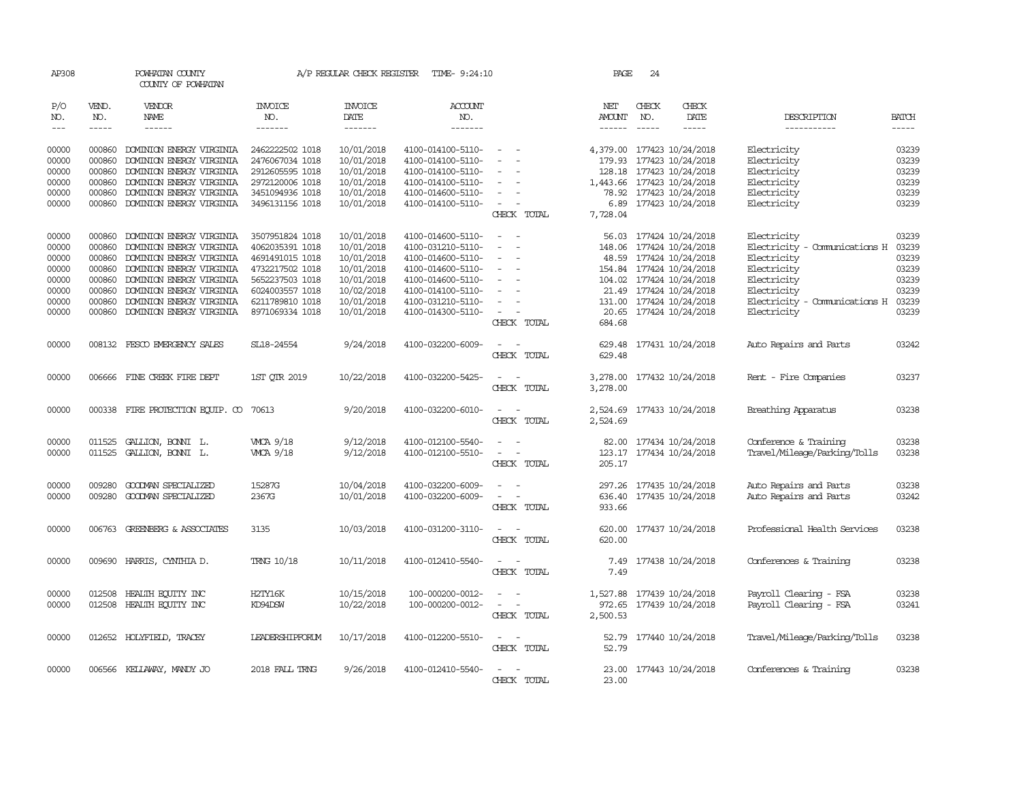| AP308               |              | POWHATAN COUNTY<br>COUNTY OF POWHATAN  |                       | A/P REGULAR CHECK REGISTER | TIME- 9:24:10     |                                                                                                              | PAGE                 | 24            |                            |                               |              |
|---------------------|--------------|----------------------------------------|-----------------------|----------------------------|-------------------|--------------------------------------------------------------------------------------------------------------|----------------------|---------------|----------------------------|-------------------------------|--------------|
| P/O<br>NO.          | VEND.<br>NO. | <b>VENDOR</b><br>NAME                  | <b>INVOICE</b><br>NO. | <b>INVOICE</b><br>DATE     | ACCOUNT<br>NO.    |                                                                                                              | NET<br><b>AMOUNT</b> | CHECK<br>NO.  | CHECK<br>DATE              | DESCRIPTION                   | <b>BATCH</b> |
| $\qquad \qquad - -$ | $- - - - -$  | $- - - - - -$                          | -------               | $- - - - - - -$            | -------           |                                                                                                              | $- - - - - -$        | $\frac{1}{2}$ | -----                      | -----------                   |              |
|                     |              |                                        |                       |                            |                   |                                                                                                              |                      |               |                            |                               |              |
| 00000               | 000860       | DOMINION ENERGY VIRGINIA               | 2462222502 1018       | 10/01/2018                 | 4100-014100-5110- | $\sim$ $\sim$                                                                                                |                      |               | 4,379.00 177423 10/24/2018 | Electricity                   | 03239        |
| 00000               | 000860       | DOMINION ENERGY VIRGINIA               | 2476067034 1018       | 10/01/2018                 | 4100-014100-5110- |                                                                                                              |                      |               | 179.93 177423 10/24/2018   | Electricity                   | 03239        |
| 00000               | 000860       | DOMINION ENERGY VIRGINIA               | 2912605595 1018       | 10/01/2018                 | 4100-014100-5110- | $\overline{\phantom{a}}$                                                                                     |                      |               | 128.18 177423 10/24/2018   | Electricity                   | 03239        |
| 00000               | 000860       | DOMINION ENERGY VIRGINIA               | 2972120006 1018       | 10/01/2018                 | 4100-014100-5110- | $\overline{\phantom{a}}$                                                                                     |                      |               | 1,443.66 177423 10/24/2018 | Electricity                   | 03239        |
| 00000               | 000860       | DOMINION ENERGY VIRGINIA               | 3451094936 1018       | 10/01/2018                 | 4100-014600-5110- | $\overline{\phantom{a}}$                                                                                     |                      |               | 78.92 177423 10/24/2018    | Electricity                   | 03239        |
| 00000               | 000860       | DOMINION ENERGY VIRGINIA               | 3496131156 1018       | 10/01/2018                 | 4100-014100-5110- | $\sim$                                                                                                       |                      |               | 6.89 177423 10/24/2018     | Electricity                   | 03239        |
|                     |              |                                        |                       |                            |                   | CHECK TOTAL                                                                                                  | 7,728.04             |               |                            |                               |              |
| 00000               | 000860       | DOMINION ENERGY VIRGINIA               | 3507951824 1018       | 10/01/2018                 | 4100-014600-5110- | $\sim$<br>$\sim$                                                                                             | 56.03                |               | 177424 10/24/2018          | Electricity                   | 03239        |
| 00000               | 000860       | DOMINION ENERGY VIRGINIA               | 4062035391 1018       | 10/01/2018                 | 4100-031210-5110- | $\overline{\phantom{a}}$<br>$\overline{\phantom{a}}$                                                         |                      |               | 148.06 177424 10/24/2018   | Electricity - Comunications H | 03239        |
| 00000               | 000860       | DOMINION ENERGY VIRGINIA               | 4691491015 1018       | 10/01/2018                 | 4100-014600-5110- | $\equiv$                                                                                                     |                      |               | 48.59 177424 10/24/2018    | Electricity                   | 03239        |
| 00000               | 000860       | DOMINION ENERGY VIRGINIA               | 4732217502 1018       | 10/01/2018                 | 4100-014600-5110- | $\sim$                                                                                                       |                      |               | 154.84 177424 10/24/2018   | Electricity                   | 03239        |
| 00000               | 000860       | DOMINION ENERGY VIRGINIA               | 5652237503 1018       | 10/01/2018                 | 4100-014600-5110- | $\overline{\phantom{a}}$<br>$\overline{a}$                                                                   |                      |               | 104.02 177424 10/24/2018   | Electricity                   | 03239        |
| 00000               | 000860       | DOMINION ENERGY VIRGINIA               | 6024003557 1018       | 10/02/2018                 | 4100-014100-5110- | $\equiv$                                                                                                     |                      |               | 21.49 177424 10/24/2018    | Electricity                   | 03239        |
| 00000               | 000860       | DOMINION ENERGY VIRGINIA               | 6211789810 1018       | 10/01/2018                 | 4100-031210-5110- | $\overline{\phantom{a}}$                                                                                     |                      |               | 131.00 177424 10/24/2018   | Electricity - Comunications H | 03239        |
| 00000               |              | 000860 DOMINION ENERGY VIRGINIA        | 8971069334 1018       | 10/01/2018                 | 4100-014300-5110- | $\sim$                                                                                                       |                      |               | 20.65 177424 10/24/2018    | Electricity                   | 03239        |
|                     |              |                                        |                       |                            |                   | CHECK TOTAL                                                                                                  | 684.68               |               |                            |                               |              |
| 00000               |              | 008132 FESCO EMERGENCY SALES           | SL18-24554            | 9/24/2018                  | 4100-032200-6009- | $\sim$<br>$\sim$                                                                                             |                      |               | 629.48 177431 10/24/2018   | Auto Repairs and Parts        | 03242        |
|                     |              |                                        |                       |                            |                   | CHECK TOTAL                                                                                                  | 629.48               |               |                            |                               |              |
| 00000               |              | 006666 FINE CREEK FIRE DEPT            | 1ST OTR 2019          | 10/22/2018                 | 4100-032200-5425- | $\overline{\phantom{0}}$                                                                                     |                      |               | 3,278.00 177432 10/24/2018 | Rent - Fire Companies         | 03237        |
|                     |              |                                        |                       |                            |                   | CHECK TOTAL                                                                                                  | 3,278.00             |               |                            |                               |              |
|                     |              |                                        |                       |                            |                   |                                                                                                              |                      |               |                            |                               |              |
| 00000               |              | 000338 FIRE PROTECTION EQUIP. CO 70613 |                       | 9/20/2018                  | 4100-032200-6010- | $\overline{\phantom{a}}$                                                                                     |                      |               | 2,524.69 177433 10/24/2018 | Breathing Apparatus           | 03238        |
|                     |              |                                        |                       |                            |                   | CHECK TOTAL                                                                                                  | 2,524.69             |               |                            |                               |              |
| 00000               |              | 011525 GALLION, BONNI L.               | <b>WCA 9/18</b>       | 9/12/2018                  | 4100-012100-5540- |                                                                                                              |                      |               | 82.00 177434 10/24/2018    | Conference & Training         | 03238        |
| 00000               | 011525       | GALLION, BONNI L.                      | <b>WCA 9/18</b>       | 9/12/2018                  | 4100-012100-5510- | $\sim$<br>$\overline{\phantom{a}}$                                                                           |                      |               | 123.17 177434 10/24/2018   | Travel/Mileage/Parking/Tolls  | 03238        |
|                     |              |                                        |                       |                            |                   | CHECK TOTAL                                                                                                  | 205.17               |               |                            |                               |              |
| 00000               | 009280       | GOODWAN SPECIALIZED                    | 15287G                | 10/04/2018                 | 4100-032200-6009- |                                                                                                              | 297.26               |               | 177435 10/24/2018          | Auto Repairs and Parts        | 03238        |
| 00000               | 009280       | GOODMAN SPECIALIZED                    | 2367G                 | 10/01/2018                 | 4100-032200-6009- | $\overline{\phantom{a}}$                                                                                     |                      |               | 636.40 177435 10/24/2018   | Auto Repairs and Parts        | 03242        |
|                     |              |                                        |                       |                            |                   | CHECK TOTAL                                                                                                  | 933.66               |               |                            |                               |              |
| 00000               | 006763       | GREENBERG & ASSOCIATES                 | 3135                  | 10/03/2018                 | 4100-031200-3110- | $\overline{\phantom{a}}$                                                                                     | 620.00               |               | 177437 10/24/2018          | Professional Health Services  | 03238        |
|                     |              |                                        |                       |                            |                   | CHECK TOTAL                                                                                                  | 620.00               |               |                            |                               |              |
|                     |              |                                        |                       |                            |                   |                                                                                                              |                      |               |                            |                               |              |
| 00000               |              | 009690 HARRIS, CYNTHIA D.              | <b>TRNG 10/18</b>     | 10/11/2018                 | 4100-012410-5540- |                                                                                                              | 7.49                 |               | 177438 10/24/2018          | Conferences & Training        | 03238        |
|                     |              |                                        |                       |                            |                   | CHECK TOTAL                                                                                                  | 7.49                 |               |                            |                               |              |
| 00000               | 012508       | HEALTH ECUTTY INC                      | H2TY16K               | 10/15/2018                 | 100-000200-0012-  |                                                                                                              | 1,527.88             |               | 177439 10/24/2018          | Payroll Clearing - FSA        | 03238        |
| 00000               |              | 012508 HEALTH EQUITY INC               | KD94DSW               | 10/22/2018                 | 100-000200-0012-  | $\frac{1}{2} \left( \frac{1}{2} \right) \left( \frac{1}{2} \right) = \frac{1}{2} \left( \frac{1}{2} \right)$ | 972.65               |               | 177439 10/24/2018          | Payroll Clearing - FSA        | 03241        |
|                     |              |                                        |                       |                            |                   | CHECK TOTAL                                                                                                  | 2,500.53             |               |                            |                               |              |
| 00000               |              | 012652 HOLYFIELD, TRACEY               | LEADERSHIPFORUM       | 10/17/2018                 | 4100-012200-5510- |                                                                                                              |                      |               |                            |                               | 03238        |
|                     |              |                                        |                       |                            |                   | CHECK TOTAL                                                                                                  | 52.79                |               | 52.79 177440 10/24/2018    | Travel/Mileage/Parking/Tolls  |              |
|                     |              |                                        |                       |                            |                   |                                                                                                              |                      |               |                            |                               |              |
| 00000               |              | 006566 KELLAWAY, MANDY JO              | 2018 FALL TRNG        | 9/26/2018                  | 4100-012410-5540- | $\overline{a}$<br>$\overline{\phantom{a}}$                                                                   |                      |               | 23.00 177443 10/24/2018    | Conferences & Training        | 03238        |
|                     |              |                                        |                       |                            |                   | CHECK TOTAL                                                                                                  | 23.00                |               |                            |                               |              |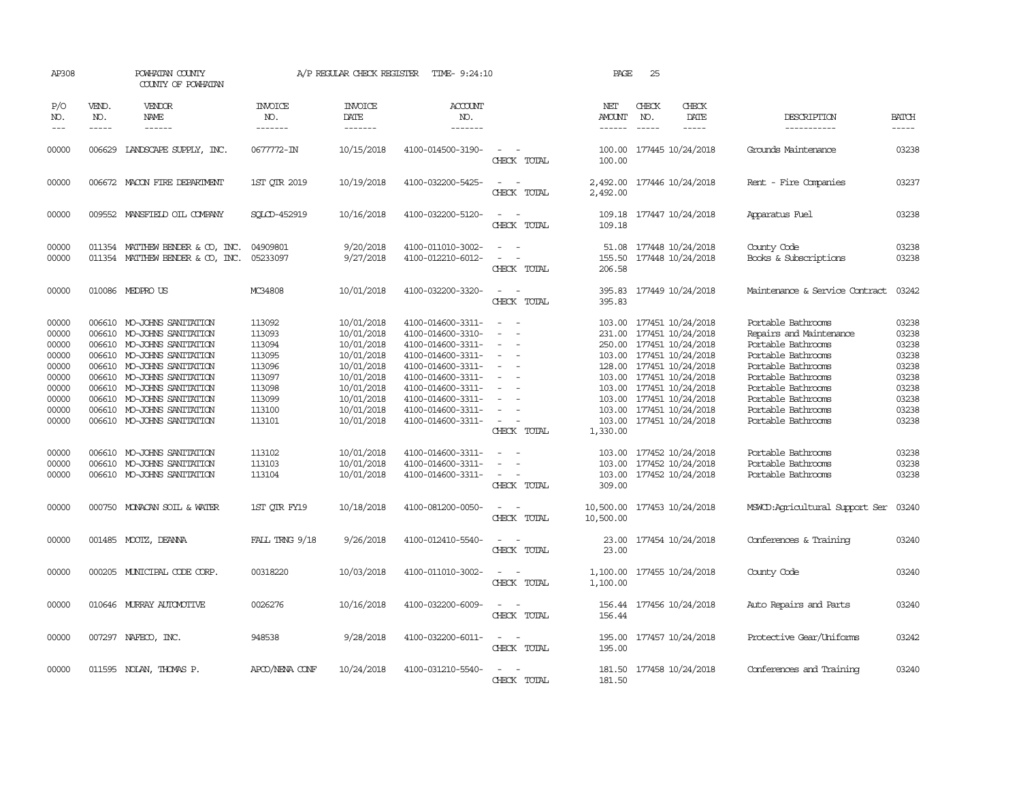| AP308                                                                                  |                  | POWHATAN COUNTY<br>COUNTY OF POWHATAN                                                                                                                                                                                                                                                      |                                                                                                  | A/P REGULAR CHECK REGISTER                                                                                                               | TIME- 9:24:10                                                                                                                                                                                                  |                                                                                                                                                                       | PAGE                           | 25                            |                                                                                                                                                                                                                                                                                      |                                                                                                                                                                                                                               |                                                                                        |
|----------------------------------------------------------------------------------------|------------------|--------------------------------------------------------------------------------------------------------------------------------------------------------------------------------------------------------------------------------------------------------------------------------------------|--------------------------------------------------------------------------------------------------|------------------------------------------------------------------------------------------------------------------------------------------|----------------------------------------------------------------------------------------------------------------------------------------------------------------------------------------------------------------|-----------------------------------------------------------------------------------------------------------------------------------------------------------------------|--------------------------------|-------------------------------|--------------------------------------------------------------------------------------------------------------------------------------------------------------------------------------------------------------------------------------------------------------------------------------|-------------------------------------------------------------------------------------------------------------------------------------------------------------------------------------------------------------------------------|----------------------------------------------------------------------------------------|
| P/O<br>NO.<br>$---$                                                                    | VEND.<br>NO.     | VENDOR<br>NAME<br>$- - - - - -$                                                                                                                                                                                                                                                            | <b>INVOICE</b><br>NO.<br>-------                                                                 | <b>INVOICE</b><br>DATE<br>$- - - - - - -$                                                                                                | <b>ACCOUNT</b><br>NO.<br>$- - - - - - -$                                                                                                                                                                       |                                                                                                                                                                       | NET<br><b>AMOUNT</b><br>------ | CHECK<br>NO.<br>$\frac{1}{2}$ | CHECK<br>DATE<br>$- - - - -$                                                                                                                                                                                                                                                         | DESCRIPTION<br>-----------                                                                                                                                                                                                    | <b>BATCH</b><br>-----                                                                  |
| 00000                                                                                  |                  | 006629 LANDSCAPE SUPPLY, INC.                                                                                                                                                                                                                                                              | 0677772-IN                                                                                       | 10/15/2018                                                                                                                               | 4100-014500-3190-                                                                                                                                                                                              | CHECK TOTAL                                                                                                                                                           | 100.00                         |                               | 100.00 177445 10/24/2018                                                                                                                                                                                                                                                             | Grounds Maintenance                                                                                                                                                                                                           | 03238                                                                                  |
| 00000                                                                                  |                  | 006672 MACON FIRE DEPARTMENT                                                                                                                                                                                                                                                               | 1ST OTR 2019                                                                                     | 10/19/2018                                                                                                                               | 4100-032200-5425-                                                                                                                                                                                              | CHECK TOTAL                                                                                                                                                           | 2,492.00<br>2,492.00           |                               | 177446 10/24/2018                                                                                                                                                                                                                                                                    | Rent - Fire Companies                                                                                                                                                                                                         | 03237                                                                                  |
| 00000                                                                                  |                  | 009552 MANSFIELD OIL COMPANY                                                                                                                                                                                                                                                               | SOLCD-452919                                                                                     | 10/16/2018                                                                                                                               | 4100-032200-5120-                                                                                                                                                                                              | $\sim$<br>CHECK TOTAL                                                                                                                                                 | 109.18<br>109.18               |                               | 177447 10/24/2018                                                                                                                                                                                                                                                                    | Apparatus Fuel                                                                                                                                                                                                                | 03238                                                                                  |
| 00000<br>00000                                                                         |                  | 011354 MATTHEW BENDER & CO, INC.<br>011354 MATTHEW BENDER & CO, INC.                                                                                                                                                                                                                       | 04909801<br>05233097                                                                             | 9/20/2018<br>9/27/2018                                                                                                                   | 4100-011010-3002-<br>4100-012210-6012-                                                                                                                                                                         | $\frac{1}{2} \left( \frac{1}{2} \right) \left( \frac{1}{2} \right) = \frac{1}{2} \left( \frac{1}{2} \right)$<br>$\sim$ $-$<br>$\overline{\phantom{a}}$<br>CHECK TOTAL | 206.58                         |                               | 51.08 177448 10/24/2018<br>155.50 177448 10/24/2018                                                                                                                                                                                                                                  | County Code<br>Books & Subscriptions                                                                                                                                                                                          | 03238<br>03238                                                                         |
| 00000                                                                                  |                  | 010086 MEDPRO US                                                                                                                                                                                                                                                                           | MC34808                                                                                          | 10/01/2018                                                                                                                               | 4100-032200-3320-                                                                                                                                                                                              | $\equiv$<br>CHECK TOTAL                                                                                                                                               | 395.83<br>395.83               |                               | 177449 10/24/2018                                                                                                                                                                                                                                                                    | Maintenance & Service Contract                                                                                                                                                                                                | 03242                                                                                  |
| 00000<br>00000<br>00000<br>00000<br>00000<br>00000<br>00000<br>00000<br>00000<br>00000 | 006610<br>006610 | MO-JOHNS SANITATION<br>MO-JOHNS SANITATION<br>006610 MO-JOHNS SANITATION<br>006610 MO-JOHNS SANITATION<br>006610 MO-JOHNS SANITATION<br>006610 MO-JOHNS SANITATION<br>006610 MO-JOHNS SANITATION<br>006610 MO-JOHNS SANITATION<br>006610 MO-JOHNS SANITATION<br>006610 MO-JOHNS SANITATION | 113092<br>113093<br>113094<br>113095<br>113096<br>113097<br>113098<br>113099<br>113100<br>113101 | 10/01/2018<br>10/01/2018<br>10/01/2018<br>10/01/2018<br>10/01/2018<br>10/01/2018<br>10/01/2018<br>10/01/2018<br>10/01/2018<br>10/01/2018 | 4100-014600-3311-<br>4100-014600-3310-<br>4100-014600-3311-<br>4100-014600-3311-<br>4100-014600-3311-<br>4100-014600-3311-<br>4100-014600-3311-<br>4100-014600-3311-<br>4100-014600-3311-<br>4100-014600-3311- | $\sim$<br>$\sim$<br>$\equiv$<br>$\sim$<br>CHECK TOTAL                                                                                                                 | 1,330.00                       |                               | 103.00 177451 10/24/2018<br>231.00 177451 10/24/2018<br>250.00 177451 10/24/2018<br>103.00 177451 10/24/2018<br>128.00 177451 10/24/2018<br>103.00 177451 10/24/2018<br>103.00 177451 10/24/2018<br>103.00 177451 10/24/2018<br>103.00 177451 10/24/2018<br>103.00 177451 10/24/2018 | Portable Bathrooms<br>Repairs and Maintenance<br>Portable Bathrooms<br>Portable Bathrooms<br>Portable Bathrooms<br>Portable Bathrooms<br>Portable Bathrooms<br>Portable Bathrooms<br>Portable Bathrooms<br>Portable Bathrooms | 03238<br>03238<br>03238<br>03238<br>03238<br>03238<br>03238<br>03238<br>03238<br>03238 |
| 00000<br>00000<br>00000                                                                |                  | 006610 MO-JOHNS SANITATION<br>006610 MO-JOHNS SANITATION<br>006610 MO-JOHNS SANITATION                                                                                                                                                                                                     | 113102<br>113103<br>113104                                                                       | 10/01/2018<br>10/01/2018<br>10/01/2018                                                                                                   | 4100-014600-3311-<br>4100-014600-3311-<br>4100-014600-3311-                                                                                                                                                    | $\overline{\phantom{a}}$<br>$\sim$ $-$<br>CHECK TOTAL                                                                                                                 | 309.00                         |                               | 103.00 177452 10/24/2018<br>103.00 177452 10/24/2018<br>103.00 177452 10/24/2018                                                                                                                                                                                                     | Portable Bathrooms<br>Portable Bathrooms<br>Portable Bathrooms                                                                                                                                                                | 03238<br>03238<br>03238                                                                |
| 00000                                                                                  |                  | 000750 MONACAN SOIL & WATER                                                                                                                                                                                                                                                                | 1ST QTR FY19                                                                                     | 10/18/2018                                                                                                                               | 4100-081200-0050-                                                                                                                                                                                              | $\frac{1}{2} \left( \frac{1}{2} \right) \left( \frac{1}{2} \right) = \frac{1}{2} \left( \frac{1}{2} \right)$<br>CHECK TOTAL                                           | 10,500.00                      |                               | 10,500.00 177453 10/24/2018                                                                                                                                                                                                                                                          | MSWCD:Agricultural Support Ser                                                                                                                                                                                                | 03240                                                                                  |
| 00000                                                                                  |                  | 001485 MOOTZ, DEANNA                                                                                                                                                                                                                                                                       | FALL TRNG 9/18                                                                                   | 9/26/2018                                                                                                                                | 4100-012410-5540-                                                                                                                                                                                              | $\sim$ $\sim$<br>CHECK TOTAL                                                                                                                                          | 23.00                          |                               | 23.00 177454 10/24/2018                                                                                                                                                                                                                                                              | Conferences & Training                                                                                                                                                                                                        | 03240                                                                                  |
| 00000                                                                                  |                  | 000205 MUNICIPAL CODE CORP.                                                                                                                                                                                                                                                                | 00318220                                                                                         | 10/03/2018                                                                                                                               | 4100-011010-3002-                                                                                                                                                                                              | $\frac{1}{2} \left( \frac{1}{2} \right) \left( \frac{1}{2} \right) = \frac{1}{2} \left( \frac{1}{2} \right)$<br>CHECK TOTAL                                           | 1,100.00                       |                               | 1,100.00 177455 10/24/2018                                                                                                                                                                                                                                                           | County Code                                                                                                                                                                                                                   | 03240                                                                                  |
| 00000                                                                                  |                  | 010646 MURRAY AUTOMOTTVE                                                                                                                                                                                                                                                                   | 0026276                                                                                          | 10/16/2018                                                                                                                               | 4100-032200-6009-                                                                                                                                                                                              | $\sim$<br>CHECK TOTAL                                                                                                                                                 | 156.44                         |                               | 156.44 177456 10/24/2018                                                                                                                                                                                                                                                             | Auto Repairs and Parts                                                                                                                                                                                                        | 03240                                                                                  |
| 00000                                                                                  |                  | 007297 NAFECO, INC.                                                                                                                                                                                                                                                                        | 948538                                                                                           | 9/28/2018                                                                                                                                | 4100-032200-6011-                                                                                                                                                                                              | $\overline{\phantom{a}}$<br>CHECK TOTAL                                                                                                                               | 195.00                         |                               | 195.00 177457 10/24/2018                                                                                                                                                                                                                                                             | Protective Gear/Uniforms                                                                                                                                                                                                      | 03242                                                                                  |
| 00000                                                                                  |                  | 011595 NOLAN, THOMAS P.                                                                                                                                                                                                                                                                    | APCO/NENA CONF                                                                                   | 10/24/2018                                                                                                                               | 4100-031210-5540-                                                                                                                                                                                              | $\overline{a}$<br>CHECK TOTAL                                                                                                                                         | 181.50                         |                               | 181.50 177458 10/24/2018                                                                                                                                                                                                                                                             | Conferences and Training                                                                                                                                                                                                      | 03240                                                                                  |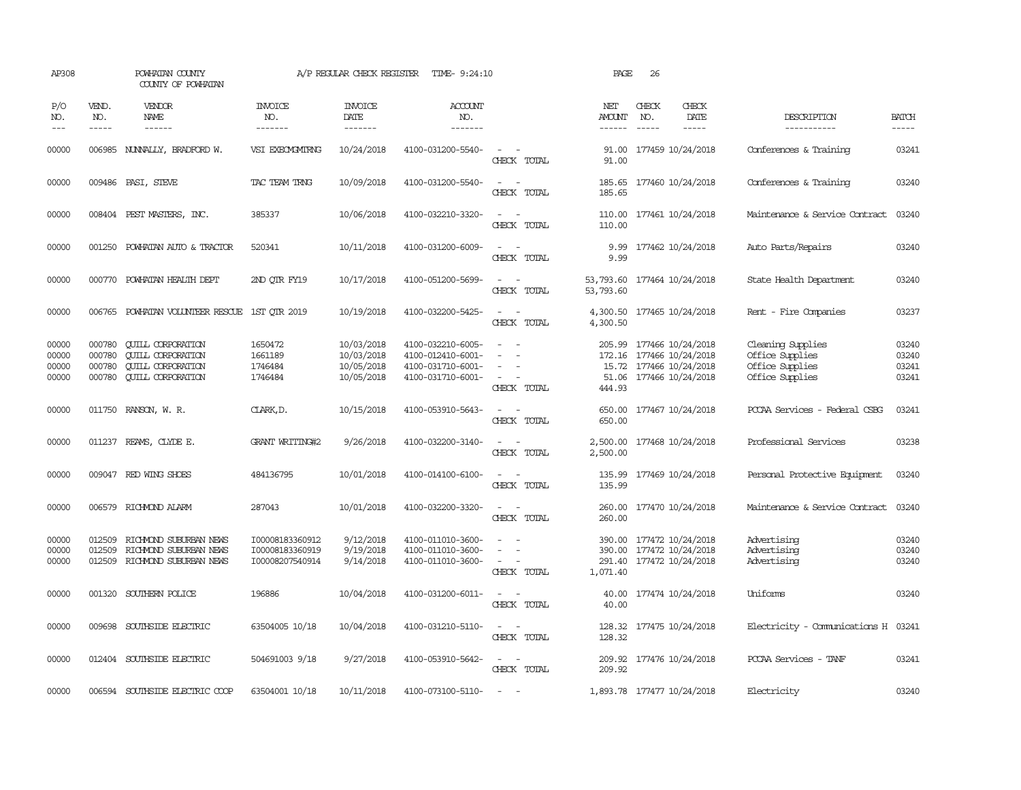| AP308                            |                                      | POWHATAN COUNTY<br>COUNTY OF POWHATAN                                                                        |                                                       | A/P REGULAR CHECK REGISTER                           | TIME- 9:24:10                                                                    |                                                                                                                             | PAGE                                | 26           |                                                                                        |                                                                            |                                  |
|----------------------------------|--------------------------------------|--------------------------------------------------------------------------------------------------------------|-------------------------------------------------------|------------------------------------------------------|----------------------------------------------------------------------------------|-----------------------------------------------------------------------------------------------------------------------------|-------------------------------------|--------------|----------------------------------------------------------------------------------------|----------------------------------------------------------------------------|----------------------------------|
| P/O<br>NO.                       | VEND.<br>NO.<br>$- - - - -$          | VENDOR<br>NAME<br>------                                                                                     | <b>INVOICE</b><br>NO.<br>-------                      | <b>INVOICE</b><br>DATE<br>-------                    | <b>ACCOUNT</b><br>NO.<br>-------                                                 |                                                                                                                             | NET<br>AMOUNT<br>------             | CHECK<br>NO. | CHECK<br>DATE<br>-----                                                                 | DESCRIPTION<br>-----------                                                 | <b>BATCH</b><br>-----            |
| 00000                            |                                      | 006985 NUNNALLY, BRADFORD W.                                                                                 | VSI EXECMGMIRNG                                       | 10/24/2018                                           | 4100-031200-5540-                                                                | $\sim$<br>CHECK TOTAL                                                                                                       | 91.00<br>91.00                      |              | 177459 10/24/2018                                                                      | Conferences & Training                                                     | 03241                            |
| 00000                            |                                      | 009486 PASI, STEVE                                                                                           | TAC TEAM TRNG                                         | 10/09/2018                                           | 4100-031200-5540-                                                                | $\frac{1}{2} \left( \frac{1}{2} \right) \left( \frac{1}{2} \right) = \frac{1}{2} \left( \frac{1}{2} \right)$<br>CHECK TOTAL | 185.65<br>185.65                    |              | 177460 10/24/2018                                                                      | Conferences & Training                                                     | 03240                            |
| 00000                            |                                      | 008404 PEST MASTERS, INC.                                                                                    | 385337                                                | 10/06/2018                                           | 4100-032210-3320-                                                                | CHECK TOTAL                                                                                                                 | 110.00                              |              | 110.00 177461 10/24/2018                                                               | Maintenance & Service Contract                                             | 03240                            |
| 00000                            |                                      | 001250 POWHATAN AUTO & TRACTOR                                                                               | 520341                                                | 10/11/2018                                           | 4100-031200-6009-                                                                | $\sim$ $\sim$<br>CHECK TOTAL                                                                                                | 9.99<br>9.99                        |              | 177462 10/24/2018                                                                      | Auto Parts/Repairs                                                         | 03240                            |
| 00000                            |                                      | 000770 POWHATAN HEALTH DEPT                                                                                  | 2ND QTR FY19                                          | 10/17/2018                                           | 4100-051200-5699-                                                                | $\sim$ $ \sim$<br>CHECK TOTAL                                                                                               | 53,793.60<br>53,793.60              |              | 177464 10/24/2018                                                                      | State Health Department                                                    | 03240                            |
| 00000                            |                                      | 006765 POWHATAN VOLUNIEER RESCUE 1ST OTR 2019                                                                |                                                       | 10/19/2018                                           | 4100-032200-5425-                                                                | $\frac{1}{2} \left( \frac{1}{2} \right) \left( \frac{1}{2} \right) = \frac{1}{2} \left( \frac{1}{2} \right)$<br>CHECK TOTAL | 4,300.50                            |              | 4,300.50 177465 10/24/2018                                                             | Rent - Fire Companies                                                      | 03237                            |
| 00000<br>00000<br>00000<br>00000 | 000780<br>000780<br>000780<br>000780 | <b>QUILL CORPORATION</b><br><b>CUILL CORPORATION</b><br><b>QUILL CORPORATION</b><br><b>QUILL CORPORATION</b> | 1650472<br>1661189<br>1746484<br>1746484              | 10/03/2018<br>10/03/2018<br>10/05/2018<br>10/05/2018 | 4100-032210-6005-<br>4100-012410-6001-<br>4100-031710-6001-<br>4100-031710-6001- | $\overline{\phantom{a}}$<br>$\overline{\phantom{a}}$<br>CHECK TOTAL                                                         | 205.99<br>172.16<br>51.06<br>444.93 |              | 177466 10/24/2018<br>177466 10/24/2018<br>15.72 177466 10/24/2018<br>177466 10/24/2018 | Cleaning Supplies<br>Office Supplies<br>Office Supplies<br>Office Supplies | 03240<br>03240<br>03241<br>03241 |
| 00000                            |                                      | 011750 RANSON, W. R.                                                                                         | CLARK, D.                                             | 10/15/2018                                           | 4100-053910-5643-                                                                | $\equiv$<br>CHECK TOTAL                                                                                                     | 650.00<br>650.00                    |              | 177467 10/24/2018                                                                      | PCCAA Services<br>- Federal CSBG                                           | 03241                            |
| 00000                            |                                      | 011237 REAMS, CLYDE E.                                                                                       | <b>GRANT WRITING#2</b>                                | 9/26/2018                                            | 4100-032200-3140-                                                                | $\frac{1}{2} \left( \frac{1}{2} \right) \left( \frac{1}{2} \right) = \frac{1}{2} \left( \frac{1}{2} \right)$<br>CHECK TOTAL | 2,500.00<br>2,500.00                |              | 177468 10/24/2018                                                                      | Professional Services                                                      | 03238                            |
| 00000                            |                                      | 009047 RED WING SHOES                                                                                        | 484136795                                             | 10/01/2018                                           | 4100-014100-6100-                                                                | $\sim$<br>CHECK TOTAL                                                                                                       | 135.99                              |              | 135.99 177469 10/24/2018                                                               | Personal Protective Equipment                                              | 03240                            |
| 00000                            |                                      | 006579 RICHMOND ALARM                                                                                        | 287043                                                | 10/01/2018                                           | 4100-032200-3320-                                                                | $\frac{1}{2} \left( \frac{1}{2} \right) \left( \frac{1}{2} \right) = \frac{1}{2} \left( \frac{1}{2} \right)$<br>CHECK TOTAL | 260.00<br>260.00                    |              | 177470 10/24/2018                                                                      | Maintenance & Service Contract                                             | 03240                            |
| 00000<br>00000<br>00000          | 012509<br>012509<br>012509           | RICHMOND SUBURBAN NEWS<br>RICHMOND SUBURBAN NEWS<br>RICHMOND SUBURBAN NEWS                                   | I00008183360912<br>I00008183360919<br>I00008207540914 | 9/12/2018<br>9/19/2018<br>9/14/2018                  | 4100-011010-3600-<br>4100-011010-3600-<br>4100-011010-3600-                      | $\sim$<br>$\sim$<br>CHECK TOTAL                                                                                             | 390.00<br>390.00<br>1,071.40        |              | 177472 10/24/2018<br>177472 10/24/2018<br>291.40 177472 10/24/2018                     | Advertising<br>Advertising<br>Advertising                                  | 03240<br>03240<br>03240          |
| 00000                            |                                      | 001320 SOUTHERN POLICE                                                                                       | 196886                                                | 10/04/2018                                           | 4100-031200-6011-                                                                | $\sim$ $ \sim$<br>CHECK TOTAL                                                                                               | 40.00<br>40.00                      |              | 177474 10/24/2018                                                                      | Uniforms                                                                   | 03240                            |
| 00000                            |                                      | 009698 SOUTHSIDE ELECTRIC                                                                                    | 63504005 10/18                                        | 10/04/2018                                           | 4100-031210-5110-                                                                | $\sim$ $\sim$<br>CHECK TOTAL                                                                                                | 128.32                              |              | 128.32 177475 10/24/2018                                                               | Electricity - Communications H 03241                                       |                                  |
| 00000                            |                                      | 012404 SOUTHSIDE ELECTRIC                                                                                    | 504691003 9/18                                        | 9/27/2018                                            | 4100-053910-5642-                                                                | $\sim$ $ \sim$<br>CHECK TOTAL                                                                                               | 209.92                              |              | 209.92 177476 10/24/2018                                                               | PCCAA Services - TANF                                                      | 03241                            |
| 00000                            |                                      | 006594 SOUTHSIDE ELECTRIC COOP                                                                               | 63504001 10/18                                        | 10/11/2018                                           | 4100-073100-5110-                                                                | $\sim$ $-$                                                                                                                  |                                     |              | 1,893.78 177477 10/24/2018                                                             | Electricity                                                                | 03240                            |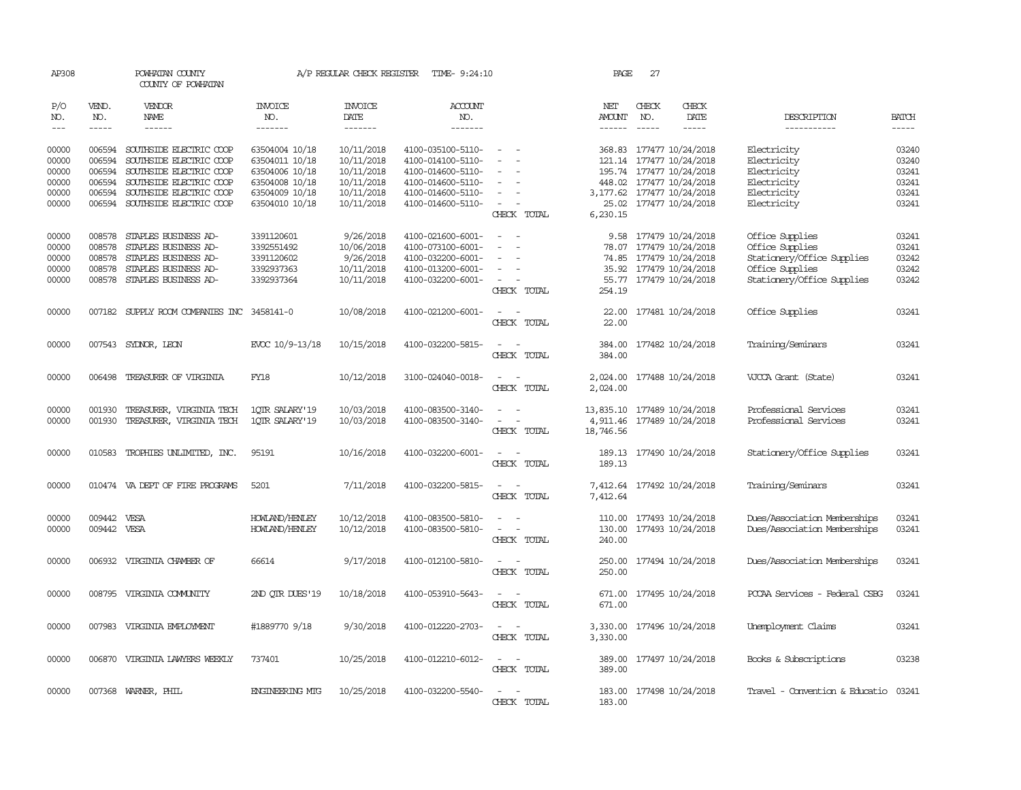| AP308          |                  | POWHATAN COUNTY<br>COUNTY OF POWHATAN              |                                  | A/P REGULAR CHECK REGISTER | TIME- 9:24:10                          |                                                        | PAGE                 | 27           |                                                      |                                      |                |
|----------------|------------------|----------------------------------------------------|----------------------------------|----------------------------|----------------------------------------|--------------------------------------------------------|----------------------|--------------|------------------------------------------------------|--------------------------------------|----------------|
| P/O<br>NO.     | VEND.<br>NO.     | VENDOR<br>NAME                                     | INVOICE<br>NO.                   | <b>INVOICE</b><br>DATE     | <b>ACCOUNT</b><br>NO.                  |                                                        | NET<br>AMOUNT        | CHECK<br>NO. | CHECK<br>DATE                                        | DESCRIPTION                          | <b>BATCH</b>   |
| $---$          | $\cdots$         | ------                                             | -------                          | -------                    | -------                                |                                                        |                      | $- - - - -$  | -----                                                | -----------                          | -----          |
| 00000<br>00000 | 006594<br>006594 | SOUTHSIDE ELECTRIC COOP<br>SOUTHSIDE ELECTRIC COOP | 63504004 10/18<br>63504011 10/18 | 10/11/2018<br>10/11/2018   | 4100-035100-5110-<br>4100-014100-5110- | $\sim$<br>$\sim$<br>$\sim$<br>$\overline{\phantom{a}}$ |                      |              | 368.83 177477 10/24/2018<br>121.14 177477 10/24/2018 | Electricity<br>Electricity           | 03240<br>03240 |
| 00000          | 006594           | SOUTHSIDE ELECTRIC COOP                            | 63504006 10/18                   | 10/11/2018                 | 4100-014600-5110-                      | $\sim$                                                 |                      |              | 195.74 177477 10/24/2018                             | Electricity                          | 03241          |
| 00000          | 006594           | SOUTHSIDE ELECTRIC COOP                            | 63504008 10/18                   | 10/11/2018                 | 4100-014600-5110-                      | $\sim$                                                 |                      |              | 448.02 177477 10/24/2018                             | Electricity                          | 03241          |
| 00000          | 006594           | SOUTHSIDE ELECTRIC COOP                            | 63504009 10/18                   | 10/11/2018                 | 4100-014600-5110-                      | $\sim$                                                 |                      |              | 3, 177.62 177477 10/24/2018                          | Electricity                          | 03241          |
| 00000          | 006594           | SOUTHSIDE ELECTRIC COOP                            | 63504010 10/18                   | 10/11/2018                 | 4100-014600-5110-                      | $\overline{\phantom{a}}$<br>$\sim$<br>CHECK TOTAL      | 6,230.15             |              | 25.02 177477 10/24/2018                              | Electricity                          | 03241          |
|                |                  |                                                    |                                  |                            |                                        |                                                        |                      |              |                                                      |                                      |                |
| 00000          | 008578           | STAPLES BUSINESS AD-                               | 3391120601                       | 9/26/2018                  | 4100-021600-6001-                      | $\sim$<br>$\sim$ $-$                                   |                      |              | 9.58 177479 10/24/2018                               | Office Supplies                      | 03241          |
| 00000          | 008578           | STAPLES BUSINESS AD-                               | 3392551492                       | 10/06/2018                 | 4100-073100-6001-                      | $\overline{\phantom{a}}$                               |                      |              | 78.07 177479 10/24/2018                              | Office Supplies                      | 03241          |
| 00000          | 008578           | STAPLES BUSINESS AD-                               | 3391120602                       | 9/26/2018                  | 4100-032200-6001-                      |                                                        |                      |              | 74.85 177479 10/24/2018                              | Stationery/Office Supplies           | 03242          |
| 00000          | 008578           | STAPLES BUSINESS AD-                               | 3392937363                       | 10/11/2018                 | 4100-013200-6001-                      | $\sim$<br>$\overline{\phantom{a}}$                     |                      |              | 35.92 177479 10/24/2018                              | Office Supplies                      | 03242          |
| 00000          | 008578           | STAPLES BUSINESS AD-                               | 3392937364                       | 10/11/2018                 | 4100-032200-6001-                      | $\sim$<br>$\sim$<br>CHECK TOTAL                        | 254.19               |              | 55.77 177479 10/24/2018                              | Stationery/Office Supplies           | 03242          |
| 00000          |                  | 007182 SUPPLY ROOM COMPANIES INC 3458141-0         |                                  | 10/08/2018                 | 4100-021200-6001-                      | $\sim$<br>$\sim$<br>CHECK TOTAL                        | 22.00                |              | 22.00 177481 10/24/2018                              | Office Supplies                      | 03241          |
| 00000          |                  | 007543 SYDNOR, LEON                                | EVCC 10/9-13/18                  | 10/15/2018                 | 4100-032200-5815-                      | $\sim$<br>$\sim$<br>CHECK TOTAL                        | 384.00<br>384.00     |              | 177482 10/24/2018                                    | Training/Seminars                    | 03241          |
| 00000          | 006498           | TREASURER OF VIRGINIA                              | FY18                             | 10/12/2018                 | 3100-024040-0018-                      | $\sim$ $ -$<br>CHECK TOTAL                             | 2,024.00<br>2,024.00 |              | 177488 10/24/2018                                    | VJCCA Grant (State)                  | 03241          |
| 00000          | 001930           | TREASURER, VIRGINIA TECH                           | 1QTR SALARY'19                   | 10/03/2018                 | 4100-083500-3140-                      | $\sim$<br>$\overline{\phantom{a}}$                     |                      |              | 13,835.10 177489 10/24/2018                          | Professional Services                | 03241          |
| 00000          | 001930           | TREASURER, VIRGINIA TECH                           | 1QTR SALARY'19                   | 10/03/2018                 | 4100-083500-3140-                      | $\sim$ $ \sim$<br>CHECK TOTAL                          | 18,746.56            |              | 4,911.46 177489 10/24/2018                           | Professional Services                | 03241          |
|                |                  |                                                    |                                  |                            |                                        |                                                        |                      |              |                                                      |                                      |                |
| 00000          |                  | 010583 TROPHIES UNLIMITED, INC.                    | 95191                            | 10/16/2018                 | 4100-032200-6001-                      | $\sim$ 100 $\sim$ 100 $\sim$<br>CHECK TOTAL            | 189.13               |              | 189.13 177490 10/24/2018                             | Stationery/Office Supplies           | 03241          |
| 00000          |                  | 010474 VA DEPT OF FIRE PROGRAMS                    | 5201                             | 7/11/2018                  | 4100-032200-5815-                      | CHECK TOTAL                                            | 7,412.64             |              | 7,412.64 177492 10/24/2018                           | Training/Seminars                    | 03241          |
| 00000          | 009442 VESA      |                                                    | HOWLAND/HENLEY                   | 10/12/2018                 | 4100-083500-5810-                      | $\sim$<br>$\sim$                                       | 110.00               |              | 177493 10/24/2018                                    | Dues/Association Memberships         | 03241          |
| 00000          | 009442 VESA      |                                                    | HOWLAND/HENLEY                   | 10/12/2018                 | 4100-083500-5810-                      | $\sim$<br>CHECK TOTAL                                  | 240.00               |              | 130.00 177493 10/24/2018                             | Dues/Association Memberships         | 03241          |
| 00000          | 006932           | VIRGINIA CHAMBER OF                                | 66614                            | 9/17/2018                  | 4100-012100-5810-                      | $\overline{\phantom{a}}$<br>CHECK TOTAL                | 250.00<br>250.00     |              | 177494 10/24/2018                                    | Dues/Association Memberships         | 03241          |
| 00000          |                  | 008795 VIRGINIA COMMUNITY                          | 2ND OTR DUES'19                  | 10/18/2018                 | 4100-053910-5643-                      | CHECK TOTAL                                            | 671.00<br>671.00     |              | 177495 10/24/2018                                    | PCCAA Services - Federal CSBG        | 03241          |
| 00000          |                  | 007983 VIRGINIA EMPLOYMENT                         | #1889770 9/18                    | 9/30/2018                  | 4100-012220-2703-                      | $\sim$<br>$\sim$<br>CHECK TOTAL                        | 3,330.00             |              | 3,330.00 177496 10/24/2018                           | Unemployment Claims                  | 03241          |
| 00000          |                  | 006870 VIRGINIA LAWYERS WEEKLY                     | 737401                           | 10/25/2018                 | 4100-012210-6012-                      | $\sim$<br>CHECK TOTAL                                  | 389.00               |              | 389.00 177497 10/24/2018                             | Books & Subscriptions                | 03238          |
| 00000          |                  | 007368 WARNER, PHIL                                | <b>ENGINEERING MIG</b>           | 10/25/2018                 | 4100-032200-5540-                      | $\sim$<br>$\sim$<br>CHECK TOTAL                        | 183.00               |              | 183.00 177498 10/24/2018                             | Travel - Convention & Educatio 03241 |                |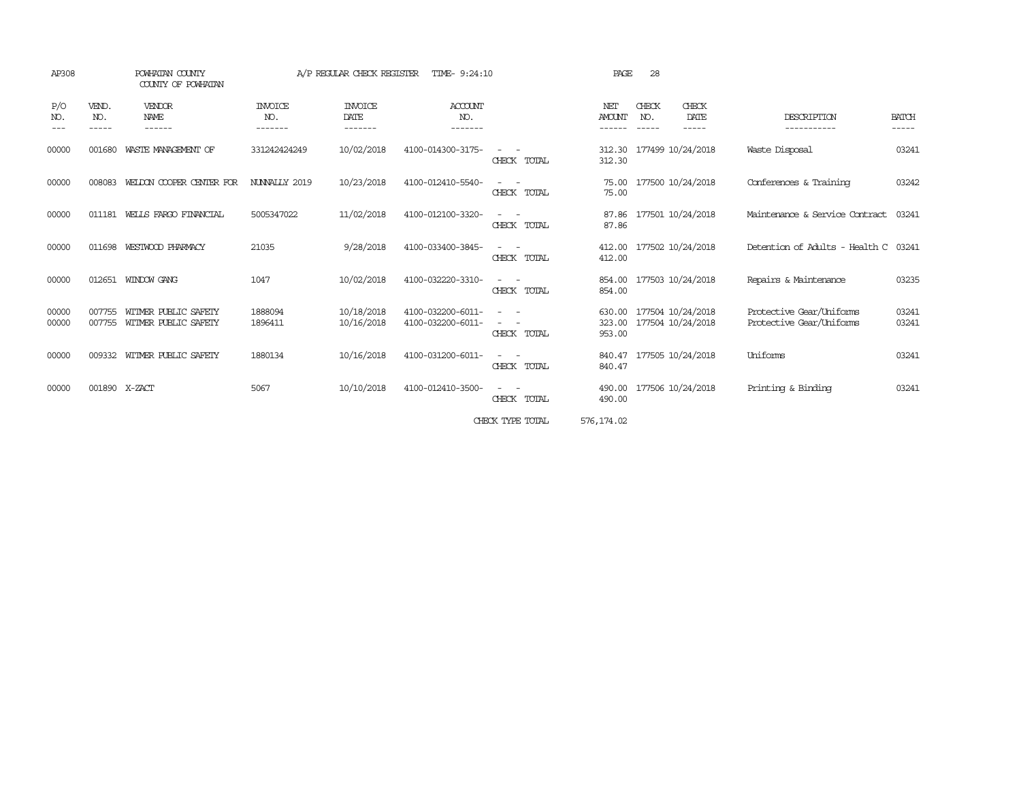| AP308          |                       | POWHATAN COUNTY<br>COUNTY OF POWHATAN        | A/P REGULAR CHECK REGISTER<br>TIME- 9:24:10 |                                   |                                        | 28<br>PAGE                                        |                            |                       |                                        |                                                      |                       |
|----------------|-----------------------|----------------------------------------------|---------------------------------------------|-----------------------------------|----------------------------------------|---------------------------------------------------|----------------------------|-----------------------|----------------------------------------|------------------------------------------------------|-----------------------|
| P/O<br>NO.     | VEND.<br>NO.<br>----- | VENDOR<br>NAME<br>------                     | <b>INVOICE</b><br>NO.<br>-------            | <b>INVOICE</b><br>DATE<br>------- | <b>ACCOUNT</b><br>NO.<br>-------       |                                                   | NET<br><b>AMOUNT</b>       | CHECK<br>NO.<br>----- | CHECK<br>DATE<br>-----                 | DESCRIPTION<br>-----------                           | <b>BATCH</b><br>----- |
| 00000          | 001680                | WASTE MANAGEMENT OF                          | 331242424249                                | 10/02/2018                        | 4100-014300-3175-                      | CHECK TOTAL                                       | 312.30                     |                       | 312.30 177499 10/24/2018               | Waste Disposal                                       | 03241                 |
| 00000          | 008083                | WELDON COOPER CENTER FOR                     | NUNNALLY 2019                               | 10/23/2018                        | 4100-012410-5540-                      | CHECK TOTAL                                       | 75.00<br>75.00             |                       | 177500 10/24/2018                      | Conferences & Training                               | 03242                 |
| 00000          | 011181                | WELLS FARGO FINANCIAL                        | 5005347022                                  | 11/02/2018                        | 4100-012100-3320-                      | CHECK TOTAL                                       | 87.86                      |                       | 87.86 177501 10/24/2018                | Maintenance & Service Contract                       | 03241                 |
| 00000          | 011698                | WESTWOOD PHARMACY                            | 21035                                       | 9/28/2018                         | 4100-033400-3845-                      | CHECK TOTAL                                       | 412.00                     |                       | 412.00 177502 10/24/2018               | Detention of Adults - Health C 03241                 |                       |
| 00000          | 012651                | WINDOW GANG                                  | 1047                                        | 10/02/2018                        | 4100-032220-3310-                      | CHECK TOTAL                                       | 854.00<br>854.00           |                       | 177503 10/24/2018                      | Repairs & Maintenance                                | 03235                 |
| 00000<br>00000 | 007755<br>007755      | WITMER PUBLIC SAFETY<br>WITMER PUBLIC SAFETY | 1888094<br>1896411                          | 10/18/2018<br>10/16/2018          | 4100-032200-6011-<br>4100-032200-6011- | $\overline{\phantom{a}}$<br>$\sim$<br>CHECK TOTAL | 630.00<br>323.00<br>953.00 |                       | 177504 10/24/2018<br>177504 10/24/2018 | Protective Gear/Uniforms<br>Protective Gear/Uniforms | 03241<br>03241        |
| 00000          | 009332                | WITMER PUBLIC SAFETY                         | 1880134                                     | 10/16/2018                        | 4100-031200-6011-                      | CHECK TOTAL                                       | 840.47<br>840.47           |                       | 177505 10/24/2018                      | Uniforms                                             | 03241                 |
| 00000          |                       | 001890 X-ZACT                                | 5067                                        | 10/10/2018                        | 4100-012410-3500-                      | CHECK TOTAL                                       | 490.00                     |                       | 490.00 177506 10/24/2018               | Printing & Binding                                   | 03241                 |
|                |                       |                                              |                                             |                                   |                                        | CHECK TYPE TOTAL                                  | 576, 174.02                |                       |                                        |                                                      |                       |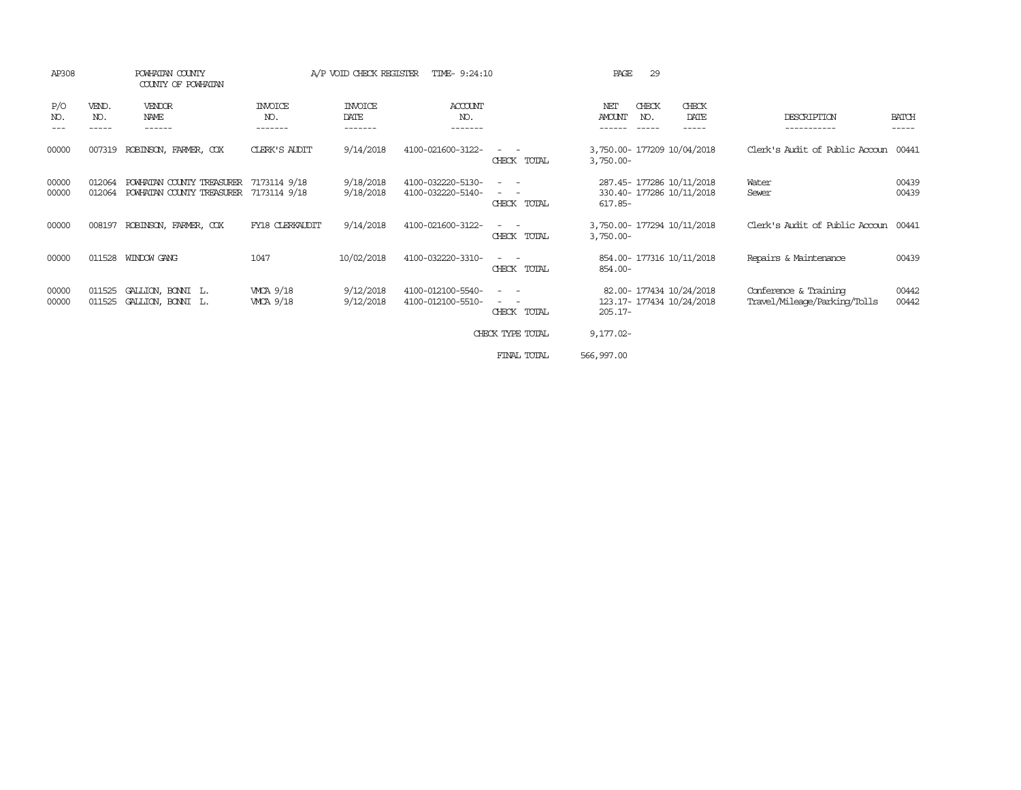| AP308          |                  | POWHATAN COUNTY<br>COUNTY OF POWHATAN                  |                              | A/P VOID CHECK REGISTER           | TIME- 9:24:10                          |                                                                                                                                                                                                                                             | 29<br>PAGE                                                           |                                                       |                       |
|----------------|------------------|--------------------------------------------------------|------------------------------|-----------------------------------|----------------------------------------|---------------------------------------------------------------------------------------------------------------------------------------------------------------------------------------------------------------------------------------------|----------------------------------------------------------------------|-------------------------------------------------------|-----------------------|
| P/O<br>NO.     | VEND.<br>NO.     | VENDOR<br><b>NAME</b><br>------                        | INVOICE<br>NO.<br>-------    | <b>INVOICE</b><br>DATE<br>------- | ACCOUNT<br>NO.<br>-------              |                                                                                                                                                                                                                                             | CHECK<br>CHECK<br>NET<br>AMOUNT<br>NO.<br>DATE<br>-----              | DESCRIPTION                                           | <b>BATCH</b><br>----- |
| 00000          | 007319           | ROBINSON, FARMER, COX                                  | CLERK'S AUDIT                | 9/14/2018                         | 4100-021600-3122-                      | CHECK TOTAL                                                                                                                                                                                                                                 | 3,750.00- 177209 10/04/2018<br>$3,750.00 -$                          | Clerk's Audit of Public Accoun                        | 00441                 |
| 00000<br>00000 | 012064<br>012064 | POWHATAN COUNTY TREASURER<br>POWHATAN COUNTY TREASURER | 7173114 9/18<br>7173114 9/18 | 9/18/2018<br>9/18/2018            | 4100-032220-5130-<br>4100-032220-5140- | $\overline{\phantom{a}}$<br>$\frac{1}{2} \left( \frac{1}{2} \right) \left( \frac{1}{2} \right) \left( \frac{1}{2} \right) \left( \frac{1}{2} \right)$<br>CHECK TOTAL                                                                        | 287.45- 177286 10/11/2018<br>330.40- 177286 10/11/2018<br>$617.85 -$ | Water<br>Sewer                                        | 00439<br>00439        |
| 00000          | 008197           | ROBINSON, FARMER, COX                                  | FY18 CLERKAUDIT              | 9/14/2018                         | 4100-021600-3122-                      | CHECK TOTAL                                                                                                                                                                                                                                 | 3,750.00- 177294 10/11/2018<br>$3,750.00 -$                          | Clerk's Audit of Public Accoun                        | 00441                 |
| 00000          |                  | 011528 WINDOW GANG                                     | 1047                         | 10/02/2018                        | 4100-032220-3310-                      | CHECK TOTAL                                                                                                                                                                                                                                 | 854.00- 177316 10/11/2018<br>854.00-                                 | Repairs & Maintenance                                 | 00439                 |
| 00000<br>00000 | 011525<br>011525 | GALLION, BONNI L.<br>GALLION, BONNI L.                 | WCA 9/18<br>WCA 9/18         | 9/12/2018<br>9/12/2018            | 4100-012100-5540-<br>4100-012100-5510- | $\frac{1}{2} \left( \frac{1}{2} \right) \left( \frac{1}{2} \right) = \frac{1}{2} \left( \frac{1}{2} \right)$<br>$\frac{1}{2} \left( \frac{1}{2} \right) \left( \frac{1}{2} \right) = \frac{1}{2} \left( \frac{1}{2} \right)$<br>CHECK TOTAL | 82.00- 177434 10/24/2018<br>123.17- 177434 10/24/2018<br>$205.17 -$  | Conference & Training<br>Travel/Mileage/Parking/Tolls | 00442<br>00442        |
|                |                  |                                                        |                              |                                   |                                        | CHECK TYPE TOTAL                                                                                                                                                                                                                            | $9,177.02 -$                                                         |                                                       |                       |
|                |                  |                                                        |                              |                                   |                                        | FINAL TOTAL                                                                                                                                                                                                                                 | 566,997.00                                                           |                                                       |                       |
|                |                  |                                                        |                              |                                   |                                        |                                                                                                                                                                                                                                             |                                                                      |                                                       |                       |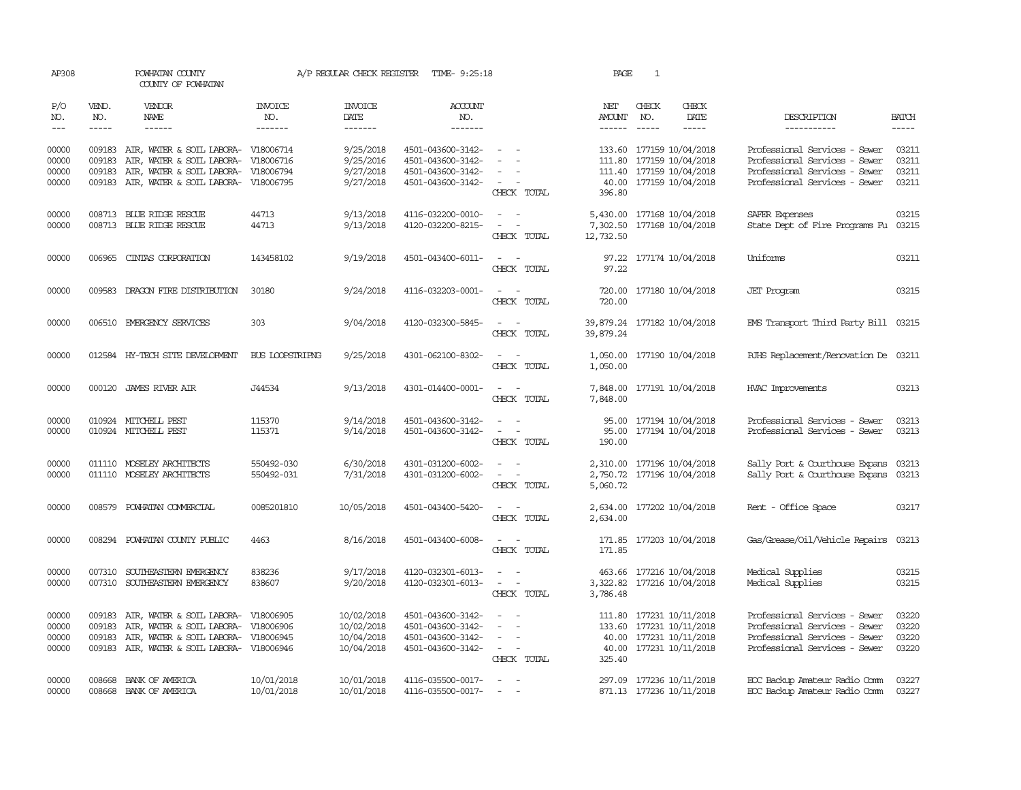| AP308                            |                             | POWHATAN COUNTY<br>COUNTY OF POWHATAN                                                                                                                           |                                                  | A/P REGULAR CHECK REGISTER                           | TIME- 9:25:18                                                                    |                                                                                                                             | PAGE                                     | 1                                                                                                          |                        |                                                                                                                                  |                                  |
|----------------------------------|-----------------------------|-----------------------------------------------------------------------------------------------------------------------------------------------------------------|--------------------------------------------------|------------------------------------------------------|----------------------------------------------------------------------------------|-----------------------------------------------------------------------------------------------------------------------------|------------------------------------------|------------------------------------------------------------------------------------------------------------|------------------------|----------------------------------------------------------------------------------------------------------------------------------|----------------------------------|
| P/O<br>NO.<br>$\frac{1}{2}$      | VEND.<br>NO.<br>$- - - - -$ | VENDOR<br>NAME<br>------                                                                                                                                        | INVOICE<br>NO.<br>-------                        | <b>INVOICE</b><br>DATE<br>-------                    | <b>ACCOUNT</b><br>NO.<br>-------                                                 |                                                                                                                             | NET<br>AMOUNT                            | CHECK<br>NO.<br>$- - - - -$                                                                                | CHECK<br>DATE<br>----- | DESCRIPTION<br>-----------                                                                                                       | <b>BATCH</b><br>$- - - - -$      |
| 00000<br>00000<br>00000<br>00000 | 009183<br>009183<br>009183  | AIR, WATER & SOIL LABORA-<br>AIR, WATER & SOIL LABORA-<br>AIR, WATER & SOIL LABORA-<br>009183 AIR, WATER & SOIL LABORA-                                         | V18006714<br>V18006716<br>V18006794<br>V18006795 | 9/25/2018<br>9/25/2016<br>9/27/2018<br>9/27/2018     | 4501-043600-3142-<br>4501-043600-3142-<br>4501-043600-3142-<br>4501-043600-3142- | $\sim$<br>$\overline{\phantom{a}}$<br>CHECK TOTAL                                                                           | 111.80<br>396.80                         | 133.60 177159 10/04/2018<br>177159 10/04/2018<br>111.40 177159 10/04/2018<br>40.00 177159 10/04/2018       |                        | Professional Services - Sewer<br>Professional Services - Sewer<br>Professional Services - Sewer<br>Professional Services - Sewer | 03211<br>03211<br>03211<br>03211 |
| 00000<br>00000                   |                             | 008713 BLUE RIDGE RESCUE<br>008713 BLUE RIDGE RESCUE                                                                                                            | 44713<br>44713                                   | 9/13/2018<br>9/13/2018                               | 4116-032200-0010-<br>4120-032200-8215-                                           | $\equiv$<br>CHECK TOTAL                                                                                                     | 12,732.50                                | 5,430.00 177168 10/04/2018<br>7,302.50 177168 10/04/2018                                                   |                        | SAFER Expenses<br>State Dept of Fire Programs Fu                                                                                 | 03215<br>03215                   |
| 00000                            | 006965                      | CINIAS CORPORATION                                                                                                                                              | 143458102                                        | 9/19/2018                                            | 4501-043400-6011-                                                                | $\frac{1}{2} \left( \frac{1}{2} \right) \left( \frac{1}{2} \right) = \frac{1}{2} \left( \frac{1}{2} \right)$<br>CHECK TOTAL | 97.22                                    | 97.22 177174 10/04/2018                                                                                    |                        | Uniforms                                                                                                                         | 03211                            |
| 00000                            | 009583                      | DRAGON FIRE DISTRIBUTION                                                                                                                                        | 30180                                            | 9/24/2018                                            | 4116-032203-0001-                                                                | $\frac{1}{2} \left( \frac{1}{2} \right) \left( \frac{1}{2} \right) = \frac{1}{2} \left( \frac{1}{2} \right)$<br>CHECK TOTAL | 720.00<br>720.00                         | 177180 10/04/2018                                                                                          |                        | JET Program                                                                                                                      | 03215                            |
| 00000                            |                             | 006510 EMERGENCY SERVICES                                                                                                                                       | 303                                              | 9/04/2018                                            | 4120-032300-5845-                                                                | CHECK TOTAL                                                                                                                 | 39,879.24 177182 10/04/2018<br>39,879.24 |                                                                                                            |                        | EMS Transport Third Party Bill 03215                                                                                             |                                  |
| 00000                            |                             | 012584 HY-TECH SITE DEVELOPMENT                                                                                                                                 | <b>BUS LOOPSTRIPNG</b>                           | 9/25/2018                                            | 4301-062100-8302-                                                                | CHECK TOTAL                                                                                                                 | 1,050.00<br>1,050.00                     | 177190 10/04/2018                                                                                          |                        | RJHS Replacement/Renovation De 03211                                                                                             |                                  |
| 00000                            |                             | 000120 JAMES RIVER AIR                                                                                                                                          | J44534                                           | 9/13/2018                                            | 4301-014400-0001-                                                                | $\overline{\phantom{a}}$<br>CHECK TOTAL                                                                                     | 7,848.00<br>7,848.00                     | 177191 10/04/2018                                                                                          |                        | HVAC Improvements                                                                                                                | 03213                            |
| 00000<br>00000                   |                             | 010924 MITCHELL PEST<br>010924 MITCHELL PEST                                                                                                                    | 115370<br>115371                                 | 9/14/2018<br>9/14/2018                               | 4501-043600-3142-<br>4501-043600-3142-                                           | $\overline{a}$<br>$\sim$ $-$<br>$\overline{\phantom{a}}$<br>$\overline{\phantom{a}}$<br>CHECK TOTAL                         | 95.00<br>95.00<br>190.00                 | 177194 10/04/2018<br>177194 10/04/2018                                                                     |                        | Professional Services - Sewer<br>Professional Services - Sewer                                                                   | 03213<br>03213                   |
| 00000<br>00000                   |                             | 011110 MOSELEY ARCHITECTS<br>011110 MOSELEY ARCHITECTS                                                                                                          | 550492-030<br>550492-031                         | 6/30/2018<br>7/31/2018                               | 4301-031200-6002-<br>4301-031200-6002-                                           | $\sim$<br>$\overline{\phantom{a}}$<br>$\overline{\phantom{a}}$<br>CHECK TOTAL                                               | 2,750.72<br>5,060.72                     | 2,310.00 177196 10/04/2018<br>177196 10/04/2018                                                            |                        | Sally Port & Courthouse Expans<br>Sally Port & Courthouse Expans                                                                 | 03213<br>03213                   |
| 00000                            | 008579                      | POWHATAN COMMERCIAL                                                                                                                                             | 0085201810                                       | 10/05/2018                                           | 4501-043400-5420-                                                                | $\sim$<br>CHECK TOTAL                                                                                                       | 2,634.00<br>2,634.00                     | 177202 10/04/2018                                                                                          |                        | Rent - Office Space                                                                                                              | 03217                            |
| 00000                            |                             | 008294 POWHATAN COUNTY PUBLIC                                                                                                                                   | 4463                                             | 8/16/2018                                            | 4501-043400-6008-                                                                | $\sim$<br>CHECK TOTAL                                                                                                       | 171.85                                   | 171.85 177203 10/04/2018                                                                                   |                        | Gas/Grease/Oil/Vehicle Repairs                                                                                                   | 03213                            |
| 00000<br>00000                   | 007310                      | SOUTHEASTERN EMERGENCY<br>007310 SOUTHEASTERN EMERGENCY                                                                                                         | 838236<br>838607                                 | 9/17/2018<br>9/20/2018                               | 4120-032301-6013-<br>4120-032301-6013-                                           | $\equiv$<br>$\sim$<br>$\sim$<br>CHECK TOTAL                                                                                 | 3,786.48                                 | 463.66 177216 10/04/2018<br>3,322.82 177216 10/04/2018                                                     |                        | Medical Supplies<br>Medical Supplies                                                                                             | 03215<br>03215                   |
| 00000<br>00000<br>00000<br>00000 | 009183<br>009183<br>009183  | AIR, WATER & SOIL LABORA- V18006905<br>AIR, WATER & SOIL LABORA- V18006906<br>AIR, WATER & SOIL LABORA- V18006945<br>009183 AIR, WATER & SOIL LABORA- V18006946 |                                                  | 10/02/2018<br>10/02/2018<br>10/04/2018<br>10/04/2018 | 4501-043600-3142-<br>4501-043600-3142-<br>4501-043600-3142-<br>4501-043600-3142- | $\overline{\phantom{a}}$<br>$\overline{\phantom{a}}$<br>$\sim$<br>$\sim 100$<br>CHECK TOTAL                                 | 325.40                                   | 111.80 177231 10/11/2018<br>133.60 177231 10/11/2018<br>40.00 177231 10/11/2018<br>40.00 177231 10/11/2018 |                        | Professional Services - Sewer<br>Professional Services - Sewer<br>Professional Services - Sewer<br>Professional Services - Sewer | 03220<br>03220<br>03220<br>03220 |
| 00000<br>00000                   | 008668                      | BANK OF AMERICA<br>008668 BANK OF AMERICA                                                                                                                       | 10/01/2018<br>10/01/2018                         | 10/01/2018<br>10/01/2018                             | 4116-035500-0017-<br>4116-035500-0017-                                           | $\sim$                                                                                                                      | 297.09                                   | 177236 10/11/2018<br>871.13 177236 10/11/2018                                                              |                        | EOC Backup Amateur Radio Comm<br>EOC Backup Amateur Radio Comm                                                                   | 03227<br>03227                   |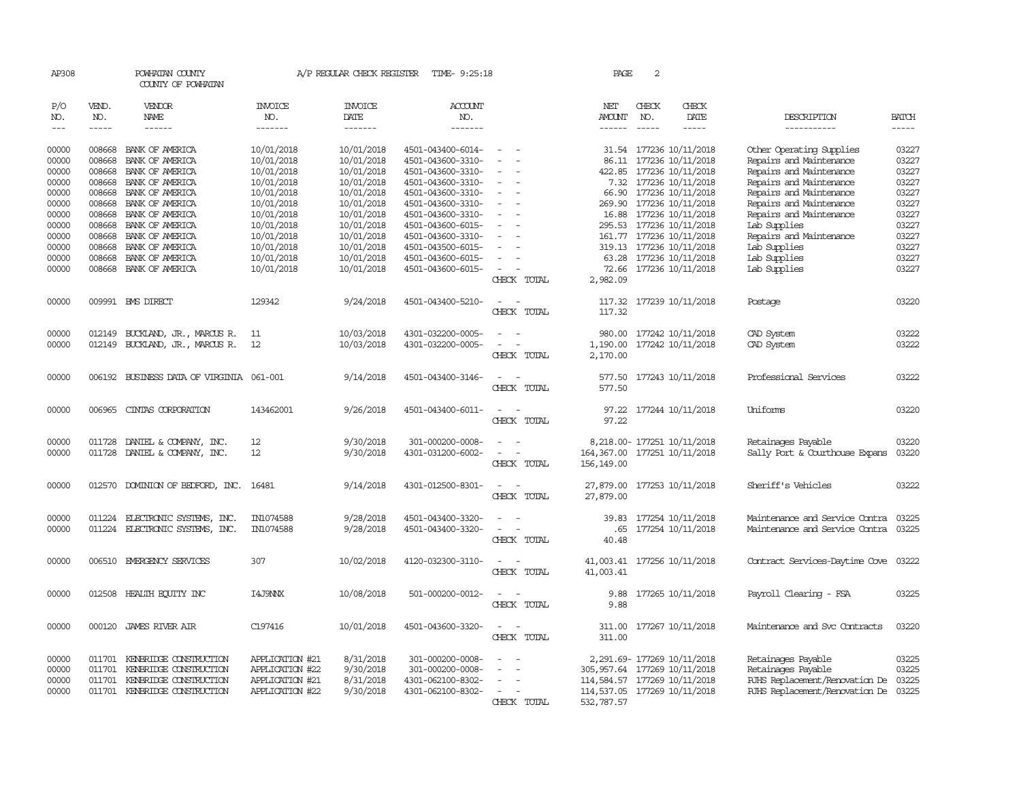| AP308      |              | POWHATAN COUNTY<br>COUNTY OF POWHATAN    |                       |                        | A/P REGULAR CHECK REGISTER TIME- 9:25:18 |                                                      | PAGE                                         | 2             |                             |                                      |              |
|------------|--------------|------------------------------------------|-----------------------|------------------------|------------------------------------------|------------------------------------------------------|----------------------------------------------|---------------|-----------------------------|--------------------------------------|--------------|
| P/O<br>NO. | VEND.<br>NO. | VENDOR<br>NAME                           | <b>INVOICE</b><br>NO. | <b>INVOICE</b><br>DATE | ACCOUNT<br>NO.                           |                                                      | NET<br>AMOUNT                                | CHECK<br>NO.  | CHECK<br>DATE               | DESCRIPTION                          | <b>BATCH</b> |
| $\cdots$   | $- - - - -$  | $- - - - - -$                            | -------               | -------                | -------                                  |                                                      | $- - - - - -$                                | $\frac{1}{2}$ | $- - - - -$                 | -----------                          | $- - - - -$  |
| 00000      | 008668       | BANK OF AMERICA                          | 10/01/2018            | 10/01/2018             | 4501-043400-6014-                        |                                                      |                                              |               | 31.54 177236 10/11/2018     | Other Operating Supplies             | 03227        |
|            | 008668       |                                          |                       |                        |                                          | $\sim$<br>$\sim$                                     |                                              |               |                             |                                      | 03227        |
| 00000      |              | BANK OF AMERICA                          | 10/01/2018            | 10/01/2018             | 4501-043600-3310-                        | $\sim$                                               |                                              |               | 86.11 177236 10/11/2018     | Repairs and Maintenance              |              |
| 00000      | 008668       | BANK OF AMERICA                          | 10/01/2018            | 10/01/2018             | 4501-043600-3310-                        |                                                      |                                              |               | 422.85 177236 10/11/2018    | Repairs and Maintenance              | 03227        |
| 00000      | 008668       | BANK OF AMERICA                          | 10/01/2018            | 10/01/2018             | 4501-043600-3310-                        |                                                      |                                              |               | 7.32 177236 10/11/2018      | Repairs and Maintenance              | 03227        |
| 00000      |              | 008668 BANK OF AMERICA                   | 10/01/2018            | 10/01/2018             | 4501-043600-3310-                        | $\overline{\phantom{a}}$                             |                                              |               | 66.90 177236 10/11/2018     | Repairs and Maintenance              | 03227        |
| 00000      |              | 008668 BANK OF AMERICA                   | 10/01/2018            | 10/01/2018             | 4501-043600-3310-                        |                                                      |                                              |               | 269.90 177236 10/11/2018    | Repairs and Maintenance              | 03227        |
| 00000      | 008668       | BANK OF AMERICA                          | 10/01/2018            | 10/01/2018             | 4501-043600-3310-                        |                                                      |                                              |               | 16.88 177236 10/11/2018     | Repairs and Maintenance              | 03227        |
| 00000      |              | 008668 BANK OF AMERICA                   | 10/01/2018            | 10/01/2018             | 4501-043600-6015-                        |                                                      |                                              |               | 295.53 177236 10/11/2018    | Lab Supplies                         | 03227        |
| 00000      |              | 008668 BANK OF AMERICA                   | 10/01/2018            | 10/01/2018             | 4501-043600-3310-                        | $\overline{\phantom{a}}$<br>$\overline{\phantom{a}}$ |                                              |               | 161.77 177236 10/11/2018    | Repairs and Maintenance              | 03227        |
| 00000      |              | 008668 BANK OF AMERICA                   | 10/01/2018            | 10/01/2018             | 4501-043500-6015-                        |                                                      |                                              |               | 319.13 177236 10/11/2018    | Lab Supplies                         | 03227        |
| 00000      |              | 008668 BANK OF AMERICA                   | 10/01/2018            | 10/01/2018             | 4501-043600-6015-                        | $\overline{\phantom{a}}$                             |                                              |               | 63.28 177236 10/11/2018     | Lab Supplies                         | 03227        |
| 00000      |              | 008668 BANK OF AMERICA                   | 10/01/2018            | 10/01/2018             | 4501-043600-6015-                        | $\sim$ $-$                                           |                                              |               | 72.66 177236 10/11/2018     | Lab Supplies                         | 03227        |
|            |              |                                          |                       |                        |                                          | CHECK TOTAL                                          | 2,982.09                                     |               |                             |                                      |              |
| 00000      |              | 009991 BMS DIRECT                        | 129342                | 9/24/2018              | 4501-043400-5210-                        | $\sim$ $ -$                                          |                                              |               | 117.32 177239 10/11/2018    | Postage                              | 03220        |
|            |              |                                          |                       |                        |                                          | CHECK TOTAL                                          | 117.32                                       |               |                             |                                      |              |
| 00000      |              | 012149 BUCKLAND, JR., MARCUS R.          | -11                   | 10/03/2018             | 4301-032200-0005-                        |                                                      |                                              |               | 980.00 177242 10/11/2018    | CAD System                           | 03222        |
| 00000      |              | 012149 BUCKLAND, JR., MARCUS R.          | 12                    | 10/03/2018             | 4301-032200-0005-                        | $\sim$                                               |                                              |               | 1,190.00 177242 10/11/2018  | CAD System                           | 03222        |
|            |              |                                          |                       |                        |                                          | CHECK TOTAL                                          | 2,170.00                                     |               |                             |                                      |              |
| 00000      |              | 006192 BUSINESS DATA OF VIRGINIA 061-001 |                       | 9/14/2018              | 4501-043400-3146-                        | $\overline{\phantom{a}}$                             |                                              |               | 577.50 177243 10/11/2018    | Professional Services                | 03222        |
|            |              |                                          |                       |                        |                                          | CHECK TOTAL                                          | 577.50                                       |               |                             |                                      |              |
| 00000      | 006965       | CINIAS CORPORATION                       | 143462001             | 9/26/2018              | 4501-043400-6011-                        | $\overline{\phantom{a}}$<br>$\overline{\phantom{a}}$ |                                              |               | 97.22 177244 10/11/2018     | Uniforms                             | 03220        |
|            |              |                                          |                       |                        |                                          | CHECK TOTAL                                          | 97.22                                        |               |                             |                                      |              |
|            |              |                                          |                       |                        |                                          |                                                      |                                              |               |                             |                                      |              |
| 00000      |              | 011728 DANIEL & COMPANY, INC.            | 12                    | 9/30/2018              | 301-000200-0008-                         |                                                      |                                              |               | 8,218.00- 177251 10/11/2018 | Retainages Payable                   | 03220        |
| 00000      |              | 011728 DANIEL & COMPANY, INC.            | 12                    | 9/30/2018              | 4301-031200-6002-                        | CHECK TOTAL                                          | 164, 367.00 177251 10/11/2018<br>156, 149.00 |               |                             | Sally Port & Courthouse Expans       | 03220        |
|            |              |                                          |                       |                        |                                          |                                                      |                                              |               |                             |                                      |              |
| 00000      |              | 012570 DOMINION OF BEDFORD, INC.         | 16481                 | 9/14/2018              | 4301-012500-8301-                        | $\sim$<br>$\sim$                                     |                                              |               | 27,879.00 177253 10/11/2018 | Sheriff's Vehicles                   | 03222        |
|            |              |                                          |                       |                        |                                          | CHECK TOTAL                                          | 27,879.00                                    |               |                             |                                      |              |
| 00000      | 011224       | ELECTRONIC SYSTEMS, INC.                 | IN1074588             | 9/28/2018              | 4501-043400-3320-                        | $\sim$<br>$\overline{\phantom{a}}$                   |                                              |               | 39.83 177254 10/11/2018     | Maintenance and Service Contra       | 03225        |
| 00000      | 011224       | ELECTRONIC SYSTEMS, INC.                 | IN1074588             | 9/28/2018              | 4501-043400-3320-                        | $\sim$<br>$\overline{\phantom{a}}$                   | .65                                          |               | 177254 10/11/2018           | Maintenance and Service Contra 03225 |              |
|            |              |                                          |                       |                        |                                          | CHECK TOTAL                                          | 40.48                                        |               |                             |                                      |              |
| 00000      |              | 006510 EMERGENCY SERVICES                | 307                   | 10/02/2018             | 4120-032300-3110-                        | $\overline{\phantom{a}}$<br>$\overline{\phantom{a}}$ |                                              |               | 41,003.41 177256 10/11/2018 | Contract Services-Daytime Cove 03222 |              |
|            |              |                                          |                       |                        |                                          | CHECK TOTAL                                          | 41,003.41                                    |               |                             |                                      |              |
| 00000      |              | 012508 HEALTH ECUTTY INC                 | I4J9NNX               | 10/08/2018             | 501-000200-0012-                         |                                                      | 9.88                                         |               | 177265 10/11/2018           | Payroll Clearing - FSA               | 03225        |
|            |              |                                          |                       |                        |                                          | CHECK TOTAL                                          | 9.88                                         |               |                             |                                      |              |
| 00000      |              | 000120 JAMES RIVER AIR                   | C197416               | 10/01/2018             | 4501-043600-3320-                        | $\sim$ $ \sim$                                       |                                              |               | 311.00 177267 10/11/2018    | Maintenance and Svc Contracts        | 03220        |
|            |              |                                          |                       |                        |                                          | CHECK TOTAL                                          | 311.00                                       |               |                             |                                      |              |
|            |              |                                          |                       |                        |                                          |                                                      |                                              |               |                             |                                      |              |
| 00000      |              | 011701 KENBRIDGE CONSTRUCTION            | APPLICATION #21       | 8/31/2018              | 301-000200-0008-                         |                                                      |                                              |               | 2, 291.69-177269 10/11/2018 | Retainages Payable                   | 03225        |
| 00000      |              | 011701 KENBRIDGE CONSTRUCTION            | APPLICATION #22       | 9/30/2018              | 301-000200-0008-                         | $\sim$                                               | 305, 957.64 177269 10/11/2018                |               |                             | Retainages Payable                   | 03225        |
| 00000      |              | 011701 KENBRIDGE CONSTRUCTION            | APPLICATION #21       | 8/31/2018              | 4301-062100-8302-                        |                                                      | 114,584.57 177269 10/11/2018                 |               |                             | RJHS Replacement/Renovation De 03225 |              |
| 00000      |              | 011701 KENBRIDGE CONSTRUCTION            | APPLICATION #22       | 9/30/2018              | 4301-062100-8302-                        | $\overline{\phantom{a}}$<br>$\overline{\phantom{a}}$ | 114,537.05 177269 10/11/2018                 |               |                             | RJHS Replacement/Renovation De 03225 |              |
|            |              |                                          |                       |                        |                                          | CHECK TOTAL                                          | 532,787.57                                   |               |                             |                                      |              |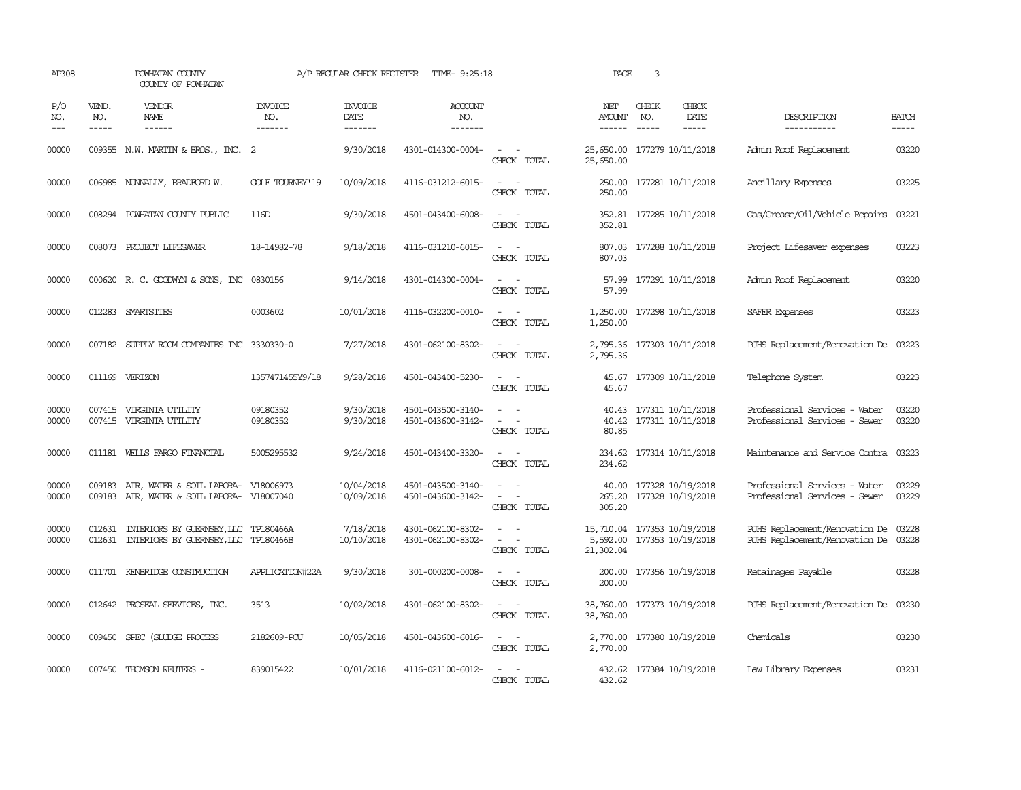| AP308               |                               | POWHATAN COUNTY<br>COUNTY OF POWHATAN                                        |                           | A/P REGULAR CHECK REGISTER         | TIME- 9:25:18                          |                                                                                                                             | PAGE                                                 | 3            |                                                    |                                                                        |                       |
|---------------------|-------------------------------|------------------------------------------------------------------------------|---------------------------|------------------------------------|----------------------------------------|-----------------------------------------------------------------------------------------------------------------------------|------------------------------------------------------|--------------|----------------------------------------------------|------------------------------------------------------------------------|-----------------------|
| P/O<br>NO.<br>$---$ | VEND.<br>NO.<br>$\frac{1}{2}$ | VENDOR<br>NAME                                                               | INVOICE<br>NO.<br>------- | <b>INVOICE</b><br>DATE<br>-------- | <b>ACCOUNT</b><br>NO.<br>-------       |                                                                                                                             | NET<br><b>AMOUNT</b><br>$- - - - - -$                | CHECK<br>NO. | CHECK<br>DATE<br>$\frac{1}{2}$                     | DESCRIPTION<br>------------                                            | <b>BATCH</b><br>----- |
| 00000               |                               | 009355 N.W. MARTIN & BROS., INC. 2                                           |                           | 9/30/2018                          | 4301-014300-0004-                      | $\overline{\phantom{a}}$<br>$\sim$<br>CHECK TOTAL                                                                           | 25,650.00 177279 10/11/2018<br>25,650.00             |              |                                                    | Admin Roof Replacement                                                 | 03220                 |
| 00000               |                               | 006985 NUNNALLY, BRADFORD W.                                                 | <b>GOLF TOURNEY'19</b>    | 10/09/2018                         | 4116-031212-6015-                      | $\sim$<br>$\sim$<br>CHECK TOTAL                                                                                             | 250.00<br>250.00                                     |              | 177281 10/11/2018                                  | Ancillary Expenses                                                     | 03225                 |
| 00000               |                               | 008294 POWHATAN COUNTY PUBLIC                                                | 116D                      | 9/30/2018                          | 4501-043400-6008-                      | $\overline{\phantom{a}}$<br>CHECK TOTAL                                                                                     | 352.81                                               |              | 352.81 177285 10/11/2018                           | Gas/Grease/Oil/Vehicle Repairs                                         | 03221                 |
| 00000               |                               | 008073 PROJECT LIFESAVER                                                     | 18-14982-78               | 9/18/2018                          | 4116-031210-6015-                      | $\sim$ $\sim$<br>CHECK TOTAL                                                                                                | 807.03                                               |              | 807.03 177288 10/11/2018                           | Project Lifesaver expenses                                             | 03223                 |
| 00000               |                               | 000620 R. C. GOODWYN & SONS, INC 0830156                                     |                           | 9/14/2018                          | 4301-014300-0004-                      | $\sim$ $\sim$<br>CHECK TOTAL                                                                                                | 57.99                                                |              | 57.99 177291 10/11/2018                            | Admin Roof Replacement                                                 | 03220                 |
| 00000               |                               | 012283 SMARISITES                                                            | 0003602                   | 10/01/2018                         | 4116-032200-0010-                      | $\sim$<br>$\sim$<br>CHECK TOTAL                                                                                             | 1,250.00                                             |              | 1,250.00 177298 10/11/2018                         | SAFER Expenses                                                         | 03223                 |
| 00000               |                               | 007182 SUPPLY ROOM COMPANIES INC 3330330-0                                   |                           | 7/27/2018                          | 4301-062100-8302-                      | $\sim$ $\sim$<br>CHECK TOTAL                                                                                                | 2,795.36                                             |              | 2,795.36 177303 10/11/2018                         | RJHS Replacement/Renovation De                                         | 03223                 |
| 00000               |                               | 011169 VERIZON                                                               | 1357471455Y9/18           | 9/28/2018                          | 4501-043400-5230-                      | $\sim$ $\sim$<br>CHECK TOTAL                                                                                                | 45.67                                                |              | 45.67 177309 10/11/2018                            | Telephone System                                                       | 03223                 |
| 00000<br>00000      |                               | 007415 VIRGINIA UTILITY<br>007415 VIRGINIA UTILITY                           | 09180352<br>09180352      | 9/30/2018<br>9/30/2018             | 4501-043500-3140-<br>4501-043600-3142- | $\equiv$<br>CHECK TOTAL                                                                                                     | 80.85                                                |              | 40.43 177311 10/11/2018<br>40.42 177311 10/11/2018 | Professional Services - Water<br>Professional Services - Sewer         | 03220<br>03220        |
| 00000               |                               | 011181 WELLS FARGO FINANCIAL                                                 | 5005295532                | 9/24/2018                          | 4501-043400-3320-                      | $\frac{1}{2} \left( \frac{1}{2} \right) \left( \frac{1}{2} \right) = \frac{1}{2} \left( \frac{1}{2} \right)$<br>CHECK TOTAL | 234.62<br>234.62                                     |              | 177314 10/11/2018                                  | Maintenance and Service Contra                                         | 03223                 |
| 00000<br>00000      | 009183                        | AIR, WATER & SOIL LABORA-<br>009183 AIR, WATER & SOIL LABORA- V18007040      | V18006973                 | 10/04/2018<br>10/09/2018           | 4501-043500-3140-<br>4501-043600-3142- | $\sim$<br>$\overline{\phantom{a}}$<br>CHECK TOTAL                                                                           | 40.00<br>305.20                                      |              | 177328 10/19/2018<br>265.20 177328 10/19/2018      | Professional Services - Water<br>Professional Services - Sewer         | 03229<br>03229        |
| 00000<br>00000      | 012631<br>012631              | INTERIORS BY GUERNSEY, LLC TP180466A<br>INTERIORS BY GUERNSEY, LLC TP180466B |                           | 7/18/2018<br>10/10/2018            | 4301-062100-8302-<br>4301-062100-8302- | $\overline{a}$<br>$\sim$ 100 $\mu$<br>$\sim$<br>$\overline{\phantom{a}}$<br>CHECK TOTAL                                     | 15,710.04 177353 10/19/2018<br>5,592.00<br>21,302.04 |              | 177353 10/19/2018                                  | RJHS Replacement/Renovation De 03228<br>RJHS Replacement/Renovation De | 03228                 |
| 00000               |                               | 011701 KENBRIDGE CONSTRUCTION                                                | APPLICATION#22A           | 9/30/2018                          | 301-000200-0008-                       | $\overline{\phantom{a}}$<br>$\sim$<br>CHECK TOTAL                                                                           | 200.00<br>200.00                                     |              | 177356 10/19/2018                                  | Retainages Payable                                                     | 03228                 |
| 00000               |                               | 012642 PROSEAL SERVICES, INC.                                                | 3513                      | 10/02/2018                         | 4301-062100-8302-                      | $\frac{1}{2} \left( \frac{1}{2} \right) \left( \frac{1}{2} \right) = \frac{1}{2} \left( \frac{1}{2} \right)$<br>CHECK TOTAL | 38,760.00<br>38,760.00                               |              | 177373 10/19/2018                                  | RJHS Replacement/Renovation De                                         | 03230                 |
| 00000               |                               | 009450 SPEC (SILIDGE PROCESS                                                 | 2182609-PCU               | 10/05/2018                         | 4501-043600-6016-                      | $\sim$ $\sim$<br>CHECK TOTAL                                                                                                | 2,770.00                                             |              | 2,770.00 177380 10/19/2018                         | Chemicals                                                              | 03230                 |
| 00000               |                               | 007450 THOMSON REUTERS -                                                     | 839015422                 | 10/01/2018                         | 4116-021100-6012-                      | $\sim$<br>$\sim$<br>CHECK TOTAL                                                                                             | 432.62                                               |              | 432.62 177384 10/19/2018                           | Law Library Expenses                                                   | 03231                 |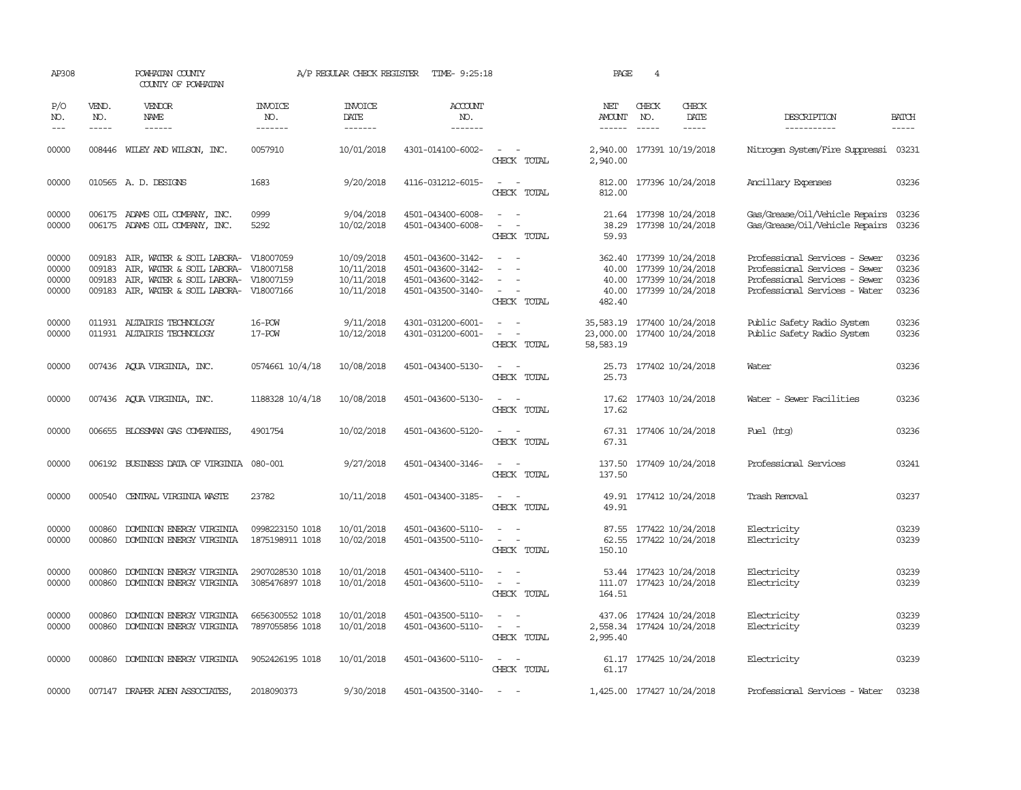| AP308                            |                             | POWHATAN COUNTY<br>COUNTY OF POWHATAN                                                                                             |                                     | A/P REGULAR CHECK REGISTER                           | TIME- 9:25:18                                                                    |                                                                                                                                       | PAGE                                | $\overline{4}$ |                                                                                                           |                                                                                                                                  |                                  |
|----------------------------------|-----------------------------|-----------------------------------------------------------------------------------------------------------------------------------|-------------------------------------|------------------------------------------------------|----------------------------------------------------------------------------------|---------------------------------------------------------------------------------------------------------------------------------------|-------------------------------------|----------------|-----------------------------------------------------------------------------------------------------------|----------------------------------------------------------------------------------------------------------------------------------|----------------------------------|
| P/O<br>NO.<br>$---$              | VEND.<br>NO.<br>$- - - - -$ | <b>VENDOR</b><br>NAME<br>------                                                                                                   | <b>INVOICE</b><br>NO.<br>-------    | <b>INVOICE</b><br>DATE<br>--------                   | <b>ACCOUNT</b><br>NO.<br>-------                                                 |                                                                                                                                       | NET<br>AMOUNT                       | CHECK<br>NO.   | CHECK<br>DATE<br>$- - - - -$                                                                              | DESCRIPTION<br>-----------                                                                                                       | <b>BATCH</b><br>-----            |
| 00000                            |                             | 008446 WILEY AND WILSON, INC.                                                                                                     | 0057910                             | 10/01/2018                                           | 4301-014100-6002-                                                                | $\sim$ $ -$<br>CHECK TOTAL                                                                                                            | 2,940.00                            |                | 2,940.00 177391 10/19/2018                                                                                | Nitrogen System/Fire Suppressi                                                                                                   | 03231                            |
| 00000                            |                             | 010565 A.D. DESIGNS                                                                                                               | 1683                                | 9/20/2018                                            | 4116-031212-6015-                                                                | $\sim$ $ \sim$<br>CHECK TOTAL                                                                                                         | 812.00                              |                | 812.00 177396 10/24/2018                                                                                  | Ancillary Expenses                                                                                                               | 03236                            |
| 00000<br>00000                   |                             | 006175 ADAMS OIL COMPANY, INC.<br>006175 ADAMS OIL COMPANY, INC.                                                                  | 0999<br>5292                        | 9/04/2018<br>10/02/2018                              | 4501-043400-6008-<br>4501-043400-6008-                                           | $\omega_{\rm{max}}$ and $\omega_{\rm{max}}$<br>$\sim$<br>$\overline{\phantom{a}}$<br>CHECK TOTAL                                      | 38.29<br>59.93                      |                | 21.64 177398 10/24/2018<br>177398 10/24/2018                                                              | Gas/Grease/Oil/Vehicle Repairs<br>Gas/Grease/Oil/Vehicle Repairs                                                                 | 03236<br>03236                   |
| 00000<br>00000<br>00000<br>00000 | 009183<br>009183<br>009183  | AIR, WATER & SOIL LABORA-<br>AIR, WATER & SOIL LABORA-<br>AIR, WATER & SOIL LABORA-<br>009183 AIR, WATER & SOIL LABORA- V18007166 | V18007059<br>V18007158<br>V18007159 | 10/09/2018<br>10/11/2018<br>10/11/2018<br>10/11/2018 | 4501-043600-3142-<br>4501-043600-3142-<br>4501-043600-3142-<br>4501-043500-3140- | $\sim$<br>$\sim$<br>$\sim$<br>CHECK TOTAL                                                                                             | 482.40                              |                | 362.40 177399 10/24/2018<br>40.00 177399 10/24/2018<br>40.00 177399 10/24/2018<br>40.00 177399 10/24/2018 | Professional Services - Sewer<br>Professional Services - Sewer<br>Professional Services - Sewer<br>Professional Services - Water | 03236<br>03236<br>03236<br>03236 |
| 00000<br>00000                   |                             | 011931 ALTAIRIS TECHNOLOGY<br>011931 ALTAIRIS TECHNOLOGY                                                                          | 16-POW<br>17-POW                    | 9/11/2018<br>10/12/2018                              | 4301-031200-6001-<br>4301-031200-6001-                                           | $\overline{\phantom{a}}$<br>$\overline{\phantom{a}}$<br>$\equiv$<br>$\overline{\phantom{a}}$<br>CHECK TOTAL                           | 35,583.19<br>23,000.00<br>58,583.19 |                | 177400 10/24/2018<br>177400 10/24/2018                                                                    | Public Safety Radio System<br>Public Safety Radio System                                                                         | 03236<br>03236                   |
| 00000                            |                             | 007436 AQUA VIRGINIA, INC.                                                                                                        | 0574661 10/4/18                     | 10/08/2018                                           | 4501-043400-5130-                                                                | $\sim$ $ \sim$<br>CHECK TOTAL                                                                                                         | 25.73<br>25.73                      |                | 177402 10/24/2018                                                                                         | Water                                                                                                                            | 03236                            |
| 00000                            |                             | 007436 AQUA VIRGINIA, INC.                                                                                                        | 1188328 10/4/18                     | 10/08/2018                                           | 4501-043600-5130-                                                                | $ -$<br>CHECK TOTAL                                                                                                                   | 17.62                               |                | 17.62 177403 10/24/2018                                                                                   | Water - Sewer Facilities                                                                                                         | 03236                            |
| 00000                            |                             | 006655 BLOSSMAN GAS COMPANIES                                                                                                     | 4901754                             | 10/02/2018                                           | 4501-043600-5120-                                                                | $\sim$ $\sim$<br>CHECK TOTAL                                                                                                          | 67.31                               |                | 67.31 177406 10/24/2018                                                                                   | Fuel (htg)                                                                                                                       | 03236                            |
| 00000                            |                             | 006192 BUSINESS DATA OF VIRGINIA 080-001                                                                                          |                                     | 9/27/2018                                            | 4501-043400-3146-                                                                | $\sim$ $ \sim$<br>CHECK TOTAL                                                                                                         | 137.50                              |                | 137.50 177409 10/24/2018                                                                                  | Professional Services                                                                                                            | 03241                            |
| 00000                            | 000540                      | CENTRAL VIRGINIA WASTE                                                                                                            | 23782                               | 10/11/2018                                           | 4501-043400-3185-                                                                | $\sim$ $ \sim$<br>CHECK TOTAL                                                                                                         | 49.91                               |                | 49.91 177412 10/24/2018                                                                                   | Trash Removal                                                                                                                    | 03237                            |
| 00000<br>00000                   | 000860<br>000860            | DOMINION ENERGY VIRGINIA<br>DOMINION ENERGY VIRGINIA                                                                              | 0998223150 1018<br>1875198911 1018  | 10/01/2018<br>10/02/2018                             | 4501-043600-5110-<br>4501-043500-5110-                                           | $\sim$<br>CHECK TOTAL                                                                                                                 | 150.10                              |                | 87.55 177422 10/24/2018<br>62.55 177422 10/24/2018                                                        | Electricity<br>Electricity                                                                                                       | 03239<br>03239                   |
| 00000<br>00000                   | 000860<br>000860            | DOMINION ENERGY VIRGINIA<br>DOMINION ENERGY VIRGINIA                                                                              | 2907028530 1018<br>3085476897 1018  | 10/01/2018<br>10/01/2018                             | 4501-043400-5110-<br>4501-043600-5110-                                           | $\sim$<br>$\overline{\phantom{a}}$<br>$\sim$ $ -$<br>CHECK TOTAL                                                                      | 164.51                              |                | 53.44 177423 10/24/2018<br>111.07 177423 10/24/2018                                                       | Electricity<br>Electricity                                                                                                       | 03239<br>03239                   |
| 00000<br>00000                   | 000860<br>000860            | DOMINION ENERGY VIRGINIA<br>DOMINION ENERGY VIRGINIA                                                                              | 6656300552 1018<br>7897055856 1018  | 10/01/2018<br>10/01/2018                             | 4501-043500-5110-<br>4501-043600-5110-                                           | $\frac{1}{2} \left( \frac{1}{2} \right) \left( \frac{1}{2} \right) = \frac{1}{2} \left( \frac{1}{2} \right)$<br>$\sim$<br>CHECK TOTAL | 2,995.40                            |                | 437.06 177424 10/24/2018<br>2,558.34 177424 10/24/2018                                                    | Electricity<br>Electricity                                                                                                       | 03239<br>03239                   |
| 00000                            | 000860                      | DOMINION ENERGY VIRGINIA                                                                                                          | 9052426195 1018                     | 10/01/2018                                           | 4501-043600-5110-                                                                | $\omega_{\rm{max}}$ and $\omega_{\rm{max}}$<br>CHECK TOTAL                                                                            | 61.17                               |                | 61.17 177425 10/24/2018                                                                                   | Electricity                                                                                                                      | 03239                            |
| 00000                            |                             | 007147 DRAPER ADEN ASSOCIATES                                                                                                     | 2018090373                          | 9/30/2018                                            | 4501-043500-3140-                                                                | $\sim$                                                                                                                                |                                     |                | 1,425.00 177427 10/24/2018                                                                                | Professional Services - Water                                                                                                    | 03238                            |